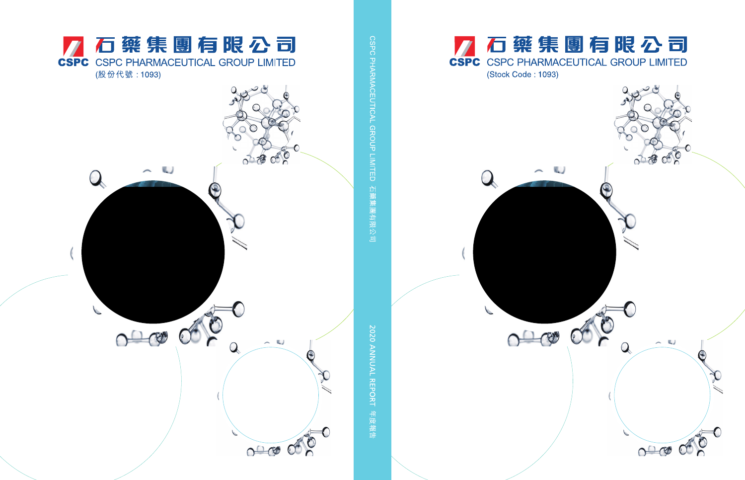

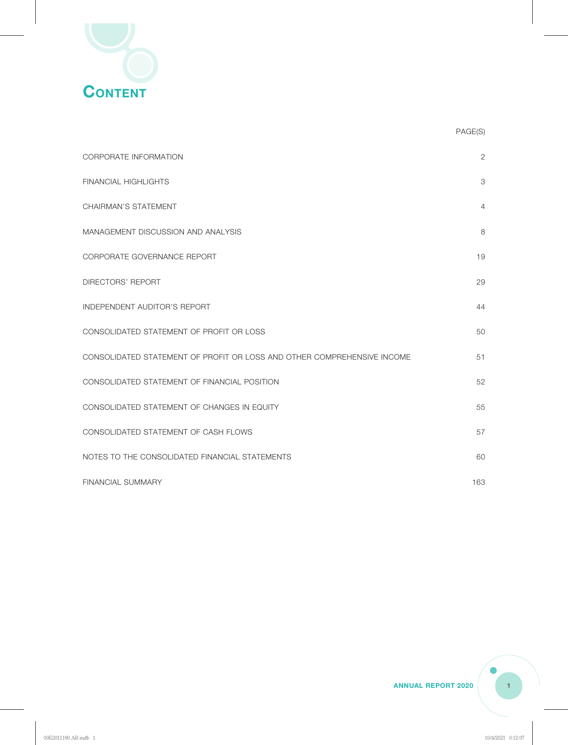

|                                                                         | PAGE(S)        |
|-------------------------------------------------------------------------|----------------|
| CORPORATE INFORMATION                                                   | $\overline{2}$ |
| <b>FINANCIAL HIGHLIGHTS</b>                                             | 3              |
| CHAIRMAN'S STATEMENT                                                    | 4              |
| MANAGEMENT DISCUSSION AND ANALYSIS                                      | 8              |
| CORPORATE GOVERNANCE REPORT                                             | 19             |
| <b>DIRECTORS' REPORT</b>                                                | 29             |
| INDEPENDENT AUDITOR'S REPORT                                            | 44             |
| CONSOLIDATED STATEMENT OF PROFIT OR LOSS                                | 50             |
| CONSOLIDATED STATEMENT OF PROFIT OR LOSS AND OTHER COMPREHENSIVE INCOME | 51             |
| CONSOLIDATED STATEMENT OF FINANCIAL POSITION                            | 52             |
| CONSOLIDATED STATEMENT OF CHANGES IN EQUITY                             | 55             |
| CONSOLIDATED STATEMENT OF CASH FLOWS                                    | 57             |
| NOTES TO THE CONSOLIDATED FINANCIAL STATEMENTS                          | 60             |
| <b>FINANCIAL SUMMARY</b>                                                | 163            |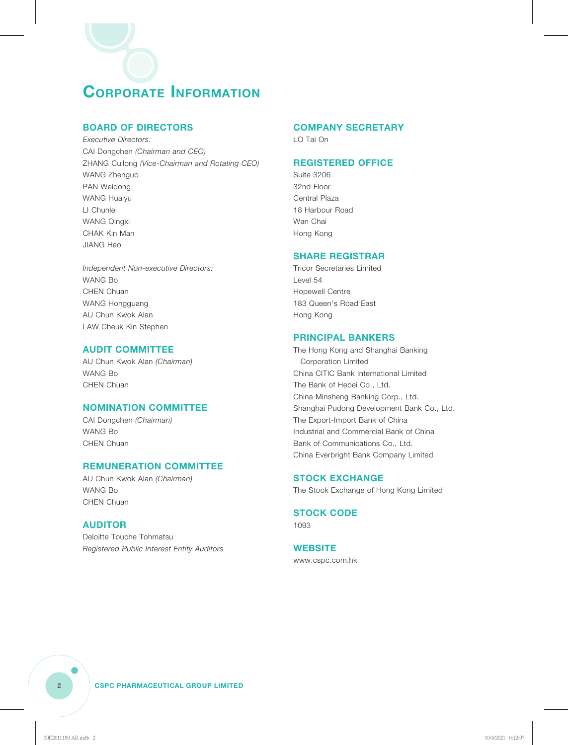### **CORPORATE INFORMATION**

#### **BOARD OF DIRECTORS**

*Executive Directors:* CAI Dongchen *(Chairman and CEO)* ZHANG Cuilong *(Vice-Chairman and Rotating CEO)* WANG Zhenguo PAN Weidong WANG Huaiyu LI Chunlei WANG Qingxi CHAK Kin Man JIANG Hao

*Independent Non-executive Directors:* WANG Bo CHEN Chuan WANG Hongguang AU Chun Kwok Alan LAW Cheuk Kin Stephen

#### **AUDIT COMMITTEE**

AU Chun Kwok Alan *(Chairman)* WANG Bo CHEN Chuan

#### **NOMINATION COMMITTEE**

CAI Dongchen *(Chairman)* WANG Bo CHEN Chuan

#### **REMUNERATION COMMITTEE**

AU Chun Kwok Alan *(Chairman)* WANG Bo CHEN Chuan

#### **AUDITOR**

Deloitte Touche Tohmatsu *Registered Public Interest Entity Auditors*

#### **COMPANY SECRETARY**

LO Tai On

#### **REGISTERED OFFICE**

Suite 3206 32nd Floor Central Plaza 18 Harbour Road Wan Chai Hong Kong

#### **SHARE REGISTRAR**

Tricor Secretaries Limited Level 54 Hopewell Centre 183 Queen's Road East Hong Kong

#### **PRINCIPAL BANKERS**

The Hong Kong and Shanghai Banking Corporation Limited China CITIC Bank International Limited The Bank of Hebei Co., Ltd. China Minsheng Banking Corp., Ltd. Shanghai Pudong Development Bank Co., Ltd. The Export-Import Bank of China Industrial and Commercial Bank of China Bank of Communications Co., Ltd. China Everbright Bank Company Limited

#### **STOCK EXCHANGE**

The Stock Exchange of Hong Kong Limited

#### **STOCK CODE**

1093

#### **WEBSITE**

www.cspc.com.hk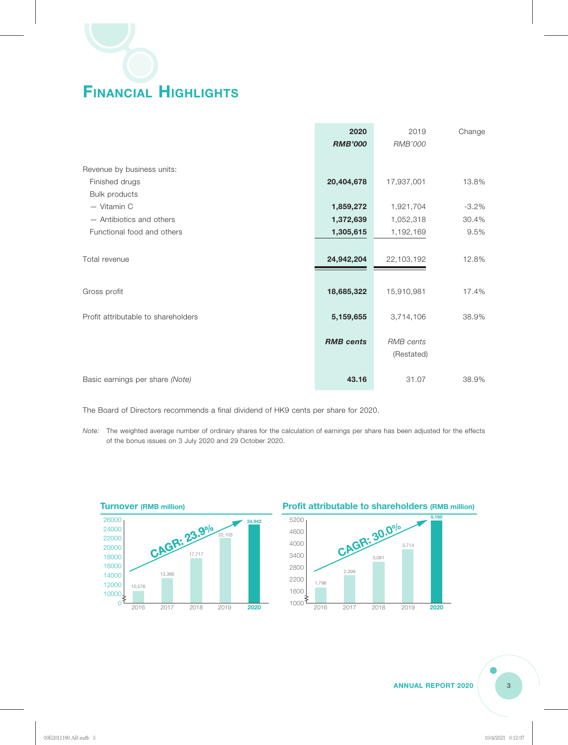# **FINANCIAL HIGHLIGHTS**

|                                     | 2020<br><b>RMB'000</b> | 2019<br>RMB'000                | Change  |
|-------------------------------------|------------------------|--------------------------------|---------|
| Revenue by business units:          |                        |                                |         |
| Finished drugs                      | 20,404,678             | 17,937,001                     | 13.8%   |
| <b>Bulk products</b>                |                        |                                |         |
| - Vitamin C                         | 1,859,272              | 1,921,704                      | $-3.2%$ |
| - Antibiotics and others            | 1,372,639              | 1,052,318                      | 30.4%   |
| Functional food and others          | 1,305,615              | 1,192,169                      | 9.5%    |
|                                     |                        |                                |         |
| Total revenue                       | 24,942,204             | 22,103,192                     | 12.8%   |
|                                     |                        |                                |         |
| Gross profit                        | 18,685,322             | 15,910,981                     | 17.4%   |
| Profit attributable to shareholders | 5,159,655              | 3,714,106                      | 38.9%   |
|                                     | <b>RMB</b> cents       | <b>RMB</b> cents<br>(Restated) |         |
| Basic earnings per share (Note)     | 43.16                  | 31.07                          | 38.9%   |

The Board of Directors recommends a final dividend of HK9 cents per share for 2020.

*Note:* The weighted average number of ordinary shares for the calculation of earnings per share has been adjusted for the effects of the bonus issues on 3 July 2020 and 29 October 2020.



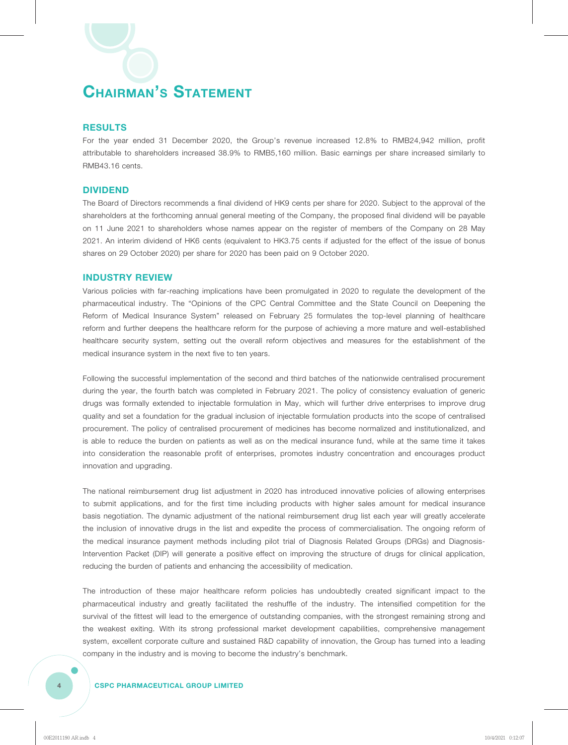#### **RESULTS**

For the year ended 31 December 2020, the Group's revenue increased 12.8% to RMB24,942 million, profit attributable to shareholders increased 38.9% to RMB5,160 million. Basic earnings per share increased similarly to RMB43.16 cents.

#### **DIVIDEND**

The Board of Directors recommends a final dividend of HK9 cents per share for 2020. Subject to the approval of the shareholders at the forthcoming annual general meeting of the Company, the proposed final dividend will be payable on 11 June 2021 to shareholders whose names appear on the register of members of the Company on 28 May 2021. An interim dividend of HK6 cents (equivalent to HK3.75 cents if adjusted for the effect of the issue of bonus shares on 29 October 2020) per share for 2020 has been paid on 9 October 2020.

#### **INDUSTRY REVIEW**

Various policies with far-reaching implications have been promulgated in 2020 to regulate the development of the pharmaceutical industry. The "Opinions of the CPC Central Committee and the State Council on Deepening the Reform of Medical Insurance System" released on February 25 formulates the top-level planning of healthcare reform and further deepens the healthcare reform for the purpose of achieving a more mature and well-established healthcare security system, setting out the overall reform objectives and measures for the establishment of the medical insurance system in the next five to ten years.

Following the successful implementation of the second and third batches of the nationwide centralised procurement during the year, the fourth batch was completed in February 2021. The policy of consistency evaluation of generic drugs was formally extended to injectable formulation in May, which will further drive enterprises to improve drug quality and set a foundation for the gradual inclusion of injectable formulation products into the scope of centralised procurement. The policy of centralised procurement of medicines has become normalized and institutionalized, and is able to reduce the burden on patients as well as on the medical insurance fund, while at the same time it takes into consideration the reasonable profit of enterprises, promotes industry concentration and encourages product innovation and upgrading.

The national reimbursement drug list adjustment in 2020 has introduced innovative policies of allowing enterprises to submit applications, and for the first time including products with higher sales amount for medical insurance basis negotiation. The dynamic adjustment of the national reimbursement drug list each year will greatly accelerate the inclusion of innovative drugs in the list and expedite the process of commercialisation. The ongoing reform of the medical insurance payment methods including pilot trial of Diagnosis Related Groups (DRGs) and Diagnosis-Intervention Packet (DIP) will generate a positive effect on improving the structure of drugs for clinical application, reducing the burden of patients and enhancing the accessibility of medication.

The introduction of these major healthcare reform policies has undoubtedly created significant impact to the pharmaceutical industry and greatly facilitated the reshuffle of the industry. The intensified competition for the survival of the fittest will lead to the emergence of outstanding companies, with the strongest remaining strong and the weakest exiting. With its strong professional market development capabilities, comprehensive management system, excellent corporate culture and sustained R&D capability of innovation, the Group has turned into a leading company in the industry and is moving to become the industry's benchmark.

#### **4 CSPC PHARMACEUTICAL GROUP LIMITED**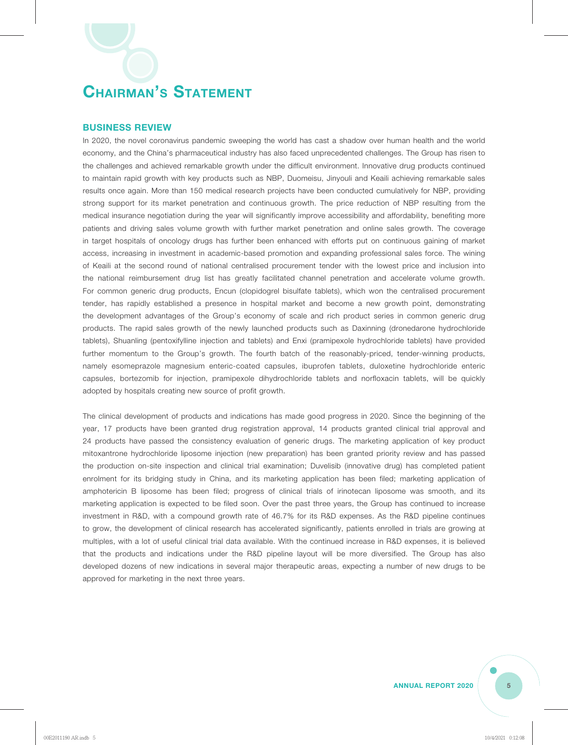#### **BUSINESS REVIEW**

In 2020, the novel coronavirus pandemic sweeping the world has cast a shadow over human health and the world economy, and the China's pharmaceutical industry has also faced unprecedented challenges. The Group has risen to the challenges and achieved remarkable growth under the difficult environment. Innovative drug products continued to maintain rapid growth with key products such as NBP, Duomeisu, Jinyouli and Keaili achieving remarkable sales results once again. More than 150 medical research projects have been conducted cumulatively for NBP, providing strong support for its market penetration and continuous growth. The price reduction of NBP resulting from the medical insurance negotiation during the year will significantly improve accessibility and affordability, benefiting more patients and driving sales volume growth with further market penetration and online sales growth. The coverage in target hospitals of oncology drugs has further been enhanced with efforts put on continuous gaining of market access, increasing in investment in academic-based promotion and expanding professional sales force. The wining of Keaili at the second round of national centralised procurement tender with the lowest price and inclusion into the national reimbursement drug list has greatly facilitated channel penetration and accelerate volume growth. For common generic drug products, Encun (clopidogrel bisulfate tablets), which won the centralised procurement tender, has rapidly established a presence in hospital market and become a new growth point, demonstrating the development advantages of the Group's economy of scale and rich product series in common generic drug products. The rapid sales growth of the newly launched products such as Daxinning (dronedarone hydrochloride tablets), Shuanling (pentoxifylline injection and tablets) and Enxi (pramipexole hydrochloride tablets) have provided further momentum to the Group's growth. The fourth batch of the reasonably-priced, tender-winning products, namely esomeprazole magnesium enteric-coated capsules, ibuprofen tablets, duloxetine hydrochloride enteric capsules, bortezomib for injection, pramipexole dihydrochloride tablets and norfloxacin tablets, will be quickly adopted by hospitals creating new source of profit growth.

The clinical development of products and indications has made good progress in 2020. Since the beginning of the year, 17 products have been granted drug registration approval, 14 products granted clinical trial approval and 24 products have passed the consistency evaluation of generic drugs. The marketing application of key product mitoxantrone hydrochloride liposome injection (new preparation) has been granted priority review and has passed the production on-site inspection and clinical trial examination; Duvelisib (innovative drug) has completed patient enrolment for its bridging study in China, and its marketing application has been filed; marketing application of amphotericin B liposome has been filed; progress of clinical trials of irinotecan liposome was smooth, and its marketing application is expected to be filed soon. Over the past three years, the Group has continued to increase investment in R&D, with a compound growth rate of 46.7% for its R&D expenses. As the R&D pipeline continues to grow, the development of clinical research has accelerated significantly, patients enrolled in trials are growing at multiples, with a lot of useful clinical trial data available. With the continued increase in R&D expenses, it is believed that the products and indications under the R&D pipeline layout will be more diversified. The Group has also developed dozens of new indications in several major therapeutic areas, expecting a number of new drugs to be approved for marketing in the next three years.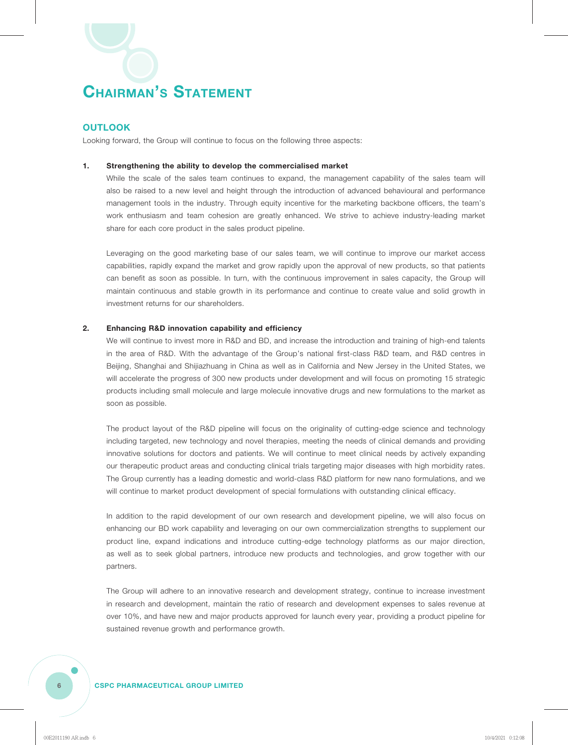#### **OUTLOOK**

Looking forward, the Group will continue to focus on the following three aspects:

#### **1. Strengthening the ability to develop the commercialised market**

While the scale of the sales team continues to expand, the management capability of the sales team will also be raised to a new level and height through the introduction of advanced behavioural and performance management tools in the industry. Through equity incentive for the marketing backbone officers, the team's work enthusiasm and team cohesion are greatly enhanced. We strive to achieve industry-leading market share for each core product in the sales product pipeline.

Leveraging on the good marketing base of our sales team, we will continue to improve our market access capabilities, rapidly expand the market and grow rapidly upon the approval of new products, so that patients can benefit as soon as possible. In turn, with the continuous improvement in sales capacity, the Group will maintain continuous and stable growth in its performance and continue to create value and solid growth in investment returns for our shareholders.

#### **2. Enhancing R&D innovation capability and efficiency**

We will continue to invest more in R&D and BD, and increase the introduction and training of high-end talents in the area of R&D. With the advantage of the Group's national first-class R&D team, and R&D centres in Beijing, Shanghai and Shijiazhuang in China as well as in California and New Jersey in the United States, we will accelerate the progress of 300 new products under development and will focus on promoting 15 strategic products including small molecule and large molecule innovative drugs and new formulations to the market as soon as possible.

The product layout of the R&D pipeline will focus on the originality of cutting-edge science and technology including targeted, new technology and novel therapies, meeting the needs of clinical demands and providing innovative solutions for doctors and patients. We will continue to meet clinical needs by actively expanding our therapeutic product areas and conducting clinical trials targeting major diseases with high morbidity rates. The Group currently has a leading domestic and world-class R&D platform for new nano formulations, and we will continue to market product development of special formulations with outstanding clinical efficacy.

In addition to the rapid development of our own research and development pipeline, we will also focus on enhancing our BD work capability and leveraging on our own commercialization strengths to supplement our product line, expand indications and introduce cutting-edge technology platforms as our major direction, as well as to seek global partners, introduce new products and technologies, and grow together with our partners.

The Group will adhere to an innovative research and development strategy, continue to increase investment in research and development, maintain the ratio of research and development expenses to sales revenue at over 10%, and have new and major products approved for launch every year, providing a product pipeline for sustained revenue growth and performance growth.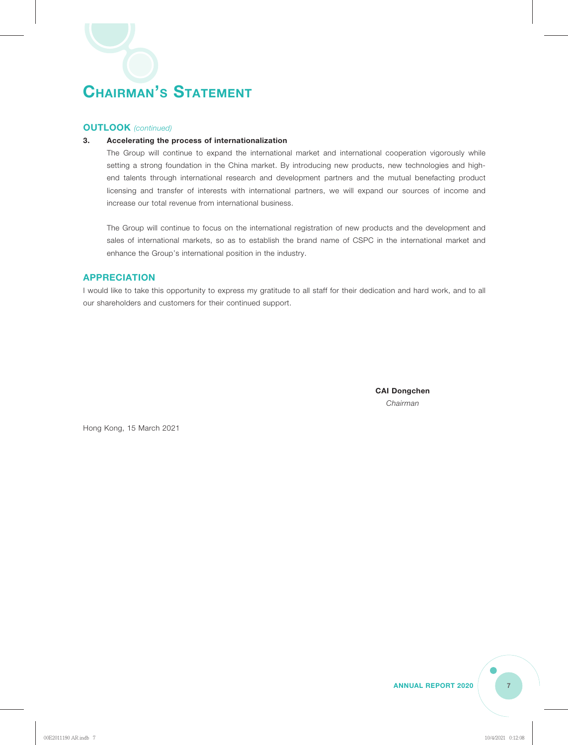#### **OUTLOOK** *(continued)*

#### **3. Accelerating the process of internationalization**

The Group will continue to expand the international market and international cooperation vigorously while setting a strong foundation in the China market. By introducing new products, new technologies and highend talents through international research and development partners and the mutual benefacting product licensing and transfer of interests with international partners, we will expand our sources of income and increase our total revenue from international business.

The Group will continue to focus on the international registration of new products and the development and sales of international markets, so as to establish the brand name of CSPC in the international market and enhance the Group's international position in the industry.

#### **APPRECIATION**

I would like to take this opportunity to express my gratitude to all staff for their dedication and hard work, and to all our shareholders and customers for their continued support.

> **CAI Dongchen** *Chairman*

Hong Kong, 15 March 2021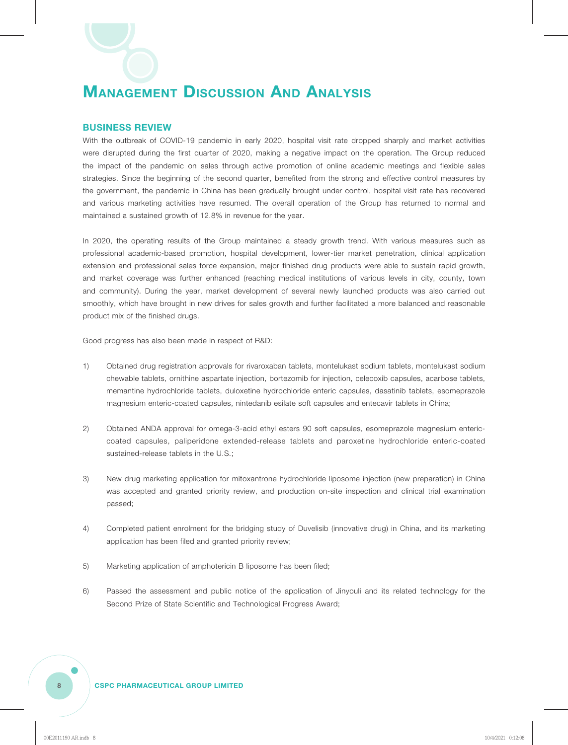#### **BUSINESS REVIEW**

With the outbreak of COVID-19 pandemic in early 2020, hospital visit rate dropped sharply and market activities were disrupted during the first quarter of 2020, making a negative impact on the operation. The Group reduced the impact of the pandemic on sales through active promotion of online academic meetings and flexible sales strategies. Since the beginning of the second quarter, benefited from the strong and effective control measures by the government, the pandemic in China has been gradually brought under control, hospital visit rate has recovered and various marketing activities have resumed. The overall operation of the Group has returned to normal and maintained a sustained growth of 12.8% in revenue for the year.

In 2020, the operating results of the Group maintained a steady growth trend. With various measures such as professional academic-based promotion, hospital development, lower-tier market penetration, clinical application extension and professional sales force expansion, major finished drug products were able to sustain rapid growth, and market coverage was further enhanced (reaching medical institutions of various levels in city, county, town and community). During the year, market development of several newly launched products was also carried out smoothly, which have brought in new drives for sales growth and further facilitated a more balanced and reasonable product mix of the finished drugs.

Good progress has also been made in respect of R&D:

- 1) Obtained drug registration approvals for rivaroxaban tablets, montelukast sodium tablets, montelukast sodium chewable tablets, ornithine aspartate injection, bortezomib for injection, celecoxib capsules, acarbose tablets, memantine hydrochloride tablets, duloxetine hydrochloride enteric capsules, dasatinib tablets, esomeprazole magnesium enteric-coated capsules, nintedanib esilate soft capsules and entecavir tablets in China;
- 2) Obtained ANDA approval for omega-3-acid ethyl esters 90 soft capsules, esomeprazole magnesium entericcoated capsules, paliperidone extended-release tablets and paroxetine hydrochloride enteric-coated sustained-release tablets in the U.S.;
- 3) New drug marketing application for mitoxantrone hydrochloride liposome injection (new preparation) in China was accepted and granted priority review, and production on-site inspection and clinical trial examination passed;
- 4) Completed patient enrolment for the bridging study of Duvelisib (innovative drug) in China, and its marketing application has been filed and granted priority review;
- 5) Marketing application of amphotericin B liposome has been filed;
- 6) Passed the assessment and public notice of the application of Jinyouli and its related technology for the Second Prize of State Scientific and Technological Progress Award;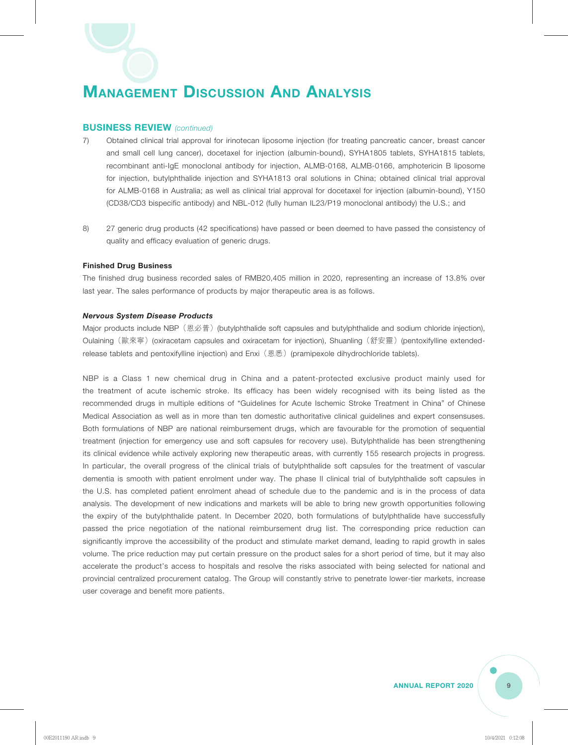#### **BUSINESS REVIEW** *(continued)*

- 7) Obtained clinical trial approval for irinotecan liposome injection (for treating pancreatic cancer, breast cancer and small cell lung cancer), docetaxel for injection (albumin-bound), SYHA1805 tablets, SYHA1815 tablets, recombinant anti-IgE monoclonal antibody for injection, ALMB-0168, ALMB-0166, amphotericin B liposome for injection, butylphthalide injection and SYHA1813 oral solutions in China; obtained clinical trial approval for ALMB-0168 in Australia; as well as clinical trial approval for docetaxel for injection (albumin-bound), Y150 (CD38/CD3 bispecific antibody) and NBL-012 (fully human IL23/P19 monoclonal antibody) the U.S.; and
- 8) 27 generic drug products (42 specifications) have passed or been deemed to have passed the consistency of quality and efficacy evaluation of generic drugs.

#### **Finished Drug Business**

The finished drug business recorded sales of RMB20,405 million in 2020, representing an increase of 13.8% over last year. The sales performance of products by major therapeutic area is as follows.

#### *Nervous System Disease Products*

Major products include NBP(恩必普)(butylphthalide soft capsules and butylphthalide and sodium chloride injection), Oulaining (歐來寧) (oxiracetam capsules and oxiracetam for injection), Shuanling (舒安靈) (pentoxifylline extendedrelease tablets and pentoxifylline injection) and Enxi (恩悉) (pramipexole dihydrochloride tablets).

NBP is a Class 1 new chemical drug in China and a patent-protected exclusive product mainly used for the treatment of acute ischemic stroke. Its efficacy has been widely recognised with its being listed as the recommended drugs in multiple editions of "Guidelines for Acute Ischemic Stroke Treatment in China" of Chinese Medical Association as well as in more than ten domestic authoritative clinical guidelines and expert consensuses. Both formulations of NBP are national reimbursement drugs, which are favourable for the promotion of sequential treatment (injection for emergency use and soft capsules for recovery use). Butylphthalide has been strengthening its clinical evidence while actively exploring new therapeutic areas, with currently 155 research projects in progress. In particular, the overall progress of the clinical trials of butylphthalide soft capsules for the treatment of vascular dementia is smooth with patient enrolment under way. The phase II clinical trial of butylphthalide soft capsules in the U.S. has completed patient enrolment ahead of schedule due to the pandemic and is in the process of data analysis. The development of new indications and markets will be able to bring new growth opportunities following the expiry of the butylphthalide patent. In December 2020, both formulations of butylphthalide have successfully passed the price negotiation of the national reimbursement drug list. The corresponding price reduction can significantly improve the accessibility of the product and stimulate market demand, leading to rapid growth in sales volume. The price reduction may put certain pressure on the product sales for a short period of time, but it may also accelerate the product's access to hospitals and resolve the risks associated with being selected for national and provincial centralized procurement catalog. The Group will constantly strive to penetrate lower-tier markets, increase user coverage and benefit more patients.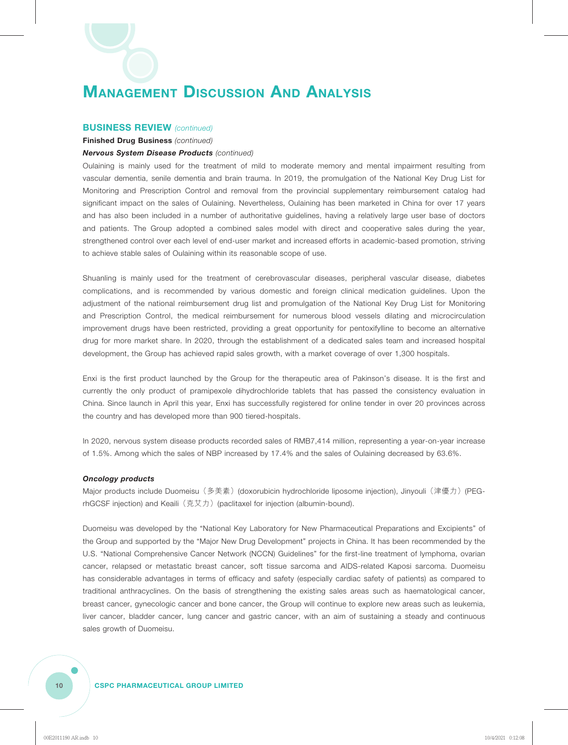#### **BUSINESS REVIEW** *(continued)*

**Finished Drug Business** *(continued)*

#### *Nervous System Disease Products (continued)*

Oulaining is mainly used for the treatment of mild to moderate memory and mental impairment resulting from vascular dementia, senile dementia and brain trauma. In 2019, the promulgation of the National Key Drug List for Monitoring and Prescription Control and removal from the provincial supplementary reimbursement catalog had significant impact on the sales of Oulaining. Nevertheless, Oulaining has been marketed in China for over 17 years and has also been included in a number of authoritative guidelines, having a relatively large user base of doctors and patients. The Group adopted a combined sales model with direct and cooperative sales during the year, strengthened control over each level of end-user market and increased efforts in academic-based promotion, striving to achieve stable sales of Oulaining within its reasonable scope of use.

Shuanling is mainly used for the treatment of cerebrovascular diseases, peripheral vascular disease, diabetes complications, and is recommended by various domestic and foreign clinical medication guidelines. Upon the adjustment of the national reimbursement drug list and promulgation of the National Key Drug List for Monitoring and Prescription Control, the medical reimbursement for numerous blood vessels dilating and microcirculation improvement drugs have been restricted, providing a great opportunity for pentoxifylline to become an alternative drug for more market share. In 2020, through the establishment of a dedicated sales team and increased hospital development, the Group has achieved rapid sales growth, with a market coverage of over 1,300 hospitals.

Enxi is the first product launched by the Group for the therapeutic area of Pakinson's disease. It is the first and currently the only product of pramipexole dihydrochloride tablets that has passed the consistency evaluation in China. Since launch in April this year, Enxi has successfully registered for online tender in over 20 provinces across the country and has developed more than 900 tiered-hospitals.

In 2020, nervous system disease products recorded sales of RMB7,414 million, representing a year-on-year increase of 1.5%. Among which the sales of NBP increased by 17.4% and the sales of Oulaining decreased by 63.6%.

#### *Oncology products*

Major products include Duomeisu (多美素) (doxorubicin hydrochloride liposome injection), Jinyouli (津優力) (PEGrhGCSF injection) and Keaili (克艾力) (paclitaxel for injection (albumin-bound).

Duomeisu was developed by the "National Key Laboratory for New Pharmaceutical Preparations and Excipients" of the Group and supported by the "Major New Drug Development" projects in China. It has been recommended by the U.S. "National Comprehensive Cancer Network (NCCN) Guidelines" for the first-line treatment of lymphoma, ovarian cancer, relapsed or metastatic breast cancer, soft tissue sarcoma and AIDS-related Kaposi sarcoma. Duomeisu has considerable advantages in terms of efficacy and safety (especially cardiac safety of patients) as compared to traditional anthracyclines. On the basis of strengthening the existing sales areas such as haematological cancer, breast cancer, gynecologic cancer and bone cancer, the Group will continue to explore new areas such as leukemia, liver cancer, bladder cancer, lung cancer and gastric cancer, with an aim of sustaining a steady and continuous sales growth of Duomeisu.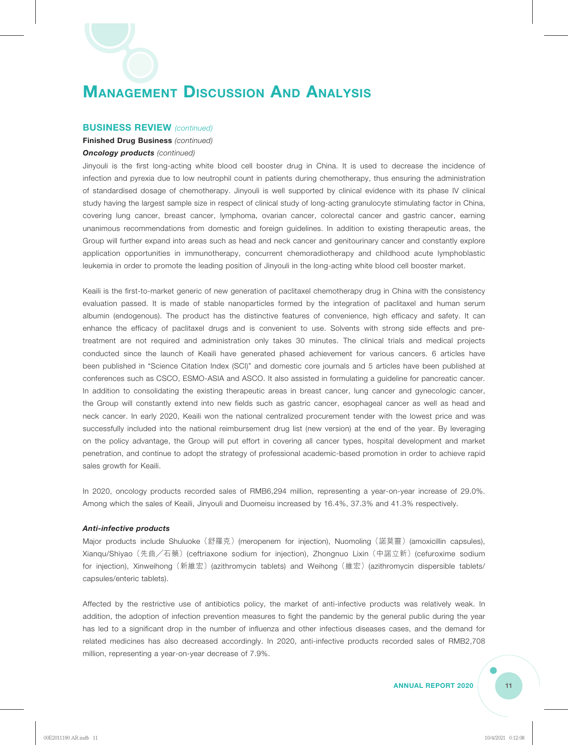#### **BUSINESS REVIEW** *(continued)*

#### **Finished Drug Business** *(continued)*

#### *Oncology products (continued)*

Jinyouli is the first long-acting white blood cell booster drug in China. It is used to decrease the incidence of infection and pyrexia due to low neutrophil count in patients during chemotherapy, thus ensuring the administration of standardised dosage of chemotherapy. Jinyouli is well supported by clinical evidence with its phase IV clinical study having the largest sample size in respect of clinical study of long-acting granulocyte stimulating factor in China, covering lung cancer, breast cancer, lymphoma, ovarian cancer, colorectal cancer and gastric cancer, earning unanimous recommendations from domestic and foreign guidelines. In addition to existing therapeutic areas, the Group will further expand into areas such as head and neck cancer and genitourinary cancer and constantly explore application opportunities in immunotherapy, concurrent chemoradiotherapy and childhood acute lymphoblastic leukemia in order to promote the leading position of Jinyouli in the long-acting white blood cell booster market.

Keaili is the first-to-market generic of new generation of paclitaxel chemotherapy drug in China with the consistency evaluation passed. It is made of stable nanoparticles formed by the integration of paclitaxel and human serum albumin (endogenous). The product has the distinctive features of convenience, high efficacy and safety. It can enhance the efficacy of paclitaxel drugs and is convenient to use. Solvents with strong side effects and pretreatment are not required and administration only takes 30 minutes. The clinical trials and medical projects conducted since the launch of Keaili have generated phased achievement for various cancers. 6 articles have been published in "Science Citation Index (SCI)" and domestic core journals and 5 articles have been published at conferences such as CSCO, ESMO-ASIA and ASCO. It also assisted in formulating a guideline for pancreatic cancer. In addition to consolidating the existing therapeutic areas in breast cancer, lung cancer and gynecologic cancer, the Group will constantly extend into new fields such as gastric cancer, esophageal cancer as well as head and neck cancer. In early 2020, Keaili won the national centralized procurement tender with the lowest price and was successfully included into the national reimbursement drug list (new version) at the end of the year. By leveraging on the policy advantage, the Group will put effort in covering all cancer types, hospital development and market penetration, and continue to adopt the strategy of professional academic-based promotion in order to achieve rapid sales growth for Keaili.

In 2020, oncology products recorded sales of RMB6,294 million, representing a year-on-year increase of 29.0%. Among which the sales of Keaili, Jinyouli and Duomeisu increased by 16.4%, 37.3% and 41.3% respectively.

#### *Anti-infective products*

Major products include Shuluoke(舒羅克)(meropenem for injection), Nuomoling(諾莫靈)(amoxicillin capsules), Xianqu/Shiyao(先曲╱石藥)(ceftriaxone sodium for injection), Zhongnuo Lixin(中諾立新)(cefuroxime sodium for injection), Xinweihong (新維宏) (azithromycin tablets) and Weihong (維宏) (azithromycin dispersible tablets/ capsules/enteric tablets).

Affected by the restrictive use of antibiotics policy, the market of anti-infective products was relatively weak. In addition, the adoption of infection prevention measures to fight the pandemic by the general public during the year has led to a significant drop in the number of influenza and other infectious diseases cases, and the demand for related medicines has also decreased accordingly. In 2020, anti-infective products recorded sales of RMB2,708 million, representing a year-on-year decrease of 7.9%.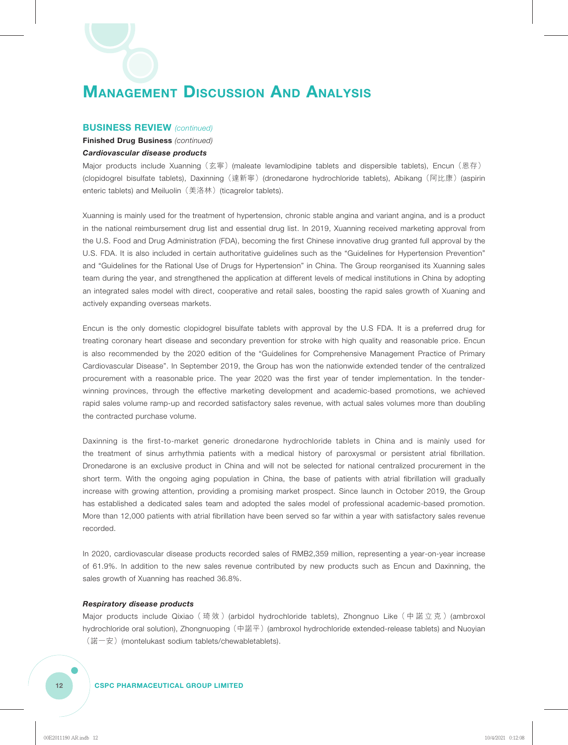#### **BUSINESS REVIEW** *(continued)*

#### **Finished Drug Business** *(continued) Cardiovascular disease products*

Major products include Xuanning (玄寧) (maleate levamlodipine tablets and dispersible tablets), Encun (恩存) (clopidogrel bisulfate tablets), Daxinning(達新寧)(dronedarone hydrochloride tablets), Abikang(阿比康)(aspirin enteric tablets) and Meiluolin (美洛林) (ticagrelor tablets).

Xuanning is mainly used for the treatment of hypertension, chronic stable angina and variant angina, and is a product in the national reimbursement drug list and essential drug list. In 2019, Xuanning received marketing approval from the U.S. Food and Drug Administration (FDA), becoming the first Chinese innovative drug granted full approval by the U.S. FDA. It is also included in certain authoritative guidelines such as the "Guidelines for Hypertension Prevention" and "Guidelines for the Rational Use of Drugs for Hypertension" in China. The Group reorganised its Xuanning sales team during the year, and strengthened the application at different levels of medical institutions in China by adopting an integrated sales model with direct, cooperative and retail sales, boosting the rapid sales growth of Xuaning and actively expanding overseas markets.

Encun is the only domestic clopidogrel bisulfate tablets with approval by the U.S FDA. It is a preferred drug for treating coronary heart disease and secondary prevention for stroke with high quality and reasonable price. Encun is also recommended by the 2020 edition of the "Guidelines for Comprehensive Management Practice of Primary Cardiovascular Disease". In September 2019, the Group has won the nationwide extended tender of the centralized procurement with a reasonable price. The year 2020 was the first year of tender implementation. In the tenderwinning provinces, through the effective marketing development and academic-based promotions, we achieved rapid sales volume ramp-up and recorded satisfactory sales revenue, with actual sales volumes more than doubling the contracted purchase volume.

Daxinning is the first-to-market generic dronedarone hydrochloride tablets in China and is mainly used for the treatment of sinus arrhythmia patients with a medical history of paroxysmal or persistent atrial fibrillation. Dronedarone is an exclusive product in China and will not be selected for national centralized procurement in the short term. With the ongoing aging population in China, the base of patients with atrial fibrillation will gradually increase with growing attention, providing a promising market prospect. Since launch in October 2019, the Group has established a dedicated sales team and adopted the sales model of professional academic-based promotion. More than 12,000 patients with atrial fibrillation have been served so far within a year with satisfactory sales revenue recorded.

In 2020, cardiovascular disease products recorded sales of RMB2,359 million, representing a year-on-year increase of 61.9%. In addition to the new sales revenue contributed by new products such as Encun and Daxinning, the sales growth of Xuanning has reached 36.8%.

#### *Respiratory disease products*

Major products include Qixiao (琦效) (arbidol hydrochloride tablets), Zhongnuo Like (中諾立克) (ambroxol hydrochloride oral solution), Zhongnuoping(中諾平)(ambroxol hydrochloride extended-release tablets) and Nuoyian (諾一安)(montelukast sodium tablets/chewabletablets).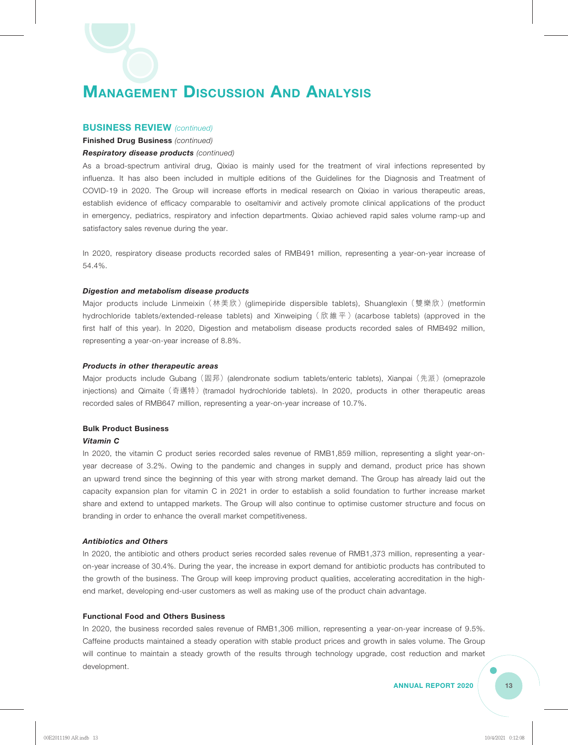#### **BUSINESS REVIEW** *(continued)*

**Finished Drug Business** *(continued)*

#### *Respiratory disease products (continued)*

As a broad-spectrum antiviral drug, Qixiao is mainly used for the treatment of viral infections represented by influenza. It has also been included in multiple editions of the Guidelines for the Diagnosis and Treatment of COVID-19 in 2020. The Group will increase efforts in medical research on Qixiao in various therapeutic areas, establish evidence of efficacy comparable to oseltamivir and actively promote clinical applications of the product in emergency, pediatrics, respiratory and infection departments. Qixiao achieved rapid sales volume ramp-up and satisfactory sales revenue during the year.

In 2020, respiratory disease products recorded sales of RMB491 million, representing a year-on-year increase of 54.4%.

#### *Digestion and metabolism disease products*

Major products include Linmeixin (林美欣) (glimepiride dispersible tablets), Shuanglexin (雙樂欣) (metformin hydrochloride tablets/extended-release tablets) and Xinweiping (欣維平) (acarbose tablets) (approved in the first half of this year). In 2020, Digestion and metabolism disease products recorded sales of RMB492 million, representing a year-on-year increase of 8.8%.

#### *Products in other therapeutic areas*

Major products include Gubang (固邦) (alendronate sodium tablets/enteric tablets), Xianpai (先派) (omeprazole injections) and Qimaite(奇邁特)(tramadol hydrochloride tablets). In 2020, products in other therapeutic areas recorded sales of RMB647 million, representing a year-on-year increase of 10.7%.

#### **Bulk Product Business**

#### *Vitamin C*

In 2020, the vitamin C product series recorded sales revenue of RMB1,859 million, representing a slight year-onyear decrease of 3.2%. Owing to the pandemic and changes in supply and demand, product price has shown an upward trend since the beginning of this year with strong market demand. The Group has already laid out the capacity expansion plan for vitamin C in 2021 in order to establish a solid foundation to further increase market share and extend to untapped markets. The Group will also continue to optimise customer structure and focus on branding in order to enhance the overall market competitiveness.

#### *Antibiotics and Others*

In 2020, the antibiotic and others product series recorded sales revenue of RMB1,373 million, representing a yearon-year increase of 30.4%. During the year, the increase in export demand for antibiotic products has contributed to the growth of the business. The Group will keep improving product qualities, accelerating accreditation in the highend market, developing end-user customers as well as making use of the product chain advantage.

#### **Functional Food and Others Business**

In 2020, the business recorded sales revenue of RMB1,306 million, representing a year-on-year increase of 9.5%. Caffeine products maintained a steady operation with stable product prices and growth in sales volume. The Group will continue to maintain a steady growth of the results through technology upgrade, cost reduction and market development.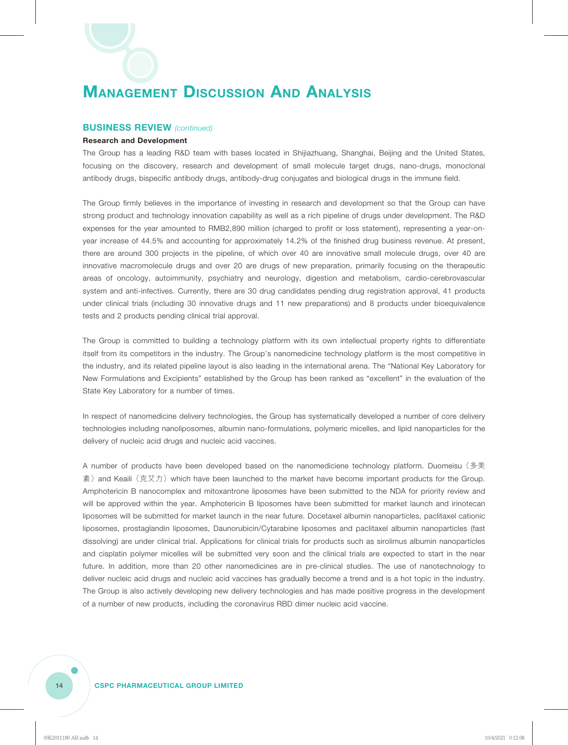#### **BUSINESS REVIEW** *(continued)*

#### **Research and Development**

The Group has a leading R&D team with bases located in Shijiazhuang, Shanghai, Beijing and the United States, focusing on the discovery, research and development of small molecule target drugs, nano-drugs, monoclonal antibody drugs, bispecific antibody drugs, antibody-drug conjugates and biological drugs in the immune field.

The Group firmly believes in the importance of investing in research and development so that the Group can have strong product and technology innovation capability as well as a rich pipeline of drugs under development. The R&D expenses for the year amounted to RMB2,890 million (charged to profit or loss statement), representing a year-onyear increase of 44.5% and accounting for approximately 14.2% of the finished drug business revenue. At present, there are around 300 projects in the pipeline, of which over 40 are innovative small molecule drugs, over 40 are innovative macromolecule drugs and over 20 are drugs of new preparation, primarily focusing on the therapeutic areas of oncology, autoimmunity, psychiatry and neurology, digestion and metabolism, cardio-cerebrovascular system and anti-infectives. Currently, there are 30 drug candidates pending drug registration approval, 41 products under clinical trials (including 30 innovative drugs and 11 new preparations) and 8 products under bioequivalence tests and 2 products pending clinical trial approval.

The Group is committed to building a technology platform with its own intellectual property rights to differentiate itself from its competitors in the industry. The Group's nanomedicine technology platform is the most competitive in the industry, and its related pipeline layout is also leading in the international arena. The "National Key Laboratory for New Formulations and Excipients" established by the Group has been ranked as "excellent" in the evaluation of the State Key Laboratory for a number of times.

In respect of nanomedicine delivery technologies, the Group has systematically developed a number of core delivery technologies including nanoliposomes, albumin nano-formulations, polymeric micelles, and lipid nanoparticles for the delivery of nucleic acid drugs and nucleic acid vaccines.

A number of products have been developed based on the nanomediciene technology platform. Duomeisu(多美 素) and Keaili (克艾力) which have been launched to the market have become important products for the Group. Amphotericin B nanocomplex and mitoxantrone liposomes have been submitted to the NDA for priority review and will be approved within the year. Amphotericin B liposomes have been submitted for market launch and irinotecan liposomes will be submitted for market launch in the near future. Docetaxel albumin nanoparticles, paclitaxel cationic liposomes, prostaglandin liposomes, Daunorubicin/Cytarabine liposomes and paclitaxel albumin nanoparticles (fast dissolving) are under clinical trial. Applications for clinical trials for products such as sirolimus albumin nanoparticles and cisplatin polymer micelles will be submitted very soon and the clinical trials are expected to start in the near future. In addition, more than 20 other nanomedicines are in pre-clinical studies. The use of nanotechnology to deliver nucleic acid drugs and nucleic acid vaccines has gradually become a trend and is a hot topic in the industry. The Group is also actively developing new delivery technologies and has made positive progress in the development of a number of new products, including the coronavirus RBD dimer nucleic acid vaccine.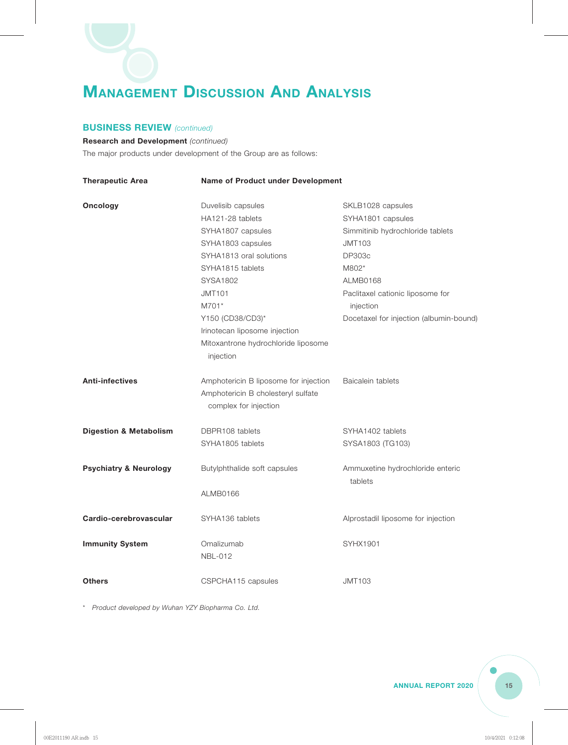#### **BUSINESS REVIEW** *(continued)*

**Research and Development** *(continued)* The major products under development of the Group are as follows:

| <b>Therapeutic Area</b>           |                                                             | Name of Product under Development           |  |  |  |
|-----------------------------------|-------------------------------------------------------------|---------------------------------------------|--|--|--|
| Oncology                          | Duvelisib capsules                                          | SKLB1028 capsules                           |  |  |  |
|                                   | HA121-28 tablets                                            | SYHA1801 capsules                           |  |  |  |
|                                   | SYHA1807 capsules                                           | Simmitinib hydrochloride tablets            |  |  |  |
|                                   | SYHA1803 capsules                                           | <b>JMT103</b>                               |  |  |  |
|                                   | SYHA1813 oral solutions                                     | <b>DP303c</b>                               |  |  |  |
|                                   | SYHA1815 tablets                                            | M802*                                       |  |  |  |
|                                   | SYSA1802                                                    | ALMB0168                                    |  |  |  |
|                                   | <b>JMT101</b>                                               | Paclitaxel cationic liposome for            |  |  |  |
|                                   | M701*                                                       | injection                                   |  |  |  |
|                                   | Y150 (CD38/CD3)*                                            | Docetaxel for injection (albumin-bound)     |  |  |  |
|                                   | Irinotecan liposome injection                               |                                             |  |  |  |
|                                   | Mitoxantrone hydrochloride liposome                         |                                             |  |  |  |
|                                   | injection                                                   |                                             |  |  |  |
| <b>Anti-infectives</b>            | Amphotericin B liposome for injection                       | Baicalein tablets                           |  |  |  |
|                                   | Amphotericin B cholesteryl sulfate<br>complex for injection |                                             |  |  |  |
| <b>Digestion &amp; Metabolism</b> | DBPR108 tablets                                             | SYHA1402 tablets                            |  |  |  |
|                                   | SYHA1805 tablets                                            | SYSA1803 (TG103)                            |  |  |  |
| <b>Psychiatry &amp; Neurology</b> | Butylphthalide soft capsules                                | Ammuxetine hydrochloride enteric<br>tablets |  |  |  |
|                                   | <b>ALMB0166</b>                                             |                                             |  |  |  |
| Cardio-cerebrovascular            | SYHA136 tablets                                             | Alprostadil liposome for injection          |  |  |  |
| <b>Immunity System</b>            | Omalizumab<br><b>NBL-012</b>                                | <b>SYHX1901</b>                             |  |  |  |
| <b>Others</b>                     | CSPCHA115 capsules                                          | <b>JMT103</b>                               |  |  |  |

\* *Product developed by Wuhan YZY Biopharma Co. Ltd.*

**ANNUAL REPORT 2020**  $\begin{pmatrix} 15 \end{pmatrix}$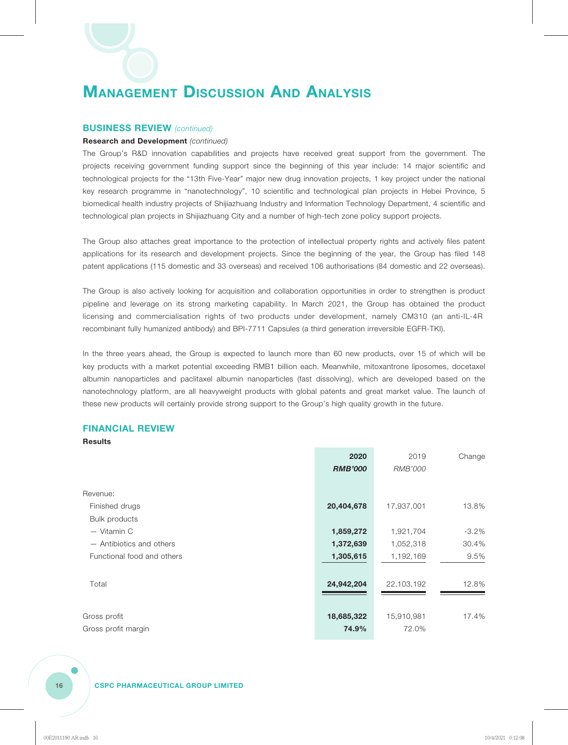#### **BUSINESS REVIEW** *(continued)*

#### **Research and Development** *(continued)*

The Group's R&D innovation capabilities and projects have received great support from the government. The projects receiving government funding support since the beginning of this year include: 14 major scientific and technological projects for the "13th Five-Year" major new drug innovation projects, 1 key project under the national key research programme in "nanotechnology", 10 scientific and technological plan projects in Hebei Province, 5 biomedical health industry projects of Shijiazhuang Industry and Information Technology Department, 4 scientific and technological plan projects in Shijiazhuang City and a number of high-tech zone policy support projects.

The Group also attaches great importance to the protection of intellectual property rights and actively files patent applications for its research and development projects. Since the beginning of the year, the Group has filed 148 patent applications (115 domestic and 33 overseas) and received 106 authorisations (84 domestic and 22 overseas).

The Group is also actively looking for acquisition and collaboration opportunities in order to strengthen is product pipeline and leverage on its strong marketing capability. In March 2021, the Group has obtained the product licensing and commercialisation rights of two products under development, namely CM310 (an anti-IL-4R recombinant fully humanized antibody) and BPI-7711 Capsules (a third generation irreversible EGFR-TKI).

In the three years ahead, the Group is expected to launch more than 60 new products, over 15 of which will be key products with a market potential exceeding RMB1 billion each. Meanwhile, mitoxantrone liposomes, docetaxel albumin nanoparticles and paclitaxel albumin nanoparticles (fast dissolving), which are developed based on the nanotechnology platform, are all heavyweight products with global patents and great market value. The launch of these new products will certainly provide strong support to the Group's high quality growth in the future.

#### **FINANCIAL REVIEW**

**Results**

|                            | 2020<br><b>RMB'000</b> | 2019<br>RMB'000 | Change   |
|----------------------------|------------------------|-----------------|----------|
| Revenue:                   |                        |                 |          |
| Finished drugs             | 20,404,678             | 17,937,001      | 13.8%    |
| Bulk products              |                        |                 |          |
| - Vitamin C                | 1,859,272              | 1,921,704       | $-3.2\%$ |
| - Antibiotics and others   | 1,372,639              | 1,052,318       | 30.4%    |
| Functional food and others | 1,305,615              | 1,192,169       | 9.5%     |
|                            |                        |                 |          |
| Total                      | 24,942,204             | 22,103,192      | 12.8%    |
|                            |                        |                 |          |
| Gross profit               | 18,685,322             | 15,910,981      | 17.4%    |
| Gross profit margin        | 74.9%                  | 72.0%           |          |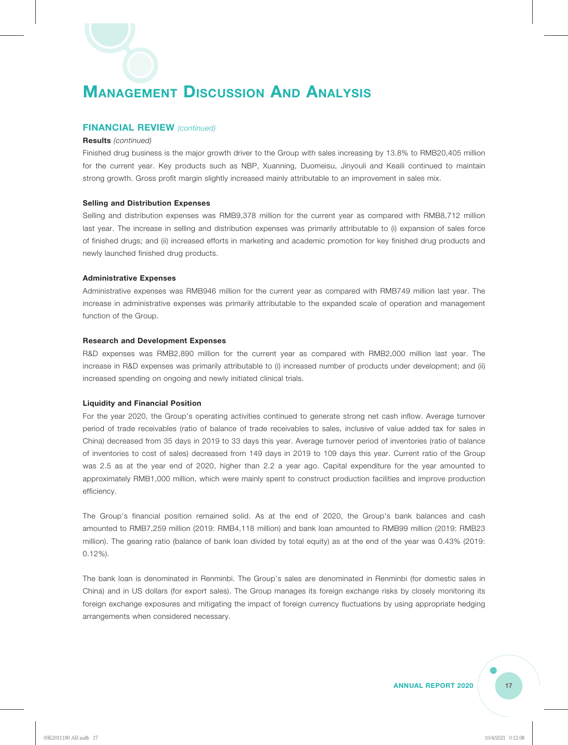#### **FINANCIAL REVIEW** *(continued)*

#### **Results** *(continued)*

Finished drug business is the major growth driver to the Group with sales increasing by 13.8% to RMB20,405 million for the current year. Key products such as NBP, Xuanning, Duomeisu, Jinyouli and Keaili continued to maintain strong growth. Gross profit margin slightly increased mainly attributable to an improvement in sales mix.

#### **Selling and Distribution Expenses**

Selling and distribution expenses was RMB9,378 million for the current year as compared with RMB8,712 million last year. The increase in selling and distribution expenses was primarily attributable to (i) expansion of sales force of finished drugs; and (ii) increased efforts in marketing and academic promotion for key finished drug products and newly launched finished drug products.

#### **Administrative Expenses**

Administrative expenses was RMB946 million for the current year as compared with RMB749 million last year. The increase in administrative expenses was primarily attributable to the expanded scale of operation and management function of the Group.

#### **Research and Development Expenses**

R&D expenses was RMB2,890 million for the current year as compared with RMB2,000 million last year. The increase in R&D expenses was primarily attributable to (i) increased number of products under development; and (ii) increased spending on ongoing and newly initiated clinical trials.

#### **Liquidity and Financial Position**

For the year 2020, the Group's operating activities continued to generate strong net cash inflow. Average turnover period of trade receivables (ratio of balance of trade receivables to sales, inclusive of value added tax for sales in China) decreased from 35 days in 2019 to 33 days this year. Average turnover period of inventories (ratio of balance of inventories to cost of sales) decreased from 149 days in 2019 to 109 days this year. Current ratio of the Group was 2.5 as at the year end of 2020, higher than 2.2 a year ago. Capital expenditure for the year amounted to approximately RMB1,000 million, which were mainly spent to construct production facilities and improve production efficiency.

The Group's financial position remained solid. As at the end of 2020, the Group's bank balances and cash amounted to RMB7,259 million (2019: RMB4,118 million) and bank loan amounted to RMB99 million (2019: RMB23 million). The gearing ratio (balance of bank loan divided by total equity) as at the end of the year was 0.43% (2019: 0.12%).

The bank loan is denominated in Renminbi. The Group's sales are denominated in Renminbi (for domestic sales in China) and in US dollars (for export sales). The Group manages its foreign exchange risks by closely monitoring its foreign exchange exposures and mitigating the impact of foreign currency fluctuations by using appropriate hedging arrangements when considered necessary.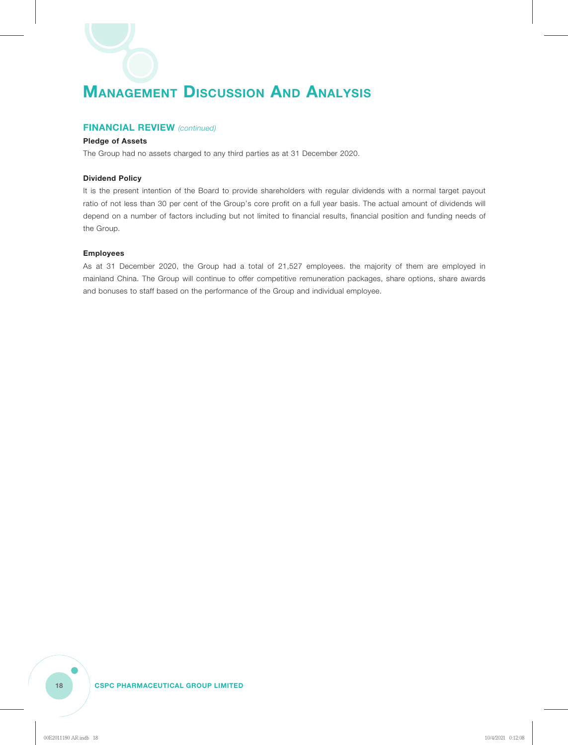#### **FINANCIAL REVIEW** *(continued)*

#### **Pledge of Assets**

The Group had no assets charged to any third parties as at 31 December 2020.

#### **Dividend Policy**

It is the present intention of the Board to provide shareholders with regular dividends with a normal target payout ratio of not less than 30 per cent of the Group's core profit on a full year basis. The actual amount of dividends will depend on a number of factors including but not limited to financial results, financial position and funding needs of the Group.

#### **Employees**

As at 31 December 2020, the Group had a total of 21,527 employees. the majority of them are employed in mainland China. The Group will continue to offer competitive remuneration packages, share options, share awards and bonuses to staff based on the performance of the Group and individual employee.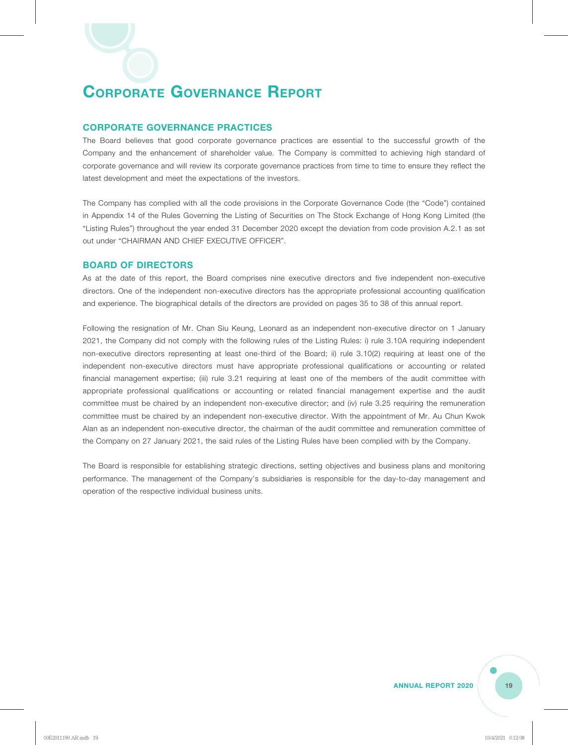#### **CORPORATE GOVERNANCE PRACTICES**

The Board believes that good corporate governance practices are essential to the successful growth of the Company and the enhancement of shareholder value. The Company is committed to achieving high standard of corporate governance and will review its corporate governance practices from time to time to ensure they reflect the latest development and meet the expectations of the investors.

The Company has complied with all the code provisions in the Corporate Governance Code (the "Code") contained in Appendix 14 of the Rules Governing the Listing of Securities on The Stock Exchange of Hong Kong Limited (the "Listing Rules") throughout the year ended 31 December 2020 except the deviation from code provision A.2.1 as set out under "CHAIRMAN AND CHIEF EXECUTIVE OFFICER".

#### **BOARD OF DIRECTORS**

As at the date of this report, the Board comprises nine executive directors and five independent non-executive directors. One of the independent non-executive directors has the appropriate professional accounting qualification and experience. The biographical details of the directors are provided on pages 35 to 38 of this annual report.

Following the resignation of Mr. Chan Siu Keung, Leonard as an independent non-executive director on 1 January 2021, the Company did not comply with the following rules of the Listing Rules: i) rule 3.10A requiring independent non-executive directors representing at least one-third of the Board; ii) rule 3.10(2) requiring at least one of the independent non-executive directors must have appropriate professional qualifications or accounting or related financial management expertise; (iii) rule 3.21 requiring at least one of the members of the audit committee with appropriate professional qualifications or accounting or related financial management expertise and the audit committee must be chaired by an independent non-executive director; and (iv) rule 3.25 requiring the remuneration committee must be chaired by an independent non-executive director. With the appointment of Mr. Au Chun Kwok Alan as an independent non-executive director, the chairman of the audit committee and remuneration committee of the Company on 27 January 2021, the said rules of the Listing Rules have been complied with by the Company.

The Board is responsible for establishing strategic directions, setting objectives and business plans and monitoring performance. The management of the Company's subsidiaries is responsible for the day-to-day management and operation of the respective individual business units.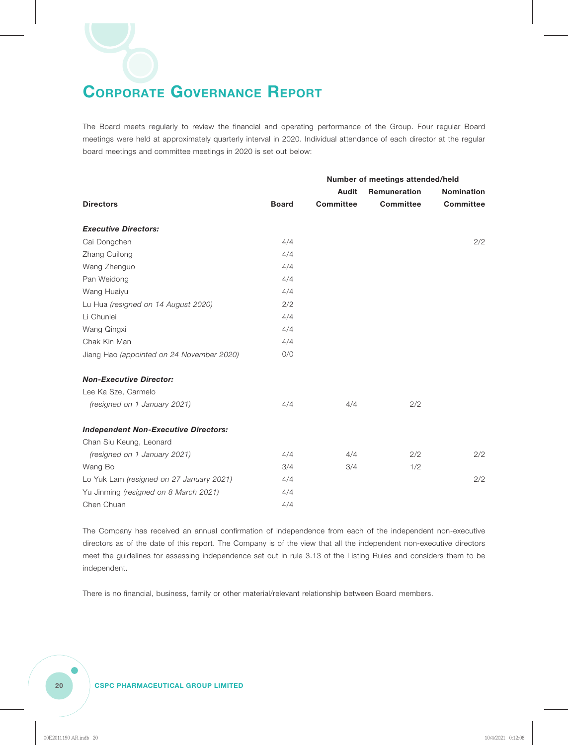The Board meets regularly to review the financial and operating performance of the Group. Four regular Board meetings were held at approximately quarterly interval in 2020. Individual attendance of each director at the regular board meetings and committee meetings in 2020 is set out below:

|                                             |              | Number of meetings attended/held |                     |                   |
|---------------------------------------------|--------------|----------------------------------|---------------------|-------------------|
|                                             |              | Audit                            | <b>Remuneration</b> | <b>Nomination</b> |
| <b>Directors</b>                            | <b>Board</b> | <b>Committee</b>                 | <b>Committee</b>    | <b>Committee</b>  |
| <b>Executive Directors:</b>                 |              |                                  |                     |                   |
| Cai Dongchen                                | 4/4          |                                  |                     | 2/2               |
| Zhang Cuilong                               | 4/4          |                                  |                     |                   |
| Wang Zhenguo                                | 4/4          |                                  |                     |                   |
| Pan Weidong                                 | 4/4          |                                  |                     |                   |
| Wang Huaiyu                                 | 4/4          |                                  |                     |                   |
| Lu Hua (resigned on 14 August 2020)         | 2/2          |                                  |                     |                   |
| Li Chunlei                                  | 4/4          |                                  |                     |                   |
| Wang Qingxi                                 | 4/4          |                                  |                     |                   |
| Chak Kin Man                                | 4/4          |                                  |                     |                   |
| Jiang Hao (appointed on 24 November 2020)   | 0/0          |                                  |                     |                   |
| <b>Non-Executive Director:</b>              |              |                                  |                     |                   |
| Lee Ka Sze, Carmelo                         |              |                                  |                     |                   |
| (resigned on 1 January 2021)                | 4/4          | 4/4                              | 2/2                 |                   |
| <b>Independent Non-Executive Directors:</b> |              |                                  |                     |                   |
| Chan Siu Keung, Leonard                     |              |                                  |                     |                   |
| (resigned on 1 January 2021)                | 4/4          | 4/4                              | 2/2                 | 2/2               |
| Wang Bo                                     | 3/4          | 3/4                              | 1/2                 |                   |
| Lo Yuk Lam (resigned on 27 January 2021)    | 4/4          |                                  |                     | 2/2               |
| Yu Jinming (resigned on 8 March 2021)       | 4/4          |                                  |                     |                   |
| Chen Chuan                                  | 4/4          |                                  |                     |                   |

The Company has received an annual confirmation of independence from each of the independent non-executive directors as of the date of this report. The Company is of the view that all the independent non-executive directors meet the guidelines for assessing independence set out in rule 3.13 of the Listing Rules and considers them to be independent.

There is no financial, business, family or other material/relevant relationship between Board members.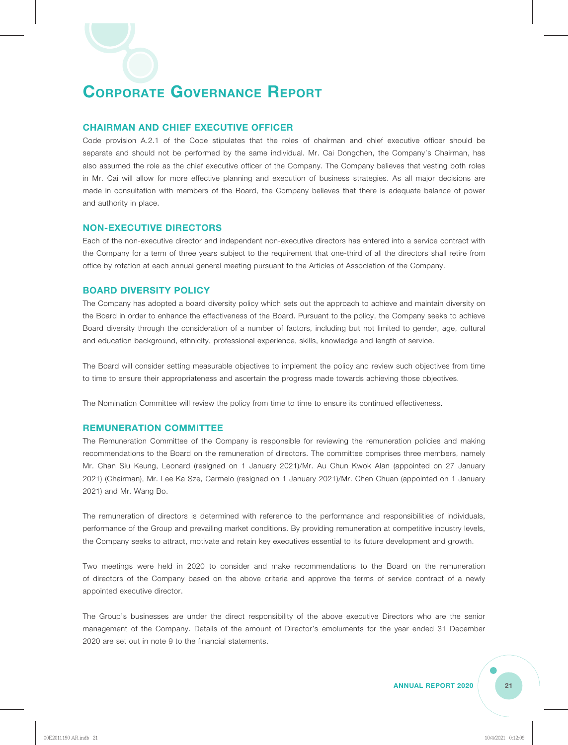#### **CHAIRMAN AND CHIEF EXECUTIVE OFFICER**

Code provision A.2.1 of the Code stipulates that the roles of chairman and chief executive officer should be separate and should not be performed by the same individual. Mr. Cai Dongchen, the Company's Chairman, has also assumed the role as the chief executive officer of the Company. The Company believes that vesting both roles in Mr. Cai will allow for more effective planning and execution of business strategies. As all major decisions are made in consultation with members of the Board, the Company believes that there is adequate balance of power and authority in place.

#### **NON-EXECUTIVE DIRECTORS**

Each of the non-executive director and independent non-executive directors has entered into a service contract with the Company for a term of three years subject to the requirement that one-third of all the directors shall retire from office by rotation at each annual general meeting pursuant to the Articles of Association of the Company.

#### **BOARD DIVERSITY POLICY**

The Company has adopted a board diversity policy which sets out the approach to achieve and maintain diversity on the Board in order to enhance the effectiveness of the Board. Pursuant to the policy, the Company seeks to achieve Board diversity through the consideration of a number of factors, including but not limited to gender, age, cultural and education background, ethnicity, professional experience, skills, knowledge and length of service.

The Board will consider setting measurable objectives to implement the policy and review such objectives from time to time to ensure their appropriateness and ascertain the progress made towards achieving those objectives.

The Nomination Committee will review the policy from time to time to ensure its continued effectiveness.

#### **REMUNERATION COMMITTEE**

The Remuneration Committee of the Company is responsible for reviewing the remuneration policies and making recommendations to the Board on the remuneration of directors. The committee comprises three members, namely Mr. Chan Siu Keung, Leonard (resigned on 1 January 2021)/Mr. Au Chun Kwok Alan (appointed on 27 January 2021) (Chairman), Mr. Lee Ka Sze, Carmelo (resigned on 1 January 2021)/Mr. Chen Chuan (appointed on 1 January 2021) and Mr. Wang Bo.

The remuneration of directors is determined with reference to the performance and responsibilities of individuals, performance of the Group and prevailing market conditions. By providing remuneration at competitive industry levels, the Company seeks to attract, motivate and retain key executives essential to its future development and growth.

Two meetings were held in 2020 to consider and make recommendations to the Board on the remuneration of directors of the Company based on the above criteria and approve the terms of service contract of a newly appointed executive director.

The Group's businesses are under the direct responsibility of the above executive Directors who are the senior management of the Company. Details of the amount of Director's emoluments for the year ended 31 December 2020 are set out in note 9 to the financial statements.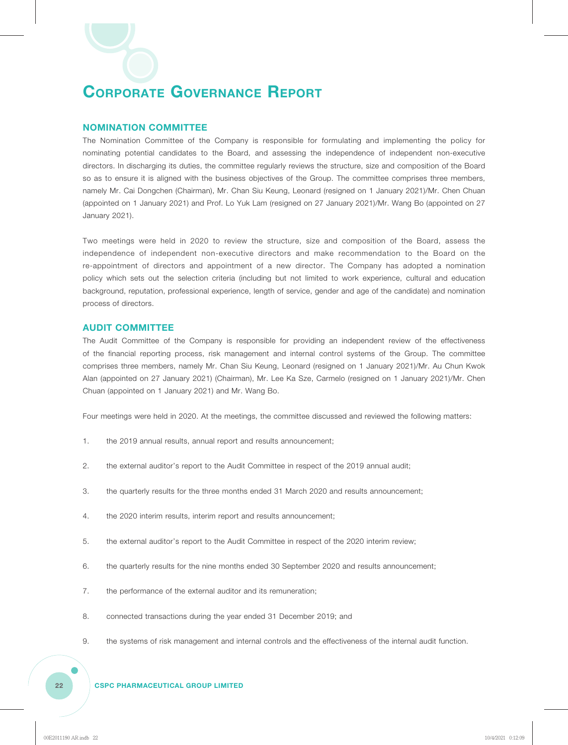#### **NOMINATION COMMITTEE**

The Nomination Committee of the Company is responsible for formulating and implementing the policy for nominating potential candidates to the Board, and assessing the independence of independent non-executive directors. In discharging its duties, the committee regularly reviews the structure, size and composition of the Board so as to ensure it is aligned with the business objectives of the Group. The committee comprises three members, namely Mr. Cai Dongchen (Chairman), Mr. Chan Siu Keung, Leonard (resigned on 1 January 2021)/Mr. Chen Chuan (appointed on 1 January 2021) and Prof. Lo Yuk Lam (resigned on 27 January 2021)/Mr. Wang Bo (appointed on 27 January 2021).

Two meetings were held in 2020 to review the structure, size and composition of the Board, assess the independence of independent non-executive directors and make recommendation to the Board on the re-appointment of directors and appointment of a new director. The Company has adopted a nomination policy which sets out the selection criteria (including but not limited to work experience, cultural and education background, reputation, professional experience, length of service, gender and age of the candidate) and nomination process of directors.

#### **AUDIT COMMITTEE**

The Audit Committee of the Company is responsible for providing an independent review of the effectiveness of the financial reporting process, risk management and internal control systems of the Group. The committee comprises three members, namely Mr. Chan Siu Keung, Leonard (resigned on 1 January 2021)/Mr. Au Chun Kwok Alan (appointed on 27 January 2021) (Chairman), Mr. Lee Ka Sze, Carmelo (resigned on 1 January 2021)/Mr. Chen Chuan (appointed on 1 January 2021) and Mr. Wang Bo.

Four meetings were held in 2020. At the meetings, the committee discussed and reviewed the following matters:

- 1. the 2019 annual results, annual report and results announcement;
- 2. the external auditor's report to the Audit Committee in respect of the 2019 annual audit;
- 3. the quarterly results for the three months ended 31 March 2020 and results announcement;
- 4. the 2020 interim results, interim report and results announcement;
- 5. the external auditor's report to the Audit Committee in respect of the 2020 interim review;
- 6. the quarterly results for the nine months ended 30 September 2020 and results announcement;
- 7. the performance of the external auditor and its remuneration;
- 8. connected transactions during the year ended 31 December 2019; and
- 9. the systems of risk management and internal controls and the effectiveness of the internal audit function.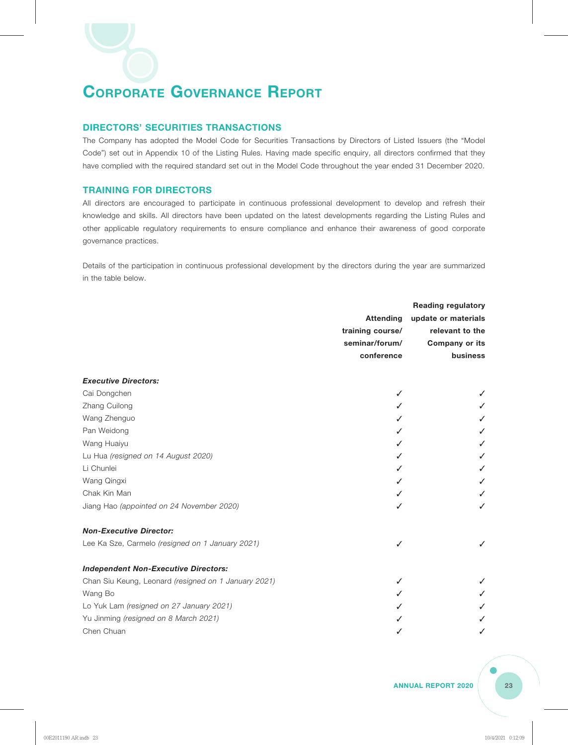#### **DIRECTORS' SECURITIES TRANSACTIONS**

The Company has adopted the Model Code for Securities Transactions by Directors of Listed Issuers (the "Model Code") set out in Appendix 10 of the Listing Rules. Having made specific enquiry, all directors confirmed that they have complied with the required standard set out in the Model Code throughout the year ended 31 December 2020.

#### **TRAINING FOR DIRECTORS**

All directors are encouraged to participate in continuous professional development to develop and refresh their knowledge and skills. All directors have been updated on the latest developments regarding the Listing Rules and other applicable regulatory requirements to ensure compliance and enhance their awareness of good corporate governance practices.

Details of the participation in continuous professional development by the directors during the year are summarized in the table below.

|                                                      |                  | <b>Reading regulatory</b> |
|------------------------------------------------------|------------------|---------------------------|
|                                                      | <b>Attending</b> | update or materials       |
|                                                      | training course/ | relevant to the           |
|                                                      | seminar/forum/   | <b>Company or its</b>     |
|                                                      | conference       | business                  |
| <b>Executive Directors:</b>                          |                  |                           |
| Cai Dongchen                                         | ✓                |                           |
| Zhang Cuilong                                        |                  |                           |
| Wang Zhenguo                                         |                  |                           |
| Pan Weidong                                          |                  |                           |
| Wang Huaiyu                                          |                  |                           |
| Lu Hua (resigned on 14 August 2020)                  |                  |                           |
| Li Chunlei                                           |                  |                           |
| Wang Qingxi                                          |                  |                           |
| Chak Kin Man                                         |                  |                           |
| Jiang Hao (appointed on 24 November 2020)            |                  | ✓                         |
| <b>Non-Executive Director:</b>                       |                  |                           |
| Lee Ka Sze, Carmelo (resigned on 1 January 2021)     | ✓                | ✓                         |
| <b>Independent Non-Executive Directors:</b>          |                  |                           |
| Chan Siu Keung, Leonard (resigned on 1 January 2021) | ✓                |                           |
| Wang Bo                                              |                  |                           |
| Lo Yuk Lam (resigned on 27 January 2021)             |                  |                           |
| Yu Jinming (resigned on 8 March 2021)                |                  |                           |
| Chen Chuan                                           |                  | ✓                         |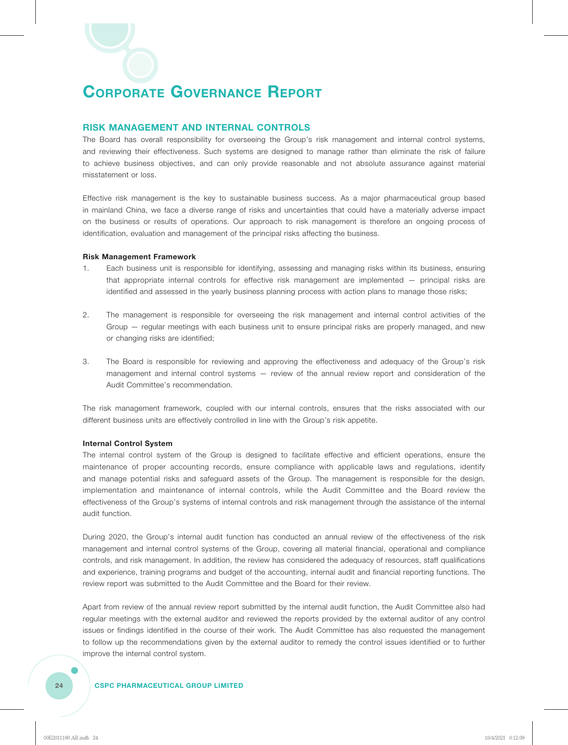#### **RISK MANAGEMENT AND INTERNAL CONTROLS**

The Board has overall responsibility for overseeing the Group's risk management and internal control systems, and reviewing their effectiveness. Such systems are designed to manage rather than eliminate the risk of failure to achieve business objectives, and can only provide reasonable and not absolute assurance against material misstatement or loss.

Effective risk management is the key to sustainable business success. As a major pharmaceutical group based in mainland China, we face a diverse range of risks and uncertainties that could have a materially adverse impact on the business or results of operations. Our approach to risk management is therefore an ongoing process of identification, evaluation and management of the principal risks affecting the business.

#### **Risk Management Framework**

- 1. Each business unit is responsible for identifying, assessing and managing risks within its business, ensuring that appropriate internal controls for effective risk management are implemented — principal risks are identified and assessed in the yearly business planning process with action plans to manage those risks;
- 2. The management is responsible for overseeing the risk management and internal control activities of the Group — regular meetings with each business unit to ensure principal risks are properly managed, and new or changing risks are identified;
- 3. The Board is responsible for reviewing and approving the effectiveness and adequacy of the Group's risk management and internal control systems — review of the annual review report and consideration of the Audit Committee's recommendation.

The risk management framework, coupled with our internal controls, ensures that the risks associated with our different business units are effectively controlled in line with the Group's risk appetite.

#### **Internal Control System**

The internal control system of the Group is designed to facilitate effective and efficient operations, ensure the maintenance of proper accounting records, ensure compliance with applicable laws and regulations, identify and manage potential risks and safeguard assets of the Group. The management is responsible for the design, implementation and maintenance of internal controls, while the Audit Committee and the Board review the effectiveness of the Group's systems of internal controls and risk management through the assistance of the internal audit function.

During 2020, the Group's internal audit function has conducted an annual review of the effectiveness of the risk management and internal control systems of the Group, covering all material financial, operational and compliance controls, and risk management. In addition, the review has considered the adequacy of resources, staff qualifications and experience, training programs and budget of the accounting, internal audit and financial reporting functions. The review report was submitted to the Audit Committee and the Board for their review.

Apart from review of the annual review report submitted by the internal audit function, the Audit Committee also had regular meetings with the external auditor and reviewed the reports provided by the external auditor of any control issues or findings identified in the course of their work. The Audit Committee has also requested the management to follow up the recommendations given by the external auditor to remedy the control issues identified or to further improve the internal control system.

#### **24 CSPC PHARMACEUTICAL GROUP LIMITED**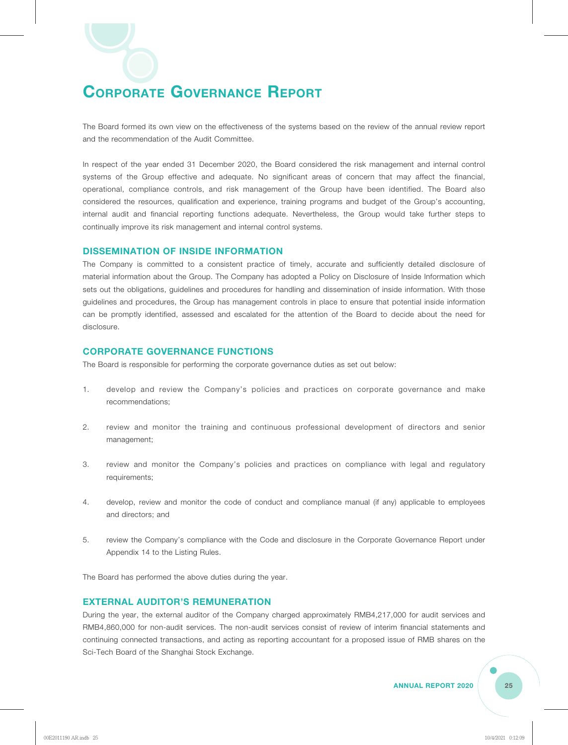The Board formed its own view on the effectiveness of the systems based on the review of the annual review report and the recommendation of the Audit Committee.

In respect of the year ended 31 December 2020, the Board considered the risk management and internal control systems of the Group effective and adequate. No significant areas of concern that may affect the financial, operational, compliance controls, and risk management of the Group have been identified. The Board also considered the resources, qualification and experience, training programs and budget of the Group's accounting, internal audit and financial reporting functions adequate. Nevertheless, the Group would take further steps to continually improve its risk management and internal control systems.

#### **DISSEMINATION OF INSIDE INFORMATION**

The Company is committed to a consistent practice of timely, accurate and sufficiently detailed disclosure of material information about the Group. The Company has adopted a Policy on Disclosure of Inside Information which sets out the obligations, guidelines and procedures for handling and dissemination of inside information. With those guidelines and procedures, the Group has management controls in place to ensure that potential inside information can be promptly identified, assessed and escalated for the attention of the Board to decide about the need for disclosure.

#### **CORPORATE GOVERNANCE FUNCTIONS**

The Board is responsible for performing the corporate governance duties as set out below:

- 1. develop and review the Company's policies and practices on corporate governance and make recommendations;
- 2. review and monitor the training and continuous professional development of directors and senior management;
- 3. review and monitor the Company's policies and practices on compliance with legal and regulatory requirements;
- 4. develop, review and monitor the code of conduct and compliance manual (if any) applicable to employees and directors; and
- 5. review the Company's compliance with the Code and disclosure in the Corporate Governance Report under Appendix 14 to the Listing Rules.

The Board has performed the above duties during the year.

#### **EXTERNAL AUDITOR'S REMUNERATION**

During the year, the external auditor of the Company charged approximately RMB4,217,000 for audit services and RMB4,860,000 for non-audit services. The non-audit services consist of review of interim financial statements and continuing connected transactions, and acting as reporting accountant for a proposed issue of RMB shares on the Sci-Tech Board of the Shanghai Stock Exchange.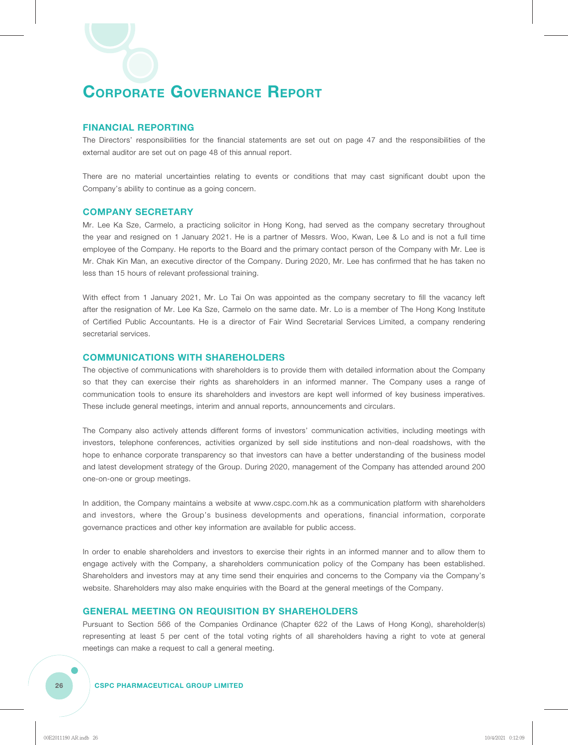#### **FINANCIAL REPORTING**

The Directors' responsibilities for the financial statements are set out on page 47 and the responsibilities of the external auditor are set out on page 48 of this annual report.

There are no material uncertainties relating to events or conditions that may cast significant doubt upon the Company's ability to continue as a going concern.

#### **COMPANY SECRETARY**

Mr. Lee Ka Sze, Carmelo, a practicing solicitor in Hong Kong, had served as the company secretary throughout the year and resigned on 1 January 2021. He is a partner of Messrs. Woo, Kwan, Lee & Lo and is not a full time employee of the Company. He reports to the Board and the primary contact person of the Company with Mr. Lee is Mr. Chak Kin Man, an executive director of the Company. During 2020, Mr. Lee has confirmed that he has taken no less than 15 hours of relevant professional training.

With effect from 1 January 2021, Mr. Lo Tai On was appointed as the company secretary to fill the vacancy left after the resignation of Mr. Lee Ka Sze, Carmelo on the same date. Mr. Lo is a member of The Hong Kong Institute of Certified Public Accountants. He is a director of Fair Wind Secretarial Services Limited, a company rendering secretarial services.

#### **COMMUNICATIONS WITH SHAREHOLDERS**

The objective of communications with shareholders is to provide them with detailed information about the Company so that they can exercise their rights as shareholders in an informed manner. The Company uses a range of communication tools to ensure its shareholders and investors are kept well informed of key business imperatives. These include general meetings, interim and annual reports, announcements and circulars.

The Company also actively attends different forms of investors' communication activities, including meetings with investors, telephone conferences, activities organized by sell side institutions and non-deal roadshows, with the hope to enhance corporate transparency so that investors can have a better understanding of the business model and latest development strategy of the Group. During 2020, management of the Company has attended around 200 one-on-one or group meetings.

In addition, the Company maintains a website at www.cspc.com.hk as a communication platform with shareholders and investors, where the Group's business developments and operations, financial information, corporate governance practices and other key information are available for public access.

In order to enable shareholders and investors to exercise their rights in an informed manner and to allow them to engage actively with the Company, a shareholders communication policy of the Company has been established. Shareholders and investors may at any time send their enquiries and concerns to the Company via the Company's website. Shareholders may also make enquiries with the Board at the general meetings of the Company.

#### **GENERAL MEETING ON REQUISITION BY SHAREHOLDERS**

Pursuant to Section 566 of the Companies Ordinance (Chapter 622 of the Laws of Hong Kong), shareholder(s) representing at least 5 per cent of the total voting rights of all shareholders having a right to vote at general meetings can make a request to call a general meeting.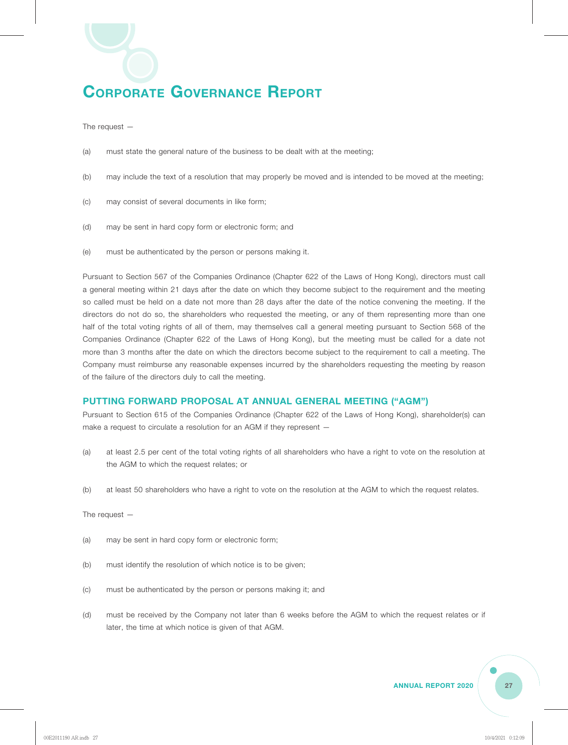The request —

- (a) must state the general nature of the business to be dealt with at the meeting;
- (b) may include the text of a resolution that may properly be moved and is intended to be moved at the meeting;
- (c) may consist of several documents in like form;
- (d) may be sent in hard copy form or electronic form; and
- (e) must be authenticated by the person or persons making it.

Pursuant to Section 567 of the Companies Ordinance (Chapter 622 of the Laws of Hong Kong), directors must call a general meeting within 21 days after the date on which they become subject to the requirement and the meeting so called must be held on a date not more than 28 days after the date of the notice convening the meeting. If the directors do not do so, the shareholders who requested the meeting, or any of them representing more than one half of the total voting rights of all of them, may themselves call a general meeting pursuant to Section 568 of the Companies Ordinance (Chapter 622 of the Laws of Hong Kong), but the meeting must be called for a date not more than 3 months after the date on which the directors become subject to the requirement to call a meeting. The Company must reimburse any reasonable expenses incurred by the shareholders requesting the meeting by reason of the failure of the directors duly to call the meeting.

#### **PUTTING FORWARD PROPOSAL AT ANNUAL GENERAL MEETING ("AGM")**

Pursuant to Section 615 of the Companies Ordinance (Chapter 622 of the Laws of Hong Kong), shareholder(s) can make a request to circulate a resolution for an AGM if they represent —

- (a) at least 2.5 per cent of the total voting rights of all shareholders who have a right to vote on the resolution at the AGM to which the request relates; or
- (b) at least 50 shareholders who have a right to vote on the resolution at the AGM to which the request relates.

The request —

- (a) may be sent in hard copy form or electronic form;
- (b) must identify the resolution of which notice is to be given;
- (c) must be authenticated by the person or persons making it; and
- (d) must be received by the Company not later than 6 weeks before the AGM to which the request relates or if later, the time at which notice is given of that AGM.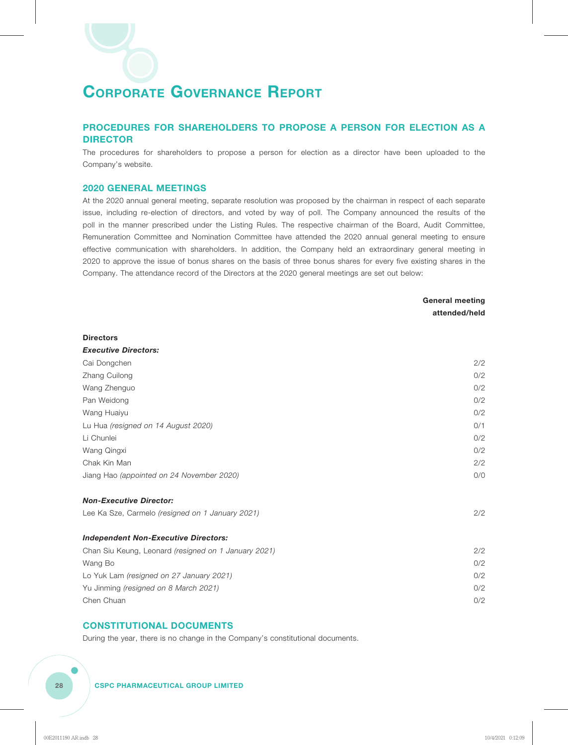#### **PROCEDURES FOR SHAREHOLDERS TO PROPOSE A PERSON FOR ELECTION AS A DIRECTOR**

The procedures for shareholders to propose a person for election as a director have been uploaded to the Company's website.

#### **2020 GENERAL MEETINGS**

At the 2020 annual general meeting, separate resolution was proposed by the chairman in respect of each separate issue, including re-election of directors, and voted by way of poll. The Company announced the results of the poll in the manner prescribed under the Listing Rules. The respective chairman of the Board, Audit Committee, Remuneration Committee and Nomination Committee have attended the 2020 annual general meeting to ensure effective communication with shareholders. In addition, the Company held an extraordinary general meeting in 2020 to approve the issue of bonus shares on the basis of three bonus shares for every five existing shares in the Company. The attendance record of the Directors at the 2020 general meetings are set out below:

> **General meeting attended/held**

#### **Directors**

*Executive Directors:*

| =~~~~~~ <i>~~~</i> ~~~~~                             |     |
|------------------------------------------------------|-----|
| Cai Dongchen                                         | 2/2 |
| Zhang Cuilong                                        | 0/2 |
| Wang Zhenguo                                         | 0/2 |
| Pan Weidong                                          | 0/2 |
| Wang Huaiyu                                          | 0/2 |
| Lu Hua (resigned on 14 August 2020)                  | 0/1 |
| Li Chunlei                                           | 0/2 |
| Wang Qingxi                                          | 0/2 |
| Chak Kin Man                                         | 2/2 |
| Jiang Hao (appointed on 24 November 2020)            | 0/0 |
| <b>Non-Executive Director:</b>                       |     |
| Lee Ka Sze, Carmelo (resigned on 1 January 2021)     | 2/2 |
| <b>Independent Non-Executive Directors:</b>          |     |
| Chan Siu Keung, Leonard (resigned on 1 January 2021) | 2/2 |
| Wang Bo                                              | 0/2 |
| Lo Yuk Lam (resigned on 27 January 2021)             | O/2 |
| Yu Jinming (resigned on 8 March 2021)                | O/2 |
| Chen Chuan                                           | 0/2 |
|                                                      |     |

#### **CONSTITUTIONAL DOCUMENTS**

During the year, there is no change in the Company's constitutional documents.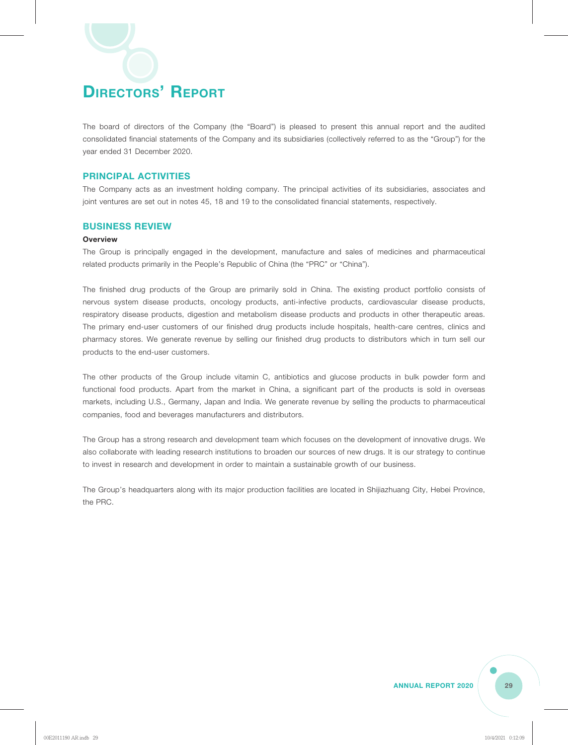The board of directors of the Company (the "Board") is pleased to present this annual report and the audited consolidated financial statements of the Company and its subsidiaries (collectively referred to as the "Group") for the year ended 31 December 2020.

#### **PRINCIPAL ACTIVITIES**

The Company acts as an investment holding company. The principal activities of its subsidiaries, associates and joint ventures are set out in notes 45, 18 and 19 to the consolidated financial statements, respectively.

#### **BUSINESS REVIEW**

#### **Overview**

The Group is principally engaged in the development, manufacture and sales of medicines and pharmaceutical related products primarily in the People's Republic of China (the "PRC" or "China").

The finished drug products of the Group are primarily sold in China. The existing product portfolio consists of nervous system disease products, oncology products, anti-infective products, cardiovascular disease products, respiratory disease products, digestion and metabolism disease products and products in other therapeutic areas. The primary end-user customers of our finished drug products include hospitals, health-care centres, clinics and pharmacy stores. We generate revenue by selling our finished drug products to distributors which in turn sell our products to the end-user customers.

The other products of the Group include vitamin C, antibiotics and glucose products in bulk powder form and functional food products. Apart from the market in China, a significant part of the products is sold in overseas markets, including U.S., Germany, Japan and India. We generate revenue by selling the products to pharmaceutical companies, food and beverages manufacturers and distributors.

The Group has a strong research and development team which focuses on the development of innovative drugs. We also collaborate with leading research institutions to broaden our sources of new drugs. It is our strategy to continue to invest in research and development in order to maintain a sustainable growth of our business.

The Group's headquarters along with its major production facilities are located in Shijiazhuang City, Hebei Province, the PRC.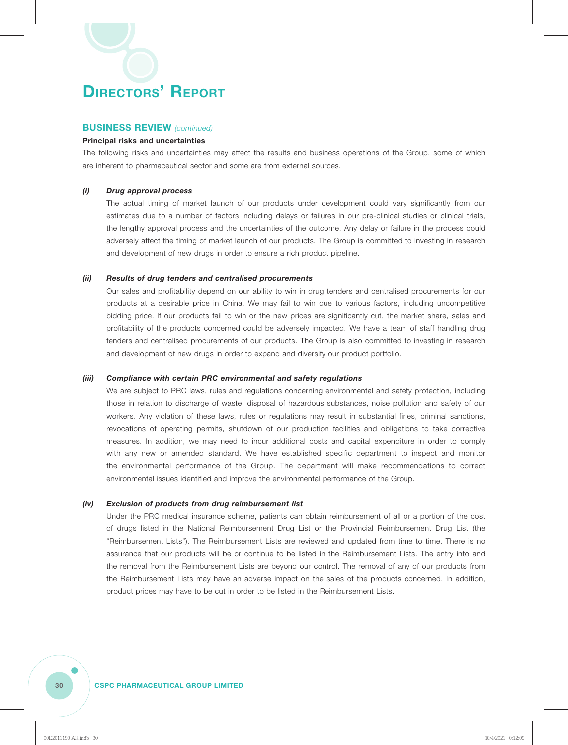#### **BUSINESS REVIEW** *(continued)*

#### **Principal risks and uncertainties**

The following risks and uncertainties may affect the results and business operations of the Group, some of which are inherent to pharmaceutical sector and some are from external sources.

#### *(i) Drug approval process*

The actual timing of market launch of our products under development could vary significantly from our estimates due to a number of factors including delays or failures in our pre-clinical studies or clinical trials, the lengthy approval process and the uncertainties of the outcome. Any delay or failure in the process could adversely affect the timing of market launch of our products. The Group is committed to investing in research and development of new drugs in order to ensure a rich product pipeline.

#### *(ii) Results of drug tenders and centralised procurements*

Our sales and profitability depend on our ability to win in drug tenders and centralised procurements for our products at a desirable price in China. We may fail to win due to various factors, including uncompetitive bidding price. If our products fail to win or the new prices are significantly cut, the market share, sales and profitability of the products concerned could be adversely impacted. We have a team of staff handling drug tenders and centralised procurements of our products. The Group is also committed to investing in research and development of new drugs in order to expand and diversify our product portfolio.

#### *(iii) Compliance with certain PRC environmental and safety regulations*

We are subject to PRC laws, rules and regulations concerning environmental and safety protection, including those in relation to discharge of waste, disposal of hazardous substances, noise pollution and safety of our workers. Any violation of these laws, rules or regulations may result in substantial fines, criminal sanctions, revocations of operating permits, shutdown of our production facilities and obligations to take corrective measures. In addition, we may need to incur additional costs and capital expenditure in order to comply with any new or amended standard. We have established specific department to inspect and monitor the environmental performance of the Group. The department will make recommendations to correct environmental issues identified and improve the environmental performance of the Group.

#### *(iv) Exclusion of products from drug reimbursement list*

Under the PRC medical insurance scheme, patients can obtain reimbursement of all or a portion of the cost of drugs listed in the National Reimbursement Drug List or the Provincial Reimbursement Drug List (the "Reimbursement Lists"). The Reimbursement Lists are reviewed and updated from time to time. There is no assurance that our products will be or continue to be listed in the Reimbursement Lists. The entry into and the removal from the Reimbursement Lists are beyond our control. The removal of any of our products from the Reimbursement Lists may have an adverse impact on the sales of the products concerned. In addition, product prices may have to be cut in order to be listed in the Reimbursement Lists.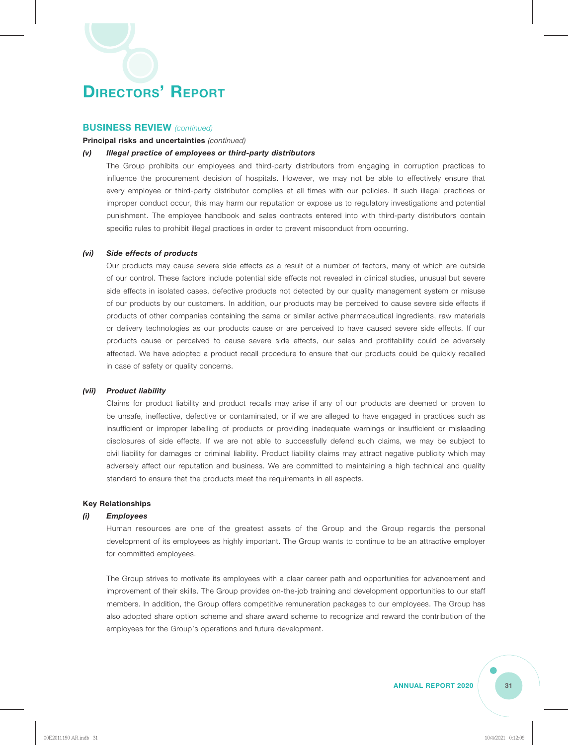#### **BUSINESS REVIEW** *(continued)*

#### **Principal risks and uncertainties** *(continued)*

#### *(v) Illegal practice of employees or third-party distributors*

The Group prohibits our employees and third-party distributors from engaging in corruption practices to influence the procurement decision of hospitals. However, we may not be able to effectively ensure that every employee or third-party distributor complies at all times with our policies. If such illegal practices or improper conduct occur, this may harm our reputation or expose us to regulatory investigations and potential punishment. The employee handbook and sales contracts entered into with third-party distributors contain specific rules to prohibit illegal practices in order to prevent misconduct from occurring.

#### *(vi) Side effects of products*

Our products may cause severe side effects as a result of a number of factors, many of which are outside of our control. These factors include potential side effects not revealed in clinical studies, unusual but severe side effects in isolated cases, defective products not detected by our quality management system or misuse of our products by our customers. In addition, our products may be perceived to cause severe side effects if products of other companies containing the same or similar active pharmaceutical ingredients, raw materials or delivery technologies as our products cause or are perceived to have caused severe side effects. If our products cause or perceived to cause severe side effects, our sales and profitability could be adversely affected. We have adopted a product recall procedure to ensure that our products could be quickly recalled in case of safety or quality concerns.

#### *(vii) Product liability*

Claims for product liability and product recalls may arise if any of our products are deemed or proven to be unsafe, ineffective, defective or contaminated, or if we are alleged to have engaged in practices such as insufficient or improper labelling of products or providing inadequate warnings or insufficient or misleading disclosures of side effects. If we are not able to successfully defend such claims, we may be subject to civil liability for damages or criminal liability. Product liability claims may attract negative publicity which may adversely affect our reputation and business. We are committed to maintaining a high technical and quality standard to ensure that the products meet the requirements in all aspects.

#### **Key Relationships**

#### *(i) Employees*

Human resources are one of the greatest assets of the Group and the Group regards the personal development of its employees as highly important. The Group wants to continue to be an attractive employer for committed employees.

The Group strives to motivate its employees with a clear career path and opportunities for advancement and improvement of their skills. The Group provides on-the-job training and development opportunities to our staff members. In addition, the Group offers competitive remuneration packages to our employees. The Group has also adopted share option scheme and share award scheme to recognize and reward the contribution of the employees for the Group's operations and future development.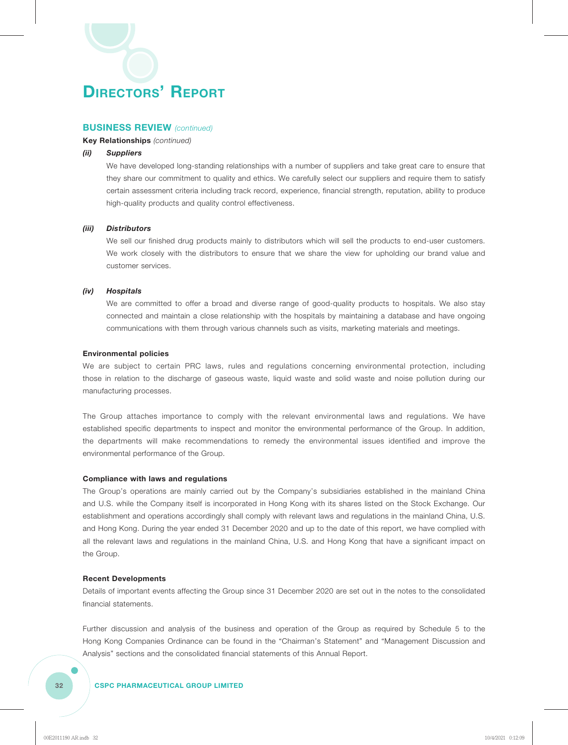#### **BUSINESS REVIEW** *(continued)*

#### **Key Relationships** *(continued)*

#### *(ii) Suppliers*

We have developed long-standing relationships with a number of suppliers and take great care to ensure that they share our commitment to quality and ethics. We carefully select our suppliers and require them to satisfy certain assessment criteria including track record, experience, financial strength, reputation, ability to produce high-quality products and quality control effectiveness.

#### *(iii) Distributors*

We sell our finished drug products mainly to distributors which will sell the products to end-user customers. We work closely with the distributors to ensure that we share the view for upholding our brand value and customer services.

#### *(iv) Hospitals*

We are committed to offer a broad and diverse range of good-quality products to hospitals. We also stay connected and maintain a close relationship with the hospitals by maintaining a database and have ongoing communications with them through various channels such as visits, marketing materials and meetings.

#### **Environmental policies**

We are subject to certain PRC laws, rules and regulations concerning environmental protection, including those in relation to the discharge of gaseous waste, liquid waste and solid waste and noise pollution during our manufacturing processes.

The Group attaches importance to comply with the relevant environmental laws and regulations. We have established specific departments to inspect and monitor the environmental performance of the Group. In addition, the departments will make recommendations to remedy the environmental issues identified and improve the environmental performance of the Group.

#### **Compliance with laws and regulations**

The Group's operations are mainly carried out by the Company's subsidiaries established in the mainland China and U.S. while the Company itself is incorporated in Hong Kong with its shares listed on the Stock Exchange. Our establishment and operations accordingly shall comply with relevant laws and regulations in the mainland China, U.S. and Hong Kong. During the year ended 31 December 2020 and up to the date of this report, we have complied with all the relevant laws and regulations in the mainland China, U.S. and Hong Kong that have a significant impact on the Group.

#### **Recent Developments**

Details of important events affecting the Group since 31 December 2020 are set out in the notes to the consolidated financial statements.

Further discussion and analysis of the business and operation of the Group as required by Schedule 5 to the Hong Kong Companies Ordinance can be found in the "Chairman's Statement" and "Management Discussion and Analysis" sections and the consolidated financial statements of this Annual Report.

#### **32 CSPC PHARMACEUTICAL GROUP LIMITED**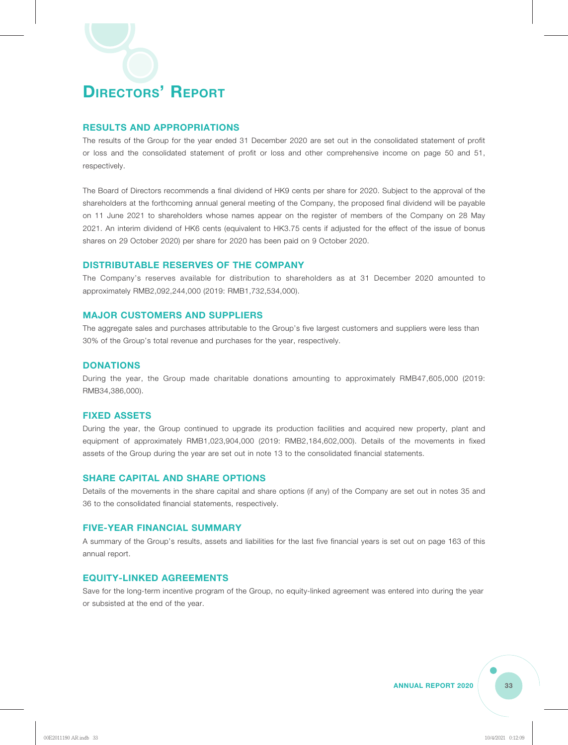#### **RESULTS AND APPROPRIATIONS**

The results of the Group for the year ended 31 December 2020 are set out in the consolidated statement of profit or loss and the consolidated statement of profit or loss and other comprehensive income on page 50 and 51, respectively.

The Board of Directors recommends a final dividend of HK9 cents per share for 2020. Subject to the approval of the shareholders at the forthcoming annual general meeting of the Company, the proposed final dividend will be payable on 11 June 2021 to shareholders whose names appear on the register of members of the Company on 28 May 2021. An interim dividend of HK6 cents (equivalent to HK3.75 cents if adjusted for the effect of the issue of bonus shares on 29 October 2020) per share for 2020 has been paid on 9 October 2020.

#### **DISTRIBUTABLE RESERVES OF THE COMPANY**

The Company's reserves available for distribution to shareholders as at 31 December 2020 amounted to approximately RMB2,092,244,000 (2019: RMB1,732,534,000).

#### **MAJOR CUSTOMERS AND SUPPLIERS**

The aggregate sales and purchases attributable to the Group's five largest customers and suppliers were less than 30% of the Group's total revenue and purchases for the year, respectively.

#### **DONATIONS**

During the year, the Group made charitable donations amounting to approximately RMB47,605,000 (2019: RMB34,386,000).

#### **FIXED ASSETS**

During the year, the Group continued to upgrade its production facilities and acquired new property, plant and equipment of approximately RMB1,023,904,000 (2019: RMB2,184,602,000). Details of the movements in fixed assets of the Group during the year are set out in note 13 to the consolidated financial statements.

#### **SHARE CAPITAL AND SHARE OPTIONS**

Details of the movements in the share capital and share options (if any) of the Company are set out in notes 35 and 36 to the consolidated financial statements, respectively.

#### **FIVE-YEAR FINANCIAL SUMMARY**

A summary of the Group's results, assets and liabilities for the last five financial years is set out on page 163 of this annual report.

#### **EQUITY-LINKED AGREEMENTS**

Save for the long-term incentive program of the Group, no equity-linked agreement was entered into during the year or subsisted at the end of the year.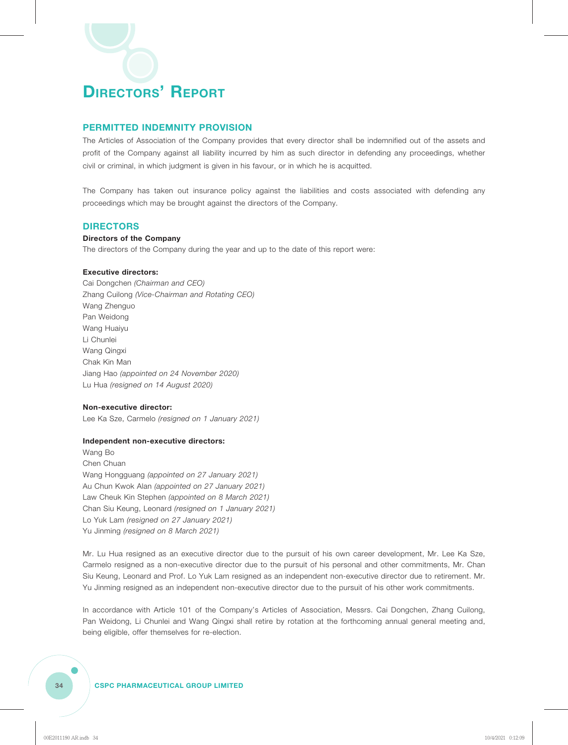#### **PERMITTED INDEMNITY PROVISION**

The Articles of Association of the Company provides that every director shall be indemnified out of the assets and profit of the Company against all liability incurred by him as such director in defending any proceedings, whether civil or criminal, in which judgment is given in his favour, or in which he is acquitted.

The Company has taken out insurance policy against the liabilities and costs associated with defending any proceedings which may be brought against the directors of the Company.

#### **DIRECTORS**

#### **Directors of the Company**

The directors of the Company during the year and up to the date of this report were:

#### **Executive directors:**

Cai Dongchen *(Chairman and CEO)* Zhang Cuilong *(Vice-Chairman and Rotating CEO)* Wang Zhenguo Pan Weidong Wang Huaiyu Li Chunlei Wang Qingxi Chak Kin Man Jiang Hao *(appointed on 24 November 2020)* Lu Hua *(resigned on 14 August 2020)*

#### **Non-executive director:**

Lee Ka Sze, Carmelo *(resigned on 1 January 2021)*

#### **Independent non-executive directors:**

Wang Bo Chen Chuan Wang Hongguang *(appointed on 27 January 2021)* Au Chun Kwok Alan *(appointed on 27 January 2021)* Law Cheuk Kin Stephen *(appointed on 8 March 2021)* Chan Siu Keung, Leonard *(resigned on 1 January 2021)* Lo Yuk Lam *(resigned on 27 January 2021)* Yu Jinming *(resigned on 8 March 2021)*

Mr. Lu Hua resigned as an executive director due to the pursuit of his own career development, Mr. Lee Ka Sze, Carmelo resigned as a non-executive director due to the pursuit of his personal and other commitments, Mr. Chan Siu Keung, Leonard and Prof. Lo Yuk Lam resigned as an independent non-executive director due to retirement. Mr. Yu Jinming resigned as an independent non-executive director due to the pursuit of his other work commitments.

In accordance with Article 101 of the Company's Articles of Association, Messrs. Cai Dongchen, Zhang Cuilong, Pan Weidong, Li Chunlei and Wang Qingxi shall retire by rotation at the forthcoming annual general meeting and, being eligible, offer themselves for re-election.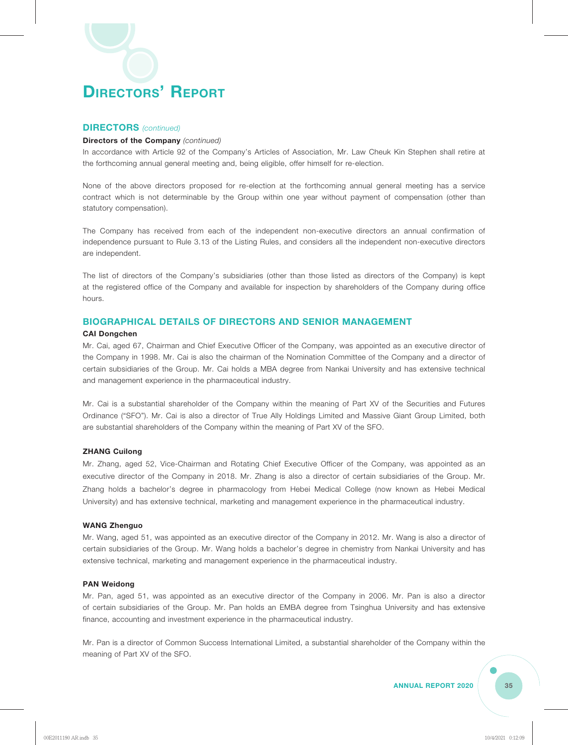#### **DIRECTORS** *(continued)*

#### **Directors of the Company** *(continued)*

In accordance with Article 92 of the Company's Articles of Association, Mr. Law Cheuk Kin Stephen shall retire at the forthcoming annual general meeting and, being eligible, offer himself for re-election.

None of the above directors proposed for re-election at the forthcoming annual general meeting has a service contract which is not determinable by the Group within one year without payment of compensation (other than statutory compensation).

The Company has received from each of the independent non-executive directors an annual confirmation of independence pursuant to Rule 3.13 of the Listing Rules, and considers all the independent non-executive directors are independent.

The list of directors of the Company's subsidiaries (other than those listed as directors of the Company) is kept at the registered office of the Company and available for inspection by shareholders of the Company during office hours.

#### **BIOGRAPHICAL DETAILS OF DIRECTORS AND SENIOR MANAGEMENT**

#### **CAI Dongchen**

Mr. Cai, aged 67, Chairman and Chief Executive Officer of the Company, was appointed as an executive director of the Company in 1998. Mr. Cai is also the chairman of the Nomination Committee of the Company and a director of certain subsidiaries of the Group. Mr. Cai holds a MBA degree from Nankai University and has extensive technical and management experience in the pharmaceutical industry.

Mr. Cai is a substantial shareholder of the Company within the meaning of Part XV of the Securities and Futures Ordinance ("SFO"). Mr. Cai is also a director of True Ally Holdings Limited and Massive Giant Group Limited, both are substantial shareholders of the Company within the meaning of Part XV of the SFO.

#### **ZHANG Cuilong**

Mr. Zhang, aged 52, Vice-Chairman and Rotating Chief Executive Officer of the Company, was appointed as an executive director of the Company in 2018. Mr. Zhang is also a director of certain subsidiaries of the Group. Mr. Zhang holds a bachelor's degree in pharmacology from Hebei Medical College (now known as Hebei Medical University) and has extensive technical, marketing and management experience in the pharmaceutical industry.

#### **WANG Zhenguo**

Mr. Wang, aged 51, was appointed as an executive director of the Company in 2012. Mr. Wang is also a director of certain subsidiaries of the Group. Mr. Wang holds a bachelor's degree in chemistry from Nankai University and has extensive technical, marketing and management experience in the pharmaceutical industry.

#### **PAN Weidong**

Mr. Pan, aged 51, was appointed as an executive director of the Company in 2006. Mr. Pan is also a director of certain subsidiaries of the Group. Mr. Pan holds an EMBA degree from Tsinghua University and has extensive finance, accounting and investment experience in the pharmaceutical industry.

Mr. Pan is a director of Common Success International Limited, a substantial shareholder of the Company within the meaning of Part XV of the SFO.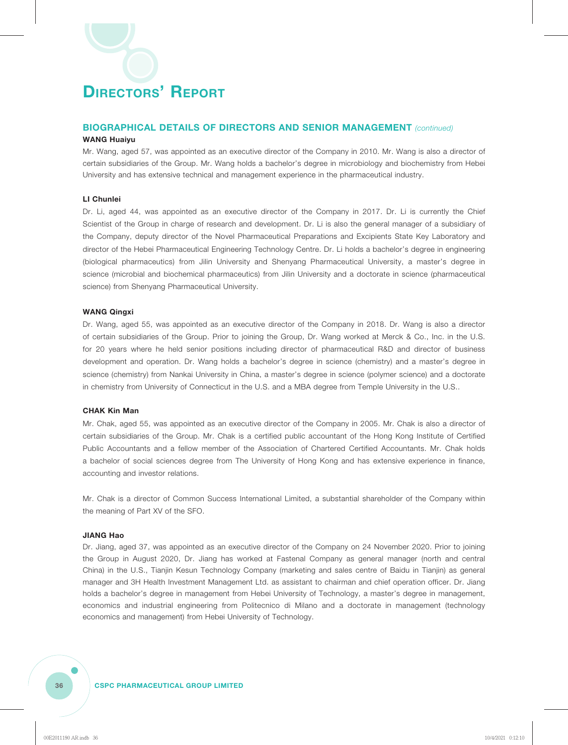### **BIOGRAPHICAL DETAILS OF DIRECTORS AND SENIOR MANAGEMENT** *(continued)*

### **WANG Huaiyu**

Mr. Wang, aged 57, was appointed as an executive director of the Company in 2010. Mr. Wang is also a director of certain subsidiaries of the Group. Mr. Wang holds a bachelor's degree in microbiology and biochemistry from Hebei University and has extensive technical and management experience in the pharmaceutical industry.

### **LI Chunlei**

Dr. Li, aged 44, was appointed as an executive director of the Company in 2017. Dr. Li is currently the Chief Scientist of the Group in charge of research and development. Dr. Li is also the general manager of a subsidiary of the Company, deputy director of the Novel Pharmaceutical Preparations and Excipients State Key Laboratory and director of the Hebei Pharmaceutical Engineering Technology Centre. Dr. Li holds a bachelor's degree in engineering (biological pharmaceutics) from Jilin University and Shenyang Pharmaceutical University, a master's degree in science (microbial and biochemical pharmaceutics) from Jilin University and a doctorate in science (pharmaceutical science) from Shenyang Pharmaceutical University.

### **WANG Qingxi**

Dr. Wang, aged 55, was appointed as an executive director of the Company in 2018. Dr. Wang is also a director of certain subsidiaries of the Group. Prior to joining the Group, Dr. Wang worked at Merck & Co., Inc. in the U.S. for 20 years where he held senior positions including director of pharmaceutical R&D and director of business development and operation. Dr. Wang holds a bachelor's degree in science (chemistry) and a master's degree in science (chemistry) from Nankai University in China, a master's degree in science (polymer science) and a doctorate in chemistry from University of Connecticut in the U.S. and a MBA degree from Temple University in the U.S..

### **CHAK Kin Man**

Mr. Chak, aged 55, was appointed as an executive director of the Company in 2005. Mr. Chak is also a director of certain subsidiaries of the Group. Mr. Chak is a certified public accountant of the Hong Kong Institute of Certified Public Accountants and a fellow member of the Association of Chartered Certified Accountants. Mr. Chak holds a bachelor of social sciences degree from The University of Hong Kong and has extensive experience in finance, accounting and investor relations.

Mr. Chak is a director of Common Success International Limited, a substantial shareholder of the Company within the meaning of Part XV of the SFO.

#### **JIANG Hao**

Dr. Jiang, aged 37, was appointed as an executive director of the Company on 24 November 2020. Prior to joining the Group in August 2020, Dr. Jiang has worked at Fastenal Company as general manager (north and central China) in the U.S., Tianjin Kesun Technology Company (marketing and sales centre of Baidu in Tianjin) as general manager and 3H Health Investment Management Ltd. as assistant to chairman and chief operation officer. Dr. Jiang holds a bachelor's degree in management from Hebei University of Technology, a master's degree in management, economics and industrial engineering from Politecnico di Milano and a doctorate in management (technology economics and management) from Hebei University of Technology.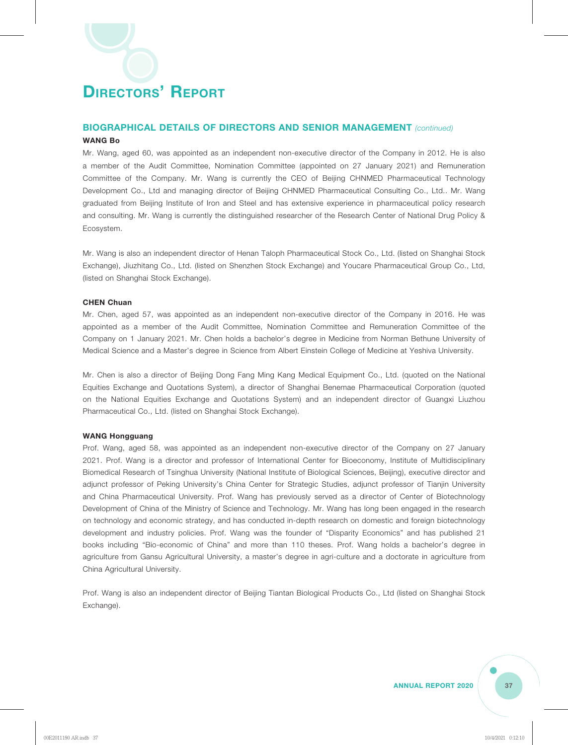### **BIOGRAPHICAL DETAILS OF DIRECTORS AND SENIOR MANAGEMENT** *(continued)*

### **WANG Bo**

Mr. Wang, aged 60, was appointed as an independent non-executive director of the Company in 2012. He is also a member of the Audit Committee, Nomination Committee (appointed on 27 January 2021) and Remuneration Committee of the Company. Mr. Wang is currently the CEO of Beijing CHNMED Pharmaceutical Technology Development Co., Ltd and managing director of Beijing CHNMED Pharmaceutical Consulting Co., Ltd.. Mr. Wang graduated from Beijing Institute of Iron and Steel and has extensive experience in pharmaceutical policy research and consulting. Mr. Wang is currently the distinguished researcher of the Research Center of National Drug Policy & Ecosystem.

Mr. Wang is also an independent director of Henan Taloph Pharmaceutical Stock Co., Ltd. (listed on Shanghai Stock Exchange), Jiuzhitang Co., Ltd. (listed on Shenzhen Stock Exchange) and Youcare Pharmaceutical Group Co., Ltd, (listed on Shanghai Stock Exchange).

#### **CHEN Chuan**

Mr. Chen, aged 57, was appointed as an independent non-executive director of the Company in 2016. He was appointed as a member of the Audit Committee, Nomination Committee and Remuneration Committee of the Company on 1 January 2021. Mr. Chen holds a bachelor's degree in Medicine from Norman Bethune University of Medical Science and a Master's degree in Science from Albert Einstein College of Medicine at Yeshiva University.

Mr. Chen is also a director of Beijing Dong Fang Ming Kang Medical Equipment Co., Ltd. (quoted on the National Equities Exchange and Quotations System), a director of Shanghai Benemae Pharmaceutical Corporation (quoted on the National Equities Exchange and Quotations System) and an independent director of Guangxi Liuzhou Pharmaceutical Co., Ltd. (listed on Shanghai Stock Exchange).

#### **WANG Hongguang**

Prof. Wang, aged 58, was appointed as an independent non-executive director of the Company on 27 January 2021. Prof. Wang is a director and professor of International Center for Bioeconomy, Institute of Multidisciplinary Biomedical Research of Tsinghua University (National Institute of Biological Sciences, Beijing), executive director and adjunct professor of Peking University's China Center for Strategic Studies, adjunct professor of Tianjin University and China Pharmaceutical University. Prof. Wang has previously served as a director of Center of Biotechnology Development of China of the Ministry of Science and Technology. Mr. Wang has long been engaged in the research on technology and economic strategy, and has conducted in-depth research on domestic and foreign biotechnology development and industry policies. Prof. Wang was the founder of "Disparity Economics" and has published 21 books including "Bio-economic of China" and more than 110 theses. Prof. Wang holds a bachelor's degree in agriculture from Gansu Agricultural University, a master's degree in agri-culture and a doctorate in agriculture from China Agricultural University.

Prof. Wang is also an independent director of Beijing Tiantan Biological Products Co., Ltd (listed on Shanghai Stock Exchange).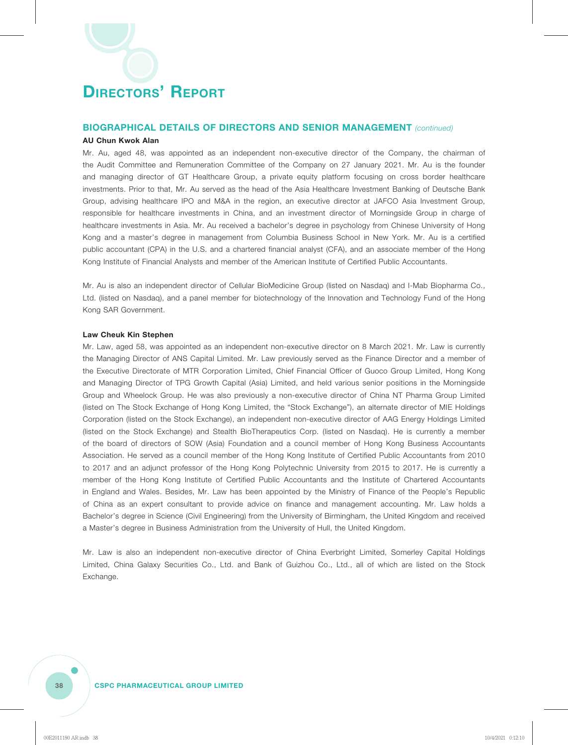### **BIOGRAPHICAL DETAILS OF DIRECTORS AND SENIOR MANAGEMENT** *(continued)*

### **AU Chun Kwok Alan**

Mr. Au, aged 48, was appointed as an independent non-executive director of the Company, the chairman of the Audit Committee and Remuneration Committee of the Company on 27 January 2021. Mr. Au is the founder and managing director of GT Healthcare Group, a private equity platform focusing on cross border healthcare investments. Prior to that, Mr. Au served as the head of the Asia Healthcare Investment Banking of Deutsche Bank Group, advising healthcare IPO and M&A in the region, an executive director at JAFCO Asia Investment Group, responsible for healthcare investments in China, and an investment director of Morningside Group in charge of healthcare investments in Asia. Mr. Au received a bachelor's degree in psychology from Chinese University of Hong Kong and a master's degree in management from Columbia Business School in New York. Mr. Au is a certified public accountant (CPA) in the U.S. and a chartered financial analyst (CFA), and an associate member of the Hong Kong Institute of Financial Analysts and member of the American Institute of Certified Public Accountants.

Mr. Au is also an independent director of Cellular BioMedicine Group (listed on Nasdaq) and I-Mab Biopharma Co., Ltd. (listed on Nasdaq), and a panel member for biotechnology of the Innovation and Technology Fund of the Hong Kong SAR Government.

#### **Law Cheuk Kin Stephen**

Mr. Law, aged 58, was appointed as an independent non-executive director on 8 March 2021. Mr. Law is currently the Managing Director of ANS Capital Limited. Mr. Law previously served as the Finance Director and a member of the Executive Directorate of MTR Corporation Limited, Chief Financial Officer of Guoco Group Limited, Hong Kong and Managing Director of TPG Growth Capital (Asia) Limited, and held various senior positions in the Morningside Group and Wheelock Group. He was also previously a non-executive director of China NT Pharma Group Limited (listed on The Stock Exchange of Hong Kong Limited, the "Stock Exchange"), an alternate director of MIE Holdings Corporation (listed on the Stock Exchange), an independent non-executive director of AAG Energy Holdings Limited (listed on the Stock Exchange) and Stealth BioTherapeutics Corp. (listed on Nasdaq). He is currently a member of the board of directors of SOW (Asia) Foundation and a council member of Hong Kong Business Accountants Association. He served as a council member of the Hong Kong Institute of Certified Public Accountants from 2010 to 2017 and an adjunct professor of the Hong Kong Polytechnic University from 2015 to 2017. He is currently a member of the Hong Kong Institute of Certified Public Accountants and the Institute of Chartered Accountants in England and Wales. Besides, Mr. Law has been appointed by the Ministry of Finance of the People's Republic of China as an expert consultant to provide advice on finance and management accounting. Mr. Law holds a Bachelor's degree in Science (Civil Engineering) from the University of Birmingham, the United Kingdom and received a Master's degree in Business Administration from the University of Hull, the United Kingdom.

Mr. Law is also an independent non-executive director of China Everbright Limited, Somerley Capital Holdings Limited, China Galaxy Securities Co., Ltd. and Bank of Guizhou Co., Ltd., all of which are listed on the Stock Exchange.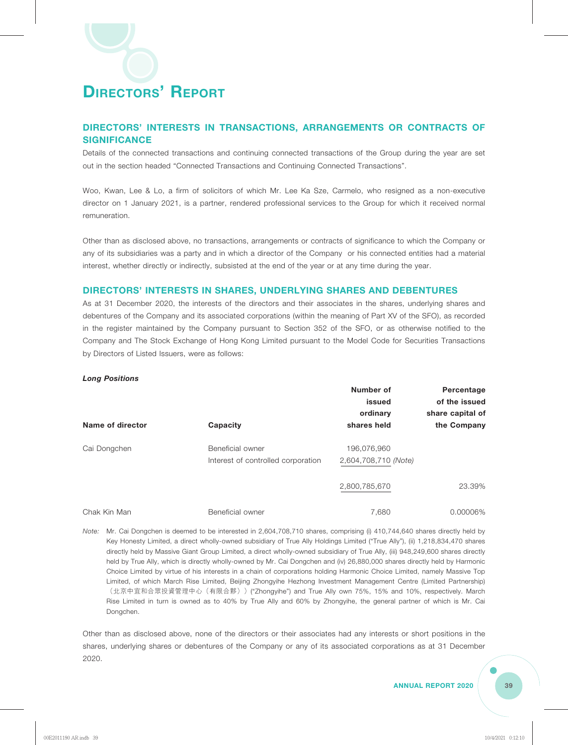### **DIRECTORS' INTERESTS IN TRANSACTIONS, ARRANGEMENTS OR CONTRACTS OF SIGNIFICANCE**

Details of the connected transactions and continuing connected transactions of the Group during the year are set out in the section headed "Connected Transactions and Continuing Connected Transactions".

Woo, Kwan, Lee & Lo, a firm of solicitors of which Mr. Lee Ka Sze, Carmelo, who resigned as a non-executive director on 1 January 2021, is a partner, rendered professional services to the Group for which it received normal remuneration.

Other than as disclosed above, no transactions, arrangements or contracts of significance to which the Company or any of its subsidiaries was a party and in which a director of the Company or his connected entities had a material interest, whether directly or indirectly, subsisted at the end of the year or at any time during the year.

### **DIRECTORS' INTERESTS IN SHARES, UNDERLYING SHARES AND DEBENTURES**

As at 31 December 2020, the interests of the directors and their associates in the shares, underlying shares and debentures of the Company and its associated corporations (within the meaning of Part XV of the SFO), as recorded in the register maintained by the Company pursuant to Section 352 of the SFO, or as otherwise notified to the Company and The Stock Exchange of Hong Kong Limited pursuant to the Model Code for Securities Transactions by Directors of Listed Issuers, were as follows:

### *Long Positions*

|                  |                                                        | Number of<br>issued<br>ordinary     | Percentage<br>of the issued<br>share capital of |
|------------------|--------------------------------------------------------|-------------------------------------|-------------------------------------------------|
| Name of director | Capacity                                               | shares held                         | the Company                                     |
| Cai Dongchen     | Beneficial owner<br>Interest of controlled corporation | 196,076,960<br>2,604,708,710 (Note) |                                                 |
|                  |                                                        | 2,800,785,670                       | 23.39%                                          |
| Chak Kin Man     | Beneficial owner                                       | 7,680                               | 0.00006%                                        |

*Note:* Mr. Cai Dongchen is deemed to be interested in 2,604,708,710 shares, comprising (i) 410,744,640 shares directly held by Key Honesty Limited, a direct wholly-owned subsidiary of True Ally Holdings Limited ("True Ally"), (ii) 1,218,834,470 shares directly held by Massive Giant Group Limited, a direct wholly-owned subsidiary of True Ally, (iii) 948,249,600 shares directly held by True Ally, which is directly wholly-owned by Mr. Cai Dongchen and (iv) 26,880,000 shares directly held by Harmonic Choice Limited by virtue of his interests in a chain of corporations holding Harmonic Choice Limited, namely Massive Top Limited, of which March Rise Limited, Beijing Zhongyihe Hezhong Investment Management Centre (Limited Partnership) (北京中宜和合眾投資管理中心(有限合夥))("Zhongyihe") and True Ally own 75%, 15% and 10%, respectively. March Rise Limited in turn is owned as to 40% by True Ally and 60% by Zhongyihe, the general partner of which is Mr. Cai Dongchen.

Other than as disclosed above, none of the directors or their associates had any interests or short positions in the shares, underlying shares or debentures of the Company or any of its associated corporations as at 31 December 2020.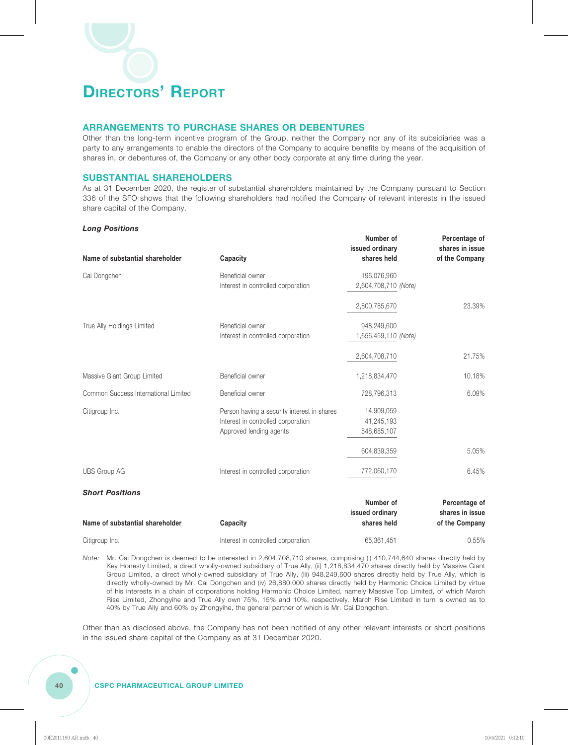### **ARRANGEMENTS TO PURCHASE SHARES OR DEBENTURES**

Other than the long-term incentive program of the Group, neither the Company nor any of its subsidiaries was a party to any arrangements to enable the directors of the Company to acquire benefits by means of the acquisition of shares in, or debentures of, the Company or any other body corporate at any time during the year.

### **SUBSTANTIAL SHAREHOLDERS**

As at 31 December 2020, the register of substantial shareholders maintained by the Company pursuant to Section 336 of the SFO shows that the following shareholders had notified the Company of relevant interests in the issued share capital of the Company.

**Number of**

**Percentage of**

### *Long Positions*

| Name of substantial shareholder      | Capacity                                    | <b>NUILINGL</b> OF<br>issued ordinary<br>shares held | <b>Fercentage or</b><br>shares in issue<br>of the Company |
|--------------------------------------|---------------------------------------------|------------------------------------------------------|-----------------------------------------------------------|
| Cai Dongchen                         | Beneficial owner                            | 196,076,960                                          |                                                           |
|                                      | Interest in controlled corporation          | 2,604,708,710 (Note)                                 |                                                           |
|                                      |                                             | 2,800,785,670                                        | 23.39%                                                    |
| True Ally Holdings Limited           | Beneficial owner                            | 948,249,600                                          |                                                           |
|                                      | Interest in controlled corporation          | 1,656,459,110 (Note)                                 |                                                           |
|                                      |                                             | 2,604,708,710                                        | 21.75%                                                    |
| Massive Giant Group Limited          | Beneficial owner                            | 1,218,834,470                                        | 10.18%                                                    |
| Common Success International Limited | Beneficial owner                            | 728,796,313                                          | 6.09%                                                     |
| Citigroup Inc.                       | Person having a security interest in shares | 14,909,059                                           |                                                           |
|                                      | Interest in controlled corporation          | 41,245,193                                           |                                                           |
|                                      | Approved lending agents                     | 548,685,107                                          |                                                           |
|                                      |                                             | 604,839,359                                          | 5.05%                                                     |
| <b>UBS Group AG</b>                  | Interest in controlled corporation          | 772,060,170                                          | 6.45%                                                     |
| <b>Short Positions</b>               |                                             |                                                      |                                                           |
|                                      |                                             | Number of                                            | Percentage of                                             |
| Name of substantial shareholder      | Capacity                                    | issued ordinary<br>shares held                       | shares in issue<br>of the Company                         |
| Citigroup Inc.                       | Interest in controlled corporation          | 65,361,451                                           | 0.55%                                                     |

*Note:* Mr. Cai Dongchen is deemed to be interested in 2,604,708,710 shares, comprising (i) 410,744,640 shares directly held by Key Honesty Limited, a direct wholly-owned subsidiary of True Ally, (ii) 1,218,834,470 shares directly held by Massive Giant Group Limited, a direct wholly-owned subsidiary of True Ally, (iii) 948,249,600 shares directly held by True Ally, which is directly wholly-owned by Mr. Cai Dongchen and (iv) 26,880,000 shares directly held by Harmonic Choice Limited by virtue of his interests in a chain of corporations holding Harmonic Choice Limited, namely Massive Top Limited, of which March Rise Limited, Zhongyihe and True Ally own 75%, 15% and 10%, respectively. March Rise Limited in turn is owned as to 40% by True Ally and 60% by Zhongyihe, the general partner of which is Mr. Cai Dongchen.

Other than as disclosed above, the Company has not been notified of any other relevant interests or short positions in the issued share capital of the Company as at 31 December 2020.

### **40 CSPC PHARMACEUTICAL GROUP LIMITED**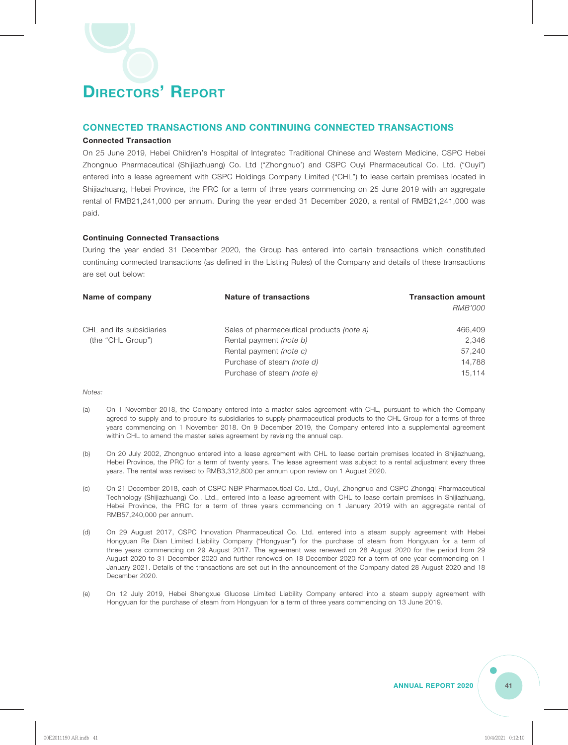### **CONNECTED TRANSACTIONS AND CONTINUING CONNECTED TRANSACTIONS**

### **Connected Transaction**

On 25 June 2019, Hebei Children's Hospital of Integrated Traditional Chinese and Western Medicine, CSPC Hebei Zhongnuo Pharmaceutical (Shijiazhuang) Co. Ltd ("Zhongnuo') and CSPC Ouyi Pharmaceutical Co. Ltd. ("Ouyi") entered into a lease agreement with CSPC Holdings Company Limited ("CHL") to lease certain premises located in Shijiazhuang, Hebei Province, the PRC for a term of three years commencing on 25 June 2019 with an aggregate rental of RMB21,241,000 per annum. During the year ended 31 December 2020, a rental of RMB21,241,000 was paid.

### **Continuing Connected Transactions**

During the year ended 31 December 2020, the Group has entered into certain transactions which constituted continuing connected transactions (as defined in the Listing Rules) of the Company and details of these transactions are set out below:

| Name of company          | <b>Nature of transactions</b>             | <b>Transaction amount</b> |
|--------------------------|-------------------------------------------|---------------------------|
|                          |                                           | <i>RMB'000</i>            |
| CHL and its subsidiaries | Sales of pharmaceutical products (note a) | 466,409                   |
| (the "CHL Group")        | Rental payment <i>(note b)</i>            | 2.346                     |
|                          | Rental payment <i>(note c)</i>            | 57,240                    |
|                          | Purchase of steam (note d)                | 14,788                    |
|                          | Purchase of steam (note e)                | 15.114                    |

*Notes:*

- (a) On 1 November 2018, the Company entered into a master sales agreement with CHL, pursuant to which the Company agreed to supply and to procure its subsidiaries to supply pharmaceutical products to the CHL Group for a terms of three years commencing on 1 November 2018. On 9 December 2019, the Company entered into a supplemental agreement within CHL to amend the master sales agreement by revising the annual cap.
- (b) On 20 July 2002, Zhongnuo entered into a lease agreement with CHL to lease certain premises located in Shijiazhuang, Hebei Province, the PRC for a term of twenty years. The lease agreement was subject to a rental adjustment every three years. The rental was revised to RMB3,312,800 per annum upon review on 1 August 2020.
- (c) On 21 December 2018, each of CSPC NBP Pharmaceutical Co. Ltd., Ouyi, Zhongnuo and CSPC Zhongqi Pharmaceutical Technology (Shijiazhuang) Co., Ltd., entered into a lease agreement with CHL to lease certain premises in Shijiazhuang, Hebei Province, the PRC for a term of three years commencing on 1 January 2019 with an aggregate rental of RMB57,240,000 per annum.
- (d) On 29 August 2017, CSPC Innovation Pharmaceutical Co. Ltd. entered into a steam supply agreement with Hebei Hongyuan Re Dian Limited Liability Company ("Hongyuan") for the purchase of steam from Hongyuan for a term of three years commencing on 29 August 2017. The agreement was renewed on 28 August 2020 for the period from 29 August 2020 to 31 December 2020 and further renewed on 18 December 2020 for a term of one year commencing on 1 January 2021. Details of the transactions are set out in the announcement of the Company dated 28 August 2020 and 18 December 2020.
- (e) On 12 July 2019, Hebei Shengxue Glucose Limited Liability Company entered into a steam supply agreement with Hongyuan for the purchase of steam from Hongyuan for a term of three years commencing on 13 June 2019.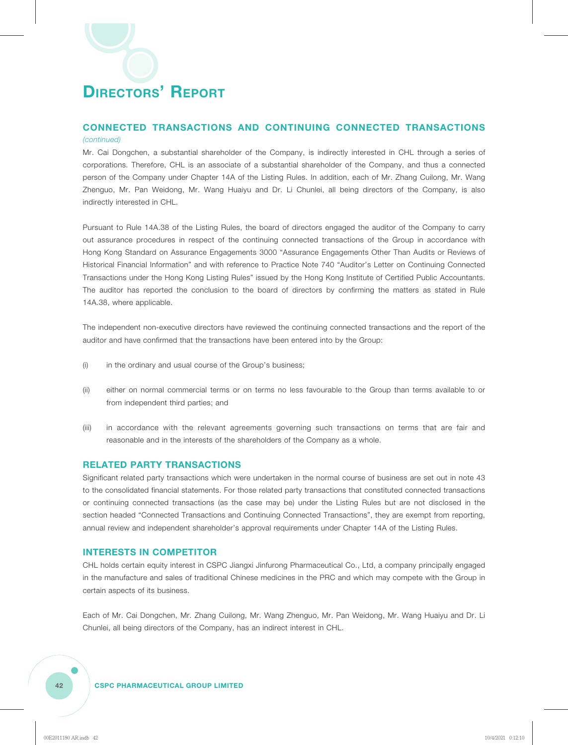### **CONNECTED TRANSACTIONS AND CONTINUING CONNECTED TRANSACTIONS**

#### *(continued)*

Mr. Cai Dongchen, a substantial shareholder of the Company, is indirectly interested in CHL through a series of corporations. Therefore, CHL is an associate of a substantial shareholder of the Company, and thus a connected person of the Company under Chapter 14A of the Listing Rules. In addition, each of Mr. Zhang Cuilong, Mr. Wang Zhenguo, Mr. Pan Weidong, Mr. Wang Huaiyu and Dr. Li Chunlei, all being directors of the Company, is also indirectly interested in CHL.

Pursuant to Rule 14A.38 of the Listing Rules, the board of directors engaged the auditor of the Company to carry out assurance procedures in respect of the continuing connected transactions of the Group in accordance with Hong Kong Standard on Assurance Engagements 3000 "Assurance Engagements Other Than Audits or Reviews of Historical Financial Information" and with reference to Practice Note 740 "Auditor's Letter on Continuing Connected Transactions under the Hong Kong Listing Rules" issued by the Hong Kong Institute of Certified Public Accountants. The auditor has reported the conclusion to the board of directors by confirming the matters as stated in Rule 14A.38, where applicable.

The independent non-executive directors have reviewed the continuing connected transactions and the report of the auditor and have confirmed that the transactions have been entered into by the Group:

- (i) in the ordinary and usual course of the Group's business;
- (ii) either on normal commercial terms or on terms no less favourable to the Group than terms available to or from independent third parties; and
- (iii) in accordance with the relevant agreements governing such transactions on terms that are fair and reasonable and in the interests of the shareholders of the Company as a whole.

### **RELATED PARTY TRANSACTIONS**

Significant related party transactions which were undertaken in the normal course of business are set out in note 43 to the consolidated financial statements. For those related party transactions that constituted connected transactions or continuing connected transactions (as the case may be) under the Listing Rules but are not disclosed in the section headed "Connected Transactions and Continuing Connected Transactions", they are exempt from reporting, annual review and independent shareholder's approval requirements under Chapter 14A of the Listing Rules.

### **INTERESTS IN COMPETITOR**

CHL holds certain equity interest in CSPC Jiangxi Jinfurong Pharmaceutical Co., Ltd, a company principally engaged in the manufacture and sales of traditional Chinese medicines in the PRC and which may compete with the Group in certain aspects of its business.

Each of Mr. Cai Dongchen, Mr. Zhang Cuilong, Mr. Wang Zhenguo, Mr. Pan Weidong, Mr. Wang Huaiyu and Dr. Li Chunlei, all being directors of the Company, has an indirect interest in CHL.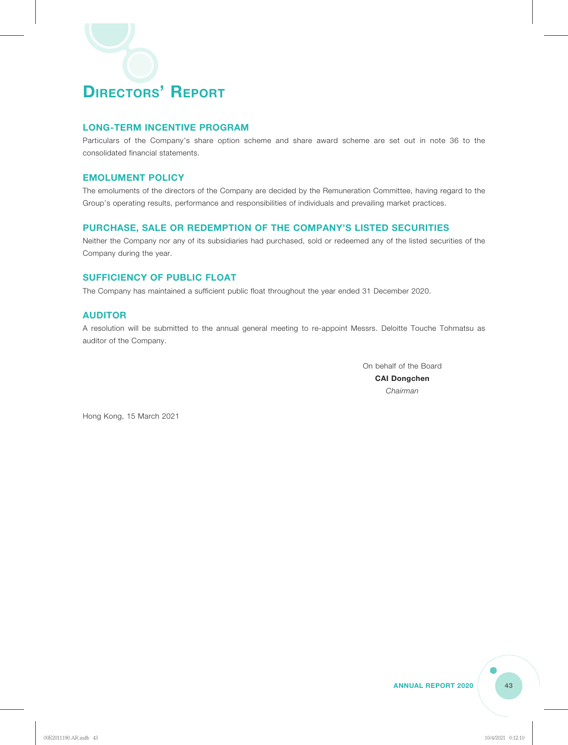### **LONG-TERM INCENTIVE PROGRAM**

Particulars of the Company's share option scheme and share award scheme are set out in note 36 to the consolidated financial statements.

### **EMOLUMENT POLICY**

The emoluments of the directors of the Company are decided by the Remuneration Committee, having regard to the Group's operating results, performance and responsibilities of individuals and prevailing market practices.

### **PURCHASE, SALE OR REDEMPTION OF THE COMPANY'S LISTED SECURITIES**

Neither the Company nor any of its subsidiaries had purchased, sold or redeemed any of the listed securities of the Company during the year.

### **SUFFICIENCY OF PUBLIC FLOAT**

The Company has maintained a sufficient public float throughout the year ended 31 December 2020.

### **AUDITOR**

A resolution will be submitted to the annual general meeting to re-appoint Messrs. Deloitte Touche Tohmatsu as auditor of the Company.

> On behalf of the Board **CAI Dongchen** *Chairman*

Hong Kong, 15 March 2021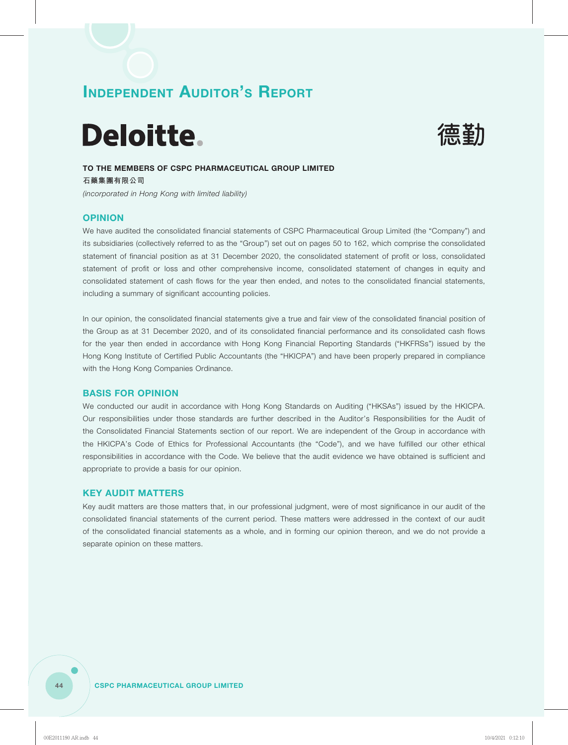# Deloitte.



### **TO THE MEMBERS OF CSPC PHARMACEUTICAL GROUP LIMITED**

**石藥集團有限公司** *(incorporated in Hong Kong with limited liability)*

### **OPINION**

We have audited the consolidated financial statements of CSPC Pharmaceutical Group Limited (the "Company") and its subsidiaries (collectively referred to as the "Group") set out on pages 50 to 162, which comprise the consolidated statement of financial position as at 31 December 2020, the consolidated statement of profit or loss, consolidated statement of profit or loss and other comprehensive income, consolidated statement of changes in equity and consolidated statement of cash flows for the year then ended, and notes to the consolidated financial statements, including a summary of significant accounting policies.

In our opinion, the consolidated financial statements give a true and fair view of the consolidated financial position of the Group as at 31 December 2020, and of its consolidated financial performance and its consolidated cash flows for the year then ended in accordance with Hong Kong Financial Reporting Standards ("HKFRSs") issued by the Hong Kong Institute of Certified Public Accountants (the "HKICPA") and have been properly prepared in compliance with the Hong Kong Companies Ordinance.

### **BASIS FOR OPINION**

We conducted our audit in accordance with Hong Kong Standards on Auditing ("HKSAs") issued by the HKICPA. Our responsibilities under those standards are further described in the Auditor's Responsibilities for the Audit of the Consolidated Financial Statements section of our report. We are independent of the Group in accordance with the HKICPA's Code of Ethics for Professional Accountants (the "Code"), and we have fulfilled our other ethical responsibilities in accordance with the Code. We believe that the audit evidence we have obtained is sufficient and appropriate to provide a basis for our opinion.

### **KEY AUDIT MATTERS**

Key audit matters are those matters that, in our professional judgment, were of most significance in our audit of the consolidated financial statements of the current period. These matters were addressed in the context of our audit of the consolidated financial statements as a whole, and in forming our opinion thereon, and we do not provide a separate opinion on these matters.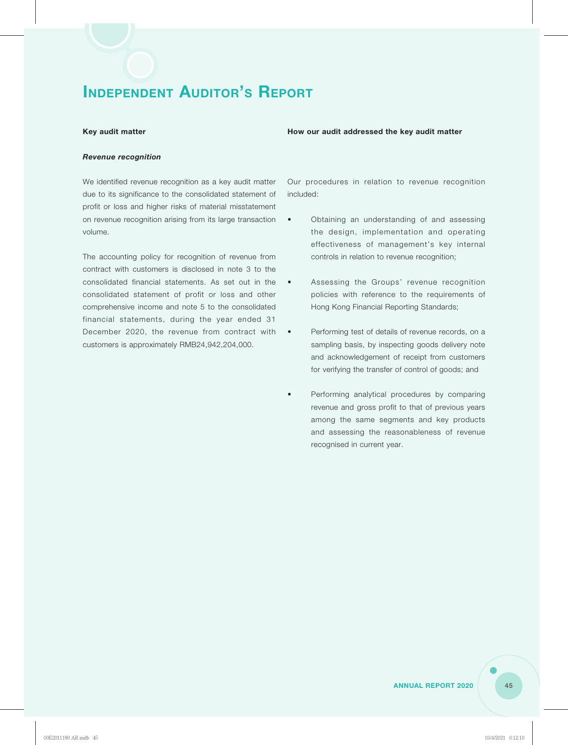#### Key audit matter **How our audit addressed the key audit matter**

#### *Revenue recognition*

We identified revenue recognition as a key audit matter due to its significance to the consolidated statement of profit or loss and higher risks of material misstatement on revenue recognition arising from its large transaction volume.

The accounting policy for recognition of revenue from contract with customers is disclosed in note 3 to the consolidated financial statements. As set out in the consolidated statement of profit or loss and other comprehensive income and note 5 to the consolidated financial statements, during the year ended 31 December 2020, the revenue from contract with customers is approximately RMB24,942,204,000.

Our procedures in relation to revenue recognition included:

- Obtaining an understanding of and assessing the design, implementation and operating effectiveness of management's key internal controls in relation to revenue recognition;
- Assessing the Groups' revenue recognition policies with reference to the requirements of Hong Kong Financial Reporting Standards;
- Performing test of details of revenue records, on a sampling basis, by inspecting goods delivery note and acknowledgement of receipt from customers for verifying the transfer of control of goods; and
- Performing analytical procedures by comparing revenue and gross profit to that of previous years among the same segments and key products and assessing the reasonableness of revenue recognised in current year.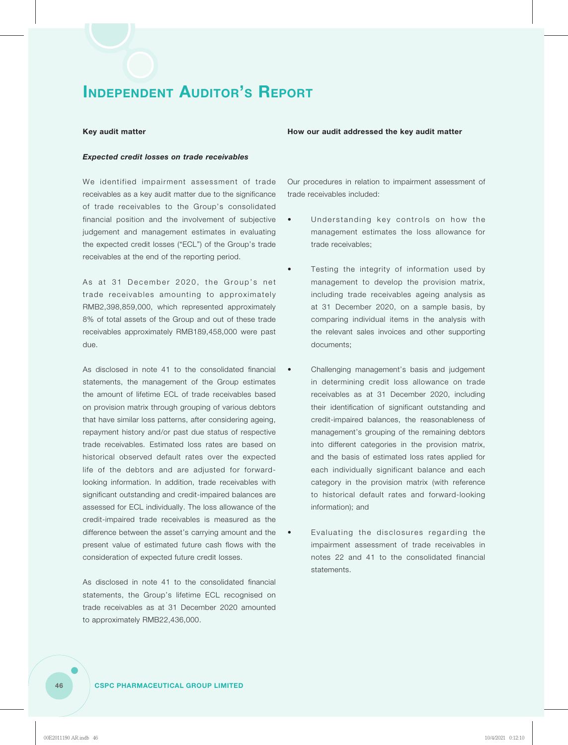#### *Expected credit losses on trade receivables*

We identified impairment assessment of trade receivables as a key audit matter due to the significance of trade receivables to the Group's consolidated financial position and the involvement of subjective judgement and management estimates in evaluating the expected credit losses ("ECL") of the Group's trade receivables at the end of the reporting period.

As at 31 December 2020, the Group's net trade receivables amounting to approximately RMB2,398,859,000, which represented approximately 8% of total assets of the Group and out of these trade receivables approximately RMB189,458,000 were past due.

As disclosed in note 41 to the consolidated financial statements, the management of the Group estimates the amount of lifetime ECL of trade receivables based on provision matrix through grouping of various debtors that have similar loss patterns, after considering ageing, repayment history and/or past due status of respective trade receivables. Estimated loss rates are based on historical observed default rates over the expected life of the debtors and are adjusted for forwardlooking information. In addition, trade receivables with significant outstanding and credit-impaired balances are assessed for ECL individually. The loss allowance of the credit-impaired trade receivables is measured as the difference between the asset's carrying amount and the present value of estimated future cash flows with the consideration of expected future credit losses.

As disclosed in note 41 to the consolidated financial statements, the Group's lifetime ECL recognised on trade receivables as at 31 December 2020 amounted to approximately RMB22,436,000.

#### Key audit matter **How our audit addressed the key audit matter**

Our procedures in relation to impairment assessment of trade receivables included:

- Understanding key controls on how the management estimates the loss allowance for trade receivables;
	- Testing the integrity of information used by management to develop the provision matrix, including trade receivables ageing analysis as at 31 December 2020, on a sample basis, by comparing individual items in the analysis with the relevant sales invoices and other supporting documents;
	- Challenging management's basis and judgement in determining credit loss allowance on trade receivables as at 31 December 2020, including their identification of significant outstanding and credit-impaired balances, the reasonableness of management's grouping of the remaining debtors into different categories in the provision matrix, and the basis of estimated loss rates applied for each individually significant balance and each category in the provision matrix (with reference to historical default rates and forward-looking information); and
	- Evaluating the disclosures regarding the impairment assessment of trade receivables in notes 22 and 41 to the consolidated financial statements.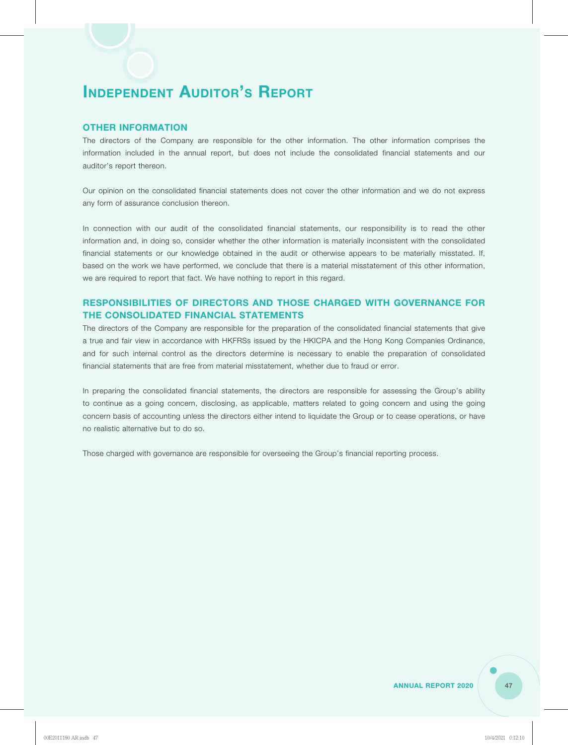### **OTHER INFORMATION**

The directors of the Company are responsible for the other information. The other information comprises the information included in the annual report, but does not include the consolidated financial statements and our auditor's report thereon.

Our opinion on the consolidated financial statements does not cover the other information and we do not express any form of assurance conclusion thereon.

In connection with our audit of the consolidated financial statements, our responsibility is to read the other information and, in doing so, consider whether the other information is materially inconsistent with the consolidated financial statements or our knowledge obtained in the audit or otherwise appears to be materially misstated. If, based on the work we have performed, we conclude that there is a material misstatement of this other information, we are required to report that fact. We have nothing to report in this regard.

### **RESPONSIBILITIES OF DIRECTORS AND THOSE CHARGED WITH GOVERNANCE FOR THE CONSOLIDATED FINANCIAL STATEMENTS**

The directors of the Company are responsible for the preparation of the consolidated financial statements that give a true and fair view in accordance with HKFRSs issued by the HKICPA and the Hong Kong Companies Ordinance, and for such internal control as the directors determine is necessary to enable the preparation of consolidated financial statements that are free from material misstatement, whether due to fraud or error.

In preparing the consolidated financial statements, the directors are responsible for assessing the Group's ability to continue as a going concern, disclosing, as applicable, matters related to going concern and using the going concern basis of accounting unless the directors either intend to liquidate the Group or to cease operations, or have no realistic alternative but to do so.

Those charged with governance are responsible for overseeing the Group's financial reporting process.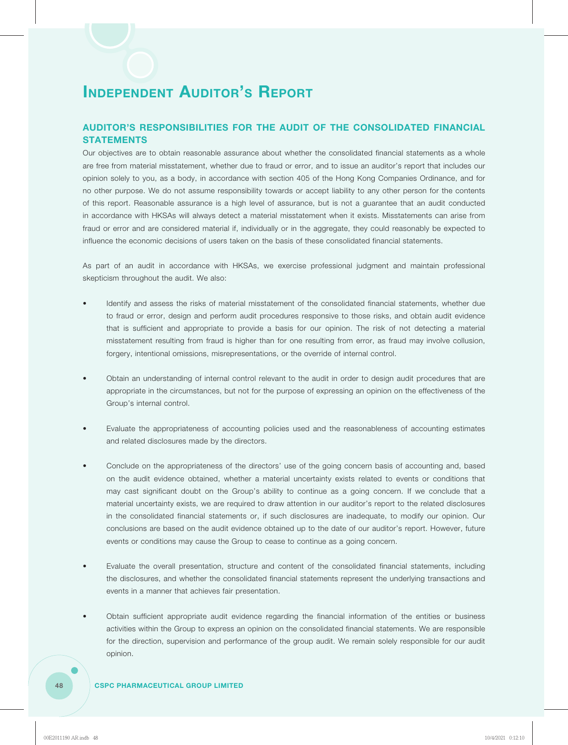### **AUDITOR'S RESPONSIBILITIES FOR THE AUDIT OF THE CONSOLIDATED FINANCIAL STATEMENTS**

Our objectives are to obtain reasonable assurance about whether the consolidated financial statements as a whole are free from material misstatement, whether due to fraud or error, and to issue an auditor's report that includes our opinion solely to you, as a body, in accordance with section 405 of the Hong Kong Companies Ordinance, and for no other purpose. We do not assume responsibility towards or accept liability to any other person for the contents of this report. Reasonable assurance is a high level of assurance, but is not a guarantee that an audit conducted in accordance with HKSAs will always detect a material misstatement when it exists. Misstatements can arise from fraud or error and are considered material if, individually or in the aggregate, they could reasonably be expected to influence the economic decisions of users taken on the basis of these consolidated financial statements.

As part of an audit in accordance with HKSAs, we exercise professional judgment and maintain professional skepticism throughout the audit. We also:

- Identify and assess the risks of material misstatement of the consolidated financial statements, whether due to fraud or error, design and perform audit procedures responsive to those risks, and obtain audit evidence that is sufficient and appropriate to provide a basis for our opinion. The risk of not detecting a material misstatement resulting from fraud is higher than for one resulting from error, as fraud may involve collusion, forgery, intentional omissions, misrepresentations, or the override of internal control.
- Obtain an understanding of internal control relevant to the audit in order to design audit procedures that are appropriate in the circumstances, but not for the purpose of expressing an opinion on the effectiveness of the Group's internal control.
- Evaluate the appropriateness of accounting policies used and the reasonableness of accounting estimates and related disclosures made by the directors.
- Conclude on the appropriateness of the directors' use of the going concern basis of accounting and, based on the audit evidence obtained, whether a material uncertainty exists related to events or conditions that may cast significant doubt on the Group's ability to continue as a going concern. If we conclude that a material uncertainty exists, we are required to draw attention in our auditor's report to the related disclosures in the consolidated financial statements or, if such disclosures are inadequate, to modify our opinion. Our conclusions are based on the audit evidence obtained up to the date of our auditor's report. However, future events or conditions may cause the Group to cease to continue as a going concern.
- Evaluate the overall presentation, structure and content of the consolidated financial statements, including the disclosures, and whether the consolidated financial statements represent the underlying transactions and events in a manner that achieves fair presentation.
- Obtain sufficient appropriate audit evidence regarding the financial information of the entities or business activities within the Group to express an opinion on the consolidated financial statements. We are responsible for the direction, supervision and performance of the group audit. We remain solely responsible for our audit opinion.

### **48 CSPC PHARMACEUTICAL GROUP LIMITED**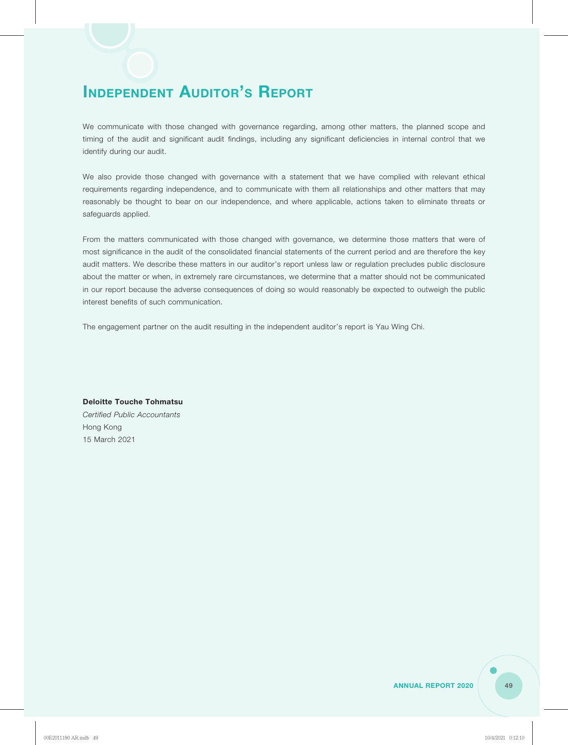We communicate with those changed with governance regarding, among other matters, the planned scope and timing of the audit and significant audit findings, including any significant deficiencies in internal control that we identify during our audit.

We also provide those changed with governance with a statement that we have complied with relevant ethical requirements regarding independence, and to communicate with them all relationships and other matters that may reasonably be thought to bear on our independence, and where applicable, actions taken to eliminate threats or safeguards applied.

From the matters communicated with those changed with governance, we determine those matters that were of most significance in the audit of the consolidated financial statements of the current period and are therefore the key audit matters. We describe these matters in our auditor's report unless law or regulation precludes public disclosure about the matter or when, in extremely rare circumstances, we determine that a matter should not be communicated in our report because the adverse consequences of doing so would reasonably be expected to outweigh the public interest benefits of such communication.

The engagement partner on the audit resulting in the independent auditor's report is Yau Wing Chi.

**Deloitte Touche Tohmatsu** *Certified Public Accountants* Hong Kong 15 March 2021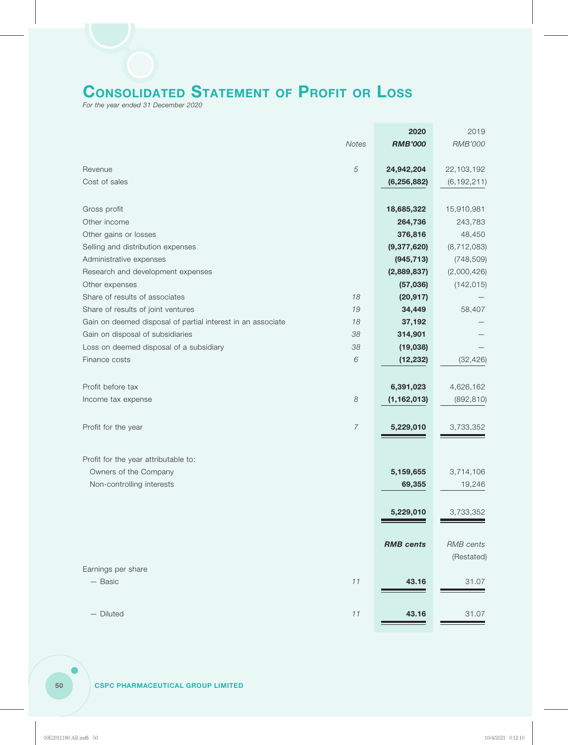# **CONSOLIDATED STATEMENT OF PROFIT OR LOSS**

*For the year ended 31 December 2020*

|                                                             |                       | 2020             | 2019           |
|-------------------------------------------------------------|-----------------------|------------------|----------------|
|                                                             | Notes                 | <b>RMB'000</b>   | <b>RMB'000</b> |
|                                                             |                       |                  |                |
| Revenue                                                     | $\sqrt{5}$            | 24,942,204       | 22,103,192     |
| Cost of sales                                               |                       | (6, 256, 882)    | (6, 192, 211)  |
| Gross profit                                                |                       | 18,685,322       | 15,910,981     |
| Other income                                                |                       | 264,736          | 243,783        |
| Other gains or losses                                       |                       | 376,816          | 48,450         |
| Selling and distribution expenses                           |                       | (9,377,620)      | (8, 712, 083)  |
| Administrative expenses                                     |                       | (945, 713)       | (748, 509)     |
| Research and development expenses                           |                       | (2,889,837)      | (2,000,426)    |
| Other expenses                                              |                       | (57,036)         | (142, 015)     |
| Share of results of associates                              | 18                    | (20, 917)        |                |
| Share of results of joint ventures                          | 19                    | 34,449           | 58,407         |
| Gain on deemed disposal of partial interest in an associate | 18                    | 37,192           |                |
| Gain on disposal of subsidiaries                            | 38                    | 314,901          |                |
| Loss on deemed disposal of a subsidiary                     | 38                    | (19,038)         |                |
| Finance costs                                               | 6                     | (12, 232)        | (32, 426)      |
| Profit before tax                                           |                       | 6,391,023        | 4,626,162      |
|                                                             | $\boldsymbol{\delta}$ | (1, 162, 013)    | (892, 810)     |
| Income tax expense                                          |                       |                  |                |
| Profit for the year                                         | 7                     | 5,229,010        | 3,733,352      |
| Profit for the year attributable to:                        |                       |                  |                |
|                                                             |                       |                  |                |
| Owners of the Company                                       |                       | 5,159,655        | 3,714,106      |
| Non-controlling interests                                   |                       | 69,355           | 19,246         |
|                                                             |                       | 5,229,010        | 3,733,352      |
|                                                             |                       |                  |                |
|                                                             |                       | <b>RMB</b> cents | RMB cents      |
|                                                             |                       |                  | (Restated)     |
| Earnings per share                                          |                       |                  |                |
| - Basic                                                     | 11                    | 43.16            | 31.07          |
| - Diluted                                                   | 11                    | 43.16            | 31.07          |
|                                                             |                       |                  |                |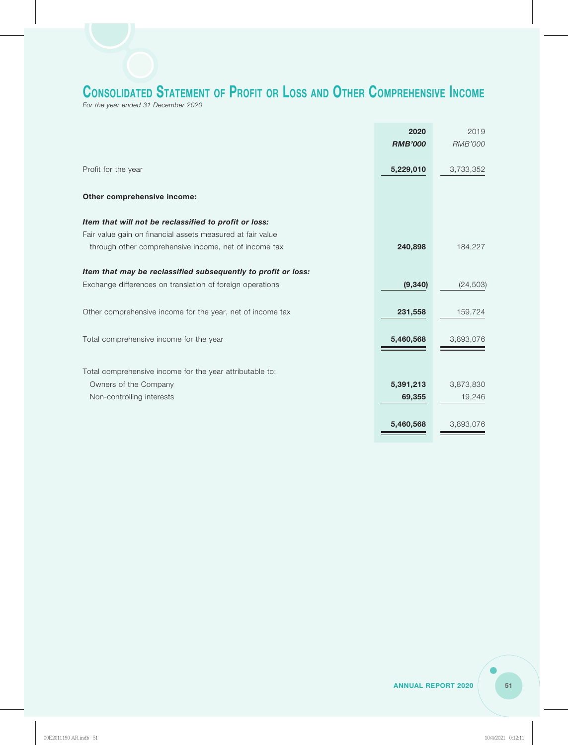### **CONSOLIDATED STATEMENT OF PROFIT OR LOSS AND OTHER COMPREHENSIVE INCOME**

*For the year ended 31 December 2020*

|                                                               | 2020           | 2019           |
|---------------------------------------------------------------|----------------|----------------|
|                                                               | <b>RMB'000</b> | <b>RMB'000</b> |
|                                                               |                |                |
| Profit for the year                                           | 5,229,010      | 3,733,352      |
|                                                               |                |                |
| Other comprehensive income:                                   |                |                |
| Item that will not be reclassified to profit or loss:         |                |                |
| Fair value gain on financial assets measured at fair value    |                |                |
| through other comprehensive income, net of income tax         | 240,898        | 184,227        |
| Item that may be reclassified subsequently to profit or loss: |                |                |
| Exchange differences on translation of foreign operations     | (9, 340)       | (24, 503)      |
|                                                               |                |                |
| Other comprehensive income for the year, net of income tax    | 231,558        | 159,724        |
|                                                               |                |                |
| Total comprehensive income for the year                       | 5,460,568      | 3,893,076      |
|                                                               |                |                |
| Total comprehensive income for the year attributable to:      |                |                |
| Owners of the Company                                         | 5,391,213      | 3,873,830      |
| Non-controlling interests                                     | 69,355         | 19,246         |
|                                                               |                |                |
|                                                               | 5,460,568      | 3,893,076      |
|                                                               |                |                |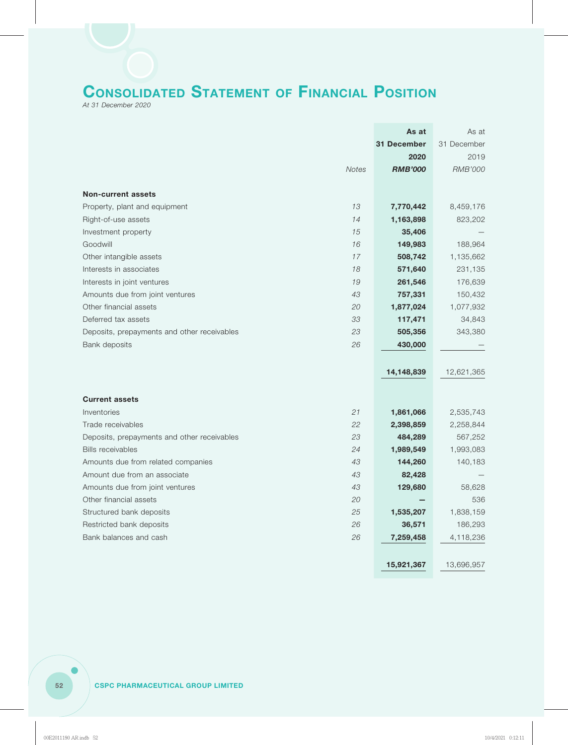# **CONSOLIDATED STATEMENT OF FINANCIAL POSITION**

*At 31 December 2020*

|                                             |       | As at          | As at          |
|---------------------------------------------|-------|----------------|----------------|
|                                             |       | 31 December    | 31 December    |
|                                             |       | 2020           | 2019           |
|                                             | Notes | <b>RMB'000</b> | <b>RMB'000</b> |
|                                             |       |                |                |
| <b>Non-current assets</b>                   |       |                |                |
| Property, plant and equipment               | 13    | 7,770,442      | 8,459,176      |
| Right-of-use assets                         | 14    | 1,163,898      | 823,202        |
| Investment property                         | 15    | 35,406         |                |
| Goodwill                                    | 16    | 149,983        | 188,964        |
| Other intangible assets                     | 17    | 508,742        | 1,135,662      |
| Interests in associates                     | 18    | 571,640        | 231,135        |
| Interests in joint ventures                 | 19    | 261,546        | 176,639        |
| Amounts due from joint ventures             | 43    | 757,331        | 150,432        |
| Other financial assets                      | 20    | 1,877,024      | 1,077,932      |
| Deferred tax assets                         | 33    | 117,471        | 34,843         |
| Deposits, prepayments and other receivables | 23    | 505,356        | 343,380        |
| Bank deposits                               | 26    | 430,000        |                |
|                                             |       |                |                |
|                                             |       | 14,148,839     | 12,621,365     |
|                                             |       |                |                |
| <b>Current assets</b>                       |       |                |                |
| Inventories                                 | 21    | 1,861,066      | 2,535,743      |
| Trade receivables                           | 22    | 2,398,859      | 2,258,844      |
| Deposits, prepayments and other receivables | 23    | 484,289        | 567,252        |
| <b>Bills receivables</b>                    | 24    | 1,989,549      | 1,993,083      |
| Amounts due from related companies          | 43    | 144,260        | 140,183        |
| Amount due from an associate                | 43    | 82,428         |                |
| Amounts due from joint ventures             | 43    | 129,680        | 58,628         |
| Other financial assets                      | 20    |                | 536            |
| Structured bank deposits                    | 25    | 1,535,207      | 1,838,159      |
| Restricted bank deposits                    | 26    | 36,571         | 186,293        |
| Bank balances and cash                      | 26    | 7,259,458      | 4,118,236      |
|                                             |       |                |                |
|                                             |       |                |                |
|                                             |       | 15,921,367     | 13,696,957     |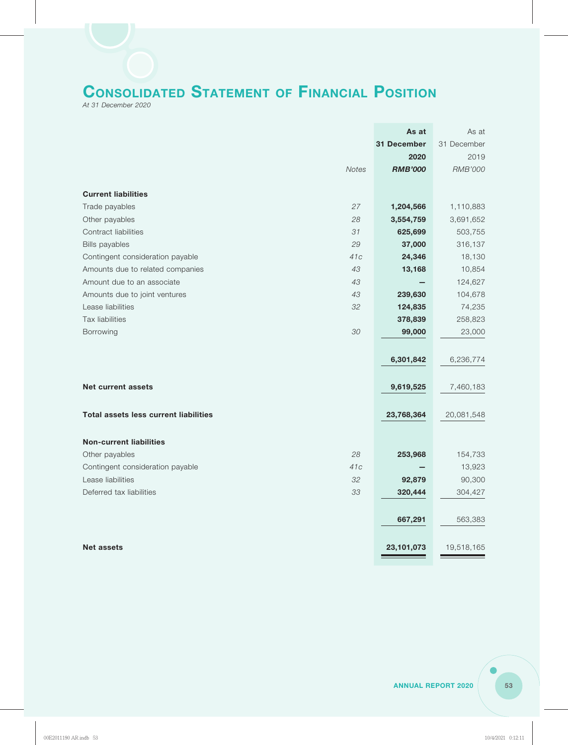# **CONSOLIDATED STATEMENT OF FINANCIAL POSITION**

*At 31 December 2020*

|                                              | As at          | As at          |
|----------------------------------------------|----------------|----------------|
|                                              | 31 December    | 31 December    |
|                                              | 2020           | 2019           |
| <b>Notes</b>                                 | <b>RMB'000</b> | <b>RMB'000</b> |
|                                              |                |                |
| <b>Current liabilities</b>                   |                |                |
| 27<br>Trade payables                         | 1,204,566      | 1,110,883      |
| Other payables<br>28                         | 3,554,759      | 3,691,652      |
| Contract liabilities<br>31                   | 625,699        | 503,755        |
| 29<br><b>Bills payables</b>                  | 37,000         | 316,137        |
| 41c<br>Contingent consideration payable      | 24,346         | 18,130         |
| 43<br>Amounts due to related companies       | 13,168         | 10,854         |
| 43<br>Amount due to an associate             |                | 124,627        |
| 43<br>Amounts due to joint ventures          | 239,630        | 104,678        |
| Lease liabilities<br>32                      | 124,835        | 74,235         |
| <b>Tax liabilities</b>                       | 378,839        | 258,823        |
| 30<br><b>Borrowing</b>                       | 99,000         | 23,000         |
|                                              |                |                |
|                                              | 6,301,842      | 6,236,774      |
|                                              |                |                |
| <b>Net current assets</b>                    | 9,619,525      | 7,460,183      |
|                                              |                |                |
| <b>Total assets less current liabilities</b> | 23,768,364     | 20,081,548     |
|                                              |                |                |
| <b>Non-current liabilities</b>               |                |                |
| 28<br>Other payables                         | 253,968        | 154,733        |
| 41c<br>Contingent consideration payable      |                | 13,923         |
| Lease liabilities<br>32                      | 92,879         | 90,300         |
| Deferred tax liabilities<br>33               | 320,444        |                |
|                                              |                | 304,427        |
|                                              |                |                |
|                                              | 667,291        | 563,383        |
|                                              |                |                |
| <b>Net assets</b>                            | 23,101,073     | 19,518,165     |
|                                              |                |                |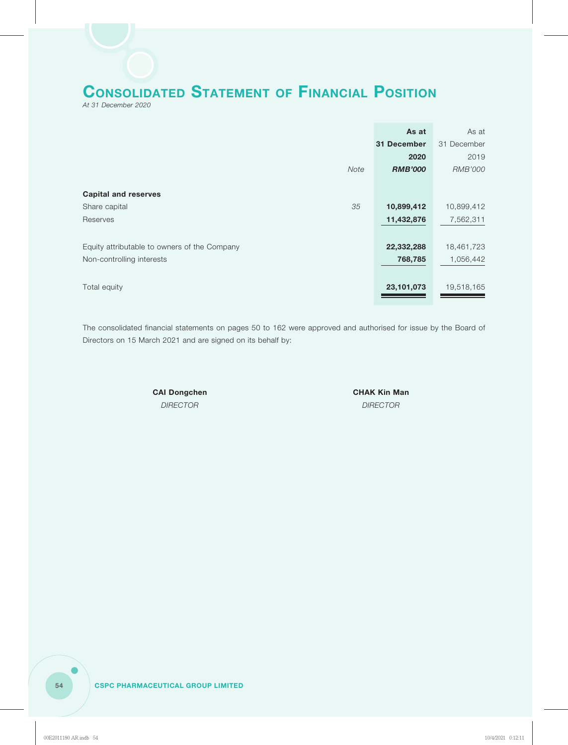

*At 31 December 2020*

|                                              | As at          | As at          |
|----------------------------------------------|----------------|----------------|
|                                              | 31 December    | 31 December    |
|                                              | 2020           | 2019           |
| Note                                         | <b>RMB'000</b> | <b>RMB'000</b> |
|                                              |                |                |
| <b>Capital and reserves</b>                  |                |                |
| 35<br>Share capital                          | 10,899,412     | 10,899,412     |
| Reserves                                     | 11,432,876     | 7,562,311      |
|                                              |                |                |
| Equity attributable to owners of the Company | 22,332,288     | 18,461,723     |
| Non-controlling interests                    | 768,785        | 1,056,442      |
|                                              |                |                |
| Total equity                                 | 23,101,073     | 19,518,165     |

The consolidated financial statements on pages 50 to 162 were approved and authorised for issue by the Board of Directors on 15 March 2021 and are signed on its behalf by:

**CAI Dongchen CHAK Kin Man** 

*DIRECTOR DIRECTOR*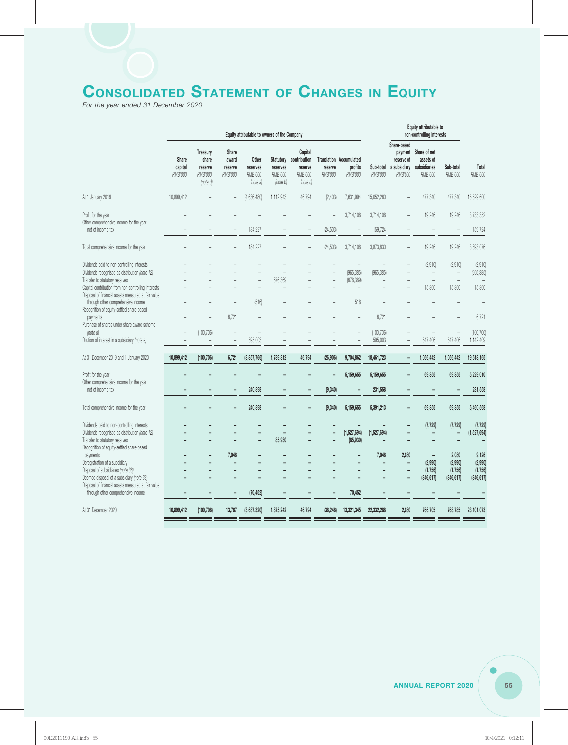# **CONSOLIDATED STATEMENT OF CHANGES IN EQUITY**

*For the year ended 31 December 2020*

|                                                                                                                                                                                        | Equity attributable to owners of the Company |                                                     |                                      |                                          |                                 | Equity attributable to<br>non-controlling interests                 |                          |                                                      |                       |                                                                    |                                                                           |                                                                           |                                           |
|----------------------------------------------------------------------------------------------------------------------------------------------------------------------------------------|----------------------------------------------|-----------------------------------------------------|--------------------------------------|------------------------------------------|---------------------------------|---------------------------------------------------------------------|--------------------------|------------------------------------------------------|-----------------------|--------------------------------------------------------------------|---------------------------------------------------------------------------|---------------------------------------------------------------------------|-------------------------------------------|
|                                                                                                                                                                                        | Share<br>capital<br>RMB'000                  | Treasury<br>share<br>reserve<br>RMB'000<br>(note d) | Share<br>award<br>reserve<br>RMB'000 | Other<br>reserves<br>RMB'000<br>(note a) | reserves<br>RMB'000<br>(note b) | Capital<br>Statutory contribution<br>reserve<br>RMB'000<br>(note c) | reserve<br>RMB'000       | <b>Translation Accumulated</b><br>profits<br>RMB'000 | <b>RMB'000</b>        | Share-based<br>reserve of<br>Sub-total a subsidiary<br>RMB'000     | payment Share of net<br>assets of<br>subsidiaries<br>RMB'000              | Sub-total<br><b>RMB'000</b>                                               | Total<br>RMB'000                          |
| At 1 January 2019                                                                                                                                                                      | 10,899,412                                   |                                                     |                                      | (4,636,480)                              | 1,112,943                       | 46,794                                                              | (2,403)                  | 7,631,994                                            | 15,052,260            |                                                                    | 477,340                                                                   | 477,340                                                                   | 15,529,600                                |
| Profit for the year<br>Other comprehensive income for the year,<br>net of income tax                                                                                                   |                                              |                                                     |                                      | 184,227                                  |                                 |                                                                     | (24, 503)                | 3,714,106                                            | 3,714,106<br>159,724  |                                                                    | 19,246                                                                    | 19,246                                                                    | 3,733,352<br>159,724                      |
| Total comprehensive income for the year                                                                                                                                                |                                              |                                                     |                                      | 184,227                                  |                                 |                                                                     | (24, 503)                | 3,714,106                                            | 3,873,830             | $\overline{\phantom{0}}$                                           | 19,246                                                                    | 19,246                                                                    | 3,893,076                                 |
| Dividends paid to non-controlling interests<br>Dividends recognised as distribution (note 12)<br>Transfer to statutory reserves<br>Capital contribution from non-controlling interests |                                              |                                                     |                                      |                                          | 676,369                         |                                                                     | $\overline{\phantom{a}}$ | (965, 385)<br>(676, 369)                             | (965, 385)            |                                                                    | (2,910)<br>$\overline{\phantom{0}}$<br>$\overline{\phantom{a}}$<br>15,360 | (2.910)<br>$\overline{\phantom{a}}$<br>$\overline{\phantom{a}}$<br>15,360 | (2,910)<br>(965, 385)<br>15,360           |
| Disposal of financial assets measured at fair value<br>through other comprehensive income<br>Recognition of equity-settled share-based<br>payments                                     |                                              |                                                     | 6,721                                | (516)                                    |                                 |                                                                     |                          | 516                                                  | 6,721                 |                                                                    |                                                                           |                                                                           | 6,721                                     |
| Purchase of shares under share award scheme<br>(note d)<br>Dilution of interest in a subsidiary (note e)                                                                               | $\overline{\phantom{0}}$                     | (100, 706)                                          | $\overline{a}$<br>$\overline{a}$     | 595,003                                  |                                 |                                                                     |                          |                                                      | (100, 706)<br>595,003 |                                                                    | 547,406                                                                   | 547,406                                                                   | (100, 706)<br>1,142,409                   |
| At 31 December 2019 and 1 January 2020                                                                                                                                                 | 10,899,412                                   | (100, 706)                                          | 6,721                                | (3,857,766)                              | 1,789,312                       | 46,794                                                              | (26, 906)                | 9,704,862                                            | 18,461,723            | $\overline{a}$                                                     | 1,056,442                                                                 | 1,056,442                                                                 | 19,518,165                                |
| Profit for the year<br>Other comprehensive income for the year,<br>net of income tax                                                                                                   |                                              |                                                     |                                      | 240,898                                  |                                 | -                                                                   | ٠<br>(9, 340)            | 5,159,655                                            | 5,159,655<br>231,558  | ٠                                                                  | 69,355                                                                    | 69,355                                                                    | 5,229,010<br>231,558                      |
| Total comprehensive income for the year                                                                                                                                                |                                              |                                                     |                                      | 240,898                                  |                                 |                                                                     | (9, 340)                 | 5,159,655                                            | 5,391,213             |                                                                    | 69,355                                                                    | 69,355                                                                    | 5,460,568                                 |
| Dividends paid to non-controlling interests<br>Dividends recognised as distribution (note 12)<br>Transfer to statutory reserves<br>Recognition of equity-settled share-based           |                                              |                                                     |                                      |                                          | 85,930                          |                                                                     | ٠                        | (1,527,694)<br>(85, 930)                             | (1,527,694)           |                                                                    | (7, 729)                                                                  | (7, 729)                                                                  | (7, 729)<br>(1,527,694)                   |
| payments<br>Deregistration of a subsidiary<br>Disposal of subsidiaries (note 38)<br>Deemed disposal of a subsidiary (note 38)<br>Disposal of financial assets measured at fair value   |                                              |                                                     | 7,046                                |                                          |                                 | ÷                                                                   |                          |                                                      | 7,046                 | 2,080<br>$\overline{\phantom{0}}$<br>$\overline{\phantom{0}}$<br>٠ | $\overline{a}$<br>(2,990)<br>(1,756)<br>(346, 617)                        | 2,080<br>(2,990)<br>(1,756)<br>(346, 617)                                 | 9,126<br>(2,990)<br>(1,756)<br>(346, 617) |
| through other comprehensive income                                                                                                                                                     |                                              |                                                     |                                      | (70, 452)                                |                                 |                                                                     |                          | 70,452                                               |                       |                                                                    |                                                                           |                                                                           |                                           |
| At 31 December 2020                                                                                                                                                                    | 10,899,412                                   | (100, 706)                                          | 13,767                               | (3,687,320)                              | 1,875,242                       | 46,794                                                              | (36, 246)                | 13,321,345                                           | 22,332,288            | 2,080                                                              | 766,705                                                                   | 768,785                                                                   | 23,101,073                                |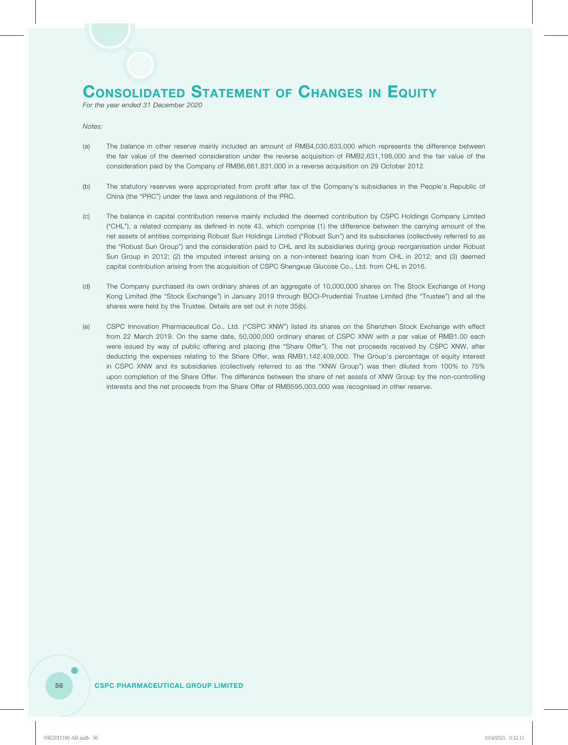### **CONSOLIDATED STATEMENT OF CHANGES IN EQUITY**

*For the year ended 31 December 2020*

*Notes:*

- (a) The balance in other reserve mainly included an amount of RMB4,030,633,000 which represents the difference between the fair value of the deemed consideration under the reverse acquisition of RMB2,631,198,000 and the fair value of the consideration paid by the Company of RMB6,661,831,000 in a reverse acquisition on 29 October 2012*.*
- (b) The statutory reserves were appropriated from profit after tax of the Company's subsidiaries in the People's Republic of China (the "PRC") under the laws and regulations of the PRC.
- (c) The balance in capital contribution reserve mainly included the deemed contribution by CSPC Holdings Company Limited ("CHL"), a related company as defined in note 43, which comprise (1) the difference between the carrying amount of the net assets of entities comprising Robust Sun Holdings Limited ("Robust Sun") and its subsidiaries (collectively referred to as the "Robust Sun Group") and the consideration paid to CHL and its subsidiaries during group reorganisation under Robust Sun Group in 2012; (2) the imputed interest arising on a non-interest bearing loan from CHL in 2012; and (3) deemed capital contribution arising from the acquisition of CSPC Shengxue Glucose Co., Ltd. from CHL in 2016.
- (d) The Company purchased its own ordinary shares of an aggregate of 10,000,000 shares on The Stock Exchange of Hong Kong Limited (the "Stock Exchange") in January 2019 through BOCI-Prudential Trustee Limited (the "Trustee") and all the shares were held by the Trustee. Details are set out in note 35(b).
- (e) CSPC Innovation Pharmaceutical Co., Ltd. ("CSPC XNW") listed its shares on the Shenzhen Stock Exchange with effect from 22 March 2019. On the same date, 50,000,000 ordinary shares of CSPC XNW with a par value of RMB1.00 each were issued by way of public offering and placing (the "Share Offer"). The net proceeds received by CSPC XNW, after deducting the expenses relating to the Share Offer, was RMB1,142,409,000. The Group's percentage of equity interest in CSPC XNW and its subsidiaries (collectively referred to as the "XNW Group") was then diluted from 100% to 75% upon completion of the Share Offer. The difference between the share of net assets of XNW Group by the non-controlling interests and the net proceeds from the Share Offer of RMB595,003,000 was recognised in other reserve.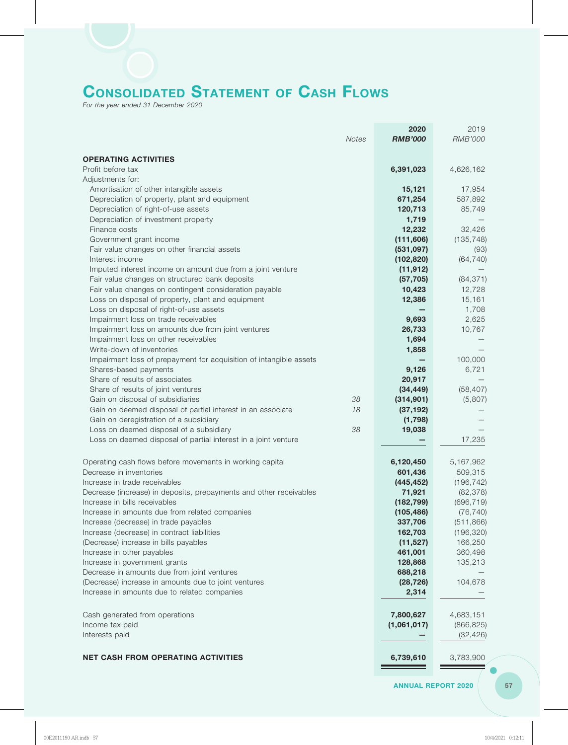# **CONSOLIDATED STATEMENT OF CASH FLOWS**

*For the year ended 31 December 2020*

|                                                                                              | 2020               | 2019               |
|----------------------------------------------------------------------------------------------|--------------------|--------------------|
| <b>Notes</b>                                                                                 | <b>RMB'000</b>     | <b>RMB'000</b>     |
| <b>OPERATING ACTIVITIES</b>                                                                  |                    |                    |
| Profit before tax                                                                            | 6,391,023          | 4,626,162          |
| Adjustments for:                                                                             |                    |                    |
| Amortisation of other intangible assets                                                      | 15,121             | 17,954             |
| Depreciation of property, plant and equipment                                                | 671,254            | 587,892            |
| Depreciation of right-of-use assets                                                          | 120,713            | 85,749             |
| Depreciation of investment property                                                          | 1,719              |                    |
| Finance costs                                                                                | 12,232             | 32,426             |
| Government grant income                                                                      | (111, 606)         | (135, 748)         |
| Fair value changes on other financial assets                                                 | (531, 097)         | (93)               |
| Interest income                                                                              | (102, 820)         | (64, 740)          |
| Imputed interest income on amount due from a joint venture                                   | (11, 912)          |                    |
| Fair value changes on structured bank deposits                                               | (57, 705)          | (84, 371)          |
| Fair value changes on contingent consideration payable                                       | 10,423             | 12,728             |
| Loss on disposal of property, plant and equipment<br>Loss on disposal of right-of-use assets | 12,386             | 15,161<br>1,708    |
| Impairment loss on trade receivables                                                         | 9,693              | 2,625              |
| Impairment loss on amounts due from joint ventures                                           | 26,733             | 10,767             |
| Impairment loss on other receivables                                                         | 1,694              |                    |
| Write-down of inventories                                                                    | 1,858              |                    |
| Impairment loss of prepayment for acquisition of intangible assets                           |                    | 100,000            |
| Shares-based payments                                                                        | 9,126              | 6,721              |
| Share of results of associates                                                               | 20,917             |                    |
| Share of results of joint ventures                                                           | (34, 449)          | (58, 407)          |
| Gain on disposal of subsidiaries<br>38                                                       | (314, 901)         | (5,807)            |
| Gain on deemed disposal of partial interest in an associate<br>18                            | (37, 192)          |                    |
| Gain on deregistration of a subsidiary                                                       | (1,798)            |                    |
| 38<br>Loss on deemed disposal of a subsidiary                                                | 19,038             |                    |
| Loss on deemed disposal of partial interest in a joint venture                               |                    | 17,235             |
| Operating cash flows before movements in working capital                                     | 6,120,450          | 5,167,962          |
| Decrease in inventories                                                                      | 601,436            | 509,315            |
| Increase in trade receivables                                                                | (445, 452)         | (196, 742)         |
| Decrease (increase) in deposits, prepayments and other receivables                           | 71,921             | (82, 378)          |
| Increase in bills receivables                                                                | (182, 799)         | (696, 719)         |
| Increase in amounts due from related companies                                               | (105, 486)         | (76, 740)          |
| Increase (decrease) in trade payables                                                        | 337,706            | (511, 866)         |
| Increase (decrease) in contract liabilities                                                  | 162,703            | (196, 320)         |
| (Decrease) increase in bills payables                                                        | (11, 527)          | 166,250            |
| Increase in other payables<br>Increase in government grants                                  | 461,001<br>128,868 | 360,498<br>135,213 |
| Decrease in amounts due from joint ventures                                                  | 688,218            |                    |
| (Decrease) increase in amounts due to joint ventures                                         | (28, 726)          | 104,678            |
| Increase in amounts due to related companies                                                 | 2,314              |                    |
|                                                                                              |                    |                    |
| Cash generated from operations                                                               | 7,800,627          | 4,683,151          |
| Income tax paid                                                                              | (1,061,017)        | (866, 825)         |
| Interests paid                                                                               |                    | (32, 426)          |
|                                                                                              |                    |                    |
| <b>NET CASH FROM OPERATING ACTIVITIES</b>                                                    | 6,739,610          | 3,783,900          |

**ANNUAL REPORT 2020 57**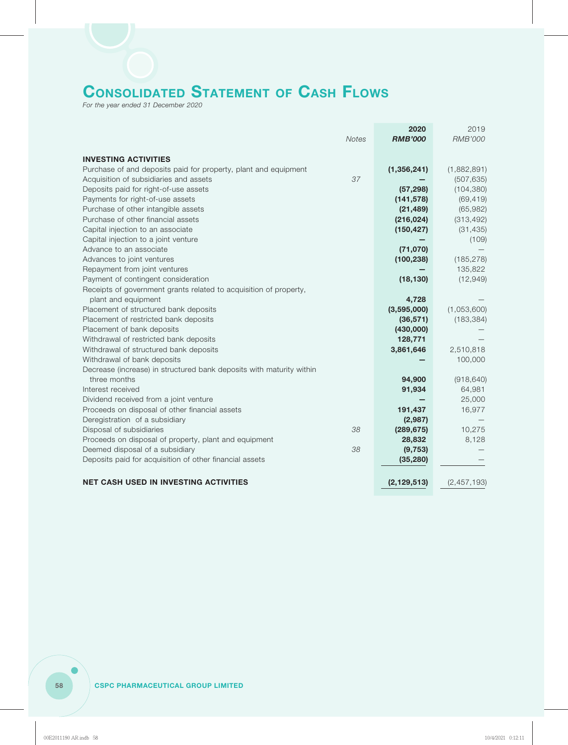# **CONSOLIDATED STATEMENT OF CASH FLOWS**

*For the year ended 31 December 2020*

|                                                                      | 2020           | 2019           |
|----------------------------------------------------------------------|----------------|----------------|
| <b>Notes</b>                                                         | <b>RMB'000</b> | <b>RMB'000</b> |
|                                                                      |                |                |
| <b>INVESTING ACTIVITIES</b>                                          |                |                |
| Purchase of and deposits paid for property, plant and equipment      | (1,356,241)    | (1,882,891)    |
| 37<br>Acquisition of subsidiaries and assets                         |                | (507, 635)     |
| Deposits paid for right-of-use assets                                | (57, 298)      | (104, 380)     |
| Payments for right-of-use assets                                     | (141, 578)     | (69, 419)      |
| Purchase of other intangible assets                                  | (21, 489)      | (65, 982)      |
| Purchase of other financial assets                                   | (216, 024)     | (313, 492)     |
| Capital injection to an associate                                    | (150, 427)     | (31, 435)      |
| Capital injection to a joint venture                                 |                | (109)          |
| Advance to an associate                                              | (71,070)       |                |
| Advances to joint ventures                                           | (100, 238)     | (185, 278)     |
| Repayment from joint ventures                                        |                | 135,822        |
| Payment of contingent consideration                                  | (18, 130)      | (12, 949)      |
| Receipts of government grants related to acquisition of property,    |                |                |
| plant and equipment                                                  | 4,728          |                |
| Placement of structured bank deposits                                | (3,595,000)    | (1,053,600)    |
| Placement of restricted bank deposits                                | (36, 571)      | (183, 384)     |
| Placement of bank deposits                                           | (430,000)      |                |
| Withdrawal of restricted bank deposits                               | 128,771        |                |
| Withdrawal of structured bank deposits                               | 3,861,646      | 2,510,818      |
| Withdrawal of bank deposits                                          |                | 100,000        |
| Decrease (increase) in structured bank deposits with maturity within |                |                |
| three months                                                         | 94,900         | (918, 640)     |
| Interest received                                                    | 91,934         | 64,981         |
| Dividend received from a joint venture                               |                | 25,000         |
| Proceeds on disposal of other financial assets                       | 191,437        | 16,977         |
| Deregistration of a subsidiary                                       | (2,987)        |                |
| Disposal of subsidiaries<br>38                                       | (289, 675)     | 10,275         |
| Proceeds on disposal of property, plant and equipment                | 28,832         | 8,128          |
| Deemed disposal of a subsidiary<br>38                                | (9, 753)       |                |
| Deposits paid for acquisition of other financial assets              | (35, 280)      |                |
|                                                                      |                |                |
| <b>NET CASH USED IN INVESTING ACTIVITIES</b>                         | (2, 129, 513)  | (2, 457, 193)  |
|                                                                      |                |                |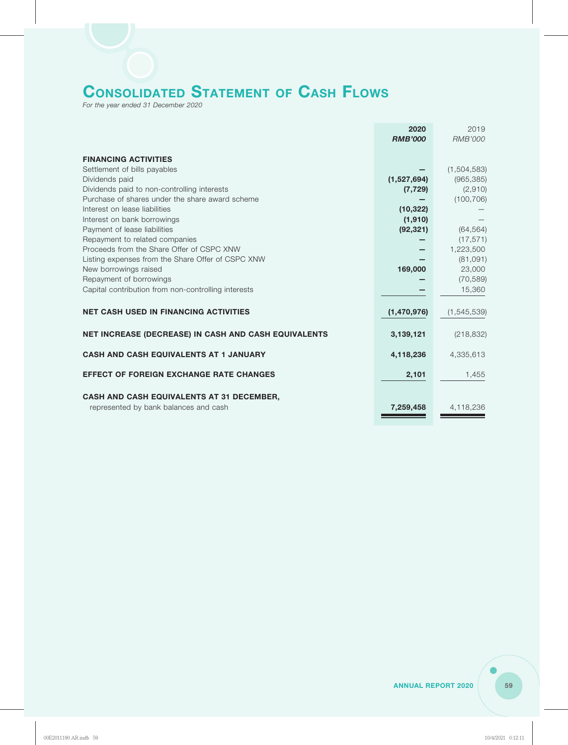# **CONSOLIDATED STATEMENT OF CASH FLOWS**

*For the year ended 31 December 2020*

|                                                                                    | 2020<br><b>RMB'000</b> | 2019<br><b>RMB'000</b> |
|------------------------------------------------------------------------------------|------------------------|------------------------|
| <b>FINANCING ACTIVITIES</b>                                                        |                        |                        |
| Settlement of bills payables                                                       |                        | (1,504,583)            |
| Dividends paid                                                                     | (1,527,694)            | (965, 385)             |
| Dividends paid to non-controlling interests                                        | (7, 729)               | (2,910)                |
| Purchase of shares under the share award scheme                                    |                        | (100, 706)             |
| Interest on lease liabilities                                                      | (10, 322)              |                        |
| Interest on bank borrowings                                                        | (1,910)                |                        |
| Payment of lease liabilities                                                       | (92, 321)              | (64, 564)              |
| Repayment to related companies                                                     |                        | (17, 571)              |
| Proceeds from the Share Offer of CSPC XNW                                          |                        | 1,223,500              |
| Listing expenses from the Share Offer of CSPC XNW                                  |                        | (81,091)               |
| New borrowings raised                                                              | 169,000                | 23,000                 |
| Repayment of borrowings                                                            |                        | (70, 589)              |
| Capital contribution from non-controlling interests                                |                        | 15,360                 |
|                                                                                    |                        |                        |
| <b>NET CASH USED IN FINANCING ACTIVITIES</b>                                       | (1,470,976)            | (1, 545, 539)          |
| NET INCREASE (DECREASE) IN CASH AND CASH EQUIVALENTS                               | 3,139,121              | (218, 832)             |
| <b>CASH AND CASH EQUIVALENTS AT 1 JANUARY</b>                                      | 4,118,236              | 4,335,613              |
| <b>EFFECT OF FOREIGN EXCHANGE RATE CHANGES</b>                                     | 2,101                  | 1,455                  |
| CASH AND CASH EQUIVALENTS AT 31 DECEMBER,<br>represented by bank balances and cash | 7,259,458              | 4,118,236              |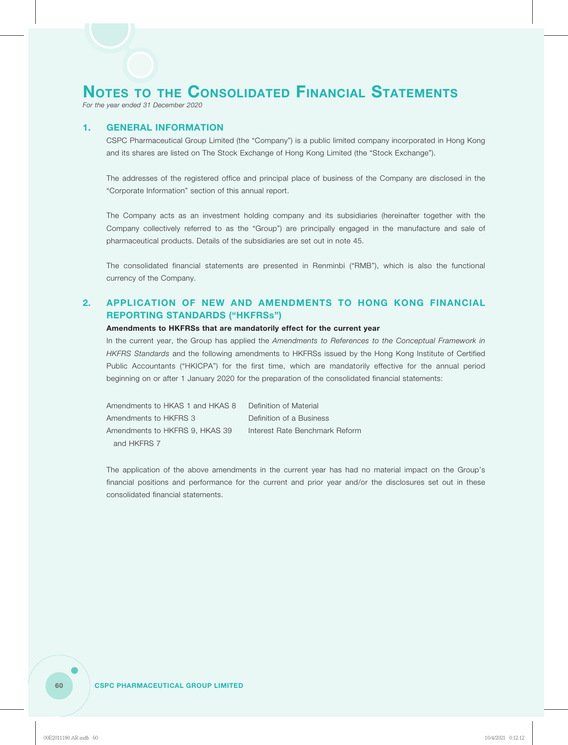*For the year ended 31 December 2020*

### **1. GENERAL INFORMATION**

CSPC Pharmaceutical Group Limited (the "Company") is a public limited company incorporated in Hong Kong and its shares are listed on The Stock Exchange of Hong Kong Limited (the "Stock Exchange").

The addresses of the registered office and principal place of business of the Company are disclosed in the "Corporate Information" section of this annual report.

The Company acts as an investment holding company and its subsidiaries (hereinafter together with the Company collectively referred to as the "Group") are principally engaged in the manufacture and sale of pharmaceutical products. Details of the subsidiaries are set out in note 45.

The consolidated financial statements are presented in Renminbi ("RMB"), which is also the functional currency of the Company.

### **2. APPLICATION OF NEW AND AMENDMENTS TO HONG KONG FINANCIAL REPORTING STANDARDS ("HKFRSs")**

### **Amendments to HKFRSs that are mandatorily effect for the current year**

In the current year, the Group has applied the *Amendments to References to the Conceptual Framework in HKFRS Standards* and the following amendments to HKFRSs issued by the Hong Kong Institute of Certified Public Accountants ("HKICPA") for the first time, which are mandatorily effective for the annual period beginning on or after 1 January 2020 for the preparation of the consolidated financial statements:

| Amendments to HKAS 1 and HKAS 8 | Definition of Material         |
|---------------------------------|--------------------------------|
| Amendments to HKFRS 3           | Definition of a Business       |
| Amendments to HKFRS 9. HKAS 39  | Interest Rate Benchmark Reform |
| and HKFRS 7                     |                                |

The application of the above amendments in the current year has had no material impact on the Group's financial positions and performance for the current and prior year and/or the disclosures set out in these consolidated financial statements.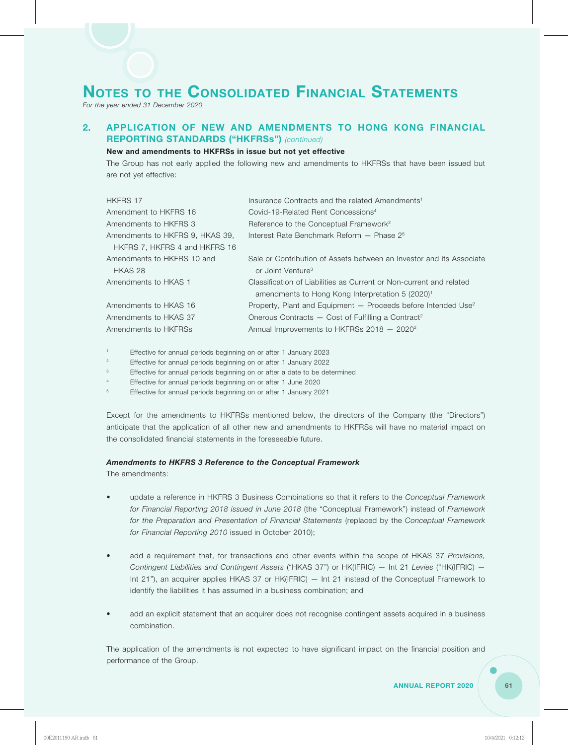*For the year ended 31 December 2020*

### **2. APPLICATION OF NEW AND AMENDMENTS TO HONG KONG FINANCIAL REPORTING STANDARDS ("HKFRSs")** *(continued)*

### **New and amendments to HKFRSs in issue but not yet effective**

The Group has not early applied the following new and amendments to HKFRSs that have been issued but are not yet effective:

| <b>HKFRS 17</b>                 | Insurance Contracts and the related Amendments <sup>1</sup>               |
|---------------------------------|---------------------------------------------------------------------------|
| Amendment to HKFRS 16           | Covid-19-Related Rent Concessions <sup>4</sup>                            |
| Amendments to HKFRS 3           | Reference to the Conceptual Framework <sup>2</sup>                        |
| Amendments to HKFRS 9, HKAS 39, | Interest Rate Benchmark Reform - Phase 2 <sup>5</sup>                     |
| HKFRS 7, HKFRS 4 and HKFRS 16   |                                                                           |
| Amendments to HKFRS 10 and      | Sale or Contribution of Assets between an Investor and its Associate      |
| HKAS 28                         | or Joint Venture <sup>3</sup>                                             |
| Amendments to HKAS 1            | Classification of Liabilities as Current or Non-current and related       |
|                                 | amendments to Hong Kong Interpretation 5 (2020) <sup>1</sup>              |
| Amendments to HKAS 16           | Property, Plant and Equipment - Proceeds before Intended Use <sup>2</sup> |
| Amendments to HKAS 37           | Onerous Contracts $-$ Cost of Fulfilling a Contract <sup>2</sup>          |
| Amendments to HKFRSs            | Annual Improvements to HKFRSs 2018 - 2020 <sup>2</sup>                    |

1 Effective for annual periods beginning on or after 1 January 2023

<sup>2</sup> Effective for annual periods beginning on or after 1 January 2022

<sup>3</sup> Effective for annual periods beginning on or after a date to be determined

4 Effective for annual periods beginning on or after 1 June 2020

<sup>5</sup> Effective for annual periods beginning on or after 1 January 2021

Except for the amendments to HKFRSs mentioned below, the directors of the Company (the "Directors") anticipate that the application of all other new and amendments to HKFRSs will have no material impact on the consolidated financial statements in the foreseeable future.

#### *Amendments to HKFRS 3 Reference to the Conceptual Framework*

The amendments:

- update a reference in HKFRS 3 Business Combinations so that it refers to the *Conceptual Framework for Financial Reporting 2018 issued in June 2018* (the "Conceptual Framework") instead of *Framework for the Preparation and Presentation of Financial Statements* (replaced by the *Conceptual Framework for Financial Reporting 2010* issued in October 2010);
- add a requirement that, for transactions and other events within the scope of HKAS 37 *Provisions, Contingent Liabilities and Contingent Assets* ("HKAS 37") or HK(IFRIC) — Int 21 *Levies* ("HK(IFRIC) — Int 21"), an acquirer applies HKAS 37 or HK(IFRIC) — Int 21 instead of the Conceptual Framework to identify the liabilities it has assumed in a business combination; and
- add an explicit statement that an acquirer does not recognise contingent assets acquired in a business combination.

The application of the amendments is not expected to have significant impact on the financial position and performance of the Group.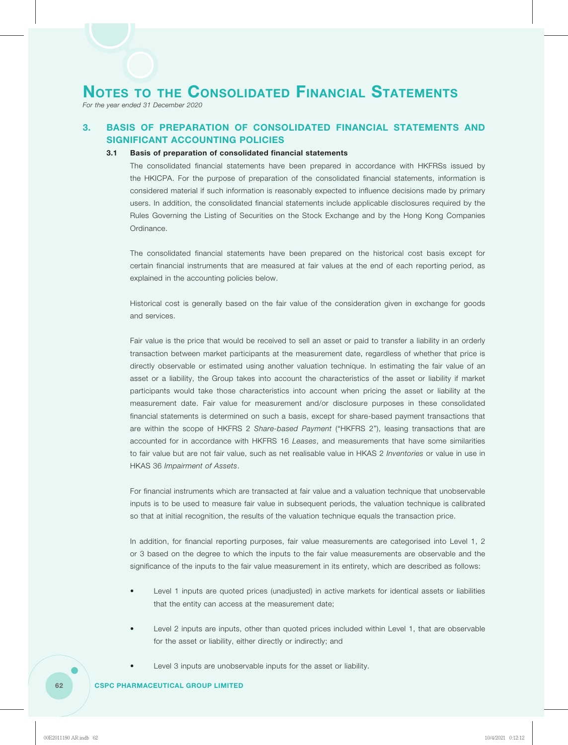*For the year ended 31 December 2020*

### **3. BASIS OF PREPARATION OF CONSOLIDATED FINANCIAL STATEMENTS AND SIGNIFICANT ACCOUNTING POLICIES**

### **3.1 Basis of preparation of consolidated financial statements**

The consolidated financial statements have been prepared in accordance with HKFRSs issued by the HKICPA. For the purpose of preparation of the consolidated financial statements, information is considered material if such information is reasonably expected to influence decisions made by primary users. In addition, the consolidated financial statements include applicable disclosures required by the Rules Governing the Listing of Securities on the Stock Exchange and by the Hong Kong Companies Ordinance.

The consolidated financial statements have been prepared on the historical cost basis except for certain financial instruments that are measured at fair values at the end of each reporting period, as explained in the accounting policies below.

Historical cost is generally based on the fair value of the consideration given in exchange for goods and services.

Fair value is the price that would be received to sell an asset or paid to transfer a liability in an orderly transaction between market participants at the measurement date, regardless of whether that price is directly observable or estimated using another valuation technique. In estimating the fair value of an asset or a liability, the Group takes into account the characteristics of the asset or liability if market participants would take those characteristics into account when pricing the asset or liability at the measurement date. Fair value for measurement and/or disclosure purposes in these consolidated financial statements is determined on such a basis, except for share-based payment transactions that are within the scope of HKFRS 2 *Share-based Payment* ("HKFRS 2"), leasing transactions that are accounted for in accordance with HKFRS 16 *Leases*, and measurements that have some similarities to fair value but are not fair value, such as net realisable value in HKAS 2 *Inventories* or value in use in HKAS 36 *Impairment of Assets*.

For financial instruments which are transacted at fair value and a valuation technique that unobservable inputs is to be used to measure fair value in subsequent periods, the valuation technique is calibrated so that at initial recognition, the results of the valuation technique equals the transaction price.

In addition, for financial reporting purposes, fair value measurements are categorised into Level 1, 2 or 3 based on the degree to which the inputs to the fair value measurements are observable and the significance of the inputs to the fair value measurement in its entirety, which are described as follows:

- Level 1 inputs are quoted prices (unadjusted) in active markets for identical assets or liabilities that the entity can access at the measurement date;
- Level 2 inputs are inputs, other than quoted prices included within Level 1, that are observable for the asset or liability, either directly or indirectly; and
- Level 3 inputs are unobservable inputs for the asset or liability.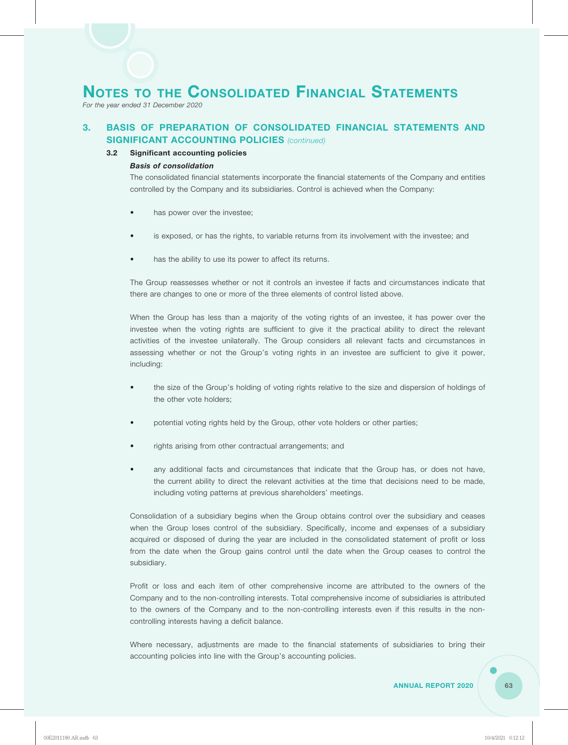*For the year ended 31 December 2020*

### **3. BASIS OF PREPARATION OF CONSOLIDATED FINANCIAL STATEMENTS AND SIGNIFICANT ACCOUNTING POLICIES** *(continued)*

### **3.2 Significant accounting policies**

### *Basis of consolidation*

The consolidated financial statements incorporate the financial statements of the Company and entities controlled by the Company and its subsidiaries. Control is achieved when the Company:

- has power over the investee;
- is exposed, or has the rights, to variable returns from its involvement with the investee; and
- has the ability to use its power to affect its returns.

The Group reassesses whether or not it controls an investee if facts and circumstances indicate that there are changes to one or more of the three elements of control listed above.

When the Group has less than a majority of the voting rights of an investee, it has power over the investee when the voting rights are sufficient to give it the practical ability to direct the relevant activities of the investee unilaterally. The Group considers all relevant facts and circumstances in assessing whether or not the Group's voting rights in an investee are sufficient to give it power, including:

- the size of the Group's holding of voting rights relative to the size and dispersion of holdings of the other vote holders;
- potential voting rights held by the Group, other vote holders or other parties;
- rights arising from other contractual arrangements; and
- any additional facts and circumstances that indicate that the Group has, or does not have, the current ability to direct the relevant activities at the time that decisions need to be made, including voting patterns at previous shareholders' meetings.

Consolidation of a subsidiary begins when the Group obtains control over the subsidiary and ceases when the Group loses control of the subsidiary. Specifically, income and expenses of a subsidiary acquired or disposed of during the year are included in the consolidated statement of profit or loss from the date when the Group gains control until the date when the Group ceases to control the subsidiary.

Profit or loss and each item of other comprehensive income are attributed to the owners of the Company and to the non-controlling interests. Total comprehensive income of subsidiaries is attributed to the owners of the Company and to the non-controlling interests even if this results in the noncontrolling interests having a deficit balance.

Where necessary, adjustments are made to the financial statements of subsidiaries to bring their accounting policies into line with the Group's accounting policies.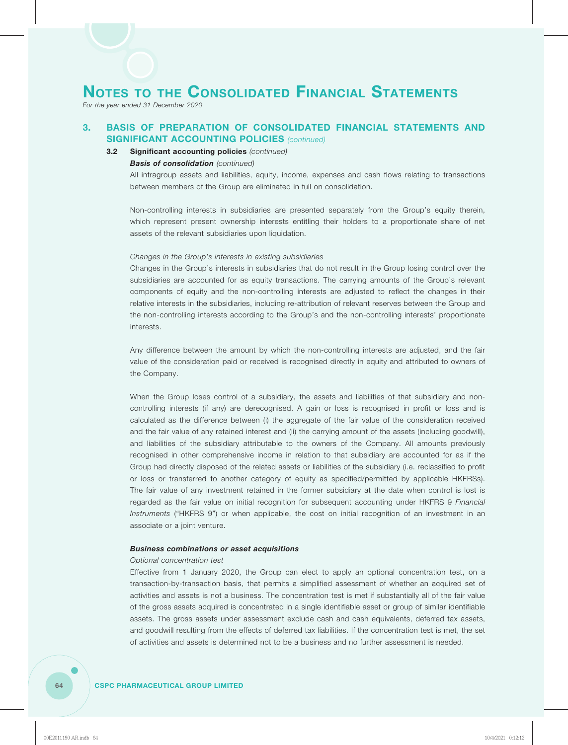*For the year ended 31 December 2020*

### **3. BASIS OF PREPARATION OF CONSOLIDATED FINANCIAL STATEMENTS AND SIGNIFICANT ACCOUNTING POLICIES** *(continued)*

### **3.2 Significant accounting policies** *(continued)*

### *Basis of consolidation (continued)*

All intragroup assets and liabilities, equity, income, expenses and cash flows relating to transactions between members of the Group are eliminated in full on consolidation.

Non-controlling interests in subsidiaries are presented separately from the Group's equity therein, which represent present ownership interests entitling their holders to a proportionate share of net assets of the relevant subsidiaries upon liquidation.

#### *Changes in the Group's interests in existing subsidiaries*

Changes in the Group's interests in subsidiaries that do not result in the Group losing control over the subsidiaries are accounted for as equity transactions. The carrying amounts of the Group's relevant components of equity and the non-controlling interests are adjusted to reflect the changes in their relative interests in the subsidiaries, including re-attribution of relevant reserves between the Group and the non-controlling interests according to the Group's and the non-controlling interests' proportionate interests.

Any difference between the amount by which the non-controlling interests are adjusted, and the fair value of the consideration paid or received is recognised directly in equity and attributed to owners of the Company.

When the Group loses control of a subsidiary, the assets and liabilities of that subsidiary and noncontrolling interests (if any) are derecognised. A gain or loss is recognised in profit or loss and is calculated as the difference between (i) the aggregate of the fair value of the consideration received and the fair value of any retained interest and (ii) the carrying amount of the assets (including goodwill), and liabilities of the subsidiary attributable to the owners of the Company. All amounts previously recognised in other comprehensive income in relation to that subsidiary are accounted for as if the Group had directly disposed of the related assets or liabilities of the subsidiary (i.e. reclassified to profit or loss or transferred to another category of equity as specified/permitted by applicable HKFRSs). The fair value of any investment retained in the former subsidiary at the date when control is lost is regarded as the fair value on initial recognition for subsequent accounting under HKFRS 9 *Financial Instruments* ("HKFRS 9") or when applicable, the cost on initial recognition of an investment in an associate or a joint venture.

### *Business combinations or asset acquisitions*

#### *Optional concentration test*

Effective from 1 January 2020, the Group can elect to apply an optional concentration test, on a transaction-by-transaction basis, that permits a simplified assessment of whether an acquired set of activities and assets is not a business. The concentration test is met if substantially all of the fair value of the gross assets acquired is concentrated in a single identifiable asset or group of similar identifiable assets. The gross assets under assessment exclude cash and cash equivalents, deferred tax assets, and goodwill resulting from the effects of deferred tax liabilities. If the concentration test is met, the set of activities and assets is determined not to be a business and no further assessment is needed.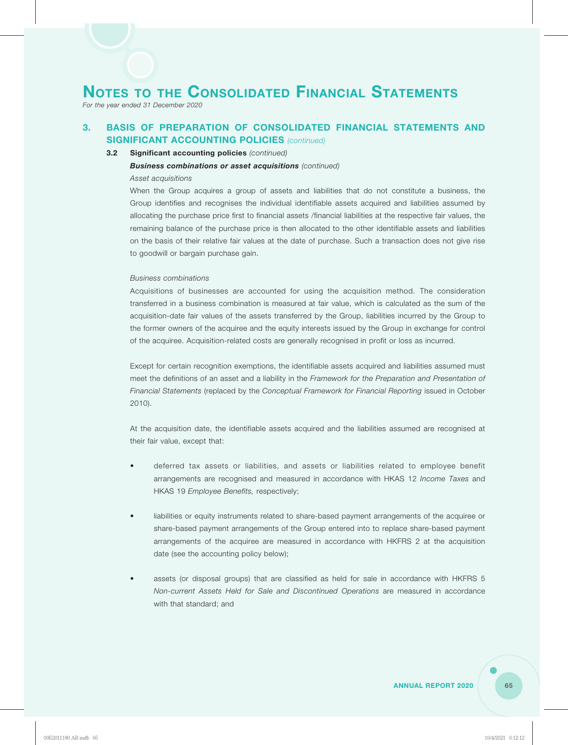*For the year ended 31 December 2020*

### **3. BASIS OF PREPARATION OF CONSOLIDATED FINANCIAL STATEMENTS AND SIGNIFICANT ACCOUNTING POLICIES** *(continued)*

### **3.2 Significant accounting policies** *(continued)*

### *Business combinations or asset acquisitions (continued)*

### *Asset acquisitions*

When the Group acquires a group of assets and liabilities that do not constitute a business, the Group identifies and recognises the individual identifiable assets acquired and liabilities assumed by allocating the purchase price first to financial assets /financial liabilities at the respective fair values, the remaining balance of the purchase price is then allocated to the other identifiable assets and liabilities on the basis of their relative fair values at the date of purchase. Such a transaction does not give rise to goodwill or bargain purchase gain.

### *Business combinations*

Acquisitions of businesses are accounted for using the acquisition method. The consideration transferred in a business combination is measured at fair value, which is calculated as the sum of the acquisition-date fair values of the assets transferred by the Group, liabilities incurred by the Group to the former owners of the acquiree and the equity interests issued by the Group in exchange for control of the acquiree. Acquisition-related costs are generally recognised in profit or loss as incurred.

Except for certain recognition exemptions, the identifiable assets acquired and liabilities assumed must meet the definitions of an asset and a liability in the *Framework for the Preparation and Presentation of Financial Statements* (replaced by the *Conceptual Framework for Financial Reporting* issued in October 2010).

At the acquisition date, the identifiable assets acquired and the liabilities assumed are recognised at their fair value, except that:

- deferred tax assets or liabilities, and assets or liabilities related to employee benefit arrangements are recognised and measured in accordance with HKAS 12 *Income Taxes* and HKAS 19 *Employee Benefits,* respectively;
- liabilities or equity instruments related to share-based payment arrangements of the acquiree or share-based payment arrangements of the Group entered into to replace share-based payment arrangements of the acquiree are measured in accordance with HKFRS 2 at the acquisition date (see the accounting policy below);
- assets (or disposal groups) that are classified as held for sale in accordance with HKFRS 5 *Non-current Assets Held for Sale and Discontinued Operations* are measured in accordance with that standard; and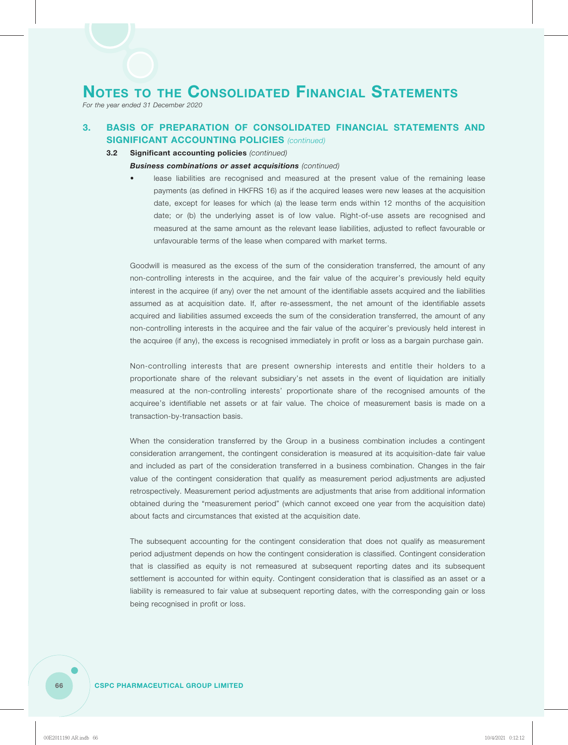*For the year ended 31 December 2020*

### **3. BASIS OF PREPARATION OF CONSOLIDATED FINANCIAL STATEMENTS AND SIGNIFICANT ACCOUNTING POLICIES** *(continued)*

### **3.2 Significant accounting policies** *(continued)*

### *Business combinations or asset acquisitions (continued)*

lease liabilities are recognised and measured at the present value of the remaining lease payments (as defined in HKFRS 16) as if the acquired leases were new leases at the acquisition date, except for leases for which (a) the lease term ends within 12 months of the acquisition date; or (b) the underlying asset is of low value. Right-of-use assets are recognised and measured at the same amount as the relevant lease liabilities, adjusted to reflect favourable or unfavourable terms of the lease when compared with market terms.

Goodwill is measured as the excess of the sum of the consideration transferred, the amount of any non-controlling interests in the acquiree, and the fair value of the acquirer's previously held equity interest in the acquiree (if any) over the net amount of the identifiable assets acquired and the liabilities assumed as at acquisition date. If, after re-assessment, the net amount of the identifiable assets acquired and liabilities assumed exceeds the sum of the consideration transferred, the amount of any non-controlling interests in the acquiree and the fair value of the acquirer's previously held interest in the acquiree (if any), the excess is recognised immediately in profit or loss as a bargain purchase gain.

Non-controlling interests that are present ownership interests and entitle their holders to a proportionate share of the relevant subsidiary's net assets in the event of liquidation are initially measured at the non-controlling interests' proportionate share of the recognised amounts of the acquiree's identifiable net assets or at fair value. The choice of measurement basis is made on a transaction-by-transaction basis.

When the consideration transferred by the Group in a business combination includes a contingent consideration arrangement, the contingent consideration is measured at its acquisition-date fair value and included as part of the consideration transferred in a business combination. Changes in the fair value of the contingent consideration that qualify as measurement period adjustments are adjusted retrospectively. Measurement period adjustments are adjustments that arise from additional information obtained during the "measurement period" (which cannot exceed one year from the acquisition date) about facts and circumstances that existed at the acquisition date.

The subsequent accounting for the contingent consideration that does not qualify as measurement period adjustment depends on how the contingent consideration is classified. Contingent consideration that is classified as equity is not remeasured at subsequent reporting dates and its subsequent settlement is accounted for within equity. Contingent consideration that is classified as an asset or a liability is remeasured to fair value at subsequent reporting dates, with the corresponding gain or loss being recognised in profit or loss.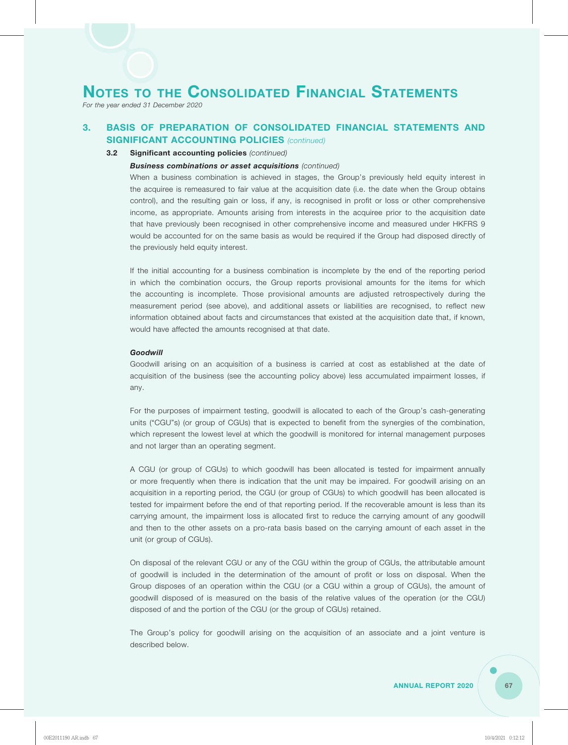*For the year ended 31 December 2020*

### **3. BASIS OF PREPARATION OF CONSOLIDATED FINANCIAL STATEMENTS AND SIGNIFICANT ACCOUNTING POLICIES** *(continued)*

### **3.2 Significant accounting policies** *(continued)*

### *Business combinations or asset acquisitions (continued)*

When a business combination is achieved in stages, the Group's previously held equity interest in the acquiree is remeasured to fair value at the acquisition date (i.e. the date when the Group obtains control), and the resulting gain or loss, if any, is recognised in profit or loss or other comprehensive income, as appropriate. Amounts arising from interests in the acquiree prior to the acquisition date that have previously been recognised in other comprehensive income and measured under HKFRS 9 would be accounted for on the same basis as would be required if the Group had disposed directly of the previously held equity interest.

If the initial accounting for a business combination is incomplete by the end of the reporting period in which the combination occurs, the Group reports provisional amounts for the items for which the accounting is incomplete. Those provisional amounts are adjusted retrospectively during the measurement period (see above), and additional assets or liabilities are recognised, to reflect new information obtained about facts and circumstances that existed at the acquisition date that, if known, would have affected the amounts recognised at that date.

#### *Goodwill*

Goodwill arising on an acquisition of a business is carried at cost as established at the date of acquisition of the business (see the accounting policy above) less accumulated impairment losses, if any.

For the purposes of impairment testing, goodwill is allocated to each of the Group's cash-generating units ("CGU"s) (or group of CGUs) that is expected to benefit from the synergies of the combination, which represent the lowest level at which the goodwill is monitored for internal management purposes and not larger than an operating segment.

A CGU (or group of CGUs) to which goodwill has been allocated is tested for impairment annually or more frequently when there is indication that the unit may be impaired. For goodwill arising on an acquisition in a reporting period, the CGU (or group of CGUs) to which goodwill has been allocated is tested for impairment before the end of that reporting period. If the recoverable amount is less than its carrying amount, the impairment loss is allocated first to reduce the carrying amount of any goodwill and then to the other assets on a pro-rata basis based on the carrying amount of each asset in the unit (or group of CGUs).

On disposal of the relevant CGU or any of the CGU within the group of CGUs, the attributable amount of goodwill is included in the determination of the amount of profit or loss on disposal. When the Group disposes of an operation within the CGU (or a CGU within a group of CGUs), the amount of goodwill disposed of is measured on the basis of the relative values of the operation (or the CGU) disposed of and the portion of the CGU (or the group of CGUs) retained.

The Group's policy for goodwill arising on the acquisition of an associate and a joint venture is described below.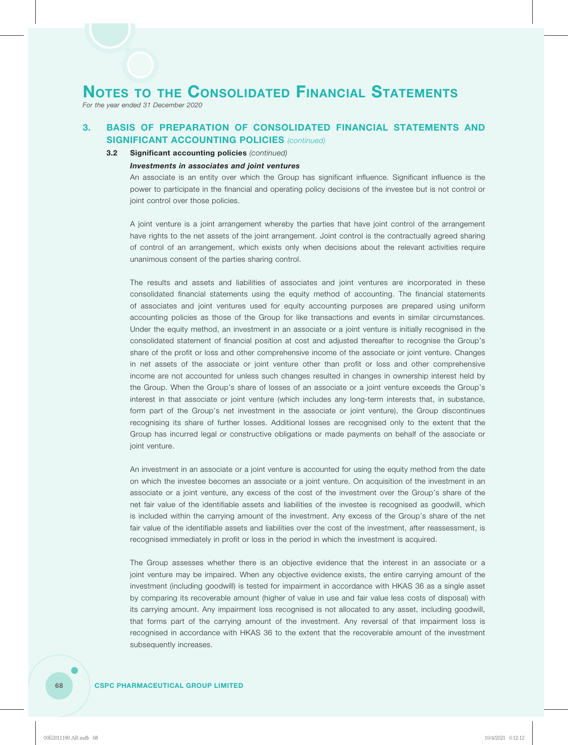*For the year ended 31 December 2020*

### **3. BASIS OF PREPARATION OF CONSOLIDATED FINANCIAL STATEMENTS AND SIGNIFICANT ACCOUNTING POLICIES** *(continued)*

### **3.2 Significant accounting policies** *(continued)*

### *Investments in associates and joint ventures*

An associate is an entity over which the Group has significant influence. Significant influence is the power to participate in the financial and operating policy decisions of the investee but is not control or joint control over those policies.

A joint venture is a joint arrangement whereby the parties that have joint control of the arrangement have rights to the net assets of the joint arrangement. Joint control is the contractually agreed sharing of control of an arrangement, which exists only when decisions about the relevant activities require unanimous consent of the parties sharing control.

The results and assets and liabilities of associates and joint ventures are incorporated in these consolidated financial statements using the equity method of accounting. The financial statements of associates and joint ventures used for equity accounting purposes are prepared using uniform accounting policies as those of the Group for like transactions and events in similar circumstances. Under the equity method, an investment in an associate or a joint venture is initially recognised in the consolidated statement of financial position at cost and adjusted thereafter to recognise the Group's share of the profit or loss and other comprehensive income of the associate or joint venture. Changes in net assets of the associate or joint venture other than profit or loss and other comprehensive income are not accounted for unless such changes resulted in changes in ownership interest held by the Group. When the Group's share of losses of an associate or a joint venture exceeds the Group's interest in that associate or joint venture (which includes any long-term interests that, in substance, form part of the Group's net investment in the associate or joint venture), the Group discontinues recognising its share of further losses. Additional losses are recognised only to the extent that the Group has incurred legal or constructive obligations or made payments on behalf of the associate or joint venture.

An investment in an associate or a joint venture is accounted for using the equity method from the date on which the investee becomes an associate or a joint venture. On acquisition of the investment in an associate or a joint venture, any excess of the cost of the investment over the Group's share of the net fair value of the identifiable assets and liabilities of the investee is recognised as goodwill, which is included within the carrying amount of the investment. Any excess of the Group's share of the net fair value of the identifiable assets and liabilities over the cost of the investment, after reassessment, is recognised immediately in profit or loss in the period in which the investment is acquired.

The Group assesses whether there is an objective evidence that the interest in an associate or a joint venture may be impaired. When any objective evidence exists, the entire carrying amount of the investment (including goodwill) is tested for impairment in accordance with HKAS 36 as a single asset by comparing its recoverable amount (higher of value in use and fair value less costs of disposal) with its carrying amount. Any impairment loss recognised is not allocated to any asset, including goodwill, that forms part of the carrying amount of the investment. Any reversal of that impairment loss is recognised in accordance with HKAS 36 to the extent that the recoverable amount of the investment subsequently increases.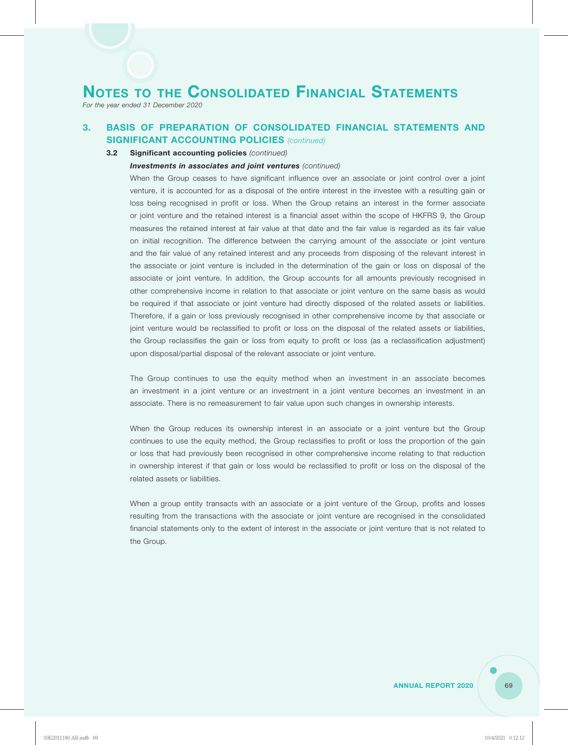*For the year ended 31 December 2020*

### **3. BASIS OF PREPARATION OF CONSOLIDATED FINANCIAL STATEMENTS AND SIGNIFICANT ACCOUNTING POLICIES** *(continued)*

### **3.2 Significant accounting policies** *(continued)*

### *Investments in associates and joint ventures (continued)*

When the Group ceases to have significant influence over an associate or joint control over a joint venture, it is accounted for as a disposal of the entire interest in the investee with a resulting gain or loss being recognised in profit or loss. When the Group retains an interest in the former associate or joint venture and the retained interest is a financial asset within the scope of HKFRS 9, the Group measures the retained interest at fair value at that date and the fair value is regarded as its fair value on initial recognition. The difference between the carrying amount of the associate or joint venture and the fair value of any retained interest and any proceeds from disposing of the relevant interest in the associate or joint venture is included in the determination of the gain or loss on disposal of the associate or joint venture. In addition, the Group accounts for all amounts previously recognised in other comprehensive income in relation to that associate or joint venture on the same basis as would be required if that associate or joint venture had directly disposed of the related assets or liabilities. Therefore, if a gain or loss previously recognised in other comprehensive income by that associate or joint venture would be reclassified to profit or loss on the disposal of the related assets or liabilities, the Group reclassifies the gain or loss from equity to profit or loss (as a reclassification adjustment) upon disposal/partial disposal of the relevant associate or joint venture.

The Group continues to use the equity method when an investment in an associate becomes an investment in a joint venture or an investment in a joint venture becomes an investment in an associate. There is no remeasurement to fair value upon such changes in ownership interests.

When the Group reduces its ownership interest in an associate or a joint venture but the Group continues to use the equity method, the Group reclassifies to profit or loss the proportion of the gain or loss that had previously been recognised in other comprehensive income relating to that reduction in ownership interest if that gain or loss would be reclassified to profit or loss on the disposal of the related assets or liabilities.

When a group entity transacts with an associate or a joint venture of the Group, profits and losses resulting from the transactions with the associate or joint venture are recognised in the consolidated financial statements only to the extent of interest in the associate or joint venture that is not related to the Group.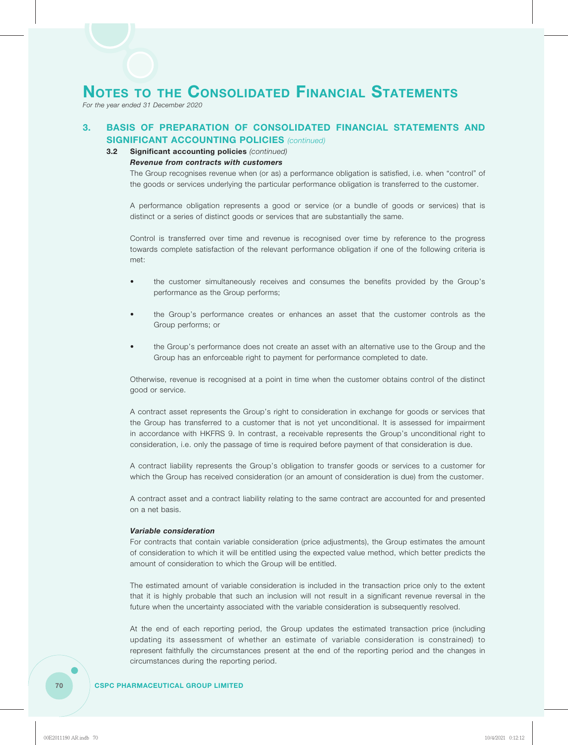*For the year ended 31 December 2020*

### **3. BASIS OF PREPARATION OF CONSOLIDATED FINANCIAL STATEMENTS AND SIGNIFICANT ACCOUNTING POLICIES** *(continued)*

#### **3.2 Significant accounting policies** *(continued)*

### *Revenue from contracts with customers*

The Group recognises revenue when (or as) a performance obligation is satisfied, i.e. when "control" of the goods or services underlying the particular performance obligation is transferred to the customer.

A performance obligation represents a good or service (or a bundle of goods or services) that is distinct or a series of distinct goods or services that are substantially the same.

Control is transferred over time and revenue is recognised over time by reference to the progress towards complete satisfaction of the relevant performance obligation if one of the following criteria is met:

- the customer simultaneously receives and consumes the benefits provided by the Group's performance as the Group performs;
- the Group's performance creates or enhances an asset that the customer controls as the Group performs; or
- the Group's performance does not create an asset with an alternative use to the Group and the Group has an enforceable right to payment for performance completed to date.

Otherwise, revenue is recognised at a point in time when the customer obtains control of the distinct good or service.

A contract asset represents the Group's right to consideration in exchange for goods or services that the Group has transferred to a customer that is not yet unconditional. It is assessed for impairment in accordance with HKFRS 9. In contrast, a receivable represents the Group's unconditional right to consideration, i.e. only the passage of time is required before payment of that consideration is due.

A contract liability represents the Group's obligation to transfer goods or services to a customer for which the Group has received consideration (or an amount of consideration is due) from the customer.

A contract asset and a contract liability relating to the same contract are accounted for and presented on a net basis.

### *Variable consideration*

For contracts that contain variable consideration (price adjustments), the Group estimates the amount of consideration to which it will be entitled using the expected value method, which better predicts the amount of consideration to which the Group will be entitled.

The estimated amount of variable consideration is included in the transaction price only to the extent that it is highly probable that such an inclusion will not result in a significant revenue reversal in the future when the uncertainty associated with the variable consideration is subsequently resolved.

At the end of each reporting period, the Group updates the estimated transaction price (including updating its assessment of whether an estimate of variable consideration is constrained) to represent faithfully the circumstances present at the end of the reporting period and the changes in circumstances during the reporting period.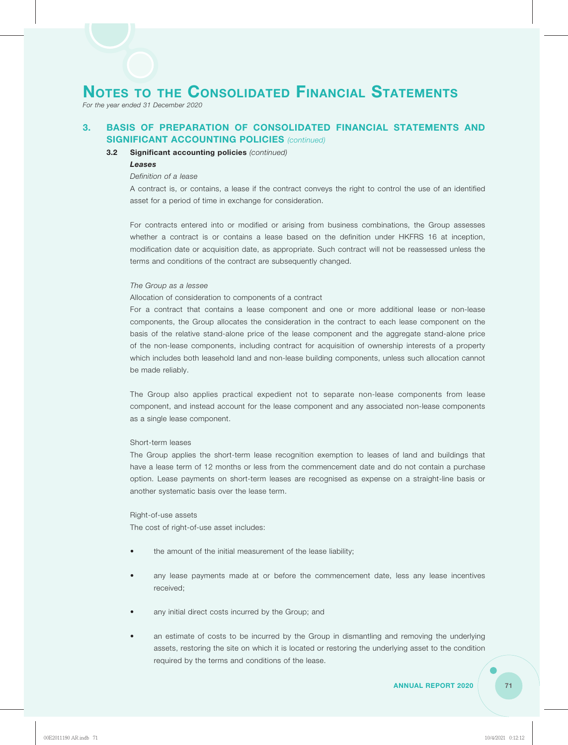*For the year ended 31 December 2020*

### **3. BASIS OF PREPARATION OF CONSOLIDATED FINANCIAL STATEMENTS AND SIGNIFICANT ACCOUNTING POLICIES** *(continued)*

### **3.2 Significant accounting policies** *(continued)*

### *Leases*

### *Definition of a lease*

A contract is, or contains, a lease if the contract conveys the right to control the use of an identified asset for a period of time in exchange for consideration.

For contracts entered into or modified or arising from business combinations, the Group assesses whether a contract is or contains a lease based on the definition under HKFRS 16 at inception, modification date or acquisition date, as appropriate. Such contract will not be reassessed unless the terms and conditions of the contract are subsequently changed.

#### *The Group as a lessee*

#### Allocation of consideration to components of a contract

For a contract that contains a lease component and one or more additional lease or non-lease components, the Group allocates the consideration in the contract to each lease component on the basis of the relative stand-alone price of the lease component and the aggregate stand-alone price of the non-lease components, including contract for acquisition of ownership interests of a property which includes both leasehold land and non-lease building components, unless such allocation cannot be made reliably.

The Group also applies practical expedient not to separate non-lease components from lease component, and instead account for the lease component and any associated non-lease components as a single lease component.

### Short-term leases

The Group applies the short-term lease recognition exemption to leases of land and buildings that have a lease term of 12 months or less from the commencement date and do not contain a purchase option. Lease payments on short-term leases are recognised as expense on a straight-line basis or another systematic basis over the lease term.

### Right-of-use assets

The cost of right-of-use asset includes:

- the amount of the initial measurement of the lease liability;
- any lease payments made at or before the commencement date, less any lease incentives received;
- any initial direct costs incurred by the Group; and
- an estimate of costs to be incurred by the Group in dismantling and removing the underlying assets, restoring the site on which it is located or restoring the underlying asset to the condition required by the terms and conditions of the lease.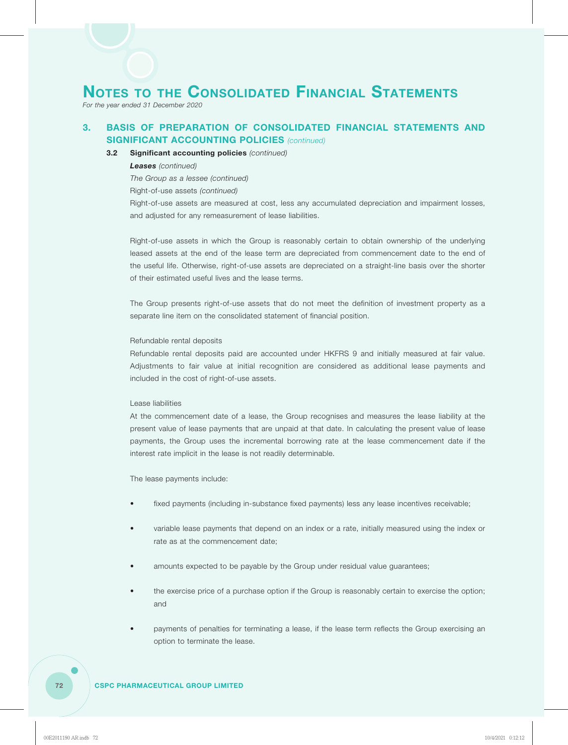*For the year ended 31 December 2020*

## **3. BASIS OF PREPARATION OF CONSOLIDATED FINANCIAL STATEMENTS AND SIGNIFICANT ACCOUNTING POLICIES** *(continued)*

#### **3.2 Significant accounting policies** *(continued)*

#### *Leases (continued)*

*The Group as a lessee (continued)*

Right-of-use assets *(continued)*

Right-of-use assets are measured at cost, less any accumulated depreciation and impairment losses, and adjusted for any remeasurement of lease liabilities.

Right-of-use assets in which the Group is reasonably certain to obtain ownership of the underlying leased assets at the end of the lease term are depreciated from commencement date to the end of the useful life. Otherwise, right-of-use assets are depreciated on a straight-line basis over the shorter of their estimated useful lives and the lease terms.

The Group presents right-of-use assets that do not meet the definition of investment property as a separate line item on the consolidated statement of financial position.

#### Refundable rental deposits

Refundable rental deposits paid are accounted under HKFRS 9 and initially measured at fair value. Adjustments to fair value at initial recognition are considered as additional lease payments and included in the cost of right-of-use assets.

#### Lease liabilities

At the commencement date of a lease, the Group recognises and measures the lease liability at the present value of lease payments that are unpaid at that date. In calculating the present value of lease payments, the Group uses the incremental borrowing rate at the lease commencement date if the interest rate implicit in the lease is not readily determinable.

The lease payments include:

- fixed payments (including in-substance fixed payments) less any lease incentives receivable;
- variable lease payments that depend on an index or a rate, initially measured using the index or rate as at the commencement date;
- amounts expected to be payable by the Group under residual value guarantees;
- the exercise price of a purchase option if the Group is reasonably certain to exercise the option; and
- payments of penalties for terminating a lease, if the lease term reflects the Group exercising an option to terminate the lease.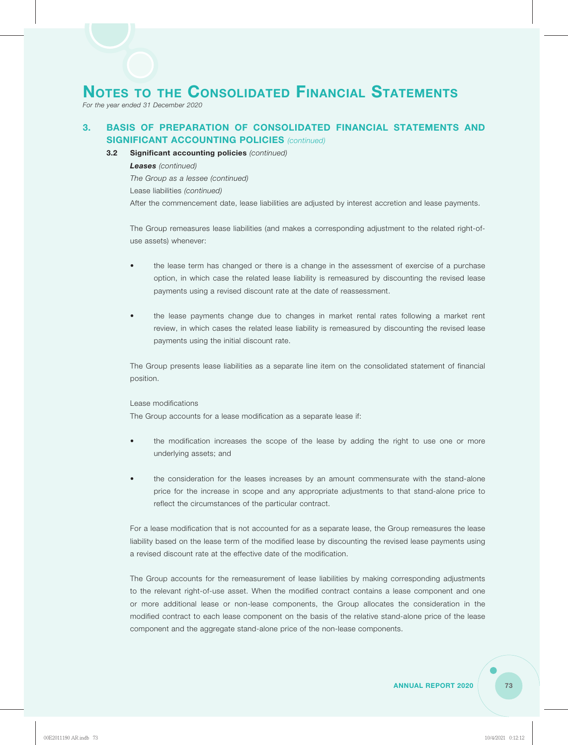*For the year ended 31 December 2020*

## **3. BASIS OF PREPARATION OF CONSOLIDATED FINANCIAL STATEMENTS AND SIGNIFICANT ACCOUNTING POLICIES** *(continued)*

#### **3.2 Significant accounting policies** *(continued)*

*Leases (continued)*

*The Group as a lessee (continued)*

Lease liabilities *(continued)*

After the commencement date, lease liabilities are adjusted by interest accretion and lease payments.

The Group remeasures lease liabilities (and makes a corresponding adjustment to the related right-ofuse assets) whenever:

- the lease term has changed or there is a change in the assessment of exercise of a purchase option, in which case the related lease liability is remeasured by discounting the revised lease payments using a revised discount rate at the date of reassessment.
- the lease payments change due to changes in market rental rates following a market rent review, in which cases the related lease liability is remeasured by discounting the revised lease payments using the initial discount rate.

The Group presents lease liabilities as a separate line item on the consolidated statement of financial position.

#### Lease modifications

The Group accounts for a lease modification as a separate lease if:

- the modification increases the scope of the lease by adding the right to use one or more underlying assets; and
- the consideration for the leases increases by an amount commensurate with the stand-alone price for the increase in scope and any appropriate adjustments to that stand-alone price to reflect the circumstances of the particular contract.

For a lease modification that is not accounted for as a separate lease, the Group remeasures the lease liability based on the lease term of the modified lease by discounting the revised lease payments using a revised discount rate at the effective date of the modification.

The Group accounts for the remeasurement of lease liabilities by making corresponding adjustments to the relevant right-of-use asset. When the modified contract contains a lease component and one or more additional lease or non-lease components, the Group allocates the consideration in the modified contract to each lease component on the basis of the relative stand-alone price of the lease component and the aggregate stand-alone price of the non-lease components.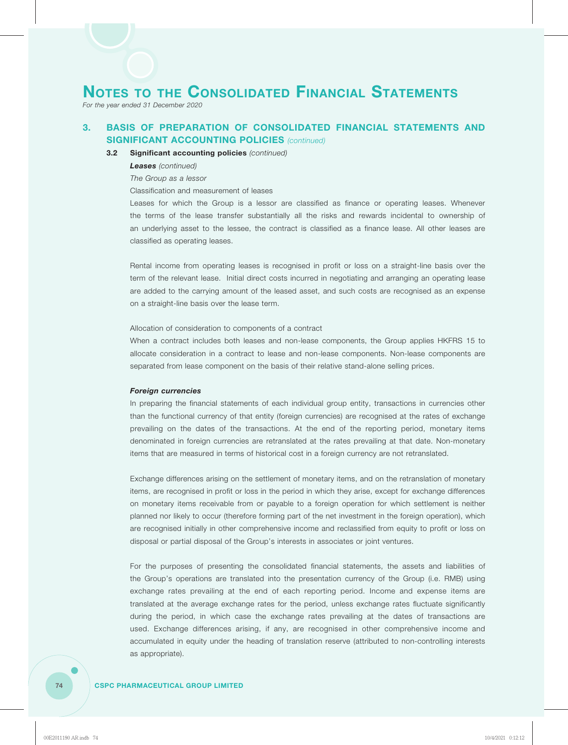*For the year ended 31 December 2020*

## **3. BASIS OF PREPARATION OF CONSOLIDATED FINANCIAL STATEMENTS AND SIGNIFICANT ACCOUNTING POLICIES** *(continued)*

#### **3.2 Significant accounting policies** *(continued)*

#### *Leases (continued)*

*The Group as a lessor*

Classification and measurement of leases

Leases for which the Group is a lessor are classified as finance or operating leases. Whenever the terms of the lease transfer substantially all the risks and rewards incidental to ownership of an underlying asset to the lessee, the contract is classified as a finance lease. All other leases are classified as operating leases.

Rental income from operating leases is recognised in profit or loss on a straight-line basis over the term of the relevant lease. Initial direct costs incurred in negotiating and arranging an operating lease are added to the carrying amount of the leased asset, and such costs are recognised as an expense on a straight-line basis over the lease term.

Allocation of consideration to components of a contract

When a contract includes both leases and non-lease components, the Group applies HKFRS 15 to allocate consideration in a contract to lease and non-lease components. Non-lease components are separated from lease component on the basis of their relative stand-alone selling prices.

#### *Foreign currencies*

In preparing the financial statements of each individual group entity, transactions in currencies other than the functional currency of that entity (foreign currencies) are recognised at the rates of exchange prevailing on the dates of the transactions. At the end of the reporting period, monetary items denominated in foreign currencies are retranslated at the rates prevailing at that date. Non-monetary items that are measured in terms of historical cost in a foreign currency are not retranslated.

Exchange differences arising on the settlement of monetary items, and on the retranslation of monetary items, are recognised in profit or loss in the period in which they arise, except for exchange differences on monetary items receivable from or payable to a foreign operation for which settlement is neither planned nor likely to occur (therefore forming part of the net investment in the foreign operation), which are recognised initially in other comprehensive income and reclassified from equity to profit or loss on disposal or partial disposal of the Group's interests in associates or joint ventures.

For the purposes of presenting the consolidated financial statements, the assets and liabilities of the Group's operations are translated into the presentation currency of the Group (i.e. RMB) using exchange rates prevailing at the end of each reporting period. Income and expense items are translated at the average exchange rates for the period, unless exchange rates fluctuate significantly during the period, in which case the exchange rates prevailing at the dates of transactions are used. Exchange differences arising, if any, are recognised in other comprehensive income and accumulated in equity under the heading of translation reserve (attributed to non-controlling interests as appropriate).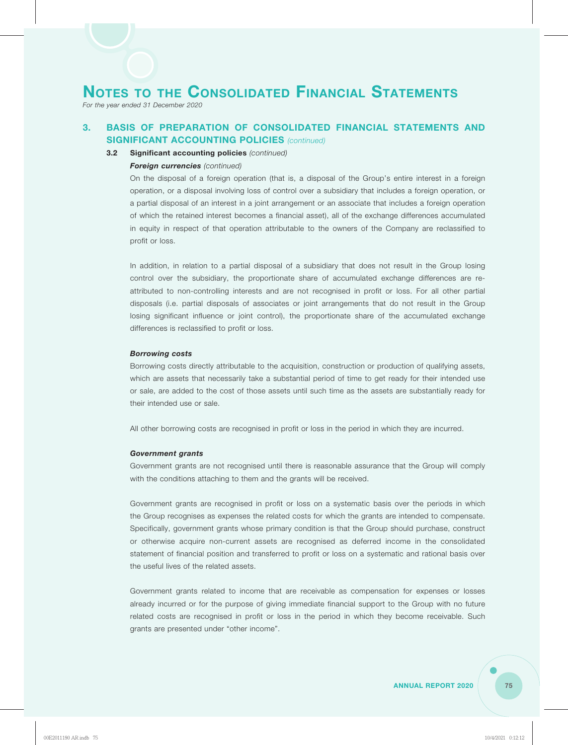*For the year ended 31 December 2020*

## **3. BASIS OF PREPARATION OF CONSOLIDATED FINANCIAL STATEMENTS AND SIGNIFICANT ACCOUNTING POLICIES** *(continued)*

#### **3.2 Significant accounting policies** *(continued)*

#### *Foreign currencies (continued)*

On the disposal of a foreign operation (that is, a disposal of the Group's entire interest in a foreign operation, or a disposal involving loss of control over a subsidiary that includes a foreign operation, or a partial disposal of an interest in a joint arrangement or an associate that includes a foreign operation of which the retained interest becomes a financial asset), all of the exchange differences accumulated in equity in respect of that operation attributable to the owners of the Company are reclassified to profit or loss.

In addition, in relation to a partial disposal of a subsidiary that does not result in the Group losing control over the subsidiary, the proportionate share of accumulated exchange differences are reattributed to non-controlling interests and are not recognised in profit or loss. For all other partial disposals (i.e. partial disposals of associates or joint arrangements that do not result in the Group losing significant influence or joint control), the proportionate share of the accumulated exchange differences is reclassified to profit or loss.

#### *Borrowing costs*

Borrowing costs directly attributable to the acquisition, construction or production of qualifying assets, which are assets that necessarily take a substantial period of time to get ready for their intended use or sale, are added to the cost of those assets until such time as the assets are substantially ready for their intended use or sale.

All other borrowing costs are recognised in profit or loss in the period in which they are incurred.

#### *Government grants*

Government grants are not recognised until there is reasonable assurance that the Group will comply with the conditions attaching to them and the grants will be received.

Government grants are recognised in profit or loss on a systematic basis over the periods in which the Group recognises as expenses the related costs for which the grants are intended to compensate. Specifically, government grants whose primary condition is that the Group should purchase, construct or otherwise acquire non-current assets are recognised as deferred income in the consolidated statement of financial position and transferred to profit or loss on a systematic and rational basis over the useful lives of the related assets.

Government grants related to income that are receivable as compensation for expenses or losses already incurred or for the purpose of giving immediate financial support to the Group with no future related costs are recognised in profit or loss in the period in which they become receivable. Such grants are presented under "other income".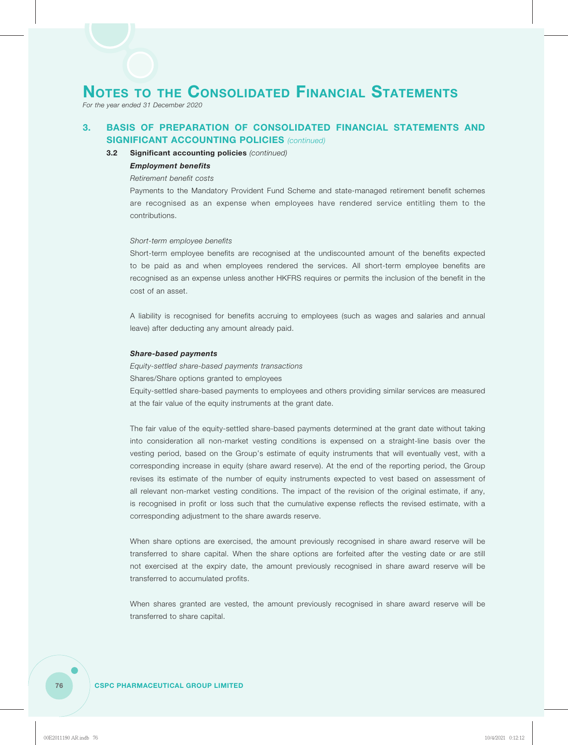*For the year ended 31 December 2020*

## **3. BASIS OF PREPARATION OF CONSOLIDATED FINANCIAL STATEMENTS AND SIGNIFICANT ACCOUNTING POLICIES** *(continued)*

#### **3.2 Significant accounting policies** *(continued)*

#### *Employment benefits*

#### *Retirement benefit costs*

Payments to the Mandatory Provident Fund Scheme and state-managed retirement benefit schemes are recognised as an expense when employees have rendered service entitling them to the contributions.

#### *Short-term employee benefits*

Short-term employee benefits are recognised at the undiscounted amount of the benefits expected to be paid as and when employees rendered the services. All short-term employee benefits are recognised as an expense unless another HKFRS requires or permits the inclusion of the benefit in the cost of an asset.

A liability is recognised for benefits accruing to employees (such as wages and salaries and annual leave) after deducting any amount already paid.

#### *Share-based payments*

*Equity-settled share-based payments transactions*

Shares/Share options granted to employees

Equity-settled share-based payments to employees and others providing similar services are measured at the fair value of the equity instruments at the grant date.

The fair value of the equity-settled share-based payments determined at the grant date without taking into consideration all non-market vesting conditions is expensed on a straight-line basis over the vesting period, based on the Group's estimate of equity instruments that will eventually vest, with a corresponding increase in equity (share award reserve). At the end of the reporting period, the Group revises its estimate of the number of equity instruments expected to vest based on assessment of all relevant non-market vesting conditions. The impact of the revision of the original estimate, if any, is recognised in profit or loss such that the cumulative expense reflects the revised estimate, with a corresponding adjustment to the share awards reserve.

When share options are exercised, the amount previously recognised in share award reserve will be transferred to share capital. When the share options are forfeited after the vesting date or are still not exercised at the expiry date, the amount previously recognised in share award reserve will be transferred to accumulated profits.

When shares granted are vested, the amount previously recognised in share award reserve will be transferred to share capital.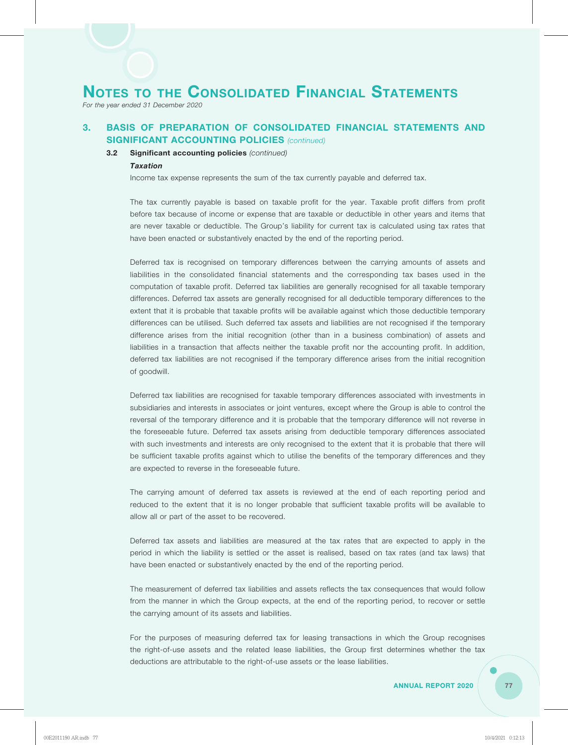*For the year ended 31 December 2020*

## **3. BASIS OF PREPARATION OF CONSOLIDATED FINANCIAL STATEMENTS AND SIGNIFICANT ACCOUNTING POLICIES** *(continued)*

#### **3.2 Significant accounting policies** *(continued)*

#### *Taxation*

Income tax expense represents the sum of the tax currently payable and deferred tax.

The tax currently payable is based on taxable profit for the year. Taxable profit differs from profit before tax because of income or expense that are taxable or deductible in other years and items that are never taxable or deductible. The Group's liability for current tax is calculated using tax rates that have been enacted or substantively enacted by the end of the reporting period.

Deferred tax is recognised on temporary differences between the carrying amounts of assets and liabilities in the consolidated financial statements and the corresponding tax bases used in the computation of taxable profit. Deferred tax liabilities are generally recognised for all taxable temporary differences. Deferred tax assets are generally recognised for all deductible temporary differences to the extent that it is probable that taxable profits will be available against which those deductible temporary differences can be utilised. Such deferred tax assets and liabilities are not recognised if the temporary difference arises from the initial recognition (other than in a business combination) of assets and liabilities in a transaction that affects neither the taxable profit nor the accounting profit. In addition, deferred tax liabilities are not recognised if the temporary difference arises from the initial recognition of goodwill.

Deferred tax liabilities are recognised for taxable temporary differences associated with investments in subsidiaries and interests in associates or joint ventures, except where the Group is able to control the reversal of the temporary difference and it is probable that the temporary difference will not reverse in the foreseeable future. Deferred tax assets arising from deductible temporary differences associated with such investments and interests are only recognised to the extent that it is probable that there will be sufficient taxable profits against which to utilise the benefits of the temporary differences and they are expected to reverse in the foreseeable future.

The carrying amount of deferred tax assets is reviewed at the end of each reporting period and reduced to the extent that it is no longer probable that sufficient taxable profits will be available to allow all or part of the asset to be recovered.

Deferred tax assets and liabilities are measured at the tax rates that are expected to apply in the period in which the liability is settled or the asset is realised, based on tax rates (and tax laws) that have been enacted or substantively enacted by the end of the reporting period.

The measurement of deferred tax liabilities and assets reflects the tax consequences that would follow from the manner in which the Group expects, at the end of the reporting period, to recover or settle the carrying amount of its assets and liabilities.

For the purposes of measuring deferred tax for leasing transactions in which the Group recognises the right-of-use assets and the related lease liabilities, the Group first determines whether the tax deductions are attributable to the right-of-use assets or the lease liabilities.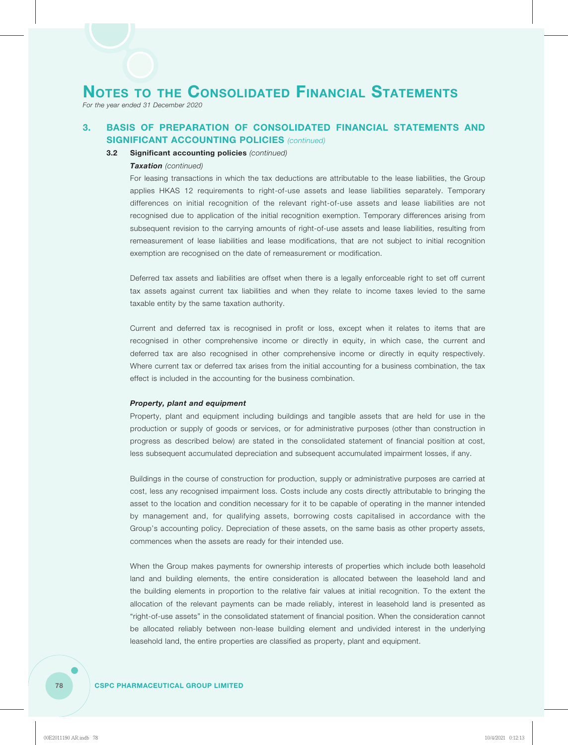*For the year ended 31 December 2020*

## **3. BASIS OF PREPARATION OF CONSOLIDATED FINANCIAL STATEMENTS AND SIGNIFICANT ACCOUNTING POLICIES** *(continued)*

#### **3.2 Significant accounting policies** *(continued)*

#### *Taxation (continued)*

For leasing transactions in which the tax deductions are attributable to the lease liabilities, the Group applies HKAS 12 requirements to right-of-use assets and lease liabilities separately. Temporary differences on initial recognition of the relevant right-of-use assets and lease liabilities are not recognised due to application of the initial recognition exemption. Temporary differences arising from subsequent revision to the carrying amounts of right-of-use assets and lease liabilities, resulting from remeasurement of lease liabilities and lease modifications, that are not subject to initial recognition exemption are recognised on the date of remeasurement or modification.

Deferred tax assets and liabilities are offset when there is a legally enforceable right to set off current tax assets against current tax liabilities and when they relate to income taxes levied to the same taxable entity by the same taxation authority.

Current and deferred tax is recognised in profit or loss, except when it relates to items that are recognised in other comprehensive income or directly in equity, in which case, the current and deferred tax are also recognised in other comprehensive income or directly in equity respectively. Where current tax or deferred tax arises from the initial accounting for a business combination, the tax effect is included in the accounting for the business combination.

#### *Property, plant and equipment*

Property, plant and equipment including buildings and tangible assets that are held for use in the production or supply of goods or services, or for administrative purposes (other than construction in progress as described below) are stated in the consolidated statement of financial position at cost, less subsequent accumulated depreciation and subsequent accumulated impairment losses, if any.

Buildings in the course of construction for production, supply or administrative purposes are carried at cost, less any recognised impairment loss. Costs include any costs directly attributable to bringing the asset to the location and condition necessary for it to be capable of operating in the manner intended by management and, for qualifying assets, borrowing costs capitalised in accordance with the Group's accounting policy. Depreciation of these assets, on the same basis as other property assets, commences when the assets are ready for their intended use.

When the Group makes payments for ownership interests of properties which include both leasehold land and building elements, the entire consideration is allocated between the leasehold land and the building elements in proportion to the relative fair values at initial recognition. To the extent the allocation of the relevant payments can be made reliably, interest in leasehold land is presented as "right-of-use assets" in the consolidated statement of financial position. When the consideration cannot be allocated reliably between non-lease building element and undivided interest in the underlying leasehold land, the entire properties are classified as property, plant and equipment.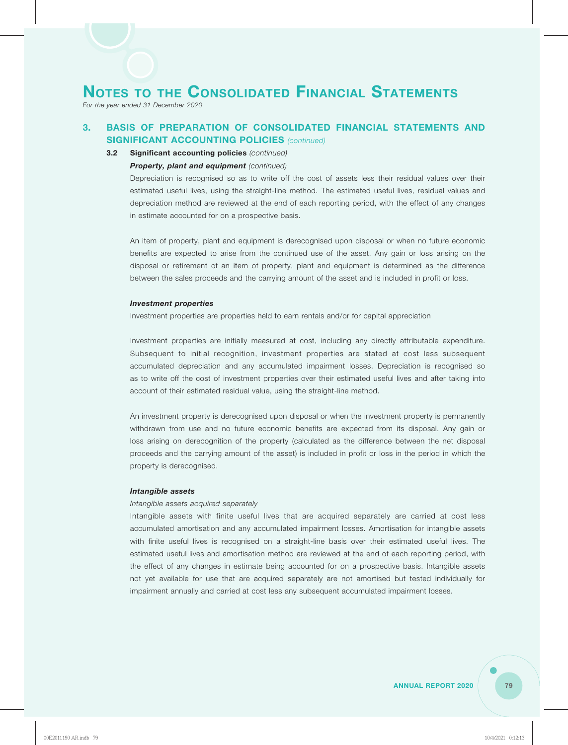*For the year ended 31 December 2020*

## **3. BASIS OF PREPARATION OF CONSOLIDATED FINANCIAL STATEMENTS AND SIGNIFICANT ACCOUNTING POLICIES** *(continued)*

#### **3.2 Significant accounting policies** *(continued)*

#### *Property, plant and equipment (continued)*

Depreciation is recognised so as to write off the cost of assets less their residual values over their estimated useful lives, using the straight-line method. The estimated useful lives, residual values and depreciation method are reviewed at the end of each reporting period, with the effect of any changes in estimate accounted for on a prospective basis.

An item of property, plant and equipment is derecognised upon disposal or when no future economic benefits are expected to arise from the continued use of the asset. Any gain or loss arising on the disposal or retirement of an item of property, plant and equipment is determined as the difference between the sales proceeds and the carrying amount of the asset and is included in profit or loss.

#### *Investment properties*

Investment properties are properties held to earn rentals and/or for capital appreciation

Investment properties are initially measured at cost, including any directly attributable expenditure. Subsequent to initial recognition, investment properties are stated at cost less subsequent accumulated depreciation and any accumulated impairment losses. Depreciation is recognised so as to write off the cost of investment properties over their estimated useful lives and after taking into account of their estimated residual value, using the straight-line method.

An investment property is derecognised upon disposal or when the investment property is permanently withdrawn from use and no future economic benefits are expected from its disposal. Any gain or loss arising on derecognition of the property (calculated as the difference between the net disposal proceeds and the carrying amount of the asset) is included in profit or loss in the period in which the property is derecognised.

#### *Intangible assets*

#### *Intangible assets acquired separately*

Intangible assets with finite useful lives that are acquired separately are carried at cost less accumulated amortisation and any accumulated impairment losses. Amortisation for intangible assets with finite useful lives is recognised on a straight-line basis over their estimated useful lives. The estimated useful lives and amortisation method are reviewed at the end of each reporting period, with the effect of any changes in estimate being accounted for on a prospective basis. Intangible assets not yet available for use that are acquired separately are not amortised but tested individually for impairment annually and carried at cost less any subsequent accumulated impairment losses.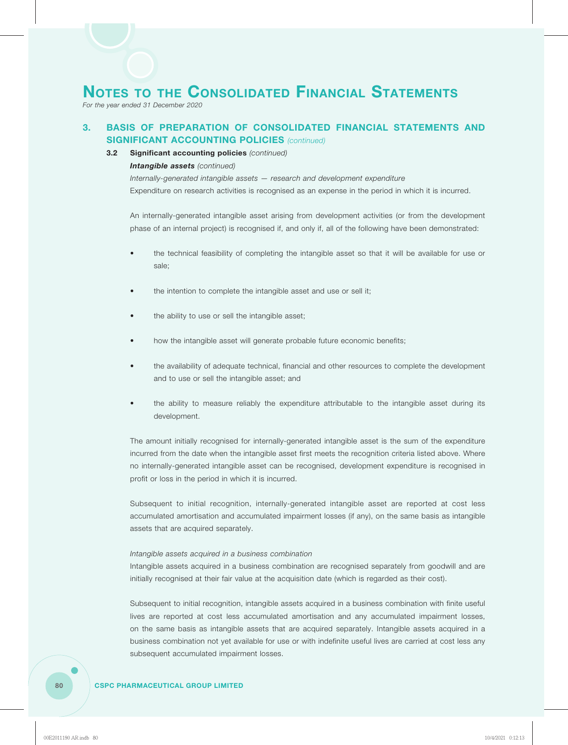*For the year ended 31 December 2020*

## **3. BASIS OF PREPARATION OF CONSOLIDATED FINANCIAL STATEMENTS AND SIGNIFICANT ACCOUNTING POLICIES** *(continued)*

#### **3.2 Significant accounting policies** *(continued)*

#### *Intangible assets (continued)*

*Internally-generated intangible assets — research and development expenditure* Expenditure on research activities is recognised as an expense in the period in which it is incurred.

An internally-generated intangible asset arising from development activities (or from the development phase of an internal project) is recognised if, and only if, all of the following have been demonstrated:

- the technical feasibility of completing the intangible asset so that it will be available for use or sale;
- the intention to complete the intangible asset and use or sell it;
- the ability to use or sell the intangible asset;
- how the intangible asset will generate probable future economic benefits;
- the availability of adequate technical, financial and other resources to complete the development and to use or sell the intangible asset; and
- the ability to measure reliably the expenditure attributable to the intangible asset during its development.

The amount initially recognised for internally-generated intangible asset is the sum of the expenditure incurred from the date when the intangible asset first meets the recognition criteria listed above. Where no internally-generated intangible asset can be recognised, development expenditure is recognised in profit or loss in the period in which it is incurred.

Subsequent to initial recognition, internally-generated intangible asset are reported at cost less accumulated amortisation and accumulated impairment losses (if any), on the same basis as intangible assets that are acquired separately.

#### *Intangible assets acquired in a business combination*

Intangible assets acquired in a business combination are recognised separately from goodwill and are initially recognised at their fair value at the acquisition date (which is regarded as their cost).

Subsequent to initial recognition, intangible assets acquired in a business combination with finite useful lives are reported at cost less accumulated amortisation and any accumulated impairment losses, on the same basis as intangible assets that are acquired separately. Intangible assets acquired in a business combination not yet available for use or with indefinite useful lives are carried at cost less any subsequent accumulated impairment losses.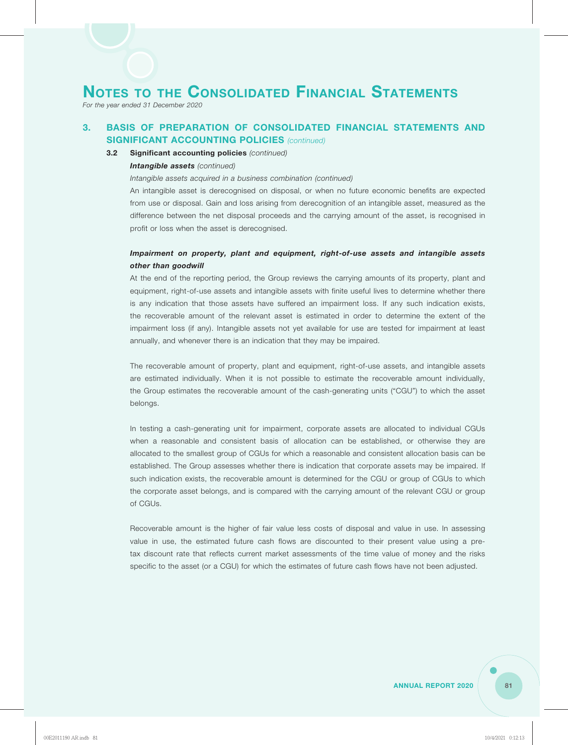*For the year ended 31 December 2020*

## **3. BASIS OF PREPARATION OF CONSOLIDATED FINANCIAL STATEMENTS AND SIGNIFICANT ACCOUNTING POLICIES** *(continued)*

#### **3.2 Significant accounting policies** *(continued)*

#### *Intangible assets (continued)*

*Intangible assets acquired in a business combination (continued)*

An intangible asset is derecognised on disposal, or when no future economic benefits are expected from use or disposal. Gain and loss arising from derecognition of an intangible asset, measured as the difference between the net disposal proceeds and the carrying amount of the asset, is recognised in profit or loss when the asset is derecognised.

## *Impairment on property, plant and equipment, right-of-use assets and intangible assets other than goodwill*

At the end of the reporting period, the Group reviews the carrying amounts of its property, plant and equipment, right-of-use assets and intangible assets with finite useful lives to determine whether there is any indication that those assets have suffered an impairment loss. If any such indication exists, the recoverable amount of the relevant asset is estimated in order to determine the extent of the impairment loss (if any). Intangible assets not yet available for use are tested for impairment at least annually, and whenever there is an indication that they may be impaired.

The recoverable amount of property, plant and equipment, right-of-use assets, and intangible assets are estimated individually. When it is not possible to estimate the recoverable amount individually, the Group estimates the recoverable amount of the cash-generating units ("CGU") to which the asset belongs.

In testing a cash-generating unit for impairment, corporate assets are allocated to individual CGUs when a reasonable and consistent basis of allocation can be established, or otherwise they are allocated to the smallest group of CGUs for which a reasonable and consistent allocation basis can be established. The Group assesses whether there is indication that corporate assets may be impaired. If such indication exists, the recoverable amount is determined for the CGU or group of CGUs to which the corporate asset belongs, and is compared with the carrying amount of the relevant CGU or group of CGUs.

Recoverable amount is the higher of fair value less costs of disposal and value in use. In assessing value in use, the estimated future cash flows are discounted to their present value using a pretax discount rate that reflects current market assessments of the time value of money and the risks specific to the asset (or a CGU) for which the estimates of future cash flows have not been adjusted.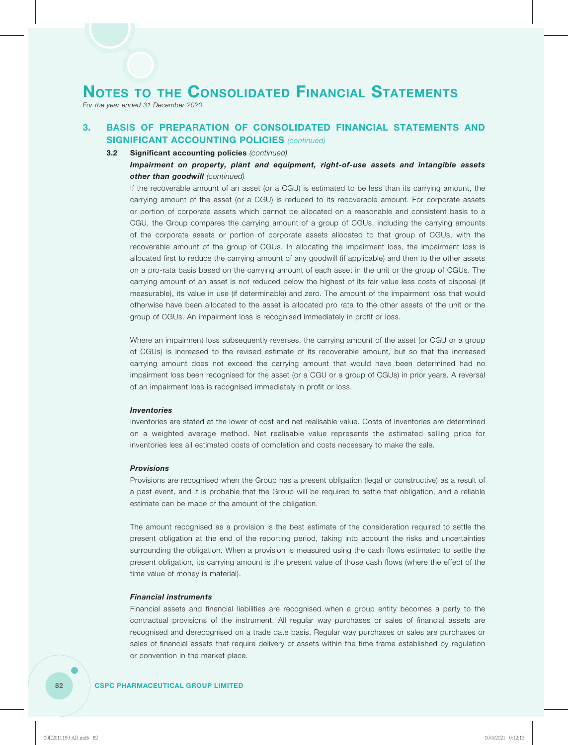*For the year ended 31 December 2020*

## **3. BASIS OF PREPARATION OF CONSOLIDATED FINANCIAL STATEMENTS AND SIGNIFICANT ACCOUNTING POLICIES** *(continued)*

#### **3.2 Significant accounting policies** *(continued)*

### *Impairment on property, plant and equipment, right-of-use assets and intangible assets other than goodwill (continued)*

If the recoverable amount of an asset (or a CGU) is estimated to be less than its carrying amount, the carrying amount of the asset (or a CGU) is reduced to its recoverable amount. For corporate assets or portion of corporate assets which cannot be allocated on a reasonable and consistent basis to a CGU, the Group compares the carrying amount of a group of CGUs, including the carrying amounts of the corporate assets or portion of corporate assets allocated to that group of CGUs, with the recoverable amount of the group of CGUs. In allocating the impairment loss, the impairment loss is allocated first to reduce the carrying amount of any goodwill (if applicable) and then to the other assets on a pro-rata basis based on the carrying amount of each asset in the unit or the group of CGUs. The carrying amount of an asset is not reduced below the highest of its fair value less costs of disposal (if measurable), its value in use (if determinable) and zero. The amount of the impairment loss that would otherwise have been allocated to the asset is allocated pro rata to the other assets of the unit or the group of CGUs. An impairment loss is recognised immediately in profit or loss.

Where an impairment loss subsequently reverses, the carrying amount of the asset (or CGU or a group of CGUs) is increased to the revised estimate of its recoverable amount, but so that the increased carrying amount does not exceed the carrying amount that would have been determined had no impairment loss been recognised for the asset (or a CGU or a group of CGUs) in prior years. A reversal of an impairment loss is recognised immediately in profit or loss.

#### *Inventories*

Inventories are stated at the lower of cost and net realisable value. Costs of inventories are determined on a weighted average method. Net realisable value represents the estimated selling price for inventories less all estimated costs of completion and costs necessary to make the sale.

#### *Provisions*

Provisions are recognised when the Group has a present obligation (legal or constructive) as a result of a past event, and it is probable that the Group will be required to settle that obligation, and a reliable estimate can be made of the amount of the obligation.

The amount recognised as a provision is the best estimate of the consideration required to settle the present obligation at the end of the reporting period, taking into account the risks and uncertainties surrounding the obligation. When a provision is measured using the cash flows estimated to settle the present obligation, its carrying amount is the present value of those cash flows (where the effect of the time value of money is material).

#### *Financial instruments*

Financial assets and financial liabilities are recognised when a group entity becomes a party to the contractual provisions of the instrument. All regular way purchases or sales of financial assets are recognised and derecognised on a trade date basis. Regular way purchases or sales are purchases or sales of financial assets that require delivery of assets within the time frame established by regulation or convention in the market place.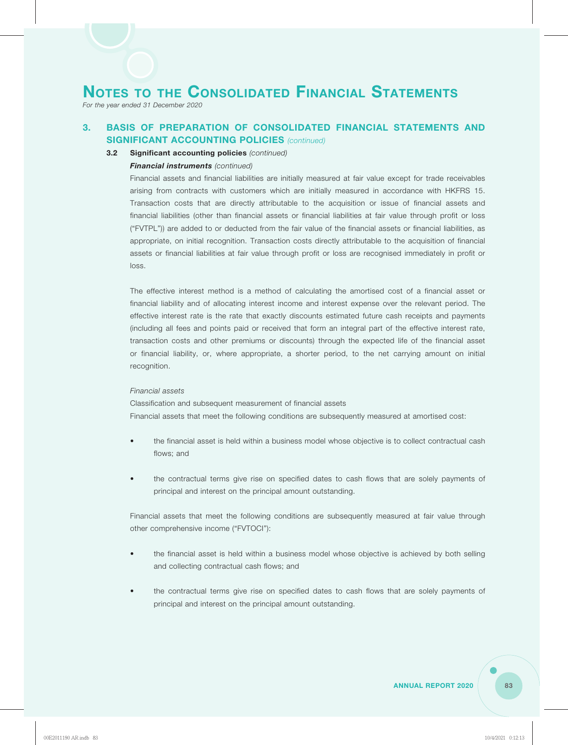*For the year ended 31 December 2020*

## **3. BASIS OF PREPARATION OF CONSOLIDATED FINANCIAL STATEMENTS AND SIGNIFICANT ACCOUNTING POLICIES** *(continued)*

#### **3.2 Significant accounting policies** *(continued)*

#### *Financial instruments (continued)*

Financial assets and financial liabilities are initially measured at fair value except for trade receivables arising from contracts with customers which are initially measured in accordance with HKFRS 15. Transaction costs that are directly attributable to the acquisition or issue of financial assets and financial liabilities (other than financial assets or financial liabilities at fair value through profit or loss ("FVTPL")) are added to or deducted from the fair value of the financial assets or financial liabilities, as appropriate, on initial recognition. Transaction costs directly attributable to the acquisition of financial assets or financial liabilities at fair value through profit or loss are recognised immediately in profit or loss.

The effective interest method is a method of calculating the amortised cost of a financial asset or financial liability and of allocating interest income and interest expense over the relevant period. The effective interest rate is the rate that exactly discounts estimated future cash receipts and payments (including all fees and points paid or received that form an integral part of the effective interest rate, transaction costs and other premiums or discounts) through the expected life of the financial asset or financial liability, or, where appropriate, a shorter period, to the net carrying amount on initial recognition.

#### *Financial assets*

Classification and subsequent measurement of financial assets Financial assets that meet the following conditions are subsequently measured at amortised cost:

- the financial asset is held within a business model whose objective is to collect contractual cash flows; and
- the contractual terms give rise on specified dates to cash flows that are solely payments of principal and interest on the principal amount outstanding.

Financial assets that meet the following conditions are subsequently measured at fair value through other comprehensive income ("FVTOCI"):

- the financial asset is held within a business model whose objective is achieved by both selling and collecting contractual cash flows; and
- the contractual terms give rise on specified dates to cash flows that are solely payments of principal and interest on the principal amount outstanding.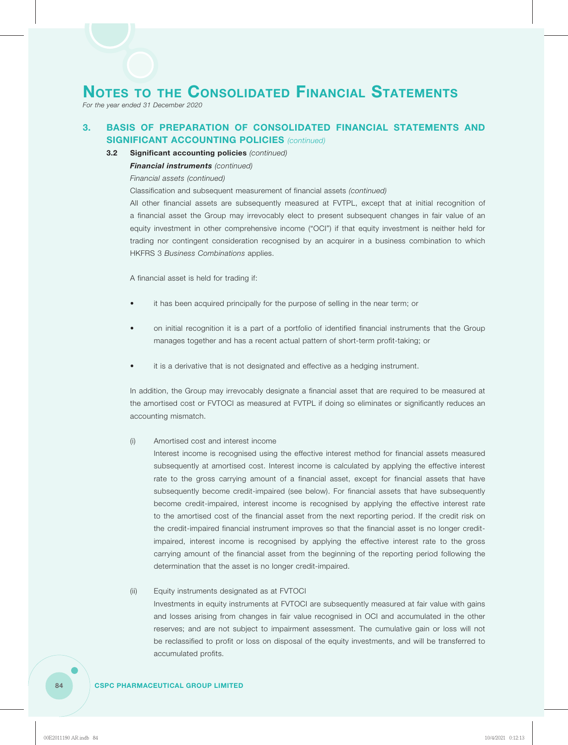*For the year ended 31 December 2020*

## **3. BASIS OF PREPARATION OF CONSOLIDATED FINANCIAL STATEMENTS AND SIGNIFICANT ACCOUNTING POLICIES** *(continued)*

#### **3.2 Significant accounting policies** *(continued)*

#### *Financial instruments (continued)*

*Financial assets (continued)*

Classification and subsequent measurement of financial assets *(continued)*

All other financial assets are subsequently measured at FVTPL, except that at initial recognition of a financial asset the Group may irrevocably elect to present subsequent changes in fair value of an equity investment in other comprehensive income ("OCI") if that equity investment is neither held for trading nor contingent consideration recognised by an acquirer in a business combination to which HKFRS 3 *Business Combinations* applies.

A financial asset is held for trading if:

- it has been acquired principally for the purpose of selling in the near term; or
- on initial recognition it is a part of a portfolio of identified financial instruments that the Group manages together and has a recent actual pattern of short-term profit-taking; or
- it is a derivative that is not designated and effective as a hedging instrument.

In addition, the Group may irrevocably designate a financial asset that are required to be measured at the amortised cost or FVTOCI as measured at FVTPL if doing so eliminates or significantly reduces an accounting mismatch.

#### (i) Amortised cost and interest income

Interest income is recognised using the effective interest method for financial assets measured subsequently at amortised cost. Interest income is calculated by applying the effective interest rate to the gross carrying amount of a financial asset, except for financial assets that have subsequently become credit-impaired (see below). For financial assets that have subsequently become credit-impaired, interest income is recognised by applying the effective interest rate to the amortised cost of the financial asset from the next reporting period. If the credit risk on the credit-impaired financial instrument improves so that the financial asset is no longer creditimpaired, interest income is recognised by applying the effective interest rate to the gross carrying amount of the financial asset from the beginning of the reporting period following the determination that the asset is no longer credit-impaired.

#### (ii) Equity instruments designated as at FVTOCI

Investments in equity instruments at FVTOCI are subsequently measured at fair value with gains and losses arising from changes in fair value recognised in OCI and accumulated in the other reserves; and are not subject to impairment assessment. The cumulative gain or loss will not be reclassified to profit or loss on disposal of the equity investments, and will be transferred to accumulated profits.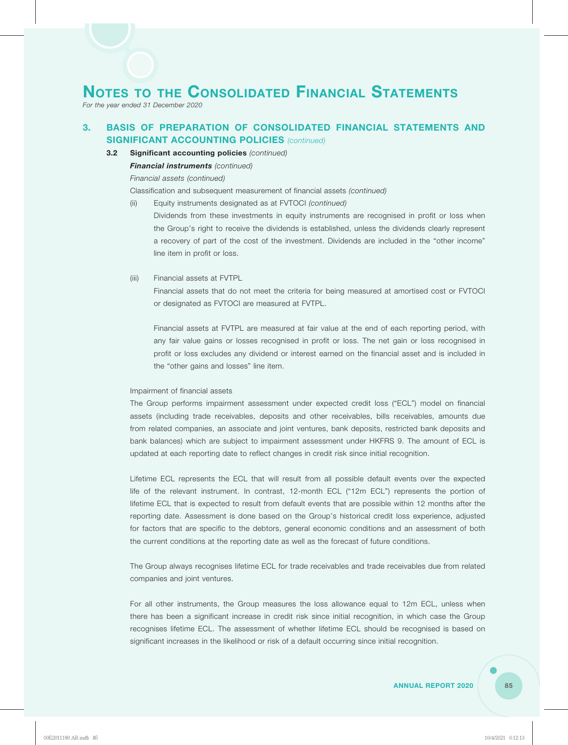*For the year ended 31 December 2020*

## **3. BASIS OF PREPARATION OF CONSOLIDATED FINANCIAL STATEMENTS AND SIGNIFICANT ACCOUNTING POLICIES** *(continued)*

**3.2 Significant accounting policies** *(continued)*

*Financial instruments (continued)*

*Financial assets (continued)*

Classification and subsequent measurement of financial assets *(continued)*

(ii) Equity instruments designated as at FVTOCI *(continued)*

Dividends from these investments in equity instruments are recognised in profit or loss when the Group's right to receive the dividends is established, unless the dividends clearly represent a recovery of part of the cost of the investment. Dividends are included in the "other income" line item in profit or loss.

(iii) Financial assets at FVTPL

Financial assets that do not meet the criteria for being measured at amortised cost or FVTOCI or designated as FVTOCI are measured at FVTPL.

Financial assets at FVTPL are measured at fair value at the end of each reporting period, with any fair value gains or losses recognised in profit or loss. The net gain or loss recognised in profit or loss excludes any dividend or interest earned on the financial asset and is included in the "other gains and losses" line item.

#### Impairment of financial assets

The Group performs impairment assessment under expected credit loss ("ECL") model on financial assets (including trade receivables, deposits and other receivables, bills receivables, amounts due from related companies, an associate and joint ventures, bank deposits, restricted bank deposits and bank balances) which are subject to impairment assessment under HKFRS 9. The amount of ECL is updated at each reporting date to reflect changes in credit risk since initial recognition.

Lifetime ECL represents the ECL that will result from all possible default events over the expected life of the relevant instrument. In contrast, 12-month ECL ("12m ECL") represents the portion of lifetime ECL that is expected to result from default events that are possible within 12 months after the reporting date. Assessment is done based on the Group's historical credit loss experience, adjusted for factors that are specific to the debtors, general economic conditions and an assessment of both the current conditions at the reporting date as well as the forecast of future conditions.

The Group always recognises lifetime ECL for trade receivables and trade receivables due from related companies and joint ventures.

For all other instruments, the Group measures the loss allowance equal to 12m ECL, unless when there has been a significant increase in credit risk since initial recognition, in which case the Group recognises lifetime ECL. The assessment of whether lifetime ECL should be recognised is based on significant increases in the likelihood or risk of a default occurring since initial recognition.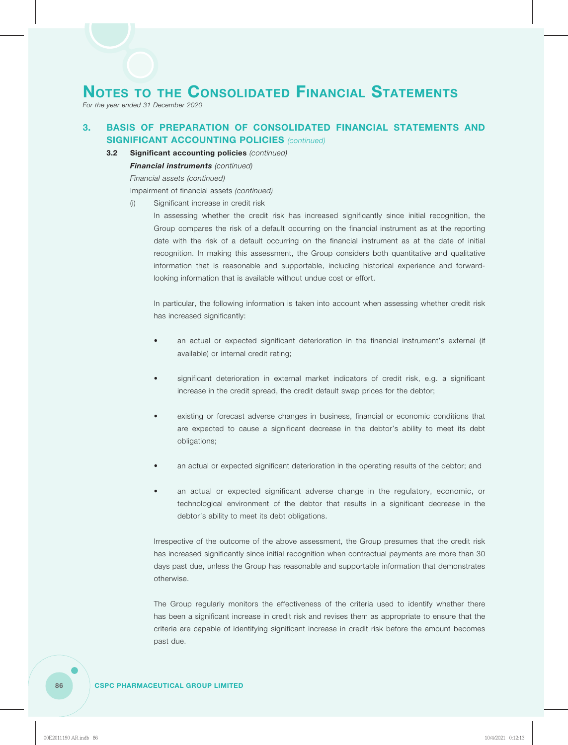*For the year ended 31 December 2020*

## **3. BASIS OF PREPARATION OF CONSOLIDATED FINANCIAL STATEMENTS AND SIGNIFICANT ACCOUNTING POLICIES** *(continued)*

**3.2 Significant accounting policies** *(continued)*

#### *Financial instruments (continued)*

*Financial assets (continued)*

Impairment of financial assets *(continued)*

(i) Significant increase in credit risk

In assessing whether the credit risk has increased significantly since initial recognition, the Group compares the risk of a default occurring on the financial instrument as at the reporting date with the risk of a default occurring on the financial instrument as at the date of initial recognition. In making this assessment, the Group considers both quantitative and qualitative information that is reasonable and supportable, including historical experience and forwardlooking information that is available without undue cost or effort.

In particular, the following information is taken into account when assessing whether credit risk has increased significantly:

- an actual or expected significant deterioration in the financial instrument's external (if available) or internal credit rating;
- significant deterioration in external market indicators of credit risk, e.g. a significant increase in the credit spread, the credit default swap prices for the debtor;
- existing or forecast adverse changes in business, financial or economic conditions that are expected to cause a significant decrease in the debtor's ability to meet its debt obligations;
- an actual or expected significant deterioration in the operating results of the debtor; and
- an actual or expected significant adverse change in the regulatory, economic, or technological environment of the debtor that results in a significant decrease in the debtor's ability to meet its debt obligations.

Irrespective of the outcome of the above assessment, the Group presumes that the credit risk has increased significantly since initial recognition when contractual payments are more than 30 days past due, unless the Group has reasonable and supportable information that demonstrates otherwise.

The Group regularly monitors the effectiveness of the criteria used to identify whether there has been a significant increase in credit risk and revises them as appropriate to ensure that the criteria are capable of identifying significant increase in credit risk before the amount becomes past due.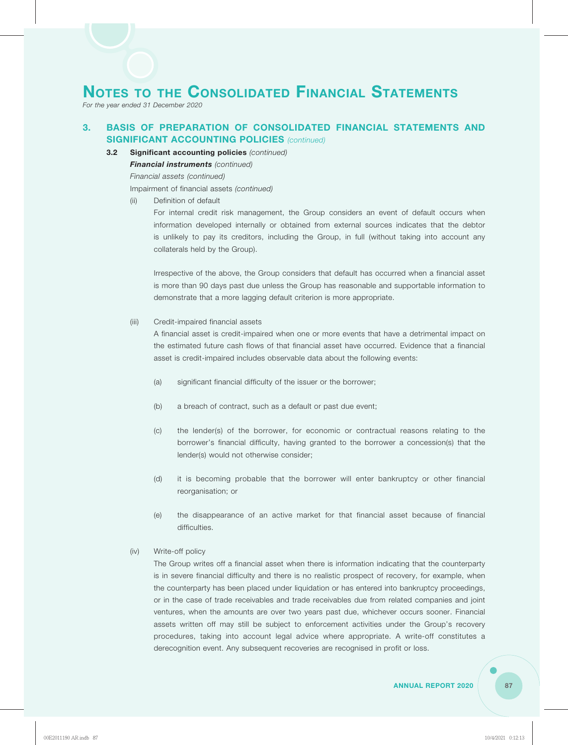*For the year ended 31 December 2020*

## **3. BASIS OF PREPARATION OF CONSOLIDATED FINANCIAL STATEMENTS AND SIGNIFICANT ACCOUNTING POLICIES** *(continued)*

**3.2 Significant accounting policies** *(continued)*

#### *Financial instruments (continued)*

*Financial assets (continued)*

Impairment of financial assets *(continued)*

(ii) Definition of default

For internal credit risk management, the Group considers an event of default occurs when information developed internally or obtained from external sources indicates that the debtor is unlikely to pay its creditors, including the Group, in full (without taking into account any collaterals held by the Group).

Irrespective of the above, the Group considers that default has occurred when a financial asset is more than 90 days past due unless the Group has reasonable and supportable information to demonstrate that a more lagging default criterion is more appropriate.

#### (iii) Credit-impaired financial assets

A financial asset is credit-impaired when one or more events that have a detrimental impact on the estimated future cash flows of that financial asset have occurred. Evidence that a financial asset is credit-impaired includes observable data about the following events:

- (a) significant financial difficulty of the issuer or the borrower;
- (b) a breach of contract, such as a default or past due event;
- (c) the lender(s) of the borrower, for economic or contractual reasons relating to the borrower's financial difficulty, having granted to the borrower a concession(s) that the lender(s) would not otherwise consider;
- (d) it is becoming probable that the borrower will enter bankruptcy or other financial reorganisation; or
- (e) the disappearance of an active market for that financial asset because of financial difficulties.
- (iv) Write-off policy

The Group writes off a financial asset when there is information indicating that the counterparty is in severe financial difficulty and there is no realistic prospect of recovery, for example, when the counterparty has been placed under liquidation or has entered into bankruptcy proceedings, or in the case of trade receivables and trade receivables due from related companies and joint ventures, when the amounts are over two years past due, whichever occurs sooner. Financial assets written off may still be subject to enforcement activities under the Group's recovery procedures, taking into account legal advice where appropriate. A write-off constitutes a derecognition event. Any subsequent recoveries are recognised in profit or loss.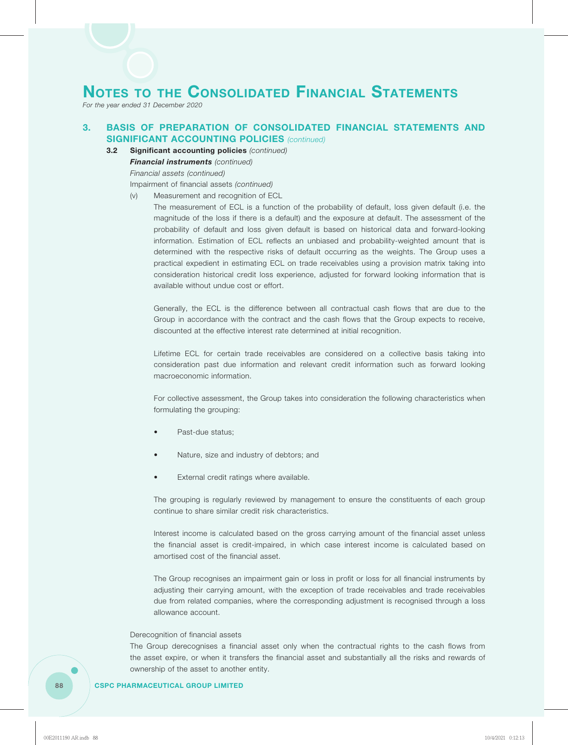*For the year ended 31 December 2020*

## **3. BASIS OF PREPARATION OF CONSOLIDATED FINANCIAL STATEMENTS AND SIGNIFICANT ACCOUNTING POLICIES** *(continued)*

**3.2 Significant accounting policies** *(continued)*

*Financial instruments (continued)*

*Financial assets (continued)*

Impairment of financial assets *(continued)*

(v) Measurement and recognition of ECL

The measurement of ECL is a function of the probability of default, loss given default (i.e. the magnitude of the loss if there is a default) and the exposure at default. The assessment of the probability of default and loss given default is based on historical data and forward-looking information. Estimation of ECL reflects an unbiased and probability-weighted amount that is determined with the respective risks of default occurring as the weights. The Group uses a practical expedient in estimating ECL on trade receivables using a provision matrix taking into consideration historical credit loss experience, adjusted for forward looking information that is available without undue cost or effort.

Generally, the ECL is the difference between all contractual cash flows that are due to the Group in accordance with the contract and the cash flows that the Group expects to receive, discounted at the effective interest rate determined at initial recognition.

Lifetime ECL for certain trade receivables are considered on a collective basis taking into consideration past due information and relevant credit information such as forward looking macroeconomic information.

For collective assessment, the Group takes into consideration the following characteristics when formulating the grouping:

- Past-due status;
- Nature, size and industry of debtors; and
- External credit ratings where available.

The grouping is regularly reviewed by management to ensure the constituents of each group continue to share similar credit risk characteristics.

Interest income is calculated based on the gross carrying amount of the financial asset unless the financial asset is credit-impaired, in which case interest income is calculated based on amortised cost of the financial asset.

The Group recognises an impairment gain or loss in profit or loss for all financial instruments by adjusting their carrying amount, with the exception of trade receivables and trade receivables due from related companies, where the corresponding adjustment is recognised through a loss allowance account.

#### Derecognition of financial assets

The Group derecognises a financial asset only when the contractual rights to the cash flows from the asset expire, or when it transfers the financial asset and substantially all the risks and rewards of ownership of the asset to another entity.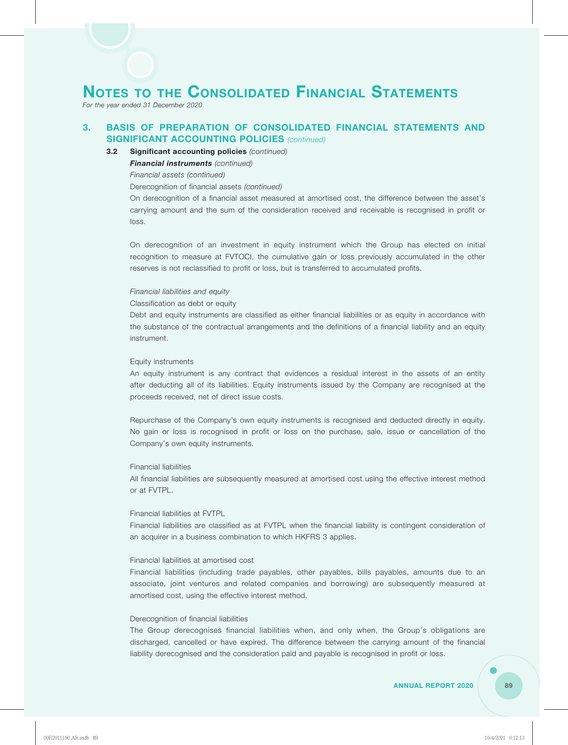*For the year ended 31 December 2020*

## **3. BASIS OF PREPARATION OF CONSOLIDATED FINANCIAL STATEMENTS AND SIGNIFICANT ACCOUNTING POLICIES** *(continued)*

#### **3.2 Significant accounting policies** *(continued)*

#### *Financial instruments (continued)*

*Financial assets (continued)*

Derecognition of financial assets *(continued)*

On derecognition of a financial asset measured at amortised cost, the difference between the asset's carrying amount and the sum of the consideration received and receivable is recognised in profit or loss.

On derecognition of an investment in equity instrument which the Group has elected on initial recognition to measure at FVTOCI, the cumulative gain or loss previously accumulated in the other reserves is not reclassified to profit or loss, but is transferred to accumulated profits.

#### *Financial liabilities and equity*

Classification as debt or equity

Debt and equity instruments are classified as either financial liabilities or as equity in accordance with the substance of the contractual arrangements and the definitions of a financial liability and an equity instrument.

#### Equity instruments

An equity instrument is any contract that evidences a residual interest in the assets of an entity after deducting all of its liabilities. Equity instruments issued by the Company are recognised at the proceeds received, net of direct issue costs.

Repurchase of the Company's own equity instruments is recognised and deducted directly in equity. No gain or loss is recognised in profit or loss on the purchase, sale, issue or cancellation of the Company's own equity instruments.

#### Financial liabilities

All financial liabilities are subsequently measured at amortised cost using the effective interest method or at FVTPL.

#### Financial liabilities at FVTPL

Financial liabilities are classified as at FVTPL when the financial liability is contingent consideration of an acquirer in a business combination to which HKFRS 3 applies.

#### Financial liabilities at amortised cost

Financial liabilities (including trade payables, other payables, bills payables, amounts due to an associate, joint ventures and related companies and borrowing) are subsequently measured at amortised cost, using the effective interest method.

#### Derecognition of financial liabilities

The Group derecognises financial liabilities when, and only when, the Group's obligations are discharged, cancelled or have expired. The difference between the carrying amount of the financial liability derecognised and the consideration paid and payable is recognised in profit or loss.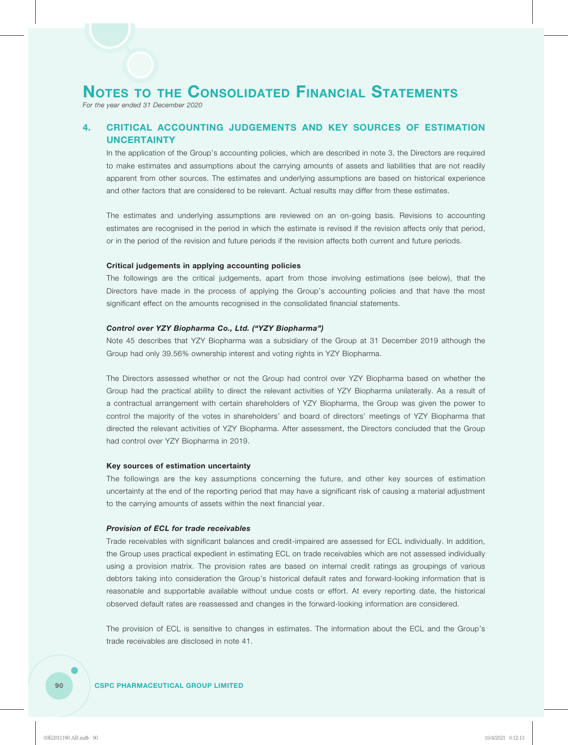*For the year ended 31 December 2020*

## **4. CRITICAL ACCOUNTING JUDGEMENTS AND KEY SOURCES OF ESTIMATION UNCERTAINTY**

In the application of the Group's accounting policies, which are described in note 3, the Directors are required to make estimates and assumptions about the carrying amounts of assets and liabilities that are not readily apparent from other sources. The estimates and underlying assumptions are based on historical experience and other factors that are considered to be relevant. Actual results may differ from these estimates.

The estimates and underlying assumptions are reviewed on an on-going basis. Revisions to accounting estimates are recognised in the period in which the estimate is revised if the revision affects only that period, or in the period of the revision and future periods if the revision affects both current and future periods.

#### **Critical judgements in applying accounting policies**

The followings are the critical judgements, apart from those involving estimations (see below), that the Directors have made in the process of applying the Group's accounting policies and that have the most significant effect on the amounts recognised in the consolidated financial statements.

#### *Control over YZY Biopharma Co., Ltd. ("YZY Biopharma")*

Note 45 describes that YZY Biopharma was a subsidiary of the Group at 31 December 2019 although the Group had only 39.56% ownership interest and voting rights in YZY Biopharma.

The Directors assessed whether or not the Group had control over YZY Biopharma based on whether the Group had the practical ability to direct the relevant activities of YZY Biopharma unilaterally. As a result of a contractual arrangement with certain shareholders of YZY Biopharma, the Group was given the power to control the majority of the votes in shareholders' and board of directors' meetings of YZY Biopharma that directed the relevant activities of YZY Biopharma. After assessment, the Directors concluded that the Group had control over YZY Biopharma in 2019.

#### **Key sources of estimation uncertainty**

The followings are the key assumptions concerning the future, and other key sources of estimation uncertainty at the end of the reporting period that may have a significant risk of causing a material adjustment to the carrying amounts of assets within the next financial year.

#### *Provision of ECL for trade receivables*

Trade receivables with significant balances and credit-impaired are assessed for ECL individually. In addition, the Group uses practical expedient in estimating ECL on trade receivables which are not assessed individually using a provision matrix. The provision rates are based on internal credit ratings as groupings of various debtors taking into consideration the Group's historical default rates and forward-looking information that is reasonable and supportable available without undue costs or effort. At every reporting date, the historical observed default rates are reassessed and changes in the forward-looking information are considered.

The provision of ECL is sensitive to changes in estimates. The information about the ECL and the Group's trade receivables are disclosed in note 41.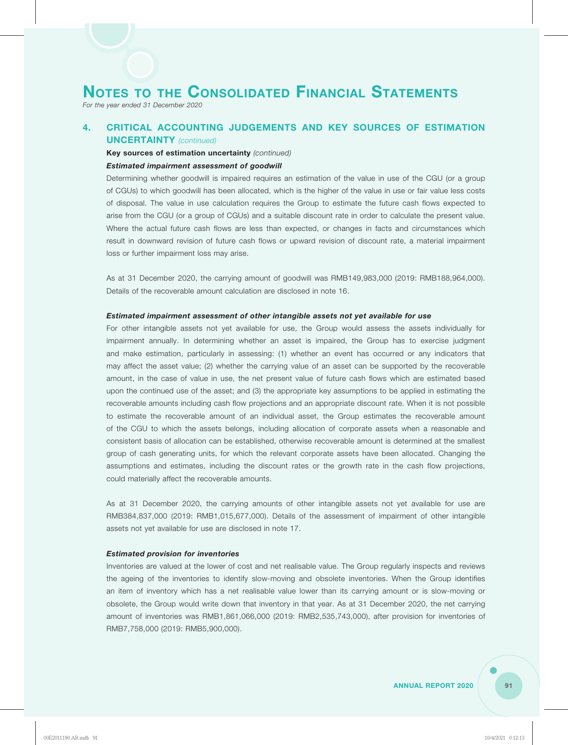*For the year ended 31 December 2020*

## **4. CRITICAL ACCOUNTING JUDGEMENTS AND KEY SOURCES OF ESTIMATION UNCERTAINTY** *(continued)*

## **Key sources of estimation uncertainty** *(continued)*

#### *Estimated impairment assessment of goodwill*

Determining whether goodwill is impaired requires an estimation of the value in use of the CGU (or a group of CGUs) to which goodwill has been allocated, which is the higher of the value in use or fair value less costs of disposal. The value in use calculation requires the Group to estimate the future cash flows expected to arise from the CGU (or a group of CGUs) and a suitable discount rate in order to calculate the present value. Where the actual future cash flows are less than expected, or changes in facts and circumstances which result in downward revision of future cash flows or upward revision of discount rate, a material impairment loss or further impairment loss may arise.

As at 31 December 2020, the carrying amount of goodwill was RMB149,983,000 (2019: RMB188,964,000). Details of the recoverable amount calculation are disclosed in note 16.

#### *Estimated impairment assessment of other intangible assets not yet available for use*

For other intangible assets not yet available for use, the Group would assess the assets individually for impairment annually. In determining whether an asset is impaired, the Group has to exercise judgment and make estimation, particularly in assessing: (1) whether an event has occurred or any indicators that may affect the asset value; (2) whether the carrying value of an asset can be supported by the recoverable amount, in the case of value in use, the net present value of future cash flows which are estimated based upon the continued use of the asset; and (3) the appropriate key assumptions to be applied in estimating the recoverable amounts including cash flow projections and an appropriate discount rate. When it is not possible to estimate the recoverable amount of an individual asset, the Group estimates the recoverable amount of the CGU to which the assets belongs, including allocation of corporate assets when a reasonable and consistent basis of allocation can be established, otherwise recoverable amount is determined at the smallest group of cash generating units, for which the relevant corporate assets have been allocated. Changing the assumptions and estimates, including the discount rates or the growth rate in the cash flow projections, could materially affect the recoverable amounts.

As at 31 December 2020, the carrying amounts of other intangible assets not yet available for use are RMB384,837,000 (2019: RMB1,015,677,000). Details of the assessment of impairment of other intangible assets not yet available for use are disclosed in note 17.

#### *Estimated provision for inventories*

Inventories are valued at the lower of cost and net realisable value. The Group regularly inspects and reviews the ageing of the inventories to identify slow-moving and obsolete inventories. When the Group identifies an item of inventory which has a net realisable value lower than its carrying amount or is slow-moving or obsolete, the Group would write down that inventory in that year. As at 31 December 2020, the net carrying amount of inventories was RMB1,861,066,000 (2019: RMB2,535,743,000), after provision for inventories of RMB7,758,000 (2019: RMB5,900,000).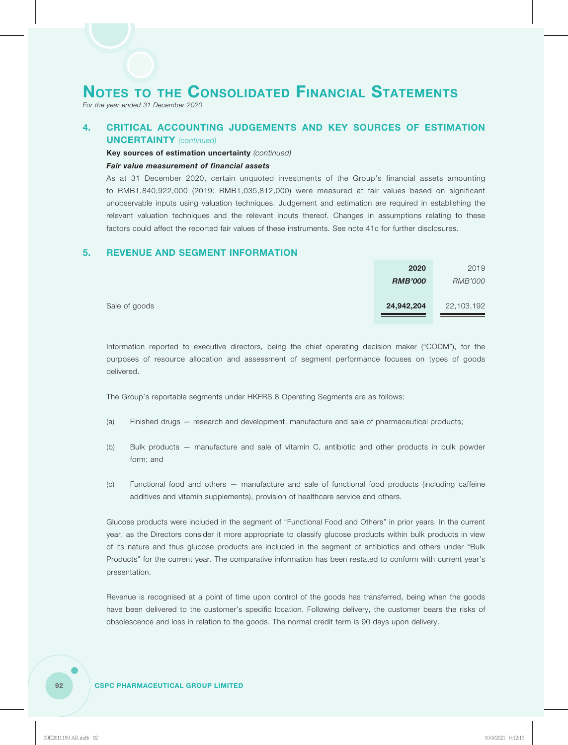*For the year ended 31 December 2020*

## **4. CRITICAL ACCOUNTING JUDGEMENTS AND KEY SOURCES OF ESTIMATION UNCERTAINTY** *(continued)*

**Key sources of estimation uncertainty** *(continued)*

#### *Fair value measurement of financial assets*

As at 31 December 2020, certain unquoted investments of the Group's financial assets amounting to RMB1,840,922,000 (2019: RMB1,035,812,000) were measured at fair values based on significant unobservable inputs using valuation techniques. Judgement and estimation are required in establishing the relevant valuation techniques and the relevant inputs thereof. Changes in assumptions relating to these factors could affect the reported fair values of these instruments. See note 41c for further disclosures.

### **5. REVENUE AND SEGMENT INFORMATION**

|               | 2020           | 2019           |
|---------------|----------------|----------------|
|               | <b>RMB'000</b> | <b>RMB'000</b> |
| Sale of goods | 24,942,204     | 22,103,192     |

Information reported to executive directors, being the chief operating decision maker ("CODM"), for the purposes of resource allocation and assessment of segment performance focuses on types of goods delivered.

The Group's reportable segments under HKFRS 8 Operating Segments are as follows:

- (a) Finished drugs research and development, manufacture and sale of pharmaceutical products;
- (b) Bulk products manufacture and sale of vitamin C, antibiotic and other products in bulk powder form; and
- (c) Functional food and others manufacture and sale of functional food products (including caffeine additives and vitamin supplements), provision of healthcare service and others.

Glucose products were included in the segment of "Functional Food and Others" in prior years. In the current year, as the Directors consider it more appropriate to classify glucose products within bulk products in view of its nature and thus glucose products are included in the segment of antibiotics and others under "Bulk Products" for the current year. The comparative information has been restated to conform with current year's presentation.

Revenue is recognised at a point of time upon control of the goods has transferred, being when the goods have been delivered to the customer's specific location. Following delivery, the customer bears the risks of obsolescence and loss in relation to the goods. The normal credit term is 90 days upon delivery.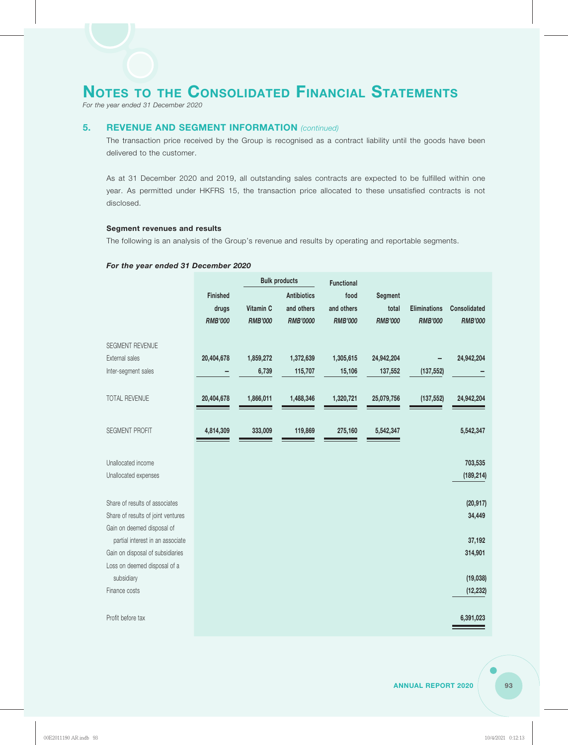*For the year ended 31 December 2020*

### **5. REVENUE AND SEGMENT INFORMATION** *(continued)*

The transaction price received by the Group is recognised as a contract liability until the goods have been delivered to the customer.

As at 31 December 2020 and 2019, all outstanding sales contracts are expected to be fulfilled within one year. As permitted under HKFRS 15, the transaction price allocated to these unsatisfied contracts is not disclosed.

#### **Segment revenues and results**

The following is an analysis of the Group's revenue and results by operating and reportable segments.

#### *For the year ended 31 December 2020*

|                                    |                 |                | <b>Bulk products</b> | <b>Functional</b> |                |                     |                     |
|------------------------------------|-----------------|----------------|----------------------|-------------------|----------------|---------------------|---------------------|
|                                    | <b>Finished</b> |                | <b>Antibiotics</b>   | food              | Segment        |                     |                     |
|                                    | drugs           | Vitamin C      | and others           | and others        | total          | <b>Eliminations</b> | <b>Consolidated</b> |
|                                    | <b>RMB'000</b>  | <b>RMB'000</b> | RMB'0000             | <b>RMB'000</b>    | <b>RMB'000</b> | <b>RMB'000</b>      | <b>RMB'000</b>      |
| SEGMENT REVENUE                    |                 |                |                      |                   |                |                     |                     |
| External sales                     | 20,404,678      | 1,859,272      | 1,372,639            | 1,305,615         | 24,942,204     |                     | 24,942,204          |
| Inter-segment sales                |                 | 6,739          | 115,707              | 15,106            | 137,552        | (137, 552)          |                     |
| <b>TOTAL REVENUE</b>               | 20,404,678      | 1,866,011      | 1,488,346            | 1,320,721         | 25,079,756     | (137, 552)          | 24,942,204          |
| SEGMENT PROFIT                     | 4,814,309       | 333,009        | 119,869              | 275,160           | 5,542,347      |                     | 5,542,347           |
| Unallocated income                 |                 |                |                      |                   |                |                     | 703,535             |
| Unallocated expenses               |                 |                |                      |                   |                |                     | (189, 214)          |
| Share of results of associates     |                 |                |                      |                   |                |                     | (20, 917)           |
| Share of results of joint ventures |                 |                |                      |                   |                |                     | 34,449              |
| Gain on deemed disposal of         |                 |                |                      |                   |                |                     |                     |
| partial interest in an associate   |                 |                |                      |                   |                |                     | 37,192              |
| Gain on disposal of subsidiaries   |                 |                |                      |                   |                |                     | 314,901             |
| Loss on deemed disposal of a       |                 |                |                      |                   |                |                     |                     |
| subsidiary                         |                 |                |                      |                   |                |                     | (19,038)            |
| Finance costs                      |                 |                |                      |                   |                |                     | (12, 232)           |
| Profit before tax                  |                 |                |                      |                   |                |                     | 6,391,023           |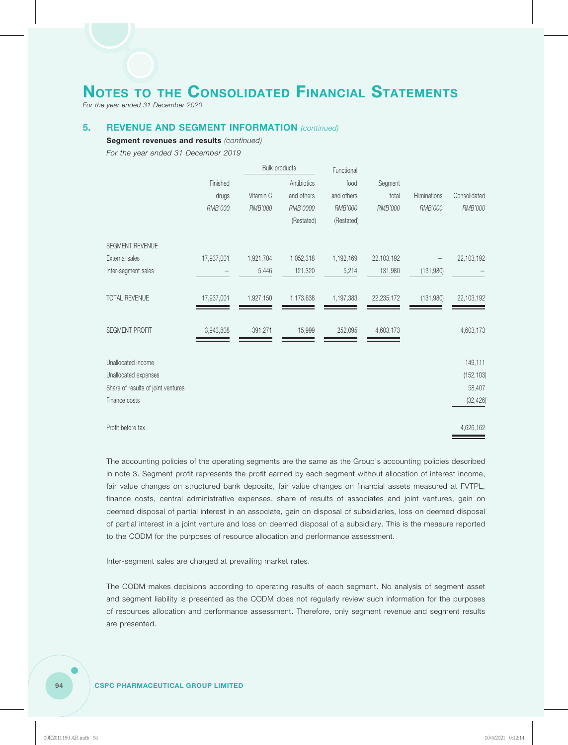*For the year ended 31 December 2020*

### **5. REVENUE AND SEGMENT INFORMATION** *(continued)*

**Segment revenues and results** *(continued)*

*For the year ended 31 December 2019*

|                                    |            | <b>Bulk products</b> |             | Functional |                |              |              |
|------------------------------------|------------|----------------------|-------------|------------|----------------|--------------|--------------|
|                                    | Finished   |                      | Antibiotics | food       | Segment        |              |              |
|                                    | drugs      | Vitamin C            | and others  | and others | total          | Eliminations | Consolidated |
|                                    | RMB'000    | RMB'000              | RMB'0000    | RMB'000    | <b>RMB'000</b> | RMB'000      | RMB'000      |
|                                    |            |                      | (Restated)  | (Restated) |                |              |              |
| SEGMENT REVENUE                    |            |                      |             |            |                |              |              |
| External sales                     | 17,937,001 | 1,921,704            | 1,052,318   | 1,192,169  | 22,103,192     |              | 22,103,192   |
| Inter-segment sales                |            | 5,446                | 121,320     | 5,214      | 131,980        | (131,980)    |              |
| <b>TOTAL REVENUE</b>               | 17,937,001 | 1,927,150            | 1,173,638   | 1,197,383  | 22,235,172     | (131,980)    | 22,103,192   |
| <b>SEGMENT PROFIT</b>              | 3,943,808  | 391,271              | 15,999      | 252,095    | 4,603,173      |              | 4,603,173    |
| Unallocated income                 |            |                      |             |            |                |              | 149,111      |
| Unallocated expenses               |            |                      |             |            |                |              | (152, 103)   |
| Share of results of joint ventures |            |                      |             |            |                |              | 58,407       |
| Finance costs                      |            |                      |             |            |                |              | (32, 426)    |
| Profit before tax                  |            |                      |             |            |                |              | 4,626,162    |

The accounting policies of the operating segments are the same as the Group's accounting policies described in note 3. Segment profit represents the profit earned by each segment without allocation of interest income, fair value changes on structured bank deposits, fair value changes on financial assets measured at FVTPL, finance costs, central administrative expenses, share of results of associates and joint ventures, gain on deemed disposal of partial interest in an associate, gain on disposal of subsidiaries, loss on deemed disposal of partial interest in a joint venture and loss on deemed disposal of a subsidiary. This is the measure reported to the CODM for the purposes of resource allocation and performance assessment.

Inter-segment sales are charged at prevailing market rates.

The CODM makes decisions according to operating results of each segment. No analysis of segment asset and segment liability is presented as the CODM does not regularly review such information for the purposes of resources allocation and performance assessment. Therefore, only segment revenue and segment results are presented.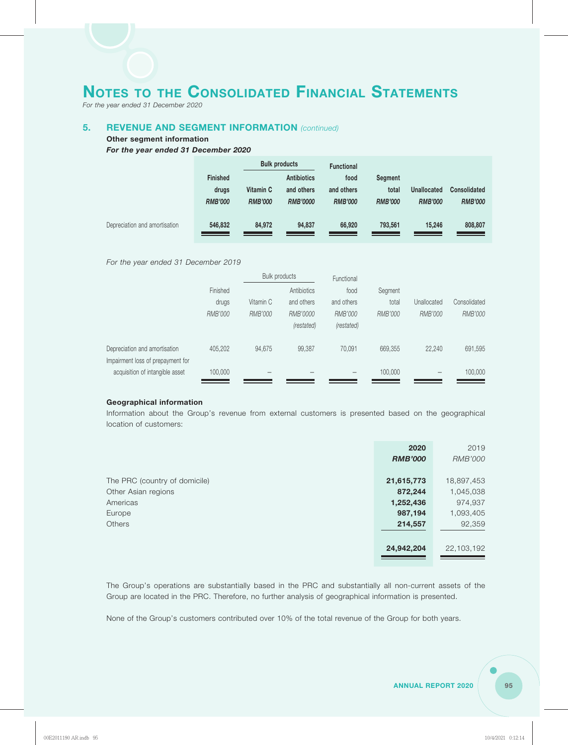*For the year ended 31 December 2020*

## **5. REVENUE AND SEGMENT INFORMATION** *(continued)*

#### **Other segment information**

*For the year ended 31 December 2020*

|                               |                 |                | <b>Bulk products</b> | <b>Functional</b> |                |                    |                     |
|-------------------------------|-----------------|----------------|----------------------|-------------------|----------------|--------------------|---------------------|
|                               | <b>Finished</b> |                | <b>Antibiotics</b>   | food              | Segment        |                    |                     |
|                               | drugs           | Vitamin C      | and others           | and others        | total          | <b>Unallocated</b> | <b>Consolidated</b> |
|                               | <b>RMB'000</b>  | <b>RMB'000</b> | <b>RMB'0000</b>      | <b>RMB'000</b>    | <b>RMB'000</b> | <b>RMB'000</b>     | <b>RMB'000</b>      |
| Depreciation and amortisation | 546,832         | 84,972         | 94,837               | 66,920            | 793,561        | 15,246             | 808,807             |
|                               |                 |                |                      |                   |                |                    |                     |

*For the year ended 31 December 2019*

|                                   |          | Bulk products |             | Functional |         |                          |                |
|-----------------------------------|----------|---------------|-------------|------------|---------|--------------------------|----------------|
|                                   | Finished |               | Antibiotics | food       | Segment |                          |                |
|                                   | drugs    | Vitamin C     | and others  | and others | total   | Unallocated              | Consolidated   |
|                                   | RMB'000  | RMB'000       | RMB'0000    | RMB'000    | RMB'000 | <b>RMB'000</b>           | <b>RMB'000</b> |
|                                   |          |               | (restated)  | (restated) |         |                          |                |
| Depreciation and amortisation     | 405.202  | 94,675        | 99,387      | 70.091     | 669,355 | 22,240                   | 691,595        |
| Impairment loss of prepayment for |          |               |             |            |         |                          |                |
| acquisition of intangible asset   | 100,000  |               |             |            | 100,000 | $\overline{\phantom{m}}$ | 100,000        |

#### **Geographical information**

Information about the Group's revenue from external customers is presented based on the geographical location of customers:

|                               | 2020           | 2019       |
|-------------------------------|----------------|------------|
|                               | <b>RMB'000</b> | RMB'000    |
|                               |                |            |
| The PRC (country of domicile) | 21,615,773     | 18,897,453 |
| Other Asian regions           | 872,244        | 1,045,038  |
| Americas                      | 1,252,436      | 974,937    |
| Europe                        | 987,194        | 1,093,405  |
| <b>Others</b>                 | 214,557        | 92,359     |
|                               |                |            |
|                               | 24,942,204     | 22,103,192 |
|                               |                |            |

The Group's operations are substantially based in the PRC and substantially all non-current assets of the Group are located in the PRC. Therefore, no further analysis of geographical information is presented.

None of the Group's customers contributed over 10% of the total revenue of the Group for both years.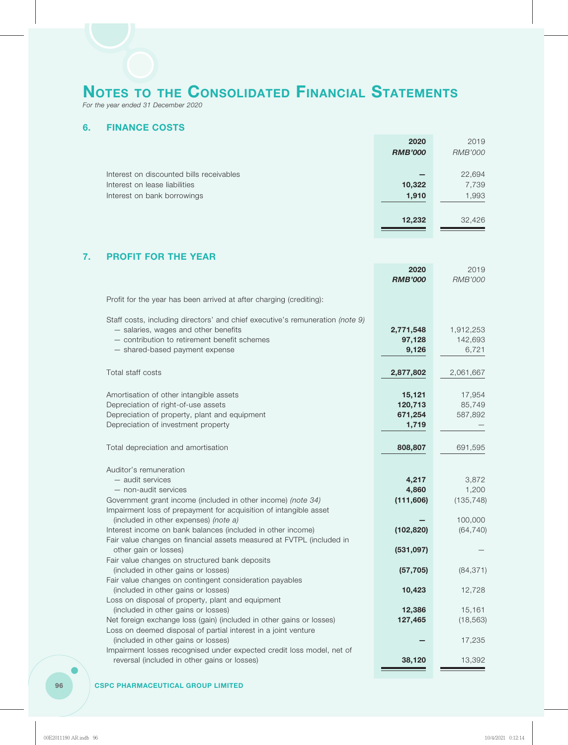*For the year ended 31 December 2020*

## **6. FINANCE COSTS**

|                                          | 2020           | 2019           |
|------------------------------------------|----------------|----------------|
|                                          | <b>RMB'000</b> | <b>RMB'000</b> |
|                                          |                |                |
| Interest on discounted bills receivables |                | 22,694         |
| Interest on lease liabilities            | 10,322         | 7,739          |
| Interest on bank borrowings              | 1,910          | 1,993          |
|                                          |                |                |
|                                          | 12,232         | 32,426         |
|                                          |                |                |

## **7. PROFIT FOR THE YEAR**

|                                                                                                                                                                                                                                                                                                                                                                                          | 2020<br><b>RMB'000</b>                     | 2019<br><b>RMB'000</b>                               |
|------------------------------------------------------------------------------------------------------------------------------------------------------------------------------------------------------------------------------------------------------------------------------------------------------------------------------------------------------------------------------------------|--------------------------------------------|------------------------------------------------------|
| Profit for the year has been arrived at after charging (crediting):                                                                                                                                                                                                                                                                                                                      |                                            |                                                      |
| Staff costs, including directors' and chief executive's remuneration (note 9)<br>- salaries, wages and other benefits<br>- contribution to retirement benefit schemes<br>- shared-based payment expense                                                                                                                                                                                  | 2,771,548<br>97,128<br>9,126               | 1,912,253<br>142,693<br>6,721                        |
| Total staff costs                                                                                                                                                                                                                                                                                                                                                                        | 2,877,802                                  | 2,061,667                                            |
| Amortisation of other intangible assets<br>Depreciation of right-of-use assets<br>Depreciation of property, plant and equipment<br>Depreciation of investment property                                                                                                                                                                                                                   | 15,121<br>120,713<br>671,254<br>1,719      | 17,954<br>85,749<br>587,892                          |
| Total depreciation and amortisation                                                                                                                                                                                                                                                                                                                                                      | 808,807                                    | 691,595                                              |
| Auditor's remuneration<br>- audit services<br>- non-audit services<br>Government grant income (included in other income) (note 34)<br>Impairment loss of prepayment for acquisition of intangible asset<br>(included in other expenses) (note a)<br>Interest income on bank balances (included in other income)<br>Fair value changes on financial assets measured at FVTPL (included in | 4,217<br>4,860<br>(111, 606)<br>(102, 820) | 3,872<br>1,200<br>(135, 748)<br>100,000<br>(64, 740) |
| other gain or losses)                                                                                                                                                                                                                                                                                                                                                                    | (531, 097)                                 |                                                      |
| Fair value changes on structured bank deposits<br>(included in other gains or losses)<br>Fair value changes on contingent consideration payables                                                                                                                                                                                                                                         | (57, 705)                                  | (84, 371)                                            |
| (included in other gains or losses)<br>Loss on disposal of property, plant and equipment                                                                                                                                                                                                                                                                                                 | 10,423                                     | 12,728                                               |
| (included in other gains or losses)<br>Net foreign exchange loss (gain) (included in other gains or losses)<br>Loss on deemed disposal of partial interest in a joint venture                                                                                                                                                                                                            | 12,386<br>127,465                          | 15,161<br>(18, 563)                                  |
| (included in other gains or losses)<br>Impairment losses recognised under expected credit loss model, net of                                                                                                                                                                                                                                                                             |                                            | 17,235                                               |
| reversal (included in other gains or losses)                                                                                                                                                                                                                                                                                                                                             | 38,120                                     | 13,392                                               |

#### **96 CSPC PHARMACEUTICAL GROUP LIMITED**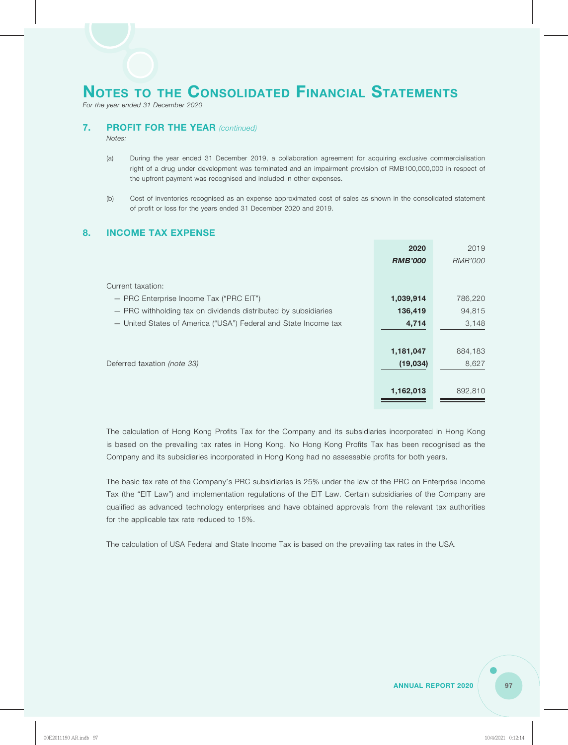*For the year ended 31 December 2020*

### **7. PROFIT FOR THE YEAR** *(continued)*

*Notes:*

- (a) During the year ended 31 December 2019, a collaboration agreement for acquiring exclusive commercialisation right of a drug under development was terminated and an impairment provision of RMB100,000,000 in respect of the upfront payment was recognised and included in other expenses.
- (b) Cost of inventories recognised as an expense approximated cost of sales as shown in the consolidated statement of profit or loss for the years ended 31 December 2020 and 2019.

### **8. INCOME TAX EXPENSE**

|                                                                 | 2020           | 2019    |
|-----------------------------------------------------------------|----------------|---------|
|                                                                 | <b>RMB'000</b> | RMB'000 |
|                                                                 |                |         |
| Current taxation:                                               |                |         |
| - PRC Enterprise Income Tax ("PRC EIT")                         | 1,039,914      | 786,220 |
| - PRC withholding tax on dividends distributed by subsidiaries  | 136,419        | 94,815  |
| - United States of America ("USA") Federal and State Income tax | 4,714          | 3,148   |
|                                                                 |                |         |
|                                                                 | 1,181,047      | 884,183 |
| Deferred taxation (note 33)                                     | (19,034)       | 8,627   |
|                                                                 |                |         |
|                                                                 | 1,162,013      | 892,810 |
|                                                                 |                |         |

The calculation of Hong Kong Profits Tax for the Company and its subsidiaries incorporated in Hong Kong is based on the prevailing tax rates in Hong Kong. No Hong Kong Profits Tax has been recognised as the Company and its subsidiaries incorporated in Hong Kong had no assessable profits for both years.

The basic tax rate of the Company's PRC subsidiaries is 25% under the law of the PRC on Enterprise Income Tax (the "EIT Law") and implementation regulations of the EIT Law. Certain subsidiaries of the Company are qualified as advanced technology enterprises and have obtained approvals from the relevant tax authorities for the applicable tax rate reduced to 15%.

The calculation of USA Federal and State Income Tax is based on the prevailing tax rates in the USA.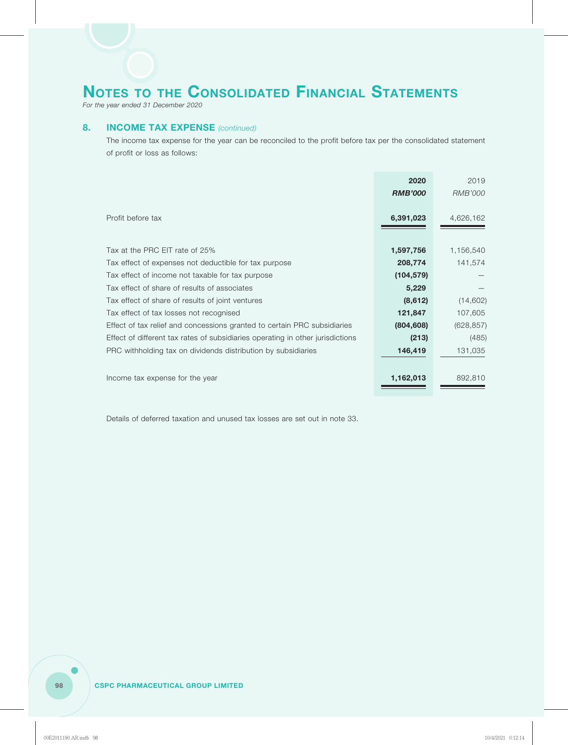*For the year ended 31 December 2020*

### **8. INCOME TAX EXPENSE** *(continued)*

The income tax expense for the year can be reconciled to the profit before tax per the consolidated statement of profit or loss as follows:

|                                                                                | 2020           | 2019       |
|--------------------------------------------------------------------------------|----------------|------------|
|                                                                                | <b>RMB'000</b> | RMB'000    |
|                                                                                |                |            |
| Profit before tax                                                              | 6,391,023      | 4,626,162  |
|                                                                                |                |            |
| Tax at the PRC EIT rate of 25%                                                 | 1,597,756      | 1,156,540  |
| Tax effect of expenses not deductible for tax purpose                          | 208,774        | 141,574    |
| Tax effect of income not taxable for tax purpose                               | (104, 579)     |            |
| Tax effect of share of results of associates                                   | 5,229          |            |
| Tax effect of share of results of joint ventures                               | (8,612)        | (14,602)   |
| Tax effect of tax losses not recognised                                        | 121,847        | 107,605    |
| Effect of tax relief and concessions granted to certain PRC subsidiaries       | (804, 608)     | (628, 857) |
| Effect of different tax rates of subsidiaries operating in other jurisdictions | (213)          | (485)      |
| PRC withholding tax on dividends distribution by subsidiaries                  | 146,419        | 131,035    |
|                                                                                |                |            |
| Income tax expense for the year                                                | 1,162,013      | 892,810    |
|                                                                                |                |            |

Details of deferred taxation and unused tax losses are set out in note 33.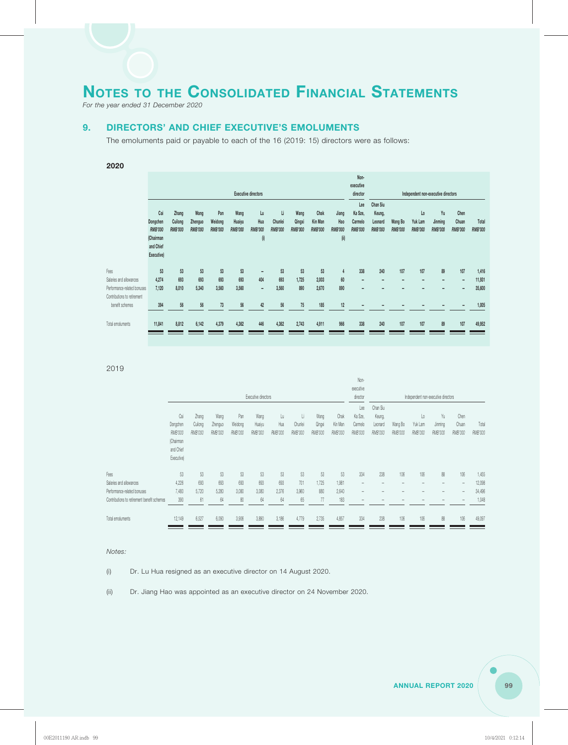*For the year ended 31 December 2020*

## **9. DIRECTORS' AND CHIEF EXECUTIVE'S EMOLUMENTS**

The emoluments paid or payable to each of the 16 (2019: 15) directors were as follows:

#### **2020**

|                             |            |                |                |                |                |                              |                |                |                |                | Non-<br>executive |                |                |                                     |                |                          |                |
|-----------------------------|------------|----------------|----------------|----------------|----------------|------------------------------|----------------|----------------|----------------|----------------|-------------------|----------------|----------------|-------------------------------------|----------------|--------------------------|----------------|
|                             |            |                |                |                |                | <b>Executive directors</b>   |                |                |                |                | director          |                |                | Independent non-executive directors |                |                          |                |
|                             |            |                |                |                |                |                              |                |                |                |                | Lee               | Chan Siu       |                |                                     |                |                          |                |
|                             | Cai        | Zhang          | Wang           | Pan            | Wang           | Lu                           | Li             | Wang           | Chak           | Jiang          | Ka Sze,           | Keung,         |                | Lo                                  | Yu             | Chen                     |                |
|                             | Dongchen   | Cuilong        | Zhenguo        | Weidong        | Huaiyu         | Hua                          | Chunlei        | Qingxi         | Kin Man        | Hao            | Carmelo           | Leonard        | Wang Bo        | Yuk Lam                             | Jinming        | Chuan                    | Total          |
|                             | RMB'000    | <b>RMB'000</b> | <b>RMB'000</b> | <b>RMB'000</b> | <b>RMB'000</b> | <b>RMB'000</b>               | <b>RMB'000</b> | <b>RMB'000</b> | <b>RMB'000</b> | <b>RMB'000</b> | <b>RMB'000</b>    | <b>RMB'000</b> | <b>RMB'000</b> | <b>RMB'000</b>                      | <b>RMB'000</b> | <b>RMB'000</b>           | <b>RMB'000</b> |
|                             | (Chairman  |                |                |                |                | (i)                          |                |                |                | (i)            |                   |                |                |                                     |                |                          |                |
|                             | and Chief  |                |                |                |                |                              |                |                |                |                |                   |                |                |                                     |                |                          |                |
|                             | Executive) |                |                |                |                |                              |                |                |                |                |                   |                |                |                                     |                |                          |                |
|                             |            |                |                |                |                |                              |                |                |                |                |                   |                |                |                                     |                |                          |                |
| Fees                        | 53         | 53             | 53             | 53             | 53             | $\overline{\phantom{a}}$     | 53             | 53             | 53             | $\overline{4}$ | 338               | 240            | 107            | 107                                 | 89             | 107                      | 1,416          |
| Salaries and allowances     | 4,274      | 693            | 693            | 693            | 693            | 404                          | 693            | 1,725          | 2,003          | 60             | ٠                 |                |                |                                     | ۰              | $\overline{\phantom{a}}$ | 11,931         |
| Performance-related bonuses | 7,120      | 8.010          | 5,340          | 3,560          | 3,560          | $\qquad \qquad \blacksquare$ | 3,560          | 890            | 2,670          | 890            | -                 |                |                |                                     |                |                          | 35,600         |
| Contributions to retirement |            |                |                |                |                |                              |                |                |                |                |                   |                |                |                                     |                |                          |                |
| benefit schemes             | 394        | 56             | 56             | 73             | 56             | 42                           | 56             | 75             | 185            | 12             |                   |                |                |                                     |                |                          | 1,005          |
|                             |            |                |                |                |                |                              |                |                |                |                |                   |                |                |                                     |                |                          |                |
| Total emoluments            | 11,841     | 8,812          | 6,142          | 4,379          | 4,362          | 446                          | 4,362          | 2,743          | 4,911          | 966            | 338               | 240            | 107            | 107                                 | 89             | 107                      | 49,952         |
|                             |            |                |                |                |                |                              |                |                |                |                |                   |                |                |                                     |                |                          |                |
|                             |            |                |                |                |                |                              |                |                |                |                |                   |                |                |                                     |                |                          |                |

#### 2019

|                                             |                |         |                |                |                     |                |                |                |                | Non-                                |                          |                |         |                          |                          |         |
|---------------------------------------------|----------------|---------|----------------|----------------|---------------------|----------------|----------------|----------------|----------------|-------------------------------------|--------------------------|----------------|---------|--------------------------|--------------------------|---------|
|                                             |                |         |                |                |                     |                |                |                |                | executive                           |                          |                |         |                          |                          |         |
|                                             |                |         |                |                | Executive directors |                | director       |                |                | Independent non-executive directors |                          |                |         |                          |                          |         |
|                                             |                |         |                |                |                     |                |                |                |                | Lee                                 | Chan Siu                 |                |         |                          |                          |         |
|                                             | Cai            | Zhang   | Wang           | Pan            | Wang                | Lu             | Li.            | Wang           | Chak           | Ka Sze.                             | Keung,                   |                | Lo      | Yu                       | Chen                     |         |
|                                             | Dongchen       | Cuilong | Zhenguo        | Weidong        | Huaiyu              | Hua            | Chunlei        | Qingxi         | Kin Man        | Carmelo                             | Leonard                  | Wang Bo        | Yuk Lam | Jinming                  | Chuan                    | Total   |
|                                             | <b>RMB'000</b> | RMB'000 | <b>RMB'000</b> | <b>RMB'000</b> | RMB'000             | <b>RMB'000</b> | <b>RMB'000</b> | <b>RMB'000</b> | <b>RMB'000</b> | <b>RMB'000</b>                      | RMB'000                  | <b>RMB'000</b> | RMB'000 | RMB'000                  | RMB'000                  | RMB'000 |
|                                             | (Chairman      |         |                |                |                     |                |                |                |                |                                     |                          |                |         |                          |                          |         |
|                                             | and Chief      |         |                |                |                     |                |                |                |                |                                     |                          |                |         |                          |                          |         |
|                                             | Executive)     |         |                |                |                     |                |                |                |                |                                     |                          |                |         |                          |                          |         |
| Fees                                        | 53             | 53      | 53             | 53             | 53                  | 53             | 53             | 53             | 53             | 334                                 | 238                      | 106            | 106     | 88                       | 106                      | 1,455   |
| Salaries and allowances                     | 4,226          | 693     | 693            | 693            | 693                 | 693            | 701            | 1.725          | 1,981          | $\overline{\phantom{a}}$            | $\overline{\phantom{a}}$ | -              | -       | $\overline{\phantom{a}}$ | $\overline{\phantom{a}}$ | 12,098  |
| Performance-related bonuses                 | 7,480          | 5,720   | 5.280          | 3,080          | 3,080               | 2,376          | 3,960          | 880            | 2,640          | $\overline{\phantom{a}}$            |                          |                |         | $\overline{\phantom{a}}$ | $\qquad \qquad -$        | 34,496  |
| Contributions to retirement benefit schemes | 390            | 61      | 64             | 80             | 64                  | 64             | 65             | 77             | 183            | $\qquad \qquad$                     |                          |                |         |                          |                          | 1,048   |
| Total emoluments                            | 12,149         | 6,527   | 6,090          | 3,906          | 3,890               | 3,186          | 4,779          | 2,735          | 4,857          | 334                                 | 238                      | 106            | 106     | 88                       | 106                      | 49,097  |
|                                             |                |         |                |                |                     |                |                |                |                |                                     |                          |                |         |                          |                          |         |

#### *Notes:*

(i) Dr. Lu Hua resigned as an executive director on 14 August 2020.

(ii) Dr. Jiang Hao was appointed as an executive director on 24 November 2020.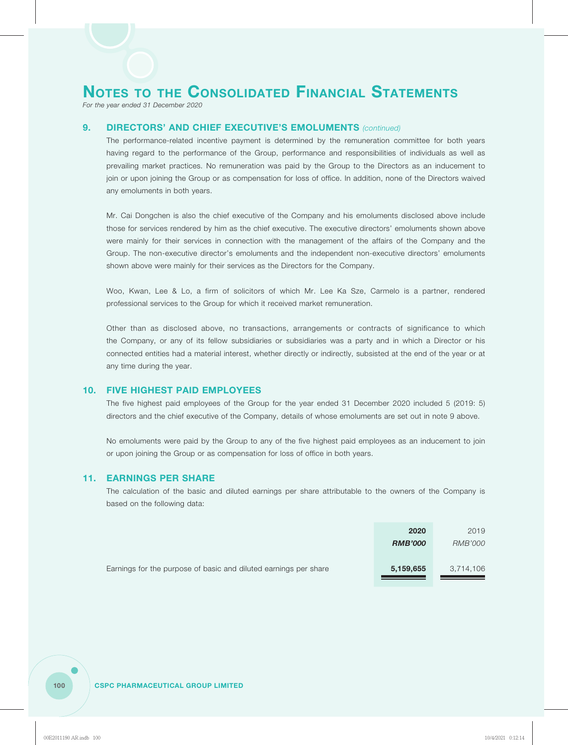*For the year ended 31 December 2020*

### **9. DIRECTORS' AND CHIEF EXECUTIVE'S EMOLUMENTS** *(continued)*

The performance-related incentive payment is determined by the remuneration committee for both years having regard to the performance of the Group, performance and responsibilities of individuals as well as prevailing market practices. No remuneration was paid by the Group to the Directors as an inducement to join or upon joining the Group or as compensation for loss of office. In addition, none of the Directors waived any emoluments in both years.

Mr. Cai Dongchen is also the chief executive of the Company and his emoluments disclosed above include those for services rendered by him as the chief executive. The executive directors' emoluments shown above were mainly for their services in connection with the management of the affairs of the Company and the Group. The non-executive director's emoluments and the independent non-executive directors' emoluments shown above were mainly for their services as the Directors for the Company.

Woo, Kwan, Lee & Lo, a firm of solicitors of which Mr. Lee Ka Sze, Carmelo is a partner, rendered professional services to the Group for which it received market remuneration.

Other than as disclosed above, no transactions, arrangements or contracts of significance to which the Company, or any of its fellow subsidiaries or subsidiaries was a party and in which a Director or his connected entities had a material interest, whether directly or indirectly, subsisted at the end of the year or at any time during the year.

#### **10. FIVE HIGHEST PAID EMPLOYEES**

The five highest paid employees of the Group for the year ended 31 December 2020 included 5 (2019: 5) directors and the chief executive of the Company, details of whose emoluments are set out in note 9 above.

No emoluments were paid by the Group to any of the five highest paid employees as an inducement to join or upon joining the Group or as compensation for loss of office in both years.

#### **11. EARNINGS PER SHARE**

The calculation of the basic and diluted earnings per share attributable to the owners of the Company is based on the following data:

|                                                                  | 2020           | 2019           |
|------------------------------------------------------------------|----------------|----------------|
|                                                                  | <b>RMB'000</b> | <i>RMB'000</i> |
| Earnings for the purpose of basic and diluted earnings per share | 5,159,655      | 3,714,106      |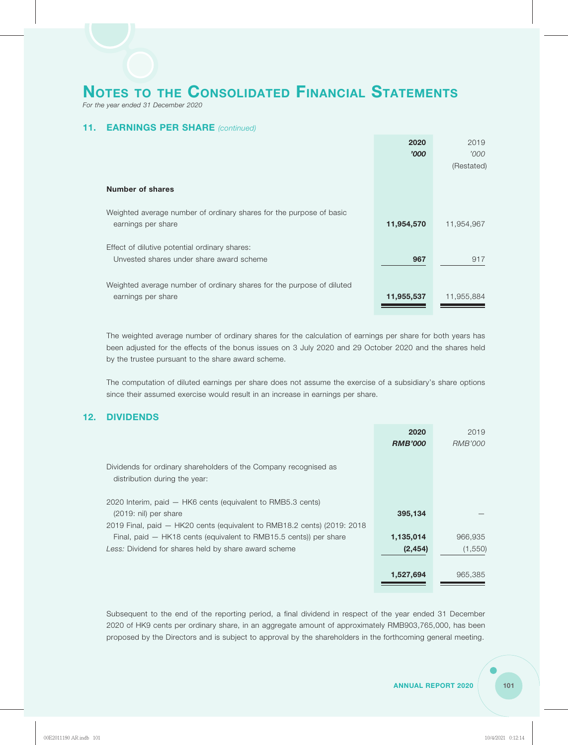*For the year ended 31 December 2020*

## **11. EARNINGS PER SHARE** *(continued)*

|                                                                       | 2020       | 2019       |
|-----------------------------------------------------------------------|------------|------------|
|                                                                       | '000       | '000'      |
|                                                                       |            | (Restated) |
|                                                                       |            |            |
| Number of shares                                                      |            |            |
|                                                                       |            |            |
| Weighted average number of ordinary shares for the purpose of basic   |            |            |
| earnings per share                                                    | 11,954,570 | 11,954,967 |
|                                                                       |            |            |
| Effect of dilutive potential ordinary shares:                         |            |            |
| Unvested shares under share award scheme                              | 967        | 917        |
|                                                                       |            |            |
| Weighted average number of ordinary shares for the purpose of diluted |            |            |
| earnings per share                                                    | 11,955,537 | 11,955,884 |
|                                                                       |            |            |

The weighted average number of ordinary shares for the calculation of earnings per share for both years has been adjusted for the effects of the bonus issues on 3 July 2020 and 29 October 2020 and the shares held by the trustee pursuant to the share award scheme.

The computation of diluted earnings per share does not assume the exercise of a subsidiary's share options since their assumed exercise would result in an increase in earnings per share.

### **12. DIVIDENDS**

|                                                                         | 2020           | 2019           |
|-------------------------------------------------------------------------|----------------|----------------|
|                                                                         | <b>RMB'000</b> | <i>RMB'000</i> |
|                                                                         |                |                |
| Dividends for ordinary shareholders of the Company recognised as        |                |                |
| distribution during the year:                                           |                |                |
|                                                                         |                |                |
| 2020 Interim, paid - HK6 cents (equivalent to RMB5.3 cents)             |                |                |
| $(2019: \n  nil)$ per share                                             | 395,134        |                |
| 2019 Final, paid - HK20 cents (equivalent to RMB18.2 cents) (2019: 2018 |                |                |
| Final, paid – HK18 cents (equivalent to RMB15.5 cents)) per share       | 1,135,014      | 966,935        |
| Less: Dividend for shares held by share award scheme                    | (2, 454)       | (1,550)        |
|                                                                         |                |                |
|                                                                         | 1,527,694      | 965,385        |
|                                                                         |                |                |

Subsequent to the end of the reporting period, a final dividend in respect of the year ended 31 December 2020 of HK9 cents per ordinary share, in an aggregate amount of approximately RMB903,765,000, has been proposed by the Directors and is subject to approval by the shareholders in the forthcoming general meeting.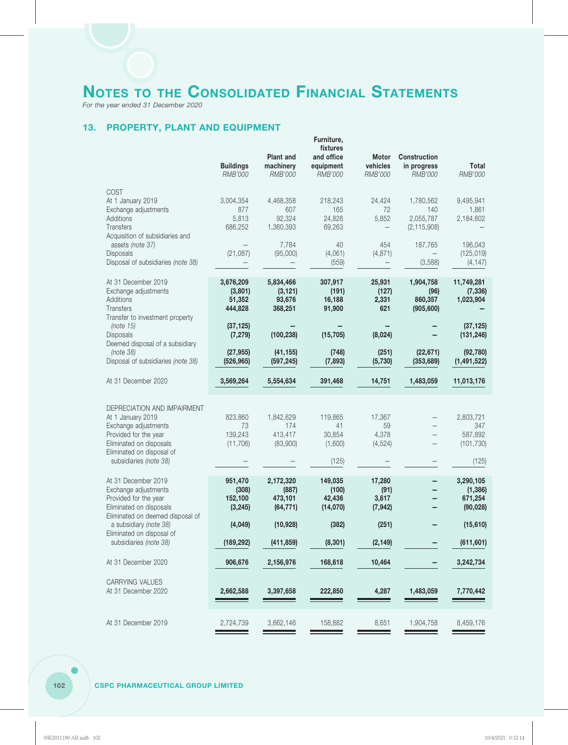*For the year ended 31 December 2020*

## **13. PROPERTY, PLANT AND EQUIPMENT**

|                                                                                                                                                                                     | <b>Buildings</b><br><b>RMB'000</b>        | <b>Plant and</b><br>machinery<br><b>RMB'000</b> | Furniture,<br>fixtures<br>and office<br>equipment<br><b>RMB'000</b> | <b>Motor</b><br>vehicles<br>RMB'000 | <b>Construction</b><br>in progress<br>RMB'000  | Total<br>RMB'000                                   |
|-------------------------------------------------------------------------------------------------------------------------------------------------------------------------------------|-------------------------------------------|-------------------------------------------------|---------------------------------------------------------------------|-------------------------------------|------------------------------------------------|----------------------------------------------------|
| <b>COST</b><br>At 1 January 2019<br>Exchange adjustments<br>Additions<br>Transfers<br>Acquisition of subsidiaries and                                                               | 3,004,354<br>877<br>5,813<br>686,252      | 4,468,358<br>607<br>92,324<br>1,360,393         | 218,243<br>165<br>24,826<br>69,263                                  | 24,424<br>72<br>5,852               | 1,780,562<br>140<br>2,055,787<br>(2, 115, 908) | 9,495,941<br>1,861<br>2,184,602                    |
| assets (note 37)<br>Disposals<br>Disposal of subsidiaries (note 38)                                                                                                                 | (21,087)                                  | 7,784<br>(95,000)                               | 40<br>(4,061)<br>(559)                                              | 454<br>(4, 871)                     | 187,765<br>(3,588)                             | 196,043<br>(125, 019)<br>(4, 147)                  |
| At 31 December 2019<br>Exchange adjustments<br>Additions<br>Transfers<br>Transfer to investment property                                                                            | 3,676,209<br>(3,801)<br>51,352<br>444,828 | 5,834,466<br>(3, 121)<br>93,676<br>368,251      | 307,917<br>(191)<br>16,188<br>91,900                                | 25,931<br>(127)<br>2,331<br>621     | 1,904,758<br>(96)<br>860,357<br>(905, 600)     | 11,749,281<br>(7, 336)<br>1,023,904                |
| (note 15)<br>Disposals<br>Deemed disposal of a subsidiary                                                                                                                           | (37, 125)<br>(7, 279)                     | (100, 238)                                      | (15, 705)                                                           | (8,024)                             |                                                | (37, 125)<br>(131, 246)                            |
| (note 38)<br>Disposal of subsidiaries (note 38)                                                                                                                                     | (27, 955)<br>(526, 965)                   | (41, 155)<br>(597, 245)                         | (748)<br>(7, 893)                                                   | (251)<br>(5,730)                    | (22, 671)<br>(353, 689)                        | (92, 780)<br>(1, 491, 522)                         |
| At 31 December 2020                                                                                                                                                                 | 3,569,264                                 | 5,554,634                                       | 391,468                                                             | 14,751                              | 1,483,059                                      | 11,013,176                                         |
| DEPRECIATION AND IMPAIRMENT<br>At 1 January 2019<br>Exchange adjustments<br>Provided for the year<br>Eliminated on disposals<br>Eliminated on disposal of<br>subsidiaries (note 38) | 823,860<br>73<br>139,243<br>(11,706)      | 1,842,629<br>174<br>413,417<br>(83,900)         | 119,865<br>41<br>30,854<br>(1,600)<br>(125)                         | 17,367<br>59<br>4,378<br>(4,524)    |                                                | 2,803,721<br>347<br>587,892<br>(101, 730)<br>(125) |
| At 31 December 2019<br>Exchange adjustments<br>Provided for the year<br>Eliminated on disposals<br>Eliminated on deemed disposal of                                                 | 951,470<br>(308)<br>152,100<br>(3, 245)   | 2,172,320<br>(887)<br>473,101<br>(64, 771)      | 149,035<br>(100)<br>42,436<br>(14,070)                              | 17,280<br>(91)<br>3,617<br>(7, 942) |                                                | 3,290,105<br>(1, 386)<br>671,254<br>(90, 028)      |
| a subsidiary (note 38)<br>Eliminated on disposal of                                                                                                                                 | (4,049)                                   | (10, 928)                                       | (382)                                                               | (251)                               |                                                | (15, 610)                                          |
| subsidiaries (note 38)                                                                                                                                                              | (189, 292)                                | (411, 859)                                      | (8, 301)                                                            | (2, 149)                            |                                                | (611, 601)                                         |
| At 31 December 2020                                                                                                                                                                 | 906,676                                   | 2,156,976                                       | 168,618                                                             | 10,464                              |                                                | 3,242,734                                          |
| CARRYING VALUES<br>At 31 December 2020                                                                                                                                              | 2,662,588                                 | 3,397,658                                       | 222,850                                                             | 4,287                               | 1,483,059                                      | 7,770,442                                          |
| At 31 December 2019                                                                                                                                                                 | 2,724,739                                 | 3,662,146                                       | 158,882                                                             | 8,651                               | 1,904,758                                      | 8,459,176                                          |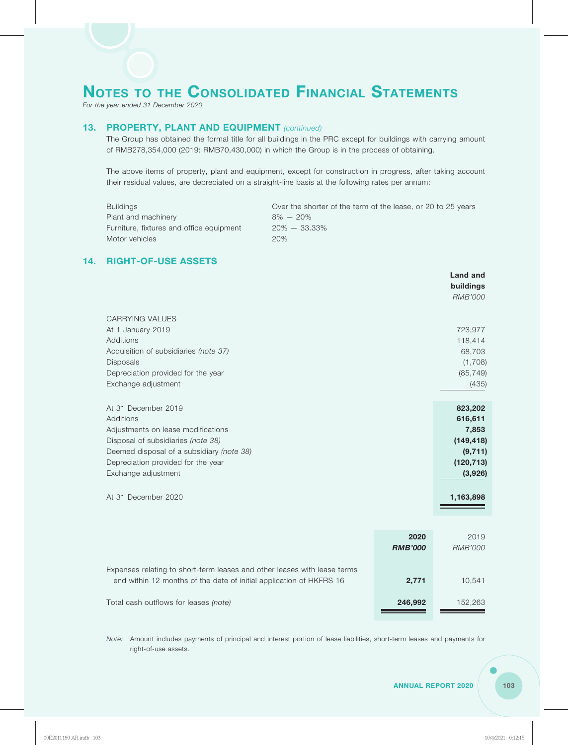*For the year ended 31 December 2020*

## **13. PROPERTY, PLANT AND EQUIPMENT** *(continued)*

The Group has obtained the formal title for all buildings in the PRC except for buildings with carrying amount of RMB278,354,000 (2019: RMB70,430,000) in which the Group is in the process of obtaining.

The above items of property, plant and equipment, except for construction in progress, after taking account their residual values, are depreciated on a straight-line basis at the following rates per annum:

| Buildings                                | Over the shorter of the term of the lease, or 20 to 25 years |
|------------------------------------------|--------------------------------------------------------------|
| Plant and machinery                      | $8\% - 20\%$                                                 |
| Furniture, fixtures and office equipment | $20\% - 33.33\%$                                             |
| Motor vehicles                           | 20%                                                          |

## **14. RIGHT-OF-USE ASSETS**

|                                                                                                                                                                                                                                                      |                        | <b>Land and</b><br>buildings<br><b>RMB'000</b>                                              |
|------------------------------------------------------------------------------------------------------------------------------------------------------------------------------------------------------------------------------------------------------|------------------------|---------------------------------------------------------------------------------------------|
| <b>CARRYING VALUES</b><br>At 1 January 2019<br><b>Additions</b><br>Acquisition of subsidiaries (note 37)<br><b>Disposals</b><br>Depreciation provided for the year<br>Exchange adjustment                                                            |                        | 723,977<br>118,414<br>68,703<br>(1,708)<br>(85, 749)<br>(435)                               |
| At 31 December 2019<br><b>Additions</b><br>Adjustments on lease modifications<br>Disposal of subsidiaries (note 38)<br>Deemed disposal of a subsidiary (note 38)<br>Depreciation provided for the year<br>Exchange adjustment<br>At 31 December 2020 |                        | 823,202<br>616,611<br>7,853<br>(149, 418)<br>(9, 711)<br>(120, 713)<br>(3,926)<br>1,163,898 |
|                                                                                                                                                                                                                                                      | 2020<br><b>RMB'000</b> | 2019<br><b>RMB'000</b>                                                                      |
| Expenses relating to short-term leases and other leases with lease terms<br>end within 12 months of the date of initial application of HKFRS 16                                                                                                      | 2,771                  | 10,541                                                                                      |

Total cash outflows for leases *(note)* **246,992** 152,263

*Note:* Amount includes payments of principal and interest portion of lease liabilities, short-term leases and payments for right-of-use assets.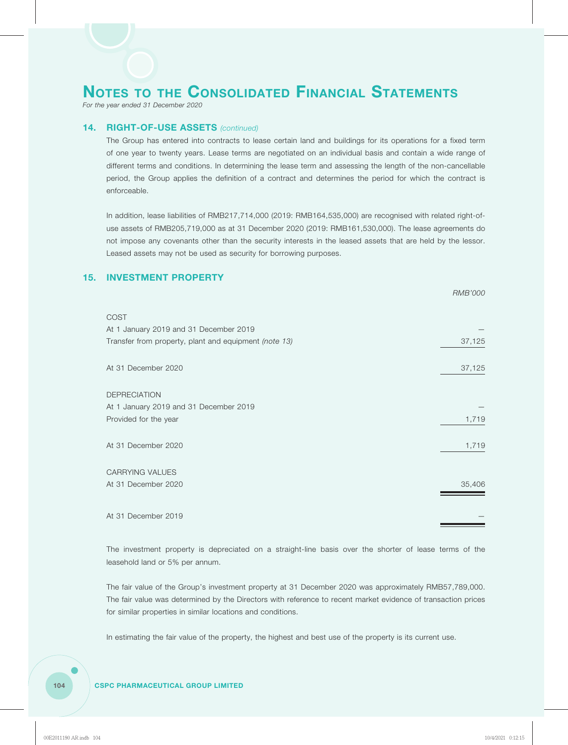*For the year ended 31 December 2020*

### **14. RIGHT-OF-USE ASSETS** *(continued)*

The Group has entered into contracts to lease certain land and buildings for its operations for a fixed term of one year to twenty years. Lease terms are negotiated on an individual basis and contain a wide range of different terms and conditions. In determining the lease term and assessing the length of the non-cancellable period, the Group applies the definition of a contract and determines the period for which the contract is enforceable.

In addition, lease liabilities of RMB217,714,000 (2019: RMB164,535,000) are recognised with related right-ofuse assets of RMB205,719,000 as at 31 December 2020 (2019: RMB161,530,000). The lease agreements do not impose any covenants other than the security interests in the leased assets that are held by the lessor. Leased assets may not be used as security for borrowing purposes.

*RMB'000*

## **15. INVESTMENT PROPERTY**

| <b>COST</b><br>At 1 January 2019 and 31 December 2019 |        |
|-------------------------------------------------------|--------|
| Transfer from property, plant and equipment (note 13) | 37,125 |
| At 31 December 2020                                   | 37,125 |
| <b>DEPRECIATION</b>                                   |        |
| At 1 January 2019 and 31 December 2019                |        |
| Provided for the year                                 | 1,719  |
| At 31 December 2020                                   | 1,719  |
| CARRYING VALUES                                       |        |
| At 31 December 2020                                   | 35,406 |
| At 31 December 2019                                   |        |

The investment property is depreciated on a straight-line basis over the shorter of lease terms of the leasehold land or 5% per annum.

The fair value of the Group's investment property at 31 December 2020 was approximately RMB57,789,000. The fair value was determined by the Directors with reference to recent market evidence of transaction prices for similar properties in similar locations and conditions.

In estimating the fair value of the property, the highest and best use of the property is its current use.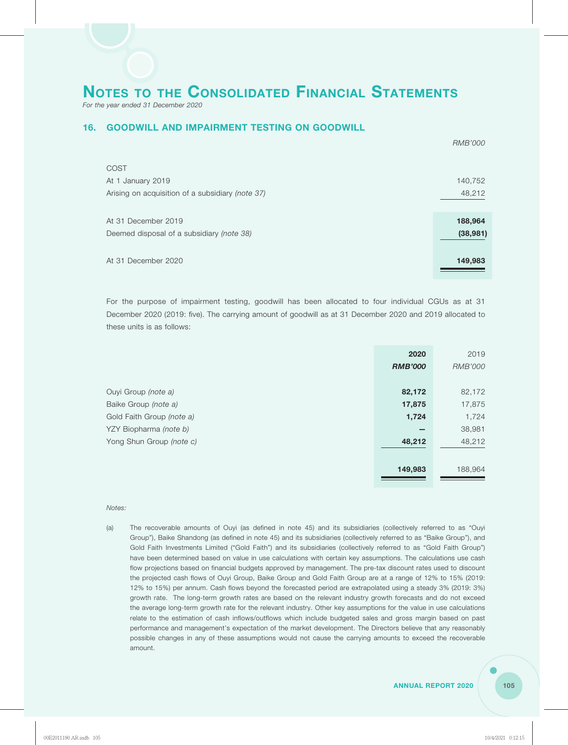*For the year ended 31 December 2020*

### **16. GOODWILL AND IMPAIRMENT TESTING ON GOODWILL**

|                                                  | <b>RMB'000</b> |
|--------------------------------------------------|----------------|
| <b>COST</b>                                      |                |
| At 1 January 2019                                | 140,752        |
| Arising on acquisition of a subsidiary (note 37) | 48,212         |
|                                                  |                |
| At 31 December 2019                              | 188,964        |
| Deemed disposal of a subsidiary (note 38)        | (38, 981)      |
|                                                  |                |
| At 31 December 2020                              | 149,983        |
|                                                  |                |

For the purpose of impairment testing, goodwill has been allocated to four individual CGUs as at 31 December 2020 (2019: five). The carrying amount of goodwill as at 31 December 2020 and 2019 allocated to these units is as follows:

|                           | 2020           | 2019           |
|---------------------------|----------------|----------------|
|                           | <b>RMB'000</b> | <b>RMB'000</b> |
|                           |                |                |
| Ouyi Group (note a)       | 82,172         | 82,172         |
| Baike Group (note a)      | 17,875         | 17,875         |
| Gold Faith Group (note a) | 1,724          | 1,724          |
| YZY Biopharma (note b)    |                | 38,981         |
| Yong Shun Group (note c)  | 48,212         | 48,212         |
|                           |                |                |
|                           | 149,983        | 188,964        |
|                           |                |                |

*Notes:*

(a) The recoverable amounts of Ouyi (as defined in note 45) and its subsidiaries (collectively referred to as "Ouyi Group"), Baike Shandong (as defined in note 45) and its subsidiaries (collectively referred to as "Baike Group"), and Gold Faith Investments Limited ("Gold Faith") and its subsidiaries (collectively referred to as "Gold Faith Group") have been determined based on value in use calculations with certain key assumptions. The calculations use cash flow projections based on financial budgets approved by management. The pre-tax discount rates used to discount the projected cash flows of Ouyi Group, Baike Group and Gold Faith Group are at a range of 12% to 15% (2019: 12% to 15%) per annum. Cash flows beyond the forecasted period are extrapolated using a steady 3% (2019: 3%) growth rate. The long-term growth rates are based on the relevant industry growth forecasts and do not exceed the average long-term growth rate for the relevant industry. Other key assumptions for the value in use calculations relate to the estimation of cash inflows/outflows which include budgeted sales and gross margin based on past performance and management's expectation of the market development. The Directors believe that any reasonably possible changes in any of these assumptions would not cause the carrying amounts to exceed the recoverable amount.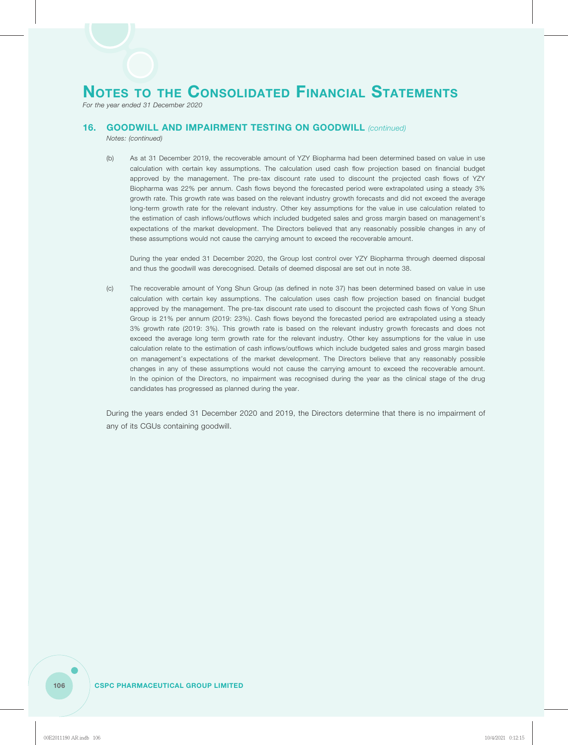*For the year ended 31 December 2020*

## **16. GOODWILL AND IMPAIRMENT TESTING ON GOODWILL** *(continued)*

*Notes: (continued)*

(b) As at 31 December 2019, the recoverable amount of YZY Biopharma had been determined based on value in use calculation with certain key assumptions. The calculation used cash flow projection based on financial budget approved by the management. The pre-tax discount rate used to discount the projected cash flows of YZY Biopharma was 22% per annum. Cash flows beyond the forecasted period were extrapolated using a steady 3% growth rate. This growth rate was based on the relevant industry growth forecasts and did not exceed the average long-term growth rate for the relevant industry. Other key assumptions for the value in use calculation related to the estimation of cash inflows/outflows which included budgeted sales and gross margin based on management's expectations of the market development. The Directors believed that any reasonably possible changes in any of these assumptions would not cause the carrying amount to exceed the recoverable amount.

During the year ended 31 December 2020, the Group lost control over YZY Biopharma through deemed disposal and thus the goodwill was derecognised. Details of deemed disposal are set out in note 38.

(c) The recoverable amount of Yong Shun Group (as defined in note 37) has been determined based on value in use calculation with certain key assumptions. The calculation uses cash flow projection based on financial budget approved by the management. The pre-tax discount rate used to discount the projected cash flows of Yong Shun Group is 21% per annum (2019: 23%). Cash flows beyond the forecasted period are extrapolated using a steady 3% growth rate (2019: 3%). This growth rate is based on the relevant industry growth forecasts and does not exceed the average long term growth rate for the relevant industry. Other key assumptions for the value in use calculation relate to the estimation of cash inflows/outflows which include budgeted sales and gross margin based on management's expectations of the market development. The Directors believe that any reasonably possible changes in any of these assumptions would not cause the carrying amount to exceed the recoverable amount. In the opinion of the Directors, no impairment was recognised during the year as the clinical stage of the drug candidates has progressed as planned during the year.

During the years ended 31 December 2020 and 2019, the Directors determine that there is no impairment of any of its CGUs containing goodwill.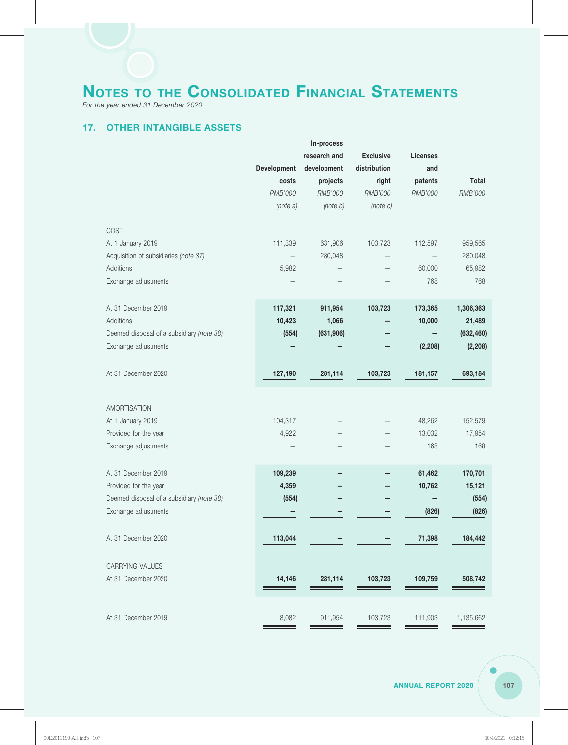*For the year ended 31 December 2020*

## **17. OTHER INTANGIBLE ASSETS**

|                                            |             | In-process   |                  |                 |            |
|--------------------------------------------|-------------|--------------|------------------|-----------------|------------|
|                                            |             | research and | <b>Exclusive</b> | <b>Licenses</b> |            |
|                                            | Development | development  | distribution     | and             |            |
|                                            | costs       | projects     | right            | patents         | Total      |
|                                            | RMB'000     | RMB'000      | RMB'000          | RMB'000         | RMB'000    |
|                                            | (note a)    | (note b)     | (note C)         |                 |            |
| COST                                       |             |              |                  |                 |            |
| At 1 January 2019                          | 111,339     | 631,906      | 103,723          | 112,597         | 959,565    |
| Acquisition of subsidiaries (note 37)      |             | 280,048      |                  |                 | 280,048    |
| Additions                                  | 5,982       |              |                  | 60,000          | 65,982     |
| Exchange adjustments                       |             |              |                  | 768             | 768        |
| At 31 December 2019                        | 117,321     | 911,954      | 103,723          | 173,365         | 1,306,363  |
| Additions                                  | 10,423      | 1,066        |                  | 10,000          | 21,489     |
| Deemed disposal of a subsidiary (note 38)  | (554)       | (631, 906)   |                  |                 | (632, 460) |
| Exchange adjustments                       |             |              |                  | (2, 208)        | (2, 208)   |
| At 31 December 2020                        | 127,190     | 281,114      | 103,723          | 181,157         | 693,184    |
|                                            |             |              |                  |                 |            |
| <b>AMORTISATION</b>                        | 104,317     |              |                  | 48,262          | 152,579    |
| At 1 January 2019<br>Provided for the year | 4,922       |              |                  | 13,032          | 17,954     |
| Exchange adjustments                       |             |              |                  | 168             | 168        |
|                                            |             |              |                  |                 |            |
| At 31 December 2019                        | 109,239     |              |                  | 61,462          | 170,701    |
| Provided for the year                      | 4,359       |              |                  | 10,762          | 15,121     |
| Deemed disposal of a subsidiary (note 38)  | (554)       |              |                  |                 | (554)      |
| Exchange adjustments                       |             |              |                  | (826)           | (826)      |
| At 31 December 2020                        | 113,044     |              |                  | 71,398          | 184,442    |
| CARRYING VALUES                            |             |              |                  |                 |            |
| At 31 December 2020                        | 14,146      | 281,114      | 103,723          | 109,759         | 508,742    |
|                                            |             |              |                  |                 |            |
| At 31 December 2019                        | 8,082       | 911,954      | 103,723          | 111,903         | 1,135,662  |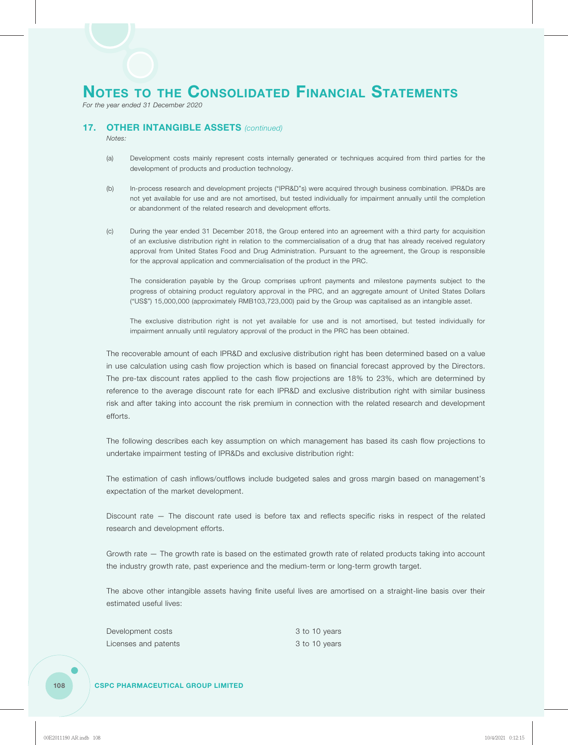*For the year ended 31 December 2020*

# **17. OTHER INTANGIBLE ASSETS** *(continued)*

*Notes:*

- (a) Development costs mainly represent costs internally generated or techniques acquired from third parties for the development of products and production technology.
- (b) In-process research and development projects ("IPR&D"s) were acquired through business combination. IPR&Ds are not yet available for use and are not amortised, but tested individually for impairment annually until the completion or abandonment of the related research and development efforts.
- (c) During the year ended 31 December 2018, the Group entered into an agreement with a third party for acquisition of an exclusive distribution right in relation to the commercialisation of a drug that has already received regulatory approval from United States Food and Drug Administration. Pursuant to the agreement, the Group is responsible for the approval application and commercialisation of the product in the PRC.

The consideration payable by the Group comprises upfront payments and milestone payments subject to the progress of obtaining product regulatory approval in the PRC, and an aggregate amount of United States Dollars ("US\$") 15,000,000 (approximately RMB103,723,000) paid by the Group was capitalised as an intangible asset.

The exclusive distribution right is not yet available for use and is not amortised, but tested individually for impairment annually until regulatory approval of the product in the PRC has been obtained.

The recoverable amount of each IPR&D and exclusive distribution right has been determined based on a value in use calculation using cash flow projection which is based on financial forecast approved by the Directors. The pre-tax discount rates applied to the cash flow projections are 18% to 23%, which are determined by reference to the average discount rate for each IPR&D and exclusive distribution right with similar business risk and after taking into account the risk premium in connection with the related research and development efforts.

The following describes each key assumption on which management has based its cash flow projections to undertake impairment testing of IPR&Ds and exclusive distribution right:

The estimation of cash inflows/outflows include budgeted sales and gross margin based on management's expectation of the market development.

Discount rate — The discount rate used is before tax and reflects specific risks in respect of the related research and development efforts.

Growth rate — The growth rate is based on the estimated growth rate of related products taking into account the industry growth rate, past experience and the medium-term or long-term growth target.

The above other intangible assets having finite useful lives are amortised on a straight-line basis over their estimated useful lives:

| Development costs    | 3 to 10 years |
|----------------------|---------------|
| Licenses and patents | 3 to 10 years |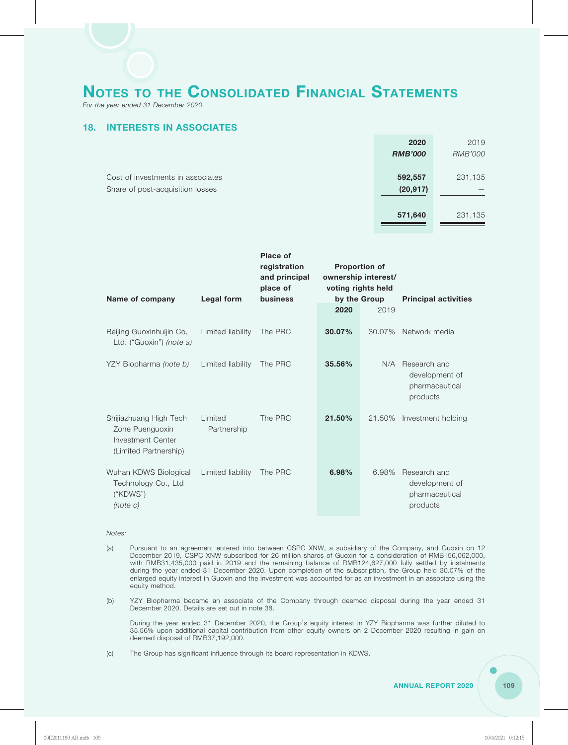*For the year ended 31 December 2020*

# **18. INTERESTS IN ASSOCIATES**

| 2020           | 2019           |
|----------------|----------------|
| <b>RMB'000</b> | <b>RMB'000</b> |
|                |                |
| 592,557        | 231,135        |
| (20, 917)      |                |
|                |                |
| 571,640        | 231,135        |
|                |                |

| Name of company                                                                         | <b>Legal form</b>      | Place of<br>registration<br>and principal<br>place of<br>business | <b>Proportion of</b><br>ownership interest/<br>voting rights held<br>by the Group |        | <b>Principal activities</b>                                      |
|-----------------------------------------------------------------------------------------|------------------------|-------------------------------------------------------------------|-----------------------------------------------------------------------------------|--------|------------------------------------------------------------------|
|                                                                                         |                        |                                                                   | 2020                                                                              | 2019   |                                                                  |
| Beijing Guoxinhuijin Co.<br>Ltd. ("Guoxin") <i>(note a)</i>                             | Limited liability      | The PRC                                                           | 30.07%                                                                            | 30.07% | Network media                                                    |
| YZY Biopharma (note b)                                                                  | Limited liability      | The PRC                                                           | 35.56%                                                                            |        | N/A Research and<br>development of<br>pharmaceutical<br>products |
| Shijiazhuang High Tech<br>Zone Puenguoxin<br>Investment Center<br>(Limited Partnership) | Limited<br>Partnership | The PRC                                                           | 21.50%                                                                            | 21.50% | Investment holding                                               |
| Wuhan KDWS Biological<br>Technology Co., Ltd<br>("KDWS")<br>(note c)                    | Limited liability      | The PRC                                                           | 6.98%                                                                             | 6.98%  | Research and<br>development of<br>pharmaceutical<br>products     |

*Notes:*

- (a) Pursuant to an agreement entered into between CSPC XNW, a subsidiary of the Company, and Guoxin on 12 December 2019, CSPC XNW subscribed for 26 million shares of Guoxin for a consideration of RMB156,062,000, with RMB31,435,000 paid in 2019 and the remaining balance of RMB124,627,000 fully settled by instalments during the year ended 31 December 2020. Upon completion of the subscription, the Group held 30.07% of the enlarged equity interest in Guoxin and the investment was accounted for as an investment in an associate using the equity method.
- (b) YZY Biopharma became an associate of the Company through deemed disposal during the year ended 31 December 2020. Details are set out in note 38.

During the year ended 31 December 2020, the Group's equity interest in YZY Biopharma was further diluted to 35.56% upon additional capital contribution from other equity owners on 2 December 2020 resulting in gain on deemed disposal of RMB37,192,000.

(c) The Group has significant influence through its board representation in KDWS.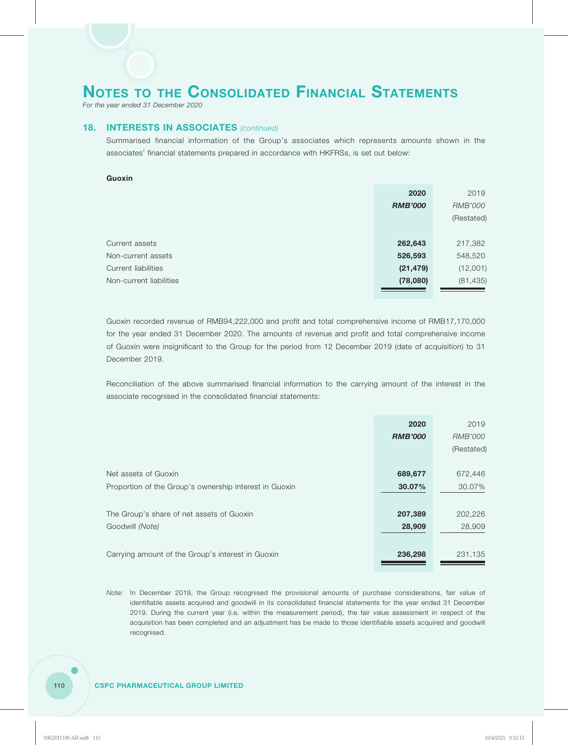*For the year ended 31 December 2020*

## **18. INTERESTS IN ASSOCIATES** *(continued)*

Summarised financial information of the Group's associates which represents amounts shown in the associates' financial statements prepared in accordance with HKFRSs, is set out below:

### **Guoxin**

|                         | 2020           | 2019       |
|-------------------------|----------------|------------|
|                         | <b>RMB'000</b> | RMB'000    |
|                         |                | (Restated) |
|                         |                |            |
| Current assets          | 262,643        | 217,382    |
| Non-current assets      | 526,593        | 548,520    |
| Current liabilities     | (21, 479)      | (12,001)   |
| Non-current liabilities | (78,080)       | (81, 435)  |
|                         |                |            |

Guoxin recorded revenue of RMB94,222,000 and profit and total comprehensive income of RMB17,170,000 for the year ended 31 December 2020. The amounts of revenue and profit and total comprehensive income of Guoxin were insignificant to the Group for the period from 12 December 2019 (date of acquisition) to 31 December 2019.

Reconciliation of the above summarised financial information to the carrying amount of the interest in the associate recognised in the consolidated financial statements:

|                                                        | 2020           | 2019       |
|--------------------------------------------------------|----------------|------------|
|                                                        | <b>RMB'000</b> | RMB'000    |
|                                                        |                | (Restated) |
| Net assets of Guoxin                                   | 689,677        | 672,446    |
| Proportion of the Group's ownership interest in Guoxin | 30.07%         | 30.07%     |
|                                                        |                |            |
| The Group's share of net assets of Guoxin              | 207,389        | 202,226    |
| Goodwill (Note)                                        | 28,909         | 28,909     |
|                                                        |                |            |
| Carrying amount of the Group's interest in Guoxin      | 236,298        | 231,135    |
|                                                        |                |            |

*Note:* In December 2019, the Group recognised the provisional amounts of purchase considerations, fair value of identifiable assets acquired and goodwill in its consolidated financial statements for the year ended 31 December 2019. During the current year (i.e. within the measurement period), the fair value assessment in respect of the acquisition has been completed and an adjustment has be made to those identifiable assets acquired and goodwill recognised.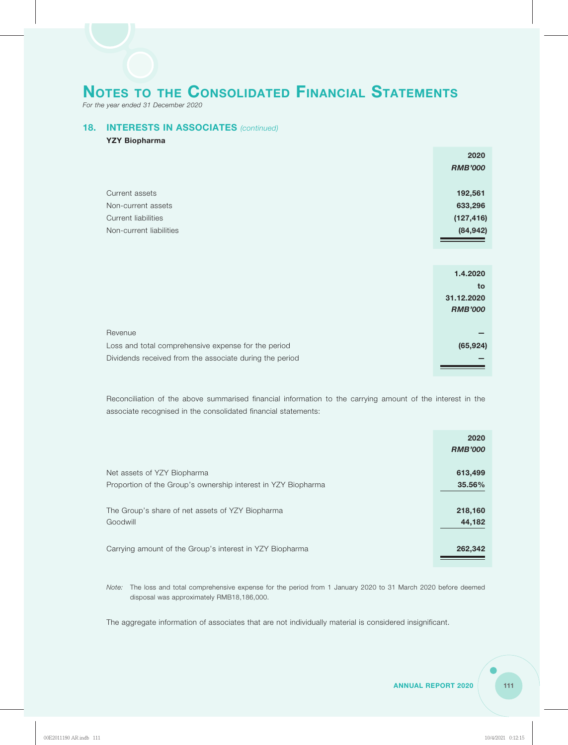*For the year ended 31 December 2020*

# **18. INTERESTS IN ASSOCIATES** *(continued)*

### **YZY Biopharma**

|                         | 2020           |
|-------------------------|----------------|
|                         | <b>RMB'000</b> |
|                         |                |
| Current assets          | 192,561        |
| Non-current assets      | 633,296        |
| Current liabilities     | (127, 416)     |
| Non-current liabilities | (84, 942)      |
|                         |                |

|                                                         | 1.4.2020       |
|---------------------------------------------------------|----------------|
|                                                         | to             |
|                                                         | 31.12.2020     |
|                                                         | <b>RMB'000</b> |
|                                                         |                |
| Revenue                                                 |                |
| Loss and total comprehensive expense for the period     | (65, 924)      |
| Dividends received from the associate during the period |                |
|                                                         |                |

Reconciliation of the above summarised financial information to the carrying amount of the interest in the associate recognised in the consolidated financial statements:

|                                                               | 2020           |
|---------------------------------------------------------------|----------------|
|                                                               | <b>RMB'000</b> |
|                                                               |                |
| Net assets of YZY Biopharma                                   | 613,499        |
| Proportion of the Group's ownership interest in YZY Biopharma | 35.56%         |
|                                                               |                |
| The Group's share of net assets of YZY Biopharma              | 218,160        |
| Goodwill                                                      | 44,182         |
|                                                               |                |
| Carrying amount of the Group's interest in YZY Biopharma      | 262,342        |
|                                                               |                |

*Note:* The loss and total comprehensive expense for the period from 1 January 2020 to 31 March 2020 before deemed disposal was approximately RMB18,186,000.

The aggregate information of associates that are not individually material is considered insignificant.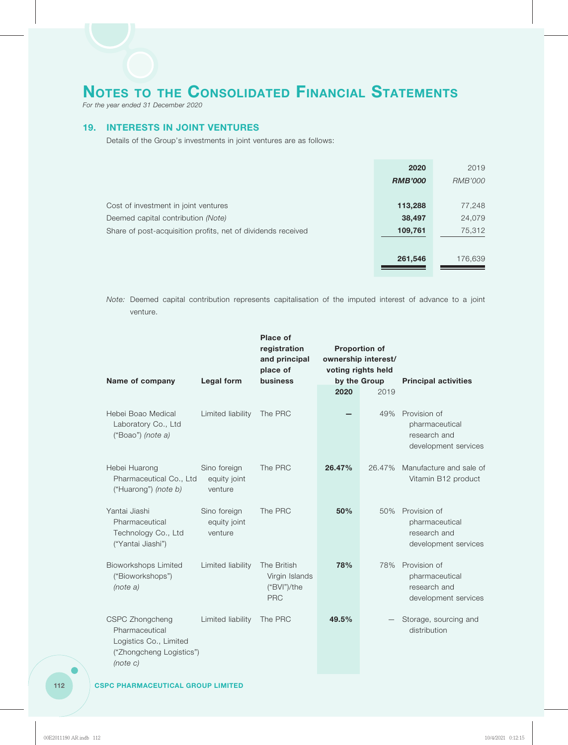*For the year ended 31 December 2020*

## **19. INTERESTS IN JOINT VENTURES**

Details of the Group's investments in joint ventures are as follows:

|                                                              | 2020           | 2019    |
|--------------------------------------------------------------|----------------|---------|
|                                                              | <b>RMB'000</b> | RMB'000 |
|                                                              |                |         |
| Cost of investment in joint ventures                         | 113,288        | 77,248  |
| Deemed capital contribution (Note)                           | 38,497         | 24,079  |
| Share of post-acquisition profits, net of dividends received | 109,761        | 75,312  |
|                                                              |                |         |
|                                                              | 261,546        | 176,639 |
|                                                              |                |         |

*Note:* Deemed capital contribution represents capitalisation of the imputed interest of advance to a joint venture.

| Name of company                                                                                     | Legal form                              | <b>Place of</b><br>registration<br>and principal<br>place of<br><b>business</b> | <b>Proportion of</b><br>ownership interest/<br>voting rights held<br>by the Group |        | <b>Principal activities</b>                                            |  |
|-----------------------------------------------------------------------------------------------------|-----------------------------------------|---------------------------------------------------------------------------------|-----------------------------------------------------------------------------------|--------|------------------------------------------------------------------------|--|
|                                                                                                     |                                         |                                                                                 | 2020                                                                              | 2019   |                                                                        |  |
| Hebei Boao Medical<br>Laboratory Co., Ltd<br>("Boao") (note a)                                      | Limited liability                       | The PRC                                                                         |                                                                                   | 49%    | Provision of<br>pharmaceutical<br>research and<br>development services |  |
| Hebei Huarong<br>Pharmaceutical Co., Ltd<br>("Huarong") (note b)                                    | Sino foreign<br>equity joint<br>venture | The PRC                                                                         | 26.47%                                                                            | 26.47% | Manufacture and sale of<br>Vitamin B12 product                         |  |
| Yantai Jiashi<br>Pharmaceutical<br>Technology Co., Ltd<br>("Yantai Jiashi")                         | Sino foreign<br>equity joint<br>venture | The PRC                                                                         | 50%                                                                               | 50%    | Provision of<br>pharmaceutical<br>research and<br>development services |  |
| <b>Bioworkshops Limited</b><br>("Bioworkshops")<br>(note a)                                         | Limited liability                       | The British<br>Virgin Islands<br>("BVI")/the<br><b>PRC</b>                      | 78%                                                                               | 78%    | Provision of<br>pharmaceutical<br>research and<br>development services |  |
| CSPC Zhongcheng<br>Pharmaceutical<br>Logistics Co., Limited<br>("Zhongcheng Logistics")<br>(note C) | Limited liability                       | The PRC                                                                         | 49.5%                                                                             |        | Storage, sourcing and<br>distribution                                  |  |

# **112 CSPC PHARMACEUTICAL GROUP LIMITED**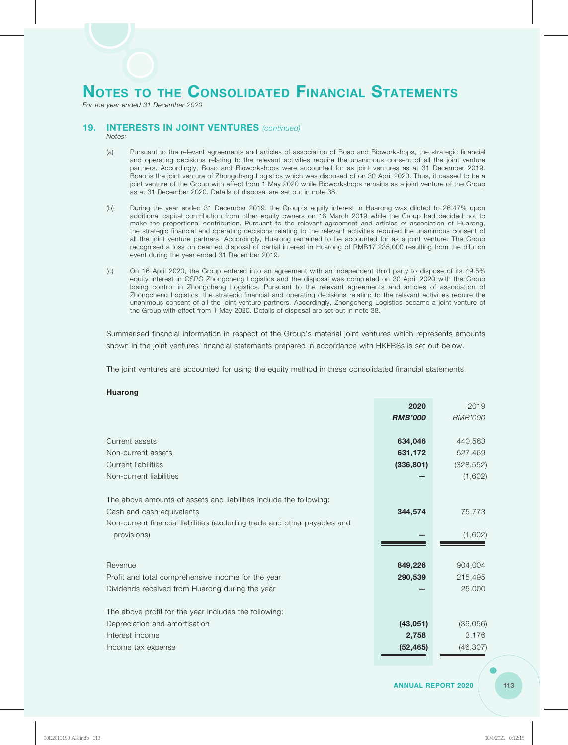*For the year ended 31 December 2020*

## **19. INTERESTS IN JOINT VENTURES** *(continued)*

*Notes:*

- (a) Pursuant to the relevant agreements and articles of association of Boao and Bioworkshops, the strategic financial and operating decisions relating to the relevant activities require the unanimous consent of all the joint venture partners. Accordingly, Boao and Bioworkshops were accounted for as joint ventures as at 31 December 2019. Boao is the joint venture of Zhongcheng Logistics which was disposed of on 30 April 2020. Thus, it ceased to be a joint venture of the Group with effect from 1 May 2020 while Bioworkshops remains as a joint venture of the Group as at 31 December 2020. Details of disposal are set out in note 38.
- (b) During the year ended 31 December 2019, the Group's equity interest in Huarong was diluted to 26.47% upon additional capital contribution from other equity owners on 18 March 2019 while the Group had decided not to make the proportional contribution. Pursuant to the relevant agreement and articles of association of Huarong, the strategic financial and operating decisions relating to the relevant activities required the unanimous consent of all the joint venture partners. Accordingly, Huarong remained to be accounted for as a joint venture. The Group recognised a loss on deemed disposal of partial interest in Huarong of RMB17,235,000 resulting from the dilution event during the year ended 31 December 2019.
- (c) On 16 April 2020, the Group entered into an agreement with an independent third party to dispose of its 49.5% equity interest in CSPC Zhongcheng Logistics and the disposal was completed on 30 April 2020 with the Group losing control in Zhongcheng Logistics. Pursuant to the relevant agreements and articles of association of Zhongcheng Logistics, the strategic financial and operating decisions relating to the relevant activities require the unanimous consent of all the joint venture partners. Accordingly, Zhongcheng Logistics became a joint venture of the Group with effect from 1 May 2020. Details of disposal are set out in note 38.

Summarised financial information in respect of the Group's material joint ventures which represents amounts shown in the joint ventures' financial statements prepared in accordance with HKFRSs is set out below.

The joint ventures are accounted for using the equity method in these consolidated financial statements.

#### **Huarong**

|                                                                           | 2020           | 2019           |
|---------------------------------------------------------------------------|----------------|----------------|
|                                                                           | <b>RMB'000</b> | <b>RMB'000</b> |
|                                                                           |                |                |
| Current assets                                                            | 634,046        | 440,563        |
| Non-current assets                                                        | 631,172        | 527,469        |
| <b>Current liabilities</b>                                                | (336, 801)     | (328, 552)     |
| Non-current liabilities                                                   |                | (1,602)        |
|                                                                           |                |                |
| The above amounts of assets and liabilities include the following:        |                |                |
| Cash and cash equivalents                                                 | 344,574        | 75,773         |
| Non-current financial liabilities (excluding trade and other payables and |                |                |
| provisions)                                                               |                | (1,602)        |
|                                                                           |                |                |
| Revenue                                                                   | 849,226        | 904,004        |
| Profit and total comprehensive income for the year                        | 290,539        | 215,495        |
| Dividends received from Huarong during the year                           |                | 25,000         |
|                                                                           |                |                |
| The above profit for the year includes the following:                     |                |                |
| Depreciation and amortisation                                             | (43, 051)      | (36,056)       |
| Interest income                                                           | 2,758          | 3,176          |
| Income tax expense                                                        | (52, 465)      | (46, 307)      |
|                                                                           |                |                |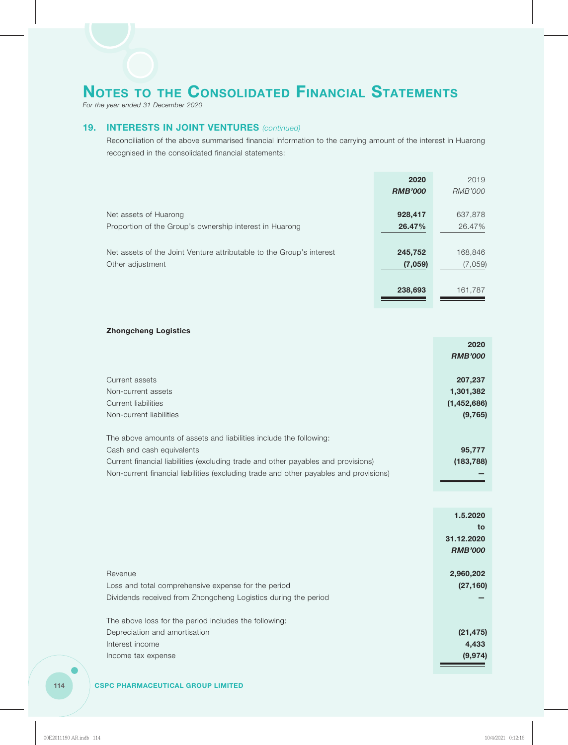*For the year ended 31 December 2020*

# **19. INTERESTS IN JOINT VENTURES** *(continued)*

Reconciliation of the above summarised financial information to the carrying amount of the interest in Huarong recognised in the consolidated financial statements:

|                                                                      | 2020           | 2019           |
|----------------------------------------------------------------------|----------------|----------------|
|                                                                      | <b>RMB'000</b> | <b>RMB'000</b> |
|                                                                      |                |                |
| Net assets of Huarong                                                | 928,417        | 637,878        |
| Proportion of the Group's ownership interest in Huarong              | 26.47%         | 26.47%         |
|                                                                      |                |                |
| Net assets of the Joint Venture attributable to the Group's interest | 245,752        | 168,846        |
| Other adjustment                                                     | (7,059)        | (7,059)        |
|                                                                      |                |                |
|                                                                      | 238,693        | 161,787        |
|                                                                      |                |                |

### **Zhongcheng Logistics**

| <b>RMB'000</b><br>207,237<br>Current assets<br>1,301,382<br>Non-current assets<br>Current liabilities<br>(1,452,686)<br>(9,765)<br>Non-current liabilities<br>The above amounts of assets and liabilities include the following:<br>Cash and cash equivalents<br>95,777<br>Current financial liabilities (excluding trade and other payables and provisions)<br>(183, 788)<br>Non-current financial liabilities (excluding trade and other payables and provisions) | 2020 |
|---------------------------------------------------------------------------------------------------------------------------------------------------------------------------------------------------------------------------------------------------------------------------------------------------------------------------------------------------------------------------------------------------------------------------------------------------------------------|------|
|                                                                                                                                                                                                                                                                                                                                                                                                                                                                     |      |
|                                                                                                                                                                                                                                                                                                                                                                                                                                                                     |      |
|                                                                                                                                                                                                                                                                                                                                                                                                                                                                     |      |
|                                                                                                                                                                                                                                                                                                                                                                                                                                                                     |      |
|                                                                                                                                                                                                                                                                                                                                                                                                                                                                     |      |
|                                                                                                                                                                                                                                                                                                                                                                                                                                                                     |      |
|                                                                                                                                                                                                                                                                                                                                                                                                                                                                     |      |
|                                                                                                                                                                                                                                                                                                                                                                                                                                                                     |      |
|                                                                                                                                                                                                                                                                                                                                                                                                                                                                     |      |
|                                                                                                                                                                                                                                                                                                                                                                                                                                                                     |      |
|                                                                                                                                                                                                                                                                                                                                                                                                                                                                     |      |

|                                                                | 1.5.2020       |
|----------------------------------------------------------------|----------------|
|                                                                | to             |
|                                                                | 31.12.2020     |
|                                                                | <b>RMB'000</b> |
|                                                                |                |
| Revenue                                                        | 2,960,202      |
| Loss and total comprehensive expense for the period            | (27, 160)      |
| Dividends received from Zhongcheng Logistics during the period |                |
|                                                                |                |
| The above loss for the period includes the following:          |                |
| Depreciation and amortisation                                  | (21, 475)      |
| Interest income                                                | 4,433          |
| Income tax expense                                             | (9, 974)       |
|                                                                |                |

## **114 CSPC PHARMACEUTICAL GROUP LIMITED**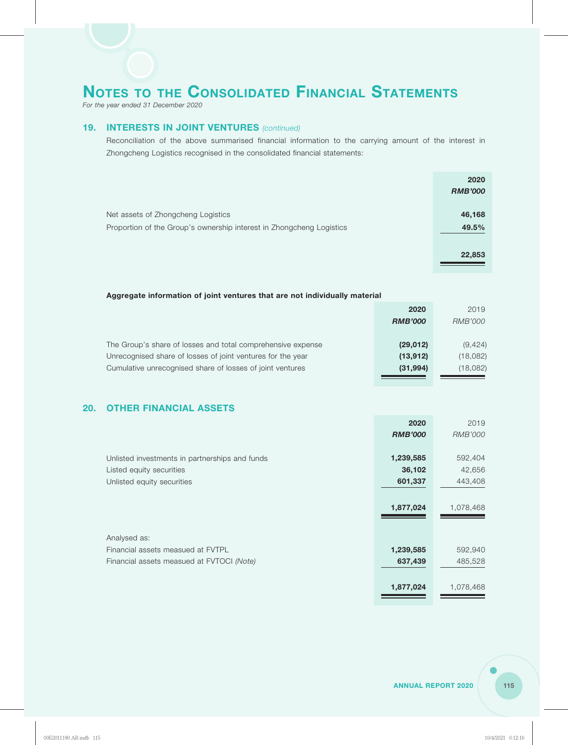*For the year ended 31 December 2020*

# **19. INTERESTS IN JOINT VENTURES** *(continued)*

Reconciliation of the above summarised financial information to the carrying amount of the interest in Zhongcheng Logistics recognised in the consolidated financial statements:

|                                                                      | 2020           |
|----------------------------------------------------------------------|----------------|
|                                                                      | <b>RMB'000</b> |
|                                                                      |                |
| Net assets of Zhongcheng Logistics                                   | 46,168         |
| Proportion of the Group's ownership interest in Zhongcheng Logistics | 49.5%          |
|                                                                      |                |
|                                                                      | 22,853         |
|                                                                      |                |

## **Aggregate information of joint ventures that are not individually material**

|                                                             | 2020           | 2019           |
|-------------------------------------------------------------|----------------|----------------|
|                                                             | <b>RMB'000</b> | <i>RMB'000</i> |
|                                                             |                |                |
| The Group's share of losses and total comprehensive expense | (29, 012)      | (9, 424)       |
| Unrecognised share of losses of joint ventures for the year | (13, 912)      | (18,082)       |
| Cumulative unrecognised share of losses of joint ventures   | (31,994)       | (18,082)       |
|                                                             |                |                |

# **20. OTHER FINANCIAL ASSETS**

|                                                | 2020           | 2019           |
|------------------------------------------------|----------------|----------------|
|                                                | <b>RMB'000</b> | <b>RMB'000</b> |
|                                                |                |                |
| Unlisted investments in partnerships and funds | 1,239,585      | 592,404        |
| Listed equity securities                       | 36,102         | 42,656         |
| Unlisted equity securities                     | 601,337        | 443,408        |
|                                                |                |                |
|                                                | 1,877,024      | 1,078,468      |
|                                                |                |                |
|                                                |                |                |
| Analysed as:                                   |                |                |
| Financial assets measued at FVTPL              | 1,239,585      | 592,940        |
| Financial assets measued at FVTOCI (Note)      | 637,439        | 485,528        |
|                                                |                |                |
|                                                | 1,877,024      | 1,078,468      |
|                                                |                |                |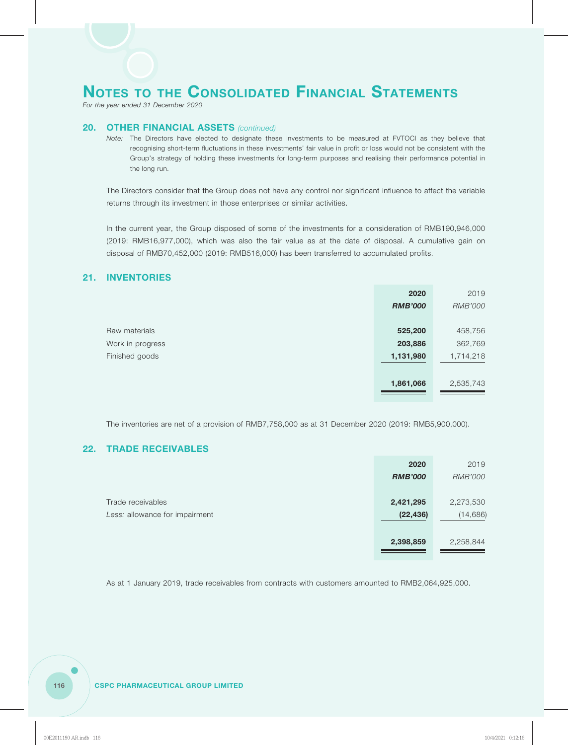*For the year ended 31 December 2020*

# **20. OTHER FINANCIAL ASSETS** *(continued)*

*Note:* The Directors have elected to designate these investments to be measured at FVTOCI as they believe that recognising short-term fluctuations in these investments' fair value in profit or loss would not be consistent with the Group's strategy of holding these investments for long-term purposes and realising their performance potential in the long run.

The Directors consider that the Group does not have any control nor significant influence to affect the variable returns through its investment in those enterprises or similar activities.

In the current year, the Group disposed of some of the investments for a consideration of RMB190,946,000 (2019: RMB16,977,000), which was also the fair value as at the date of disposal. A cumulative gain on disposal of RMB70,452,000 (2019: RMB516,000) has been transferred to accumulated profits.

# **21. INVENTORIES**

|                  | 2020           | 2019           |
|------------------|----------------|----------------|
|                  | <b>RMB'000</b> | <b>RMB'000</b> |
|                  |                |                |
| Raw materials    | 525,200        | 458,756        |
| Work in progress | 203,886        | 362,769        |
| Finished goods   | 1,131,980      | 1,714,218      |
|                  |                |                |
|                  | 1,861,066      | 2,535,743      |
|                  |                |                |

The inventories are net of a provision of RMB7,758,000 as at 31 December 2020 (2019: RMB5,900,000).

# **22. TRADE RECEIVABLES**

|                                | 2020           | 2019           |
|--------------------------------|----------------|----------------|
|                                | <b>RMB'000</b> | <b>RMB'000</b> |
|                                |                |                |
| Trade receivables              | 2,421,295      | 2,273,530      |
| Less: allowance for impairment | (22, 436)      | (14, 686)      |
|                                |                |                |
|                                | 2,398,859      | 2,258,844      |
|                                |                |                |

As at 1 January 2019, trade receivables from contracts with customers amounted to RMB2,064,925,000.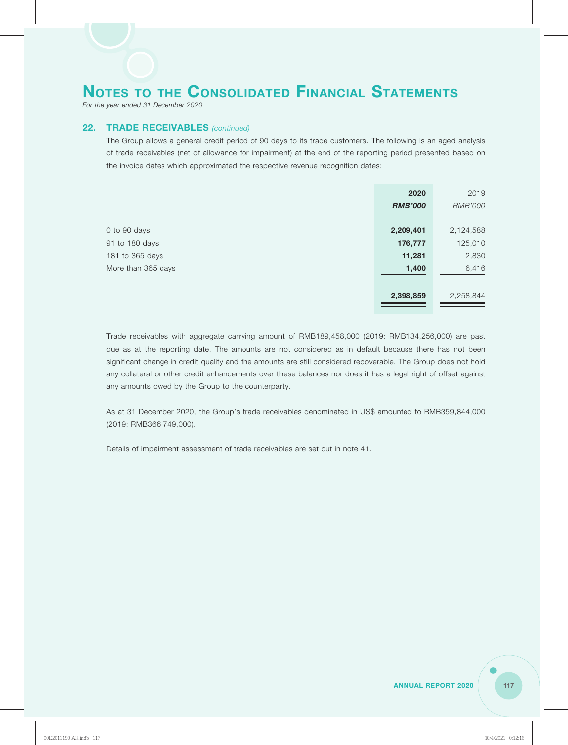*For the year ended 31 December 2020*

# **22. TRADE RECEIVABLES** *(continued)*

The Group allows a general credit period of 90 days to its trade customers. The following is an aged analysis of trade receivables (net of allowance for impairment) at the end of the reporting period presented based on the invoice dates which approximated the respective revenue recognition dates:

|                    | 2020           | 2019           |
|--------------------|----------------|----------------|
|                    | <b>RMB'000</b> | <b>RMB'000</b> |
|                    |                |                |
| 0 to 90 days       | 2,209,401      | 2,124,588      |
| 91 to 180 days     | 176,777        | 125,010        |
| 181 to 365 days    | 11,281         | 2,830          |
| More than 365 days | 1,400          | 6,416          |
|                    |                |                |
|                    | 2,398,859      | 2,258,844      |
|                    |                |                |

Trade receivables with aggregate carrying amount of RMB189,458,000 (2019: RMB134,256,000) are past due as at the reporting date. The amounts are not considered as in default because there has not been significant change in credit quality and the amounts are still considered recoverable. The Group does not hold any collateral or other credit enhancements over these balances nor does it has a legal right of offset against any amounts owed by the Group to the counterparty.

As at 31 December 2020, the Group's trade receivables denominated in US\$ amounted to RMB359,844,000 (2019: RMB366,749,000).

Details of impairment assessment of trade receivables are set out in note 41.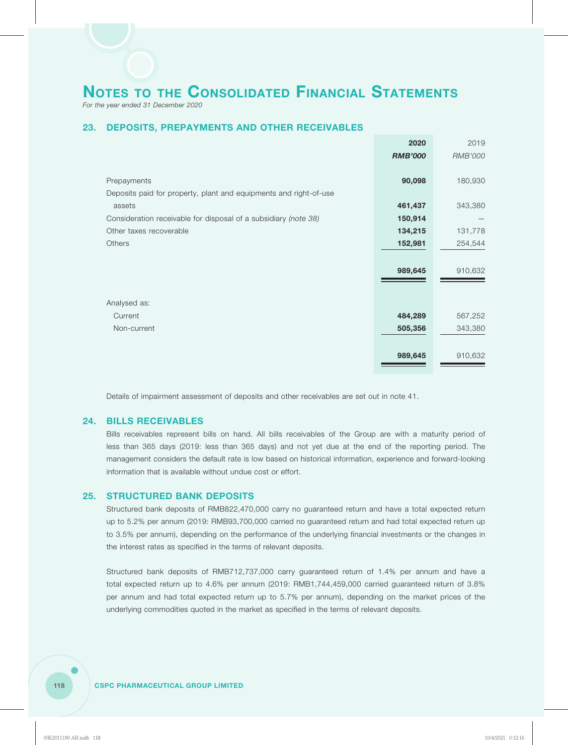*For the year ended 31 December 2020*

# **23. DEPOSITS, PREPAYMENTS AND OTHER RECEIVABLES**

|                                                                   | 2020           | 2019           |
|-------------------------------------------------------------------|----------------|----------------|
|                                                                   | <b>RMB'000</b> | <b>RMB'000</b> |
|                                                                   |                |                |
| Prepayments                                                       | 90,098         | 180,930        |
| Deposits paid for property, plant and equipments and right-of-use |                |                |
| assets                                                            | 461,437        | 343,380        |
| Consideration receivable for disposal of a subsidiary (note 38)   | 150,914        |                |
| Other taxes recoverable                                           | 134,215        | 131,778        |
| Others                                                            | 152,981        | 254,544        |
|                                                                   |                |                |
|                                                                   | 989,645        | 910,632        |
|                                                                   |                |                |
|                                                                   |                |                |
| Analysed as:                                                      |                |                |
| Current                                                           | 484,289        | 567,252        |
| Non-current                                                       | 505,356        | 343,380        |
|                                                                   |                |                |
|                                                                   | 989,645        | 910,632        |
|                                                                   |                |                |

Details of impairment assessment of deposits and other receivables are set out in note 41.

# **24. BILLS RECEIVABLES**

Bills receivables represent bills on hand. All bills receivables of the Group are with a maturity period of less than 365 days (2019: less than 365 days) and not yet due at the end of the reporting period. The management considers the default rate is low based on historical information, experience and forward-looking information that is available without undue cost or effort.

### **25. STRUCTURED BANK DEPOSITS**

Structured bank deposits of RMB822,470,000 carry no guaranteed return and have a total expected return up to 5.2% per annum (2019: RMB93,700,000 carried no guaranteed return and had total expected return up to 3.5% per annum), depending on the performance of the underlying financial investments or the changes in the interest rates as specified in the terms of relevant deposits.

Structured bank deposits of RMB712,737,000 carry guaranteed return of 1.4% per annum and have a total expected return up to 4.6% per annum (2019: RMB1,744,459,000 carried guaranteed return of 3.8% per annum and had total expected return up to 5.7% per annum), depending on the market prices of the underlying commodities quoted in the market as specified in the terms of relevant deposits.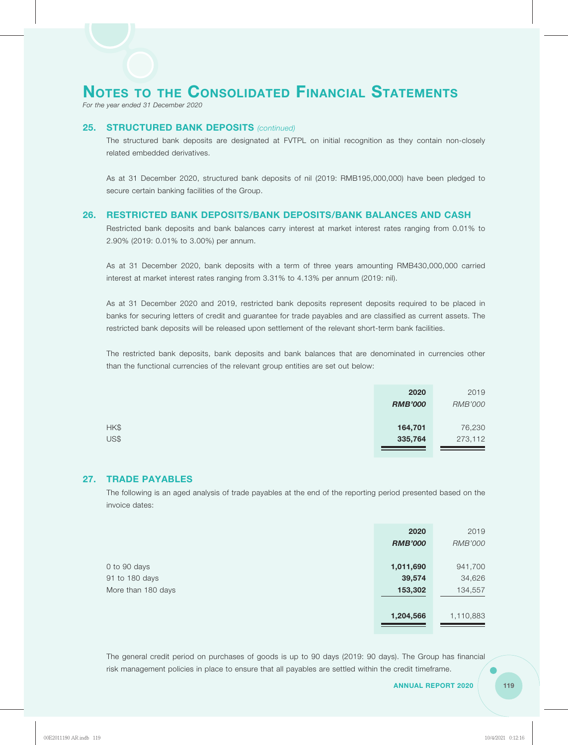*For the year ended 31 December 2020*

# **25. STRUCTURED BANK DEPOSITS** *(continued)*

The structured bank deposits are designated at FVTPL on initial recognition as they contain non-closely related embedded derivatives.

As at 31 December 2020, structured bank deposits of nil (2019: RMB195,000,000) have been pledged to secure certain banking facilities of the Group.

### **26. RESTRICTED BANK DEPOSITS/BANK DEPOSITS/BANK BALANCES AND CASH**

Restricted bank deposits and bank balances carry interest at market interest rates ranging from 0.01% to 2.90% (2019: 0.01% to 3.00%) per annum.

As at 31 December 2020, bank deposits with a term of three years amounting RMB430,000,000 carried interest at market interest rates ranging from 3.31% to 4.13% per annum (2019: nil).

As at 31 December 2020 and 2019, restricted bank deposits represent deposits required to be placed in banks for securing letters of credit and guarantee for trade payables and are classified as current assets. The restricted bank deposits will be released upon settlement of the relevant short-term bank facilities.

The restricted bank deposits, bank deposits and bank balances that are denominated in currencies other than the functional currencies of the relevant group entities are set out below:

|      | 2020           | 2019           |
|------|----------------|----------------|
|      | <b>RMB'000</b> | <b>RMB'000</b> |
|      |                |                |
| HK\$ | 164,701        | 76,230         |
| US\$ | 335,764        | 273,112        |
|      |                |                |

## **27. TRADE PAYABLES**

The following is an aged analysis of trade payables at the end of the reporting period presented based on the invoice dates:

|                    | 2020           | 2019           |
|--------------------|----------------|----------------|
|                    | <b>RMB'000</b> | <b>RMB'000</b> |
|                    |                |                |
| 0 to 90 days       | 1,011,690      | 941,700        |
| 91 to 180 days     | 39,574         | 34,626         |
| More than 180 days | 153,302        | 134,557        |
|                    |                |                |
|                    | 1,204,566      | 1,110,883      |
|                    |                |                |

The general credit period on purchases of goods is up to 90 days (2019: 90 days). The Group has financial risk management policies in place to ensure that all payables are settled within the credit timeframe.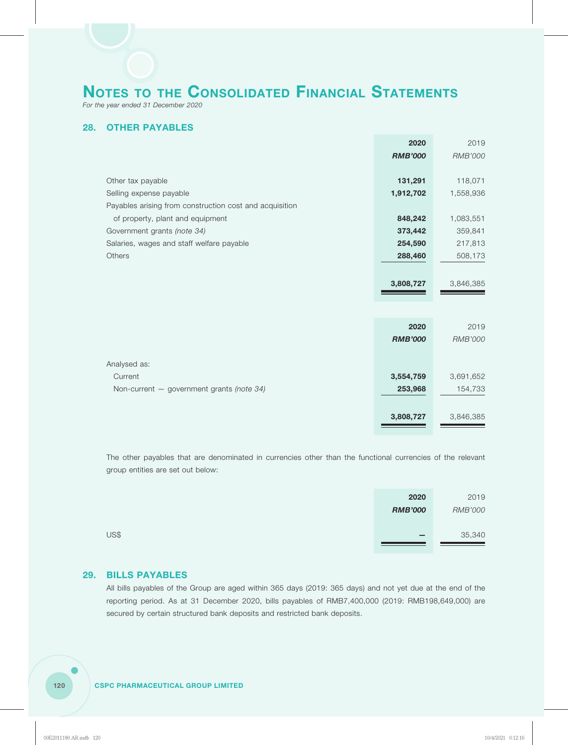*For the year ended 31 December 2020*

# **28. OTHER PAYABLES**

|                                                         | 2020           | 2019           |
|---------------------------------------------------------|----------------|----------------|
|                                                         | <b>RMB'000</b> | <b>RMB'000</b> |
|                                                         |                |                |
| Other tax payable                                       | 131,291        | 118,071        |
| Selling expense payable                                 | 1,912,702      | 1,558,936      |
| Payables arising from construction cost and acquisition |                |                |
| of property, plant and equipment                        | 848,242        | 1,083,551      |
| Government grants (note 34)                             | 373,442        | 359,841        |
| Salaries, wages and staff welfare payable               | 254,590        | 217,813        |
| Others                                                  | 288,460        | 508,173        |
|                                                         |                |                |
|                                                         | 3,808,727      | 3,846,385      |
|                                                         |                |                |
|                                                         |                |                |
|                                                         | 2020           | 2019           |
|                                                         | <b>RMB'000</b> | <b>RMB'000</b> |
|                                                         |                |                |
| Analysed as:                                            |                |                |
| Current                                                 | 3,554,759      | 3,691,652      |
| Non-current - government grants (note 34)               | 253,968        | 154,733        |
|                                                         |                |                |
|                                                         | 3,808,727      | 3,846,385      |
|                                                         |                |                |

The other payables that are denominated in currencies other than the functional currencies of the relevant group entities are set out below:

|      | 2020                     | 2019           |
|------|--------------------------|----------------|
|      | <b>RMB'000</b>           | <b>RMB'000</b> |
|      |                          |                |
| US\$ | $\overline{\phantom{0}}$ | 35,340         |
|      |                          |                |

# **29. BILLS PAYABLES**

All bills payables of the Group are aged within 365 days (2019: 365 days) and not yet due at the end of the reporting period. As at 31 December 2020, bills payables of RMB7,400,000 (2019: RMB198,649,000) are secured by certain structured bank deposits and restricted bank deposits.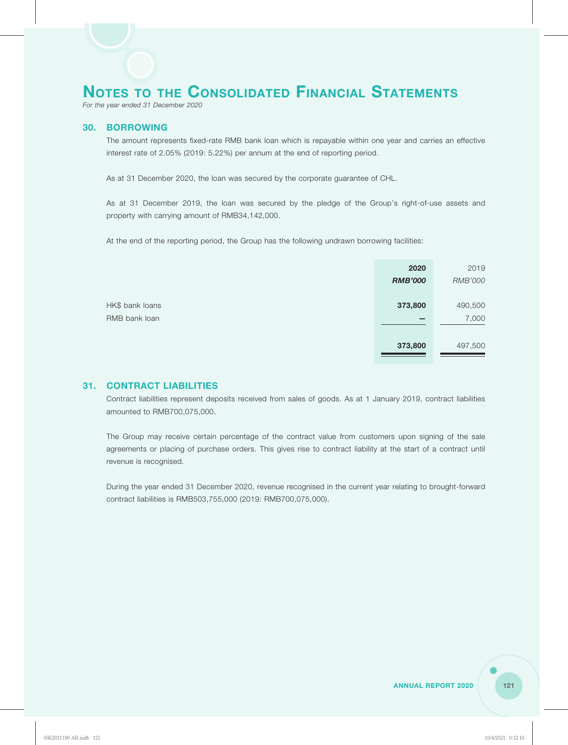*For the year ended 31 December 2020*

### **30. BORROWING**

The amount represents fixed-rate RMB bank loan which is repayable within one year and carries an effective interest rate of 2.05% (2019: 5.22%) per annum at the end of reporting period.

As at 31 December 2020, the loan was secured by the corporate guarantee of CHL.

As at 31 December 2019, the loan was secured by the pledge of the Group's right-of-use assets and property with carrying amount of RMB34,142,000.

At the end of the reporting period, the Group has the following undrawn borrowing facilities:

|                 | 2020                     | 2019    |
|-----------------|--------------------------|---------|
|                 | <b>RMB'000</b>           | RMB'000 |
|                 |                          |         |
| HK\$ bank loans | 373,800                  | 490,500 |
| RMB bank loan   | $\overline{\phantom{0}}$ | 7,000   |
|                 |                          |         |
|                 | 373,800                  | 497,500 |
|                 |                          |         |

# **31. CONTRACT LIABILITIES**

Contract liabilities represent deposits received from sales of goods. As at 1 January 2019, contract liabilities amounted to RMB700,075,000.

The Group may receive certain percentage of the contract value from customers upon signing of the sale agreements or placing of purchase orders. This gives rise to contract liability at the start of a contract until revenue is recognised.

During the year ended 31 December 2020, revenue recognised in the current year relating to brought-forward contract liabilities is RMB503,755,000 (2019: RMB700,075,000).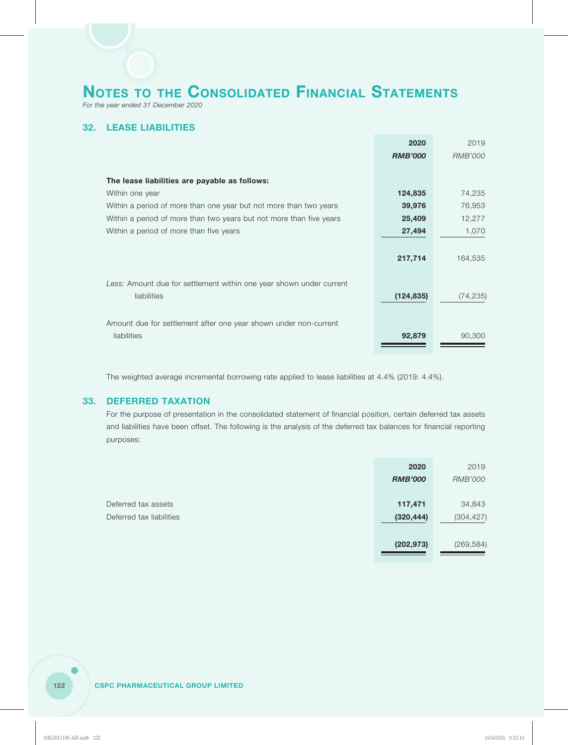*For the year ended 31 December 2020*

# **32. LEASE LIABILITIES**

|                                                                                                                                                        | 2020                            | 2019                |
|--------------------------------------------------------------------------------------------------------------------------------------------------------|---------------------------------|---------------------|
|                                                                                                                                                        | <b>RMB'000</b>                  | RMB'000             |
|                                                                                                                                                        |                                 |                     |
| The lease liabilities are payable as follows:                                                                                                          |                                 |                     |
| Within one year                                                                                                                                        | 124,835                         | 74,235              |
| Within a period of more than one year but not more than two years                                                                                      | 39,976                          | 76,953              |
| Within a period of more than two years but not more than five years                                                                                    | 25,409                          | 12,277              |
| Within a period of more than five years                                                                                                                | 27,494                          | 1,070               |
|                                                                                                                                                        |                                 |                     |
|                                                                                                                                                        |                                 | 164,535             |
|                                                                                                                                                        |                                 |                     |
|                                                                                                                                                        |                                 |                     |
| liabilities                                                                                                                                            |                                 |                     |
|                                                                                                                                                        |                                 |                     |
|                                                                                                                                                        |                                 |                     |
|                                                                                                                                                        |                                 |                     |
|                                                                                                                                                        |                                 |                     |
| Less: Amount due for settlement within one year shown under current<br>Amount due for settlement after one year shown under non-current<br>liabilities | 217,714<br>(124, 835)<br>92,879 | (74, 235)<br>90,300 |

The weighted average incremental borrowing rate applied to lease liabilities at 4.4% (2019: 4.4%).

# **33. DEFERRED TAXATION**

For the purpose of presentation in the consolidated statement of financial position, certain deferred tax assets and liabilities have been offset. The following is the analysis of the deferred tax balances for financial reporting purposes:

|                          | 2020           | 2019           |
|--------------------------|----------------|----------------|
|                          | <b>RMB'000</b> | <b>RMB'000</b> |
|                          |                |                |
| Deferred tax assets      | 117,471        | 34,843         |
| Deferred tax liabilities | (320, 444)     | (304, 427)     |
|                          |                |                |
|                          | (202, 973)     | (269, 584)     |
|                          |                |                |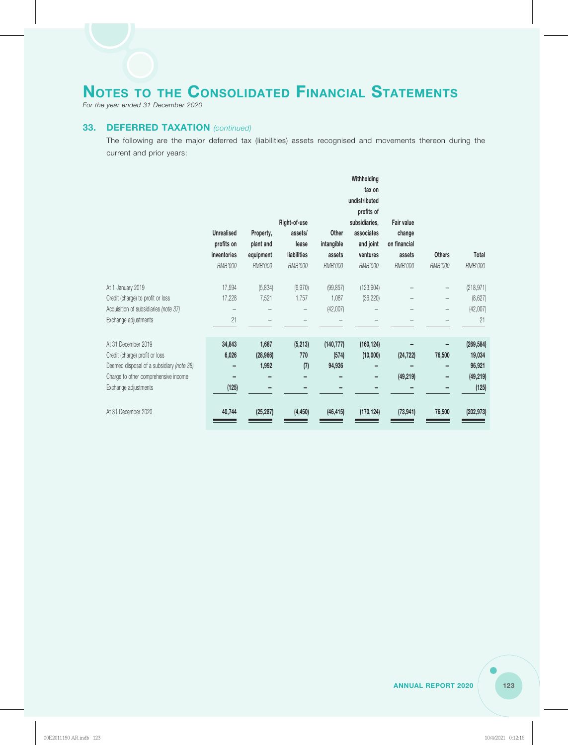*For the year ended 31 December 2020*

## **33. DEFERRED TAXATION** *(continued)*

The following are the major deferred tax (liabilities) assets recognised and movements thereon during the current and prior years:

|                                           |                   |                        |                         |            | Withholding<br>tax on       |                        |               |            |
|-------------------------------------------|-------------------|------------------------|-------------------------|------------|-----------------------------|------------------------|---------------|------------|
|                                           |                   |                        |                         |            | undistributed               |                        |               |            |
|                                           |                   |                        |                         |            | profits of                  |                        |               |            |
|                                           | <b>Unrealised</b> |                        | Right-of-use<br>assets/ | Other      | subsidiaries,<br>associates | Fair value             |               |            |
|                                           | profits on        | Property,<br>plant and | lease                   | intangible | and joint                   | change<br>on financial |               |            |
|                                           | inventories       | equipment              | liabilities             | assets     | ventures                    | assets                 | <b>Others</b> | Total      |
|                                           | RMB'000           | <b>RMB'000</b>         | RMB'000                 | RMB'000    | RMB'000                     | RMB'000                | RMB'000       | RMB'000    |
| At 1 January 2019                         | 17,594            | (5,834)                | (6,970)                 | (99, 857)  | (123, 904)                  |                        |               | (218, 971) |
| Credit (charge) to profit or loss         | 17,228            | 7,521                  | 1,757                   | 1,087      | (36, 220)                   |                        |               | (8,627)    |
| Acquisition of subsidiaries (note 37)     |                   |                        |                         | (42,007)   |                             |                        |               | (42,007)   |
| Exchange adjustments                      | 21                |                        |                         |            |                             |                        |               | 21         |
| At 31 December 2019                       | 34,843            | 1,687                  | (5, 213)                | (140, 777) | (160, 124)                  |                        |               | (269, 584) |
| Credit (charge) profit or loss            | 6,026             | (28, 966)              | 770                     | (574)      | (10,000)                    | (24, 722)              | 76,500        | 19,034     |
| Deemed disposal of a subsidiary (note 38) |                   | 1,992                  | (7)                     | 94,936     |                             |                        |               | 96,921     |
| Charge to other comprehensive income      |                   |                        |                         |            |                             | (49, 219)              |               | (49, 219)  |
| Exchange adjustments                      | (125)             |                        |                         |            |                             |                        |               | (125)      |
| At 31 December 2020                       | 40,744            | (25, 287)              | (4, 450)                | (46, 415)  | (170, 124)                  | (73, 941)              | 76,500        | (202, 973) |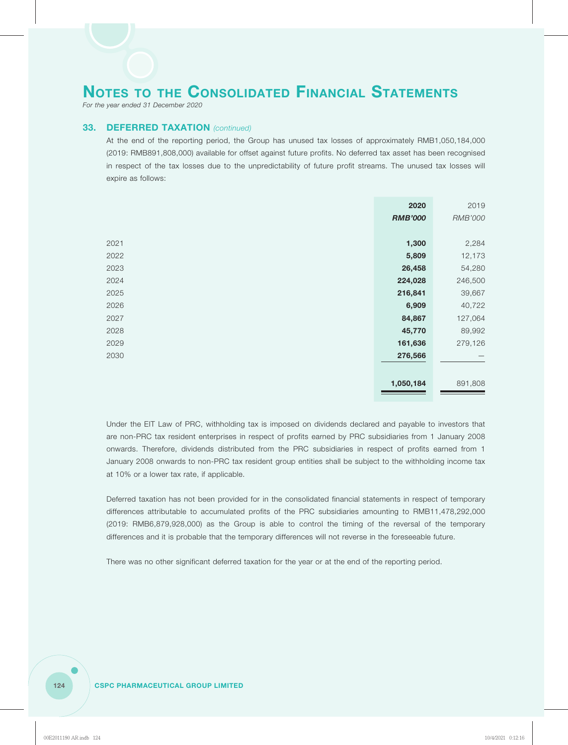*For the year ended 31 December 2020*

# **33. DEFERRED TAXATION** *(continued)*

At the end of the reporting period, the Group has unused tax losses of approximately RMB1,050,184,000 (2019: RMB891,808,000) available for offset against future profits. No deferred tax asset has been recognised in respect of the tax losses due to the unpredictability of future profit streams. The unused tax losses will expire as follows:

|      | 2020           | 2019           |
|------|----------------|----------------|
|      | <b>RMB'000</b> | <b>RMB'000</b> |
|      |                |                |
| 2021 | 1,300          | 2,284          |
| 2022 | 5,809          | 12,173         |
| 2023 | 26,458         | 54,280         |
| 2024 | 224,028        | 246,500        |
| 2025 | 216,841        | 39,667         |
| 2026 | 6,909          | 40,722         |
| 2027 | 84,867         | 127,064        |
| 2028 | 45,770         | 89,992         |
| 2029 | 161,636        | 279,126        |
| 2030 | 276,566        |                |
|      |                |                |
|      | 1,050,184      | 891,808        |

Under the EIT Law of PRC, withholding tax is imposed on dividends declared and payable to investors that are non-PRC tax resident enterprises in respect of profits earned by PRC subsidiaries from 1 January 2008 onwards. Therefore, dividends distributed from the PRC subsidiaries in respect of profits earned from 1 January 2008 onwards to non-PRC tax resident group entities shall be subject to the withholding income tax at 10% or a lower tax rate, if applicable.

Deferred taxation has not been provided for in the consolidated financial statements in respect of temporary differences attributable to accumulated profits of the PRC subsidiaries amounting to RMB11,478,292,000 (2019: RMB6,879,928,000) as the Group is able to control the timing of the reversal of the temporary differences and it is probable that the temporary differences will not reverse in the foreseeable future.

There was no other significant deferred taxation for the year or at the end of the reporting period.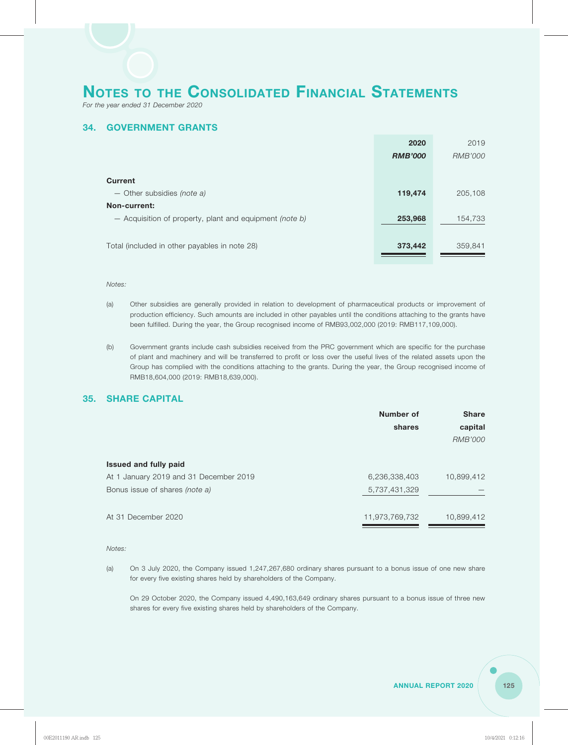*For the year ended 31 December 2020*

# **34. GOVERNMENT GRANTS**

|                                                         | 2020           | 2019    |
|---------------------------------------------------------|----------------|---------|
|                                                         | <b>RMB'000</b> | RMB'000 |
|                                                         |                |         |
| <b>Current</b>                                          |                |         |
| $-$ Other subsidies <i>(note a)</i>                     | 119,474        | 205,108 |
| Non-current:                                            |                |         |
| - Acquisition of property, plant and equipment (note b) | 253,968        | 154,733 |
|                                                         |                |         |
| Total (included in other payables in note 28)           | 373,442        | 359,841 |
|                                                         |                |         |

#### *Notes:*

- (a) Other subsidies are generally provided in relation to development of pharmaceutical products or improvement of production efficiency. Such amounts are included in other payables until the conditions attaching to the grants have been fulfilled. During the year, the Group recognised income of RMB93,002,000 (2019: RMB117,109,000).
- (b) Government grants include cash subsidies received from the PRC government which are specific for the purchase of plant and machinery and will be transferred to profit or loss over the useful lives of the related assets upon the Group has complied with the conditions attaching to the grants. During the year, the Group recognised income of RMB18,604,000 (2019: RMB18,639,000).

# **35. SHARE CAPITAL**

| Number of      | <b>Share</b> |
|----------------|--------------|
| shares         | capital      |
|                | RMB'000      |
|                |              |
|                |              |
| 6,236,338,403  | 10,899,412   |
| 5,737,431,329  |              |
|                |              |
| 11,973,769,732 | 10,899,412   |
|                |              |

*Notes:*

(a) On 3 July 2020, the Company issued 1,247,267,680 ordinary shares pursuant to a bonus issue of one new share for every five existing shares held by shareholders of the Company.

On 29 October 2020, the Company issued 4,490,163,649 ordinary shares pursuant to a bonus issue of three new shares for every five existing shares held by shareholders of the Company.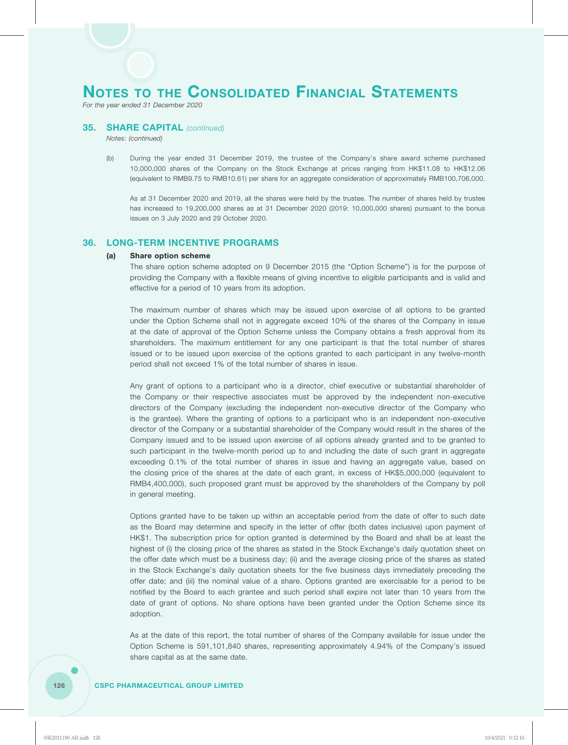*For the year ended 31 December 2020*

#### **35. SHARE CAPITAL** *(continued)*

*Notes: (continued)*

(b) During the year ended 31 December 2019, the trustee of the Company's share award scheme purchased 10,000,000 shares of the Company on the Stock Exchange at prices ranging from HK\$11.08 to HK\$12.06 (equivalent to RMB9.75 to RMB10.61) per share for an aggregate consideration of approximately RMB100,706,000.

As at 31 December 2020 and 2019, all the shares were held by the trustee. The number of shares held by trustee has increased to 19,200,000 shares as at 31 December 2020 (2019: 10,000,000 shares) pursuant to the bonus issues on 3 July 2020 and 29 October 2020.

### **36. LONG-TERM INCENTIVE PROGRAMS**

#### **(a) Share option scheme**

The share option scheme adopted on 9 December 2015 (the "Option Scheme") is for the purpose of providing the Company with a flexible means of giving incentive to eligible participants and is valid and effective for a period of 10 years from its adoption.

The maximum number of shares which may be issued upon exercise of all options to be granted under the Option Scheme shall not in aggregate exceed 10% of the shares of the Company in issue at the date of approval of the Option Scheme unless the Company obtains a fresh approval from its shareholders. The maximum entitlement for any one participant is that the total number of shares issued or to be issued upon exercise of the options granted to each participant in any twelve-month period shall not exceed 1% of the total number of shares in issue.

Any grant of options to a participant who is a director, chief executive or substantial shareholder of the Company or their respective associates must be approved by the independent non-executive directors of the Company (excluding the independent non-executive director of the Company who is the grantee). Where the granting of options to a participant who is an independent non-executive director of the Company or a substantial shareholder of the Company would result in the shares of the Company issued and to be issued upon exercise of all options already granted and to be granted to such participant in the twelve-month period up to and including the date of such grant in aggregate exceeding 0.1% of the total number of shares in issue and having an aggregate value, based on the closing price of the shares at the date of each grant, in excess of HK\$5,000,000 (equivalent to RMB4,400,000), such proposed grant must be approved by the shareholders of the Company by poll in general meeting.

Options granted have to be taken up within an acceptable period from the date of offer to such date as the Board may determine and specify in the letter of offer (both dates inclusive) upon payment of HK\$1. The subscription price for option granted is determined by the Board and shall be at least the highest of (i) the closing price of the shares as stated in the Stock Exchange's daily quotation sheet on the offer date which must be a business day; (ii) and the average closing price of the shares as stated in the Stock Exchange's daily quotation sheets for the five business days immediately preceding the offer date; and (iii) the nominal value of a share. Options granted are exercisable for a period to be notified by the Board to each grantee and such period shall expire not later than 10 years from the date of grant of options. No share options have been granted under the Option Scheme since its adoption.

As at the date of this report, the total number of shares of the Company available for issue under the Option Scheme is 591,101,840 shares, representing approximately 4.94% of the Company's issued share capital as at the same date.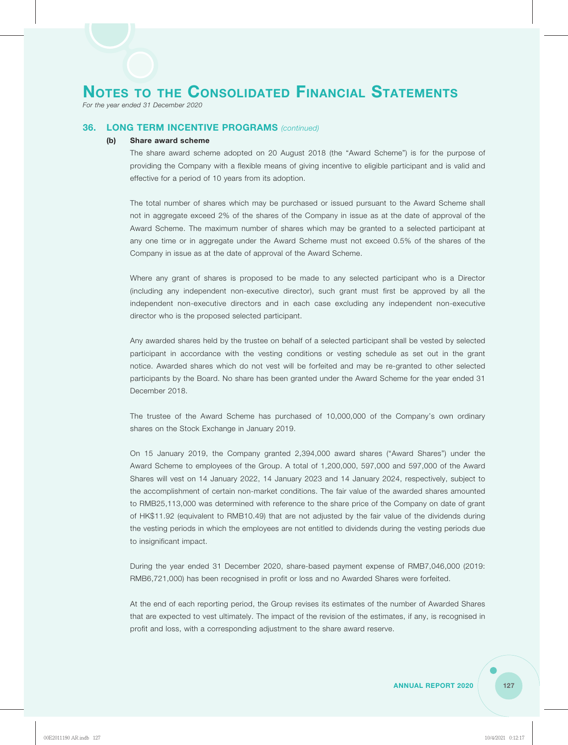*For the year ended 31 December 2020*

## **36. LONG TERM INCENTIVE PROGRAMS** *(continued)*

### **(b) Share award scheme**

The share award scheme adopted on 20 August 2018 (the "Award Scheme") is for the purpose of providing the Company with a flexible means of giving incentive to eligible participant and is valid and effective for a period of 10 years from its adoption.

The total number of shares which may be purchased or issued pursuant to the Award Scheme shall not in aggregate exceed 2% of the shares of the Company in issue as at the date of approval of the Award Scheme. The maximum number of shares which may be granted to a selected participant at any one time or in aggregate under the Award Scheme must not exceed 0.5% of the shares of the Company in issue as at the date of approval of the Award Scheme.

Where any grant of shares is proposed to be made to any selected participant who is a Director (including any independent non-executive director), such grant must first be approved by all the independent non-executive directors and in each case excluding any independent non-executive director who is the proposed selected participant.

Any awarded shares held by the trustee on behalf of a selected participant shall be vested by selected participant in accordance with the vesting conditions or vesting schedule as set out in the grant notice. Awarded shares which do not vest will be forfeited and may be re-granted to other selected participants by the Board. No share has been granted under the Award Scheme for the year ended 31 December 2018.

The trustee of the Award Scheme has purchased of 10,000,000 of the Company's own ordinary shares on the Stock Exchange in January 2019.

On 15 January 2019, the Company granted 2,394,000 award shares ("Award Shares") under the Award Scheme to employees of the Group. A total of 1,200,000, 597,000 and 597,000 of the Award Shares will vest on 14 January 2022, 14 January 2023 and 14 January 2024, respectively, subject to the accomplishment of certain non-market conditions. The fair value of the awarded shares amounted to RMB25,113,000 was determined with reference to the share price of the Company on date of grant of HK\$11.92 (equivalent to RMB10.49) that are not adjusted by the fair value of the dividends during the vesting periods in which the employees are not entitled to dividends during the vesting periods due to insignificant impact.

During the year ended 31 December 2020, share-based payment expense of RMB7,046,000 (2019: RMB6,721,000) has been recognised in profit or loss and no Awarded Shares were forfeited.

At the end of each reporting period, the Group revises its estimates of the number of Awarded Shares that are expected to vest ultimately. The impact of the revision of the estimates, if any, is recognised in profit and loss, with a corresponding adjustment to the share award reserve.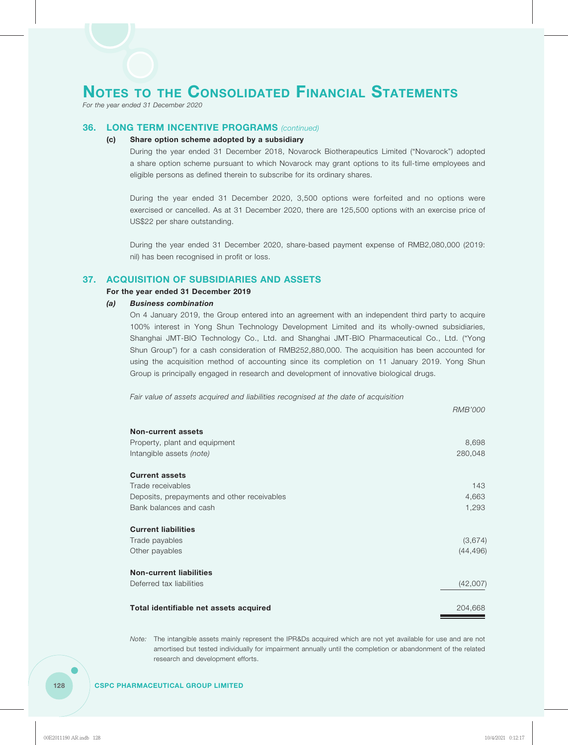*For the year ended 31 December 2020*

## **36. LONG TERM INCENTIVE PROGRAMS** *(continued)*

### **(c) Share option scheme adopted by a subsidiary**

During the year ended 31 December 2018, Novarock Biotherapeutics Limited ("Novarock") adopted a share option scheme pursuant to which Novarock may grant options to its full-time employees and eligible persons as defined therein to subscribe for its ordinary shares.

During the year ended 31 December 2020, 3,500 options were forfeited and no options were exercised or cancelled. As at 31 December 2020, there are 125,500 options with an exercise price of US\$22 per share outstanding.

During the year ended 31 December 2020, share-based payment expense of RMB2,080,000 (2019: nil) has been recognised in profit or loss.

# **37. ACQUISITION OF SUBSIDIARIES AND ASSETS**

#### **For the year ended 31 December 2019**

#### *(a) Business combination*

On 4 January 2019, the Group entered into an agreement with an independent third party to acquire 100% interest in Yong Shun Technology Development Limited and its wholly-owned subsidiaries, Shanghai JMT-BIO Technology Co., Ltd. and Shanghai JMT-BIO Pharmaceutical Co., Ltd. ("Yong Shun Group") for a cash consideration of RMB252,880,000. The acquisition has been accounted for using the acquisition method of accounting since its completion on 11 January 2019. Yong Shun Group is principally engaged in research and development of innovative biological drugs.

*Fair value of assets acquired and liabilities recognised at the date of acquisition*

|                                             | RMB'000   |
|---------------------------------------------|-----------|
| <b>Non-current assets</b>                   |           |
| Property, plant and equipment               | 8,698     |
| Intangible assets (note)                    | 280,048   |
| <b>Current assets</b>                       |           |
| Trade receivables                           | 143       |
| Deposits, prepayments and other receivables | 4,663     |
| Bank balances and cash                      | 1,293     |
| <b>Current liabilities</b>                  |           |
| Trade payables                              | (3,674)   |
| Other payables                              | (44, 496) |
| <b>Non-current liabilities</b>              |           |
| Deferred tax liabilities                    | (42,007)  |
| Total identifiable net assets acquired      | 204,668   |
|                                             |           |

*Note:* The intangible assets mainly represent the IPR&Ds acquired which are not yet available for use and are not amortised but tested individually for impairment annually until the completion or abandonment of the related research and development efforts.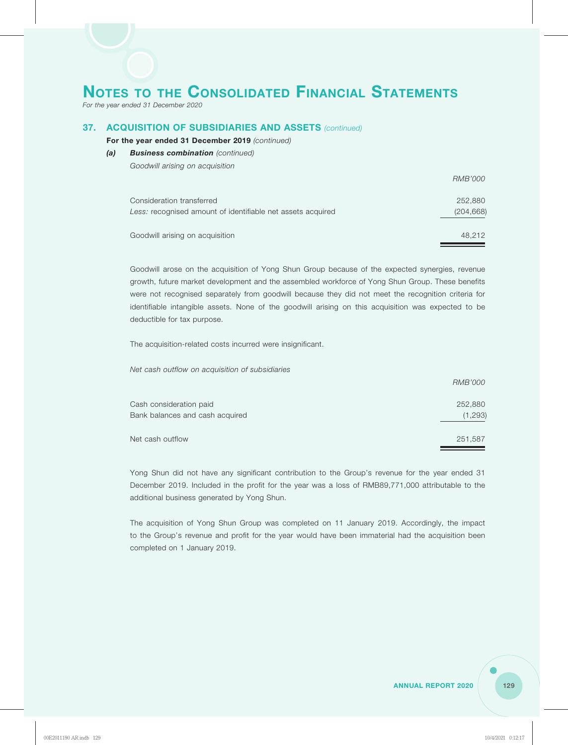*For the year ended 31 December 2020*

## **37. ACQUISITION OF SUBSIDIARIES AND ASSETS** *(continued)*

### **For the year ended 31 December 2019** *(continued)*

*(a) Business combination (continued) Goodwill arising on acquisition*

|                                                             | <i>RMB'000</i> |
|-------------------------------------------------------------|----------------|
| Consideration transferred                                   | 252,880        |
| Less: recognised amount of identifiable net assets acquired | (204, 668)     |
| Goodwill arising on acquisition                             | 48.212         |

Goodwill arose on the acquisition of Yong Shun Group because of the expected synergies, revenue growth, future market development and the assembled workforce of Yong Shun Group. These benefits were not recognised separately from goodwill because they did not meet the recognition criteria for identifiable intangible assets. None of the goodwill arising on this acquisition was expected to be deductible for tax purpose.

The acquisition-related costs incurred were insignificant.

*Net cash outflow on acquisition of subsidiaries*

|                                 | <i>RMB'000</i> |
|---------------------------------|----------------|
| Cash consideration paid         | 252,880        |
| Bank balances and cash acquired | (1,293)        |
| Net cash outflow                | 251,587        |

Yong Shun did not have any significant contribution to the Group's revenue for the year ended 31 December 2019. Included in the profit for the year was a loss of RMB89,771,000 attributable to the additional business generated by Yong Shun.

The acquisition of Yong Shun Group was completed on 11 January 2019. Accordingly, the impact to the Group's revenue and profit for the year would have been immaterial had the acquisition been completed on 1 January 2019.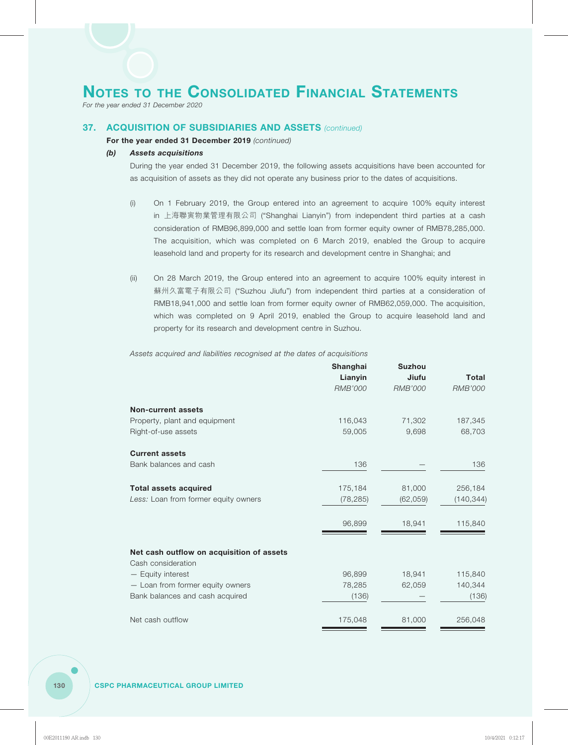*For the year ended 31 December 2020*

## **37. ACQUISITION OF SUBSIDIARIES AND ASSETS** *(continued)*

### **For the year ended 31 December 2019** *(continued)*

### *(b) Assets acquisitions*

During the year ended 31 December 2019, the following assets acquisitions have been accounted for as acquisition of assets as they did not operate any business prior to the dates of acquisitions.

- (i) On 1 February 2019, the Group entered into an agreement to acquire 100% equity interest in 上海聯寅物業管理有限公司 ("Shanghai Lianyin") from independent third parties at a cash consideration of RMB96,899,000 and settle loan from former equity owner of RMB78,285,000. The acquisition, which was completed on 6 March 2019, enabled the Group to acquire leasehold land and property for its research and development centre in Shanghai; and
- (ii) On 28 March 2019, the Group entered into an agreement to acquire 100% equity interest in 蘇州久富電子有限公司 ("Suzhou Jiufu") from independent third parties at a consideration of RMB18,941,000 and settle loan from former equity owner of RMB62,059,000. The acquisition, which was completed on 9 April 2019, enabled the Group to acquire leasehold land and property for its research and development centre in Suzhou.

*Assets acquired and liabilities recognised at the dates of acquisitions*

|                                           | Shanghai<br>Lianyin | <b>Suzhou</b><br>Jiufu | Total          |
|-------------------------------------------|---------------------|------------------------|----------------|
|                                           | <b>RMB'000</b>      | <b>RMB'000</b>         | <b>RMB'000</b> |
| <b>Non-current assets</b>                 |                     |                        |                |
| Property, plant and equipment             | 116,043             | 71,302                 | 187,345        |
| Right-of-use assets                       | 59,005              | 9,698                  | 68,703         |
| <b>Current assets</b>                     |                     |                        |                |
| Bank balances and cash                    | 136                 |                        | 136            |
| <b>Total assets acquired</b>              | 175,184             | 81,000                 | 256,184        |
| Less: Loan from former equity owners      | (78, 285)           | (62, 059)              | (140, 344)     |
|                                           | 96,899              | 18,941                 | 115,840        |
| Net cash outflow on acquisition of assets |                     |                        |                |
| Cash consideration                        |                     |                        |                |
| - Equity interest                         | 96,899              | 18,941                 | 115,840        |
| - Loan from former equity owners          | 78,285              | 62,059                 | 140,344        |
| Bank balances and cash acquired           | (136)               |                        | (136)          |
| Net cash outflow                          | 175,048             | 81,000                 | 256,048        |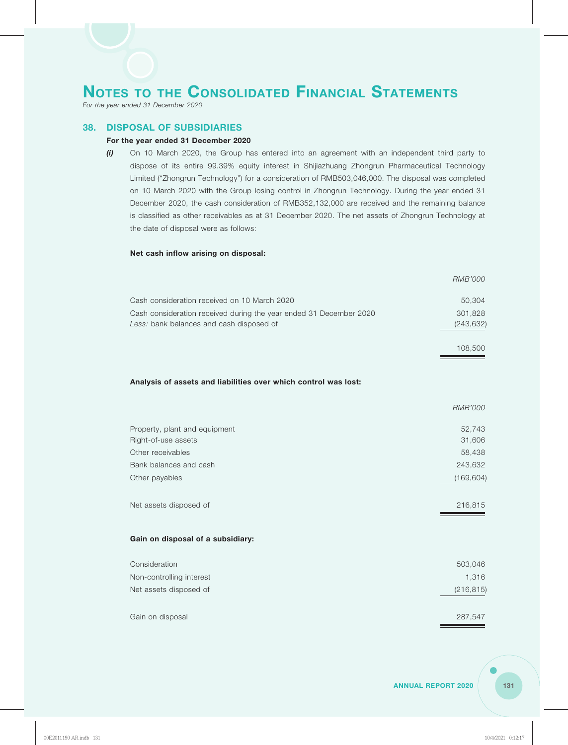*For the year ended 31 December 2020*

### **38. DISPOSAL OF SUBSIDIARIES**

### **For the year ended 31 December 2020**

*(i)* On 10 March 2020, the Group has entered into an agreement with an independent third party to dispose of its entire 99.39% equity interest in Shijiazhuang Zhongrun Pharmaceutical Technology Limited ("Zhongrun Technology") for a consideration of RMB503,046,000. The disposal was completed on 10 March 2020 with the Group losing control in Zhongrun Technology. During the year ended 31 December 2020, the cash consideration of RMB352,132,000 are received and the remaining balance is classified as other receivables as at 31 December 2020. The net assets of Zhongrun Technology at the date of disposal were as follows:

#### **Net cash inflow arising on disposal:**

|                                                                    | <b>RMB'000</b> |
|--------------------------------------------------------------------|----------------|
| Cash consideration received on 10 March 2020                       | 50,304         |
| Cash consideration received during the year ended 31 December 2020 | 301,828        |
| Less: bank balances and cash disposed of                           | (243, 632)     |
|                                                                    | 108,500        |
| Analysis of assets and liabilities over which control was lost:    |                |
|                                                                    |                |
|                                                                    | <b>RMB'000</b> |
| Property, plant and equipment                                      | 52,743         |
| Right-of-use assets                                                | 31,606         |
| Other receivables                                                  | 58,438         |
| Bank balances and cash                                             | 243,632        |
| Other payables                                                     | (169, 604)     |
| Net assets disposed of                                             | 216,815        |
| Gain on disposal of a subsidiary:                                  |                |
| Consideration                                                      | 503,046        |
| Non-controlling interest                                           | 1,316          |
| Net assets disposed of                                             | (216, 815)     |
| Gain on disposal                                                   | 287,547        |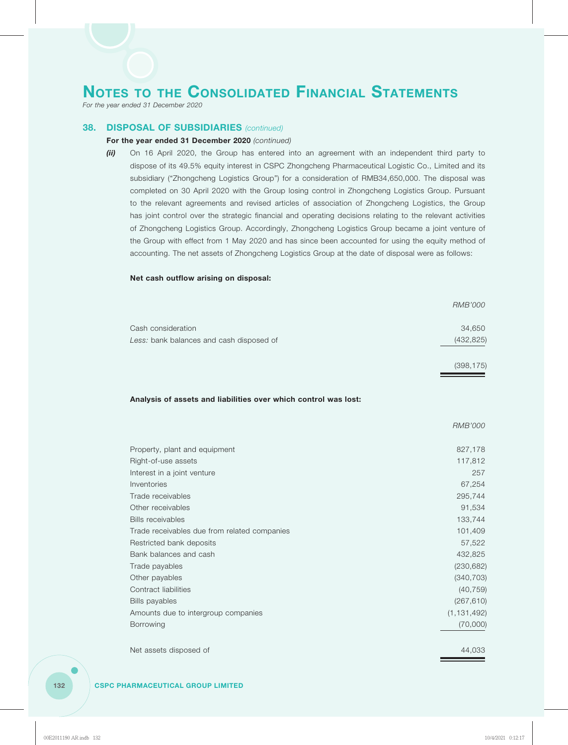*For the year ended 31 December 2020*

### **38. DISPOSAL OF SUBSIDIARIES** *(continued)*

### **For the year ended 31 December 2020** *(continued)*

*(ii)* On 16 April 2020, the Group has entered into an agreement with an independent third party to dispose of its 49.5% equity interest in CSPC Zhongcheng Pharmaceutical Logistic Co., Limited and its subsidiary ("Zhongcheng Logistics Group") for a consideration of RMB34,650,000. The disposal was completed on 30 April 2020 with the Group losing control in Zhongcheng Logistics Group. Pursuant to the relevant agreements and revised articles of association of Zhongcheng Logistics, the Group has joint control over the strategic financial and operating decisions relating to the relevant activities of Zhongcheng Logistics Group. Accordingly, Zhongcheng Logistics Group became a joint venture of the Group with effect from 1 May 2020 and has since been accounted for using the equity method of accounting. The net assets of Zhongcheng Logistics Group at the date of disposal were as follows:

### **Net cash outflow arising on disposal:**

|                                          | RMB'000    |
|------------------------------------------|------------|
| Cash consideration                       | 34,650     |
| Less: bank balances and cash disposed of | (432, 825) |
|                                          | (398, 175) |

*RMB'000*

#### **Analysis of assets and liabilities over which control was lost:**

|                                              | <i>UNID UVU</i> |
|----------------------------------------------|-----------------|
| Property, plant and equipment                | 827,178         |
| Right-of-use assets                          | 117,812         |
| Interest in a joint venture                  | 257             |
| Inventories                                  | 67,254          |
| Trade receivables                            | 295,744         |
| Other receivables                            | 91,534          |
| <b>Bills receivables</b>                     | 133,744         |
| Trade receivables due from related companies | 101,409         |
| Restricted bank deposits                     | 57,522          |
| Bank balances and cash                       | 432,825         |
| Trade payables                               | (230, 682)      |
| Other payables                               | (340, 703)      |
| Contract liabilities                         | (40, 759)       |
| <b>Bills payables</b>                        | (267, 610)      |
| Amounts due to intergroup companies          | (1, 131, 492)   |
| <b>Borrowing</b>                             | (70,000)        |
|                                              |                 |

Net assets disposed of  $44,033$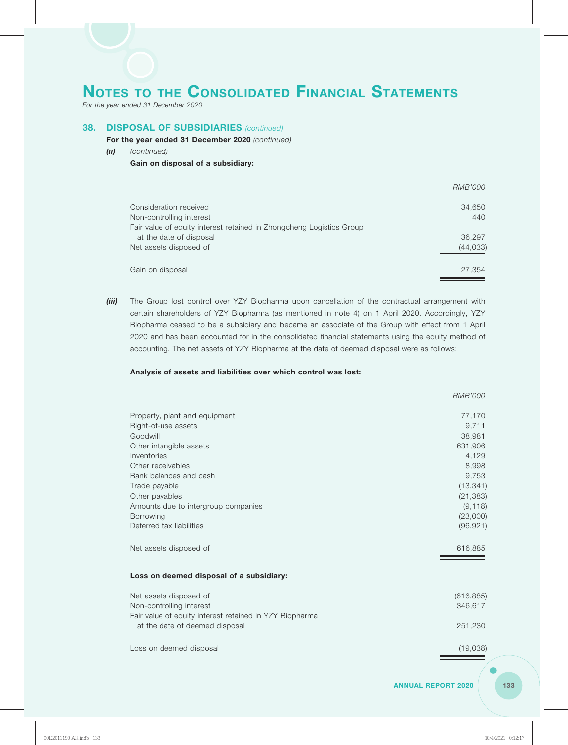*For the year ended 31 December 2020*

# **38. DISPOSAL OF SUBSIDIARIES** *(continued)*

#### **For the year ended 31 December 2020** *(continued)*

*(ii) (continued)*

### **Gain on disposal of a subsidiary:**

|                                                                      | <i>RMB'000</i> |
|----------------------------------------------------------------------|----------------|
| Consideration received                                               | 34,650         |
| Non-controlling interest                                             | 440            |
| Fair value of equity interest retained in Zhongcheng Logistics Group |                |
| at the date of disposal                                              | 36,297         |
| Net assets disposed of                                               | (44, 033)      |
| Gain on disposal                                                     | 27,354         |

**(iii)** The Group lost control over YZY Biopharma upon cancellation of the contractual arrangement with certain shareholders of YZY Biopharma (as mentioned in note 4) on 1 April 2020. Accordingly, YZY Biopharma ceased to be a subsidiary and became an associate of the Group with effect from 1 April 2020 and has been accounted for in the consolidated financial statements using the equity method of accounting. The net assets of YZY Biopharma at the date of deemed disposal were as follows:

### **Analysis of assets and liabilities over which control was lost:**

|                                                                                                               | RMB'000                           |
|---------------------------------------------------------------------------------------------------------------|-----------------------------------|
| Property, plant and equipment<br>Right-of-use assets<br>Goodwill                                              | 77,170<br>9,711<br>38,981         |
| Other intangible assets<br>Inventories                                                                        | 631,906<br>4,129                  |
| Other receivables<br>Bank balances and cash<br>Trade payable                                                  | 8,998<br>9,753<br>(13, 341)       |
| Other payables<br>Amounts due to intergroup companies<br><b>Borrowing</b>                                     | (21, 383)<br>(9, 118)<br>(23,000) |
| Deferred tax liabilities                                                                                      | (96, 921)                         |
| Net assets disposed of                                                                                        | 616,885                           |
| Loss on deemed disposal of a subsidiary:                                                                      |                                   |
| Net assets disposed of<br>Non-controlling interest<br>Fair value of equity interest retained in YZY Biopharma | (616, 885)<br>346,617             |
| at the date of deemed disposal                                                                                | 251,230                           |

Loss on deemed disposal (19,038)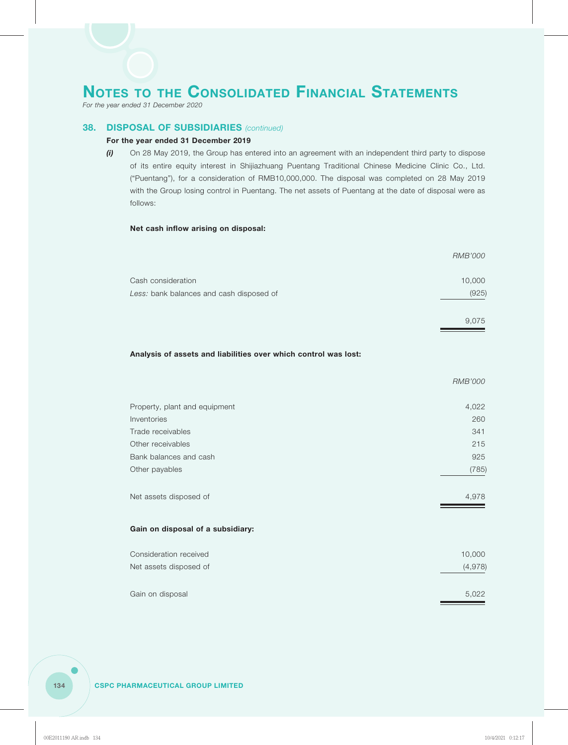*For the year ended 31 December 2020*

## **38. DISPOSAL OF SUBSIDIARIES** *(continued)*

### **For the year ended 31 December 2019**

*(i)* On 28 May 2019, the Group has entered into an agreement with an independent third party to dispose of its entire equity interest in Shijiazhuang Puentang Traditional Chinese Medicine Clinic Co., Ltd. ("Puentang"), for a consideration of RMB10,000,000. The disposal was completed on 28 May 2019 with the Group losing control in Puentang. The net assets of Puentang at the date of disposal were as follows:

### **Net cash inflow arising on disposal:**

|                                          | <i>RMB'000</i> |
|------------------------------------------|----------------|
| Cash consideration                       | 10,000         |
| Less: bank balances and cash disposed of | (925)          |
|                                          | 9,075          |

### **Analysis of assets and liabilities over which control was lost:**

|                                   | RMB'000 |
|-----------------------------------|---------|
| Property, plant and equipment     | 4,022   |
| Inventories                       | 260     |
| Trade receivables                 | 341     |
| Other receivables                 | 215     |
| Bank balances and cash            | 925     |
| Other payables                    | (785)   |
| Net assets disposed of            | 4,978   |
| Gain on disposal of a subsidiary: |         |
| Consideration received            | 10,000  |
| Net assets disposed of            | (4,978) |
|                                   |         |
| Gain on disposal                  | 5,022   |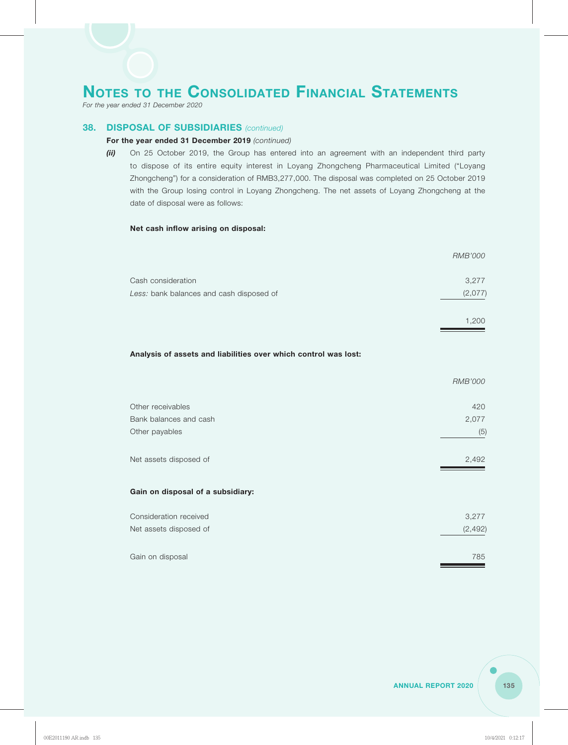*For the year ended 31 December 2020*

### **38. DISPOSAL OF SUBSIDIARIES** *(continued)*

### **For the year ended 31 December 2019** *(continued)*

*(ii)* On 25 October 2019, the Group has entered into an agreement with an independent third party to dispose of its entire equity interest in Loyang Zhongcheng Pharmaceutical Limited ("Loyang Zhongcheng") for a consideration of RMB3,277,000. The disposal was completed on 25 October 2019 with the Group losing control in Loyang Zhongcheng. The net assets of Loyang Zhongcheng at the date of disposal were as follows:

### **Net cash inflow arising on disposal:**

|                                                                 | <b>RMB'000</b> |
|-----------------------------------------------------------------|----------------|
| Cash consideration                                              | 3,277          |
| Less: bank balances and cash disposed of                        | (2,077)        |
|                                                                 | 1,200          |
| Analysis of assets and liabilities over which control was lost: |                |
|                                                                 | <b>RMB'000</b> |
| Other receivables                                               | 420            |
| Bank balances and cash                                          | 2,077          |
| Other payables                                                  | (5)            |
| Net assets disposed of                                          | 2,492          |
| Gain on disposal of a subsidiary:                               |                |
| Consideration received                                          | 3,277          |
| Net assets disposed of                                          | (2, 492)       |

| Gain on disposal | 785 |
|------------------|-----|
|                  |     |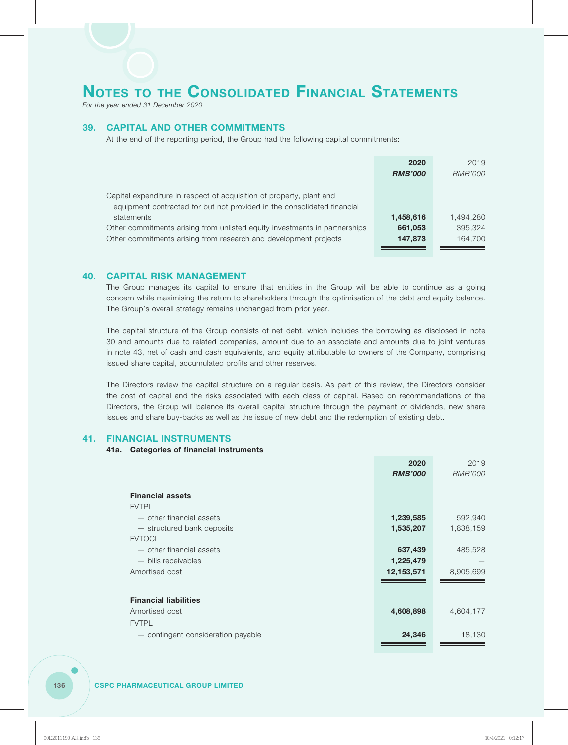*For the year ended 31 December 2020*

# **39. CAPITAL AND OTHER COMMITMENTS**

At the end of the reporting period, the Group had the following capital commitments:

|                                                                            | 2020           | 2019      |
|----------------------------------------------------------------------------|----------------|-----------|
|                                                                            | <b>RMB'000</b> | RMB'000   |
|                                                                            |                |           |
| Capital expenditure in respect of acquisition of property, plant and       |                |           |
| equipment contracted for but not provided in the consolidated financial    |                |           |
| statements                                                                 | 1,458,616      | 1.494.280 |
| Other commitments arising from unlisted equity investments in partnerships | 661,053        | 395.324   |
| Other commitments arising from research and development projects           | 147,873        | 164,700   |
|                                                                            |                |           |

### **40. CAPITAL RISK MANAGEMENT**

The Group manages its capital to ensure that entities in the Group will be able to continue as a going concern while maximising the return to shareholders through the optimisation of the debt and equity balance. The Group's overall strategy remains unchanged from prior year.

The capital structure of the Group consists of net debt, which includes the borrowing as disclosed in note 30 and amounts due to related companies, amount due to an associate and amounts due to joint ventures in note 43, net of cash and cash equivalents, and equity attributable to owners of the Company, comprising issued share capital, accumulated profits and other reserves.

The Directors review the capital structure on a regular basis. As part of this review, the Directors consider the cost of capital and the risks associated with each class of capital. Based on recommendations of the Directors, the Group will balance its overall capital structure through the payment of dividends, new share issues and share buy-backs as well as the issue of new debt and the redemption of existing debt.

### **41. FINANCIAL INSTRUMENTS**

### **41a. Categories of financial instruments**

|                                    | 2020           | 2019           |
|------------------------------------|----------------|----------------|
|                                    | <b>RMB'000</b> | <b>RMB'000</b> |
|                                    |                |                |
| <b>Financial assets</b>            |                |                |
| <b>FVTPL</b>                       |                |                |
| - other financial assets           | 1,239,585      | 592,940        |
| - structured bank deposits         | 1,535,207      | 1,838,159      |
| <b>FVTOCI</b>                      |                |                |
| - other financial assets           | 637,439        | 485,528        |
| - bills receivables                | 1,225,479      |                |
| Amortised cost                     | 12,153,571     | 8,905,699      |
|                                    |                |                |
|                                    |                |                |
| <b>Financial liabilities</b>       |                |                |
| Amortised cost                     | 4,608,898      | 4,604,177      |
| <b>FVTPL</b>                       |                |                |
| - contingent consideration payable | 24,346         | 18,130         |
|                                    |                |                |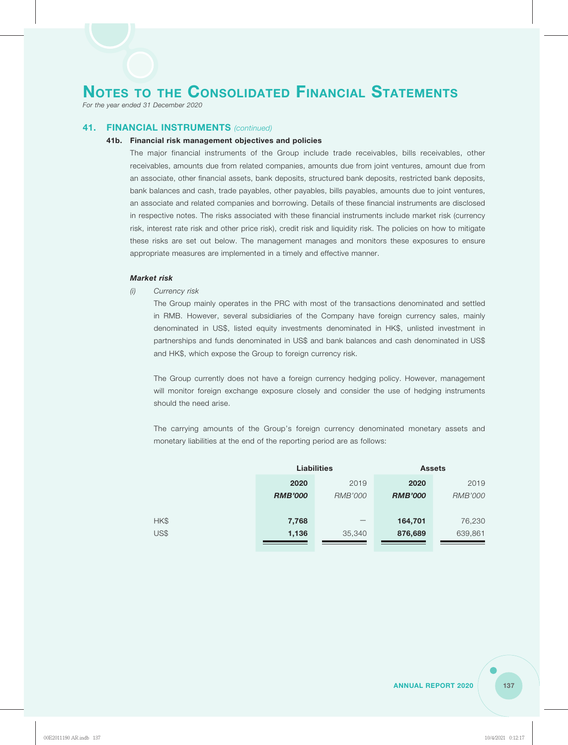*For the year ended 31 December 2020*

### **41. FINANCIAL INSTRUMENTS** *(continued)*

#### **41b. Financial risk management objectives and policies**

The major financial instruments of the Group include trade receivables, bills receivables, other receivables, amounts due from related companies, amounts due from joint ventures, amount due from an associate, other financial assets, bank deposits, structured bank deposits, restricted bank deposits, bank balances and cash, trade payables, other payables, bills payables, amounts due to joint ventures, an associate and related companies and borrowing. Details of these financial instruments are disclosed in respective notes. The risks associated with these financial instruments include market risk (currency risk, interest rate risk and other price risk), credit risk and liquidity risk. The policies on how to mitigate these risks are set out below. The management manages and monitors these exposures to ensure appropriate measures are implemented in a timely and effective manner.

### *Market risk*

*(i) Currency risk*

The Group mainly operates in the PRC with most of the transactions denominated and settled in RMB. However, several subsidiaries of the Company have foreign currency sales, mainly denominated in US\$, listed equity investments denominated in HK\$, unlisted investment in partnerships and funds denominated in US\$ and bank balances and cash denominated in US\$ and HK\$, which expose the Group to foreign currency risk.

The Group currently does not have a foreign currency hedging policy. However, management will monitor foreign exchange exposure closely and consider the use of hedging instruments should the need arise.

The carrying amounts of the Group's foreign currency denominated monetary assets and monetary liabilities at the end of the reporting period are as follows:

|      | <b>Liabilities</b> |                          | <b>Assets</b>  |                |
|------|--------------------|--------------------------|----------------|----------------|
|      | 2020               | 2019                     | 2020           | 2019           |
|      | <b>RMB'000</b>     | <b>RMB'000</b>           | <b>RMB'000</b> | <b>RMB'000</b> |
|      |                    |                          |                |                |
| HK\$ | 7,768              | $\overline{\phantom{m}}$ | 164,701        | 76,230         |
| US\$ | 1,136              | 35,340                   | 876,689        | 639,861        |
|      |                    |                          |                |                |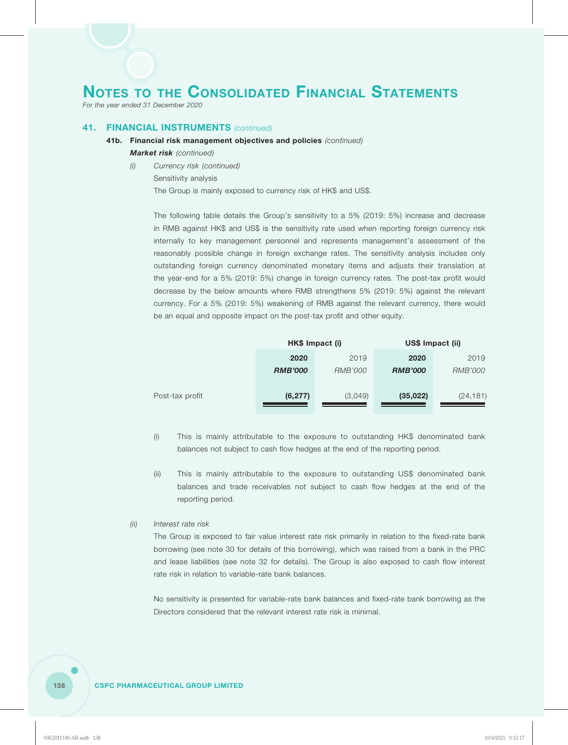*For the year ended 31 December 2020*

# **41. FINANCIAL INSTRUMENTS** *(continued)*

- **41b. Financial risk management objectives and policies** *(continued)*
	- *Market risk (continued)*
	- *(i) Currency risk (continued)* Sensitivity analysis

The Group is mainly exposed to currency risk of HK\$ and US\$.

The following table details the Group's sensitivity to a 5% (2019: 5%) increase and decrease in RMB against HK\$ and US\$ is the sensitivity rate used when reporting foreign currency risk internally to key management personnel and represents management's assessment of the reasonably possible change in foreign exchange rates. The sensitivity analysis includes only outstanding foreign currency denominated monetary items and adjusts their translation at the year-end for a 5% (2019: 5%) change in foreign currency rates. The post-tax profit would decrease by the below amounts where RMB strengthens 5% (2019: 5%) against the relevant currency. For a 5% (2019: 5%) weakening of RMB against the relevant currency, there would be an equal and opposite impact on the post-tax profit and other equity.

|                 | HK\$ Impact (i) |                | US\$ Impact (ii) |                |
|-----------------|-----------------|----------------|------------------|----------------|
|                 | 2020            | 2019           | 2020             | 2019           |
|                 | <b>RMB'000</b>  | <i>RMB'000</i> | <b>RMB'000</b>   | <i>RMB'000</i> |
|                 |                 |                |                  |                |
| Post-tax profit | (6, 277)        | (3,049)        | (35, 022)        | (24, 181)      |
|                 |                 |                |                  |                |

- (i) This is mainly attributable to the exposure to outstanding HK\$ denominated bank balances not subject to cash flow hedges at the end of the reporting period.
- (ii) This is mainly attributable to the exposure to outstanding US\$ denominated bank balances and trade receivables not subject to cash flow hedges at the end of the reporting period.

### *(ii) Interest rate risk*

The Group is exposed to fair value interest rate risk primarily in relation to the fixed-rate bank borrowing (see note 30 for details of this borrowing), which was raised from a bank in the PRC and lease liabilities (see note 32 for details). The Group is also exposed to cash flow interest rate risk in relation to variable-rate bank balances.

No sensitivity is presented for variable-rate bank balances and fixed-rate bank borrowing as the Directors considered that the relevant interest rate risk is minimal.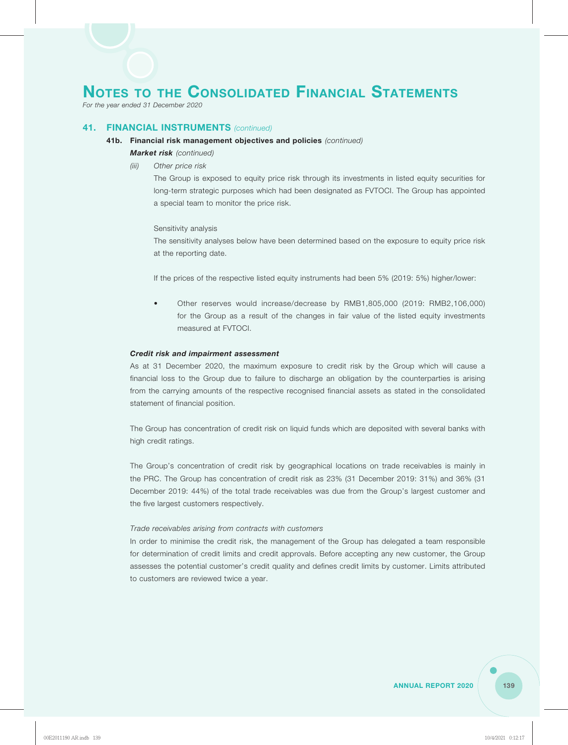*For the year ended 31 December 2020*

## **41. FINANCIAL INSTRUMENTS** *(continued)*

#### **41b. Financial risk management objectives and policies** *(continued)*

- *Market risk (continued)*
- *(iii) Other price risk*

The Group is exposed to equity price risk through its investments in listed equity securities for long-term strategic purposes which had been designated as FVTOCI. The Group has appointed a special team to monitor the price risk.

#### Sensitivity analysis

The sensitivity analyses below have been determined based on the exposure to equity price risk at the reporting date.

If the prices of the respective listed equity instruments had been 5% (2019: 5%) higher/lower:

• Other reserves would increase/decrease by RMB1,805,000 (2019: RMB2,106,000) for the Group as a result of the changes in fair value of the listed equity investments measured at FVTOCI.

#### *Credit risk and impairment assessment*

As at 31 December 2020, the maximum exposure to credit risk by the Group which will cause a financial loss to the Group due to failure to discharge an obligation by the counterparties is arising from the carrying amounts of the respective recognised financial assets as stated in the consolidated statement of financial position.

The Group has concentration of credit risk on liquid funds which are deposited with several banks with high credit ratings.

The Group's concentration of credit risk by geographical locations on trade receivables is mainly in the PRC. The Group has concentration of credit risk as 23% (31 December 2019: 31%) and 36% (31 December 2019: 44%) of the total trade receivables was due from the Group's largest customer and the five largest customers respectively.

#### *Trade receivables arising from contracts with customers*

In order to minimise the credit risk, the management of the Group has delegated a team responsible for determination of credit limits and credit approvals. Before accepting any new customer, the Group assesses the potential customer's credit quality and defines credit limits by customer. Limits attributed to customers are reviewed twice a year.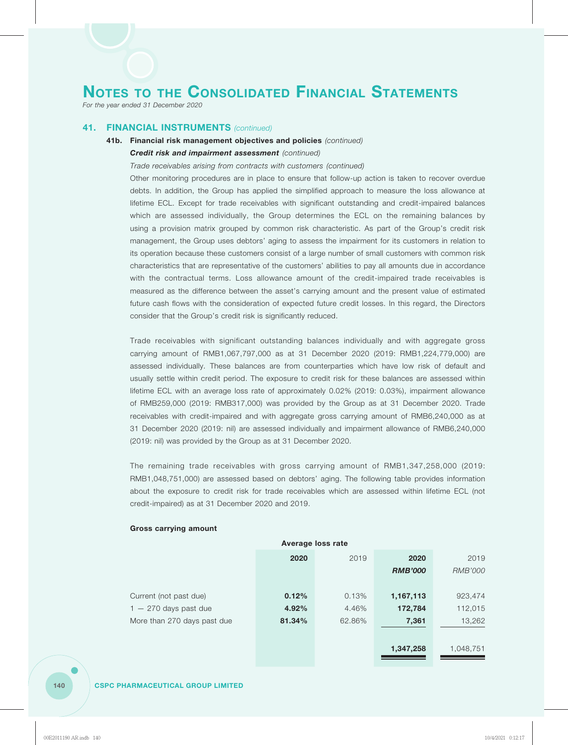*For the year ended 31 December 2020*

## **41. FINANCIAL INSTRUMENTS** *(continued)*

# **41b. Financial risk management objectives and policies** *(continued) Credit risk and impairment assessment (continued)*

#### *Trade receivables arising from contracts with customers (continued)*

Other monitoring procedures are in place to ensure that follow-up action is taken to recover overdue debts. In addition, the Group has applied the simplified approach to measure the loss allowance at lifetime ECL. Except for trade receivables with significant outstanding and credit-impaired balances which are assessed individually, the Group determines the ECL on the remaining balances by using a provision matrix grouped by common risk characteristic. As part of the Group's credit risk management, the Group uses debtors' aging to assess the impairment for its customers in relation to its operation because these customers consist of a large number of small customers with common risk characteristics that are representative of the customers' abilities to pay all amounts due in accordance with the contractual terms. Loss allowance amount of the credit-impaired trade receivables is measured as the difference between the asset's carrying amount and the present value of estimated future cash flows with the consideration of expected future credit losses. In this regard, the Directors consider that the Group's credit risk is significantly reduced.

Trade receivables with significant outstanding balances individually and with aggregate gross carrying amount of RMB1,067,797,000 as at 31 December 2020 (2019: RMB1,224,779,000) are assessed individually. These balances are from counterparties which have low risk of default and usually settle within credit period. The exposure to credit risk for these balances are assessed within lifetime ECL with an average loss rate of approximately 0.02% (2019: 0.03%), impairment allowance of RMB259,000 (2019: RMB317,000) was provided by the Group as at 31 December 2020. Trade receivables with credit-impaired and with aggregate gross carrying amount of RMB6,240,000 as at 31 December 2020 (2019: nil) are assessed individually and impairment allowance of RMB6,240,000 (2019: nil) was provided by the Group as at 31 December 2020.

The remaining trade receivables with gross carrying amount of RMB1,347,258,000 (2019: RMB1,048,751,000) are assessed based on debtors' aging. The following table provides information about the exposure to credit risk for trade receivables which are assessed within lifetime ECL (not credit-impaired) as at 31 December 2020 and 2019.

| Average loss rate           |        |        |                |           |  |  |
|-----------------------------|--------|--------|----------------|-----------|--|--|
|                             | 2020   | 2019   | 2020           | 2019      |  |  |
|                             |        |        | <b>RMB'000</b> | RMB'000   |  |  |
|                             |        |        |                |           |  |  |
| Current (not past due)      | 0.12%  | 0.13%  | 1,167,113      | 923,474   |  |  |
| $1 - 270$ days past due     | 4.92%  | 4.46%  | 172,784        | 112,015   |  |  |
| More than 270 days past due | 81.34% | 62.86% | 7,361          | 13,262    |  |  |
|                             |        |        |                |           |  |  |
|                             |        |        | 1,347,258      | 1,048,751 |  |  |

#### **Gross carrying amount**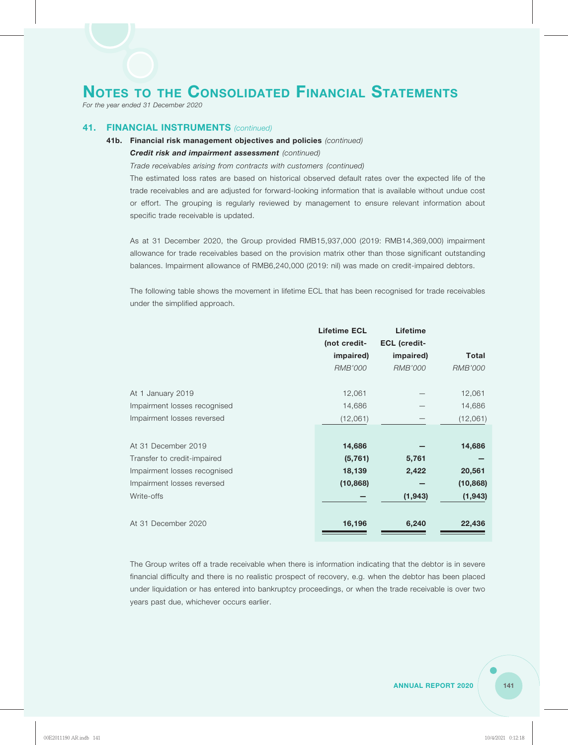*For the year ended 31 December 2020*

## **41. FINANCIAL INSTRUMENTS** *(continued)*

# **41b. Financial risk management objectives and policies** *(continued) Credit risk and impairment assessment (continued)*

#### *Trade receivables arising from contracts with customers (continued)*

The estimated loss rates are based on historical observed default rates over the expected life of the trade receivables and are adjusted for forward-looking information that is available without undue cost or effort. The grouping is regularly reviewed by management to ensure relevant information about specific trade receivable is updated.

As at 31 December 2020, the Group provided RMB15,937,000 (2019: RMB14,369,000) impairment allowance for trade receivables based on the provision matrix other than those significant outstanding balances. Impairment allowance of RMB6,240,000 (2019: nil) was made on credit-impaired debtors.

The following table shows the movement in lifetime ECL that has been recognised for trade receivables under the simplified approach.

|                              | <b>Lifetime ECL</b> | <b>Lifetime</b>     |              |
|------------------------------|---------------------|---------------------|--------------|
|                              | (not credit-        | <b>ECL</b> (credit- |              |
|                              | impaired)           | impaired)           | <b>Total</b> |
|                              | RMB'000             | RMB'000             | RMB'000      |
| At 1 January 2019            | 12,061              |                     | 12,061       |
| Impairment losses recognised | 14,686              |                     | 14,686       |
| Impairment losses reversed   | (12,061)            |                     | (12,061)     |
|                              |                     |                     |              |
| At 31 December 2019          | 14,686              |                     | 14,686       |
| Transfer to credit-impaired  | (5, 761)            | 5,761               |              |
| Impairment losses recognised | 18,139              | 2,422               | 20,561       |
| Impairment losses reversed   | (10, 868)           |                     | (10, 868)    |
| Write-offs                   |                     | (1, 943)            | (1, 943)     |
| At 31 December 2020          | 16,196              | 6,240               | 22,436       |

The Group writes off a trade receivable when there is information indicating that the debtor is in severe financial difficulty and there is no realistic prospect of recovery, e.g. when the debtor has been placed under liquidation or has entered into bankruptcy proceedings, or when the trade receivable is over two years past due, whichever occurs earlier.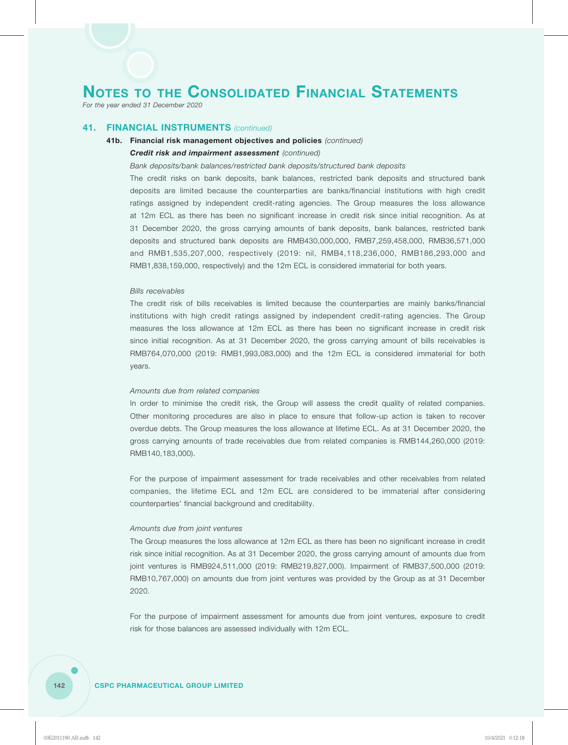*For the year ended 31 December 2020*

### **41. FINANCIAL INSTRUMENTS** *(continued)*

# **41b. Financial risk management objectives and policies** *(continued) Credit risk and impairment assessment (continued)*

#### *Bank deposits/bank balances/restricted bank deposits/structured bank deposits*

The credit risks on bank deposits, bank balances, restricted bank deposits and structured bank deposits are limited because the counterparties are banks/financial institutions with high credit ratings assigned by independent credit-rating agencies. The Group measures the loss allowance at 12m ECL as there has been no significant increase in credit risk since initial recognition. As at 31 December 2020, the gross carrying amounts of bank deposits, bank balances, restricted bank deposits and structured bank deposits are RMB430,000,000, RMB7,259,458,000, RMB36,571,000 and RMB1,535,207,000, respectively (2019: nil, RMB4,118,236,000, RMB186,293,000 and RMB1,838,159,000, respectively) and the 12m ECL is considered immaterial for both years.

#### *Bills receivables*

The credit risk of bills receivables is limited because the counterparties are mainly banks/financial institutions with high credit ratings assigned by independent credit-rating agencies. The Group measures the loss allowance at 12m ECL as there has been no significant increase in credit risk since initial recognition. As at 31 December 2020, the gross carrying amount of bills receivables is RMB764,070,000 (2019: RMB1,993,083,000) and the 12m ECL is considered immaterial for both years.

#### *Amounts due from related companies*

In order to minimise the credit risk, the Group will assess the credit quality of related companies. Other monitoring procedures are also in place to ensure that follow-up action is taken to recover overdue debts. The Group measures the loss allowance at lifetime ECL. As at 31 December 2020, the gross carrying amounts of trade receivables due from related companies is RMB144,260,000 (2019: RMB140,183,000).

For the purpose of impairment assessment for trade receivables and other receivables from related companies, the lifetime ECL and 12m ECL are considered to be immaterial after considering counterparties' financial background and creditability.

#### *Amounts due from joint ventures*

The Group measures the loss allowance at 12m ECL as there has been no significant increase in credit risk since initial recognition. As at 31 December 2020, the gross carrying amount of amounts due from joint ventures is RMB924,511,000 (2019: RMB219,827,000). Impairment of RMB37,500,000 (2019: RMB10,767,000) on amounts due from joint ventures was provided by the Group as at 31 December 2020.

For the purpose of impairment assessment for amounts due from joint ventures, exposure to credit risk for those balances are assessed individually with 12m ECL.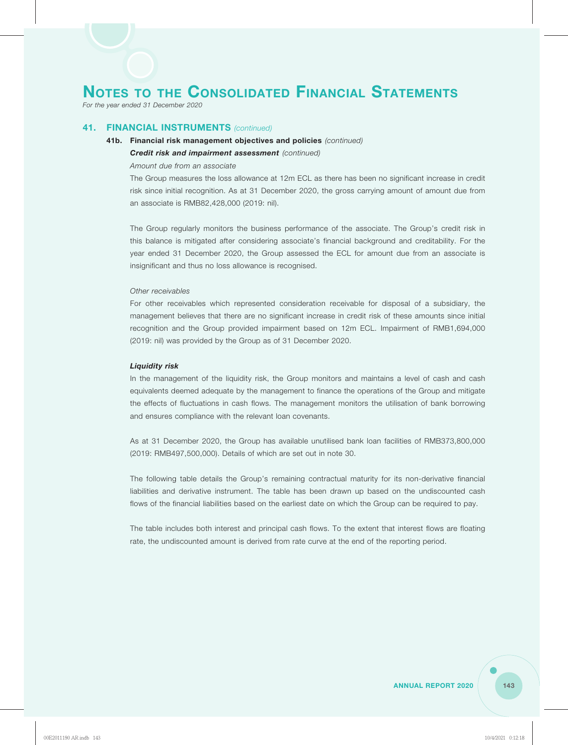*For the year ended 31 December 2020*

## **41. FINANCIAL INSTRUMENTS** *(continued)*

## **41b. Financial risk management objectives and policies** *(continued) Credit risk and impairment assessment (continued)*

#### *Amount due from an associate*

The Group measures the loss allowance at 12m ECL as there has been no significant increase in credit risk since initial recognition. As at 31 December 2020, the gross carrying amount of amount due from an associate is RMB82,428,000 (2019: nil).

The Group regularly monitors the business performance of the associate. The Group's credit risk in this balance is mitigated after considering associate's financial background and creditability. For the year ended 31 December 2020, the Group assessed the ECL for amount due from an associate is insignificant and thus no loss allowance is recognised.

#### *Other receivables*

For other receivables which represented consideration receivable for disposal of a subsidiary, the management believes that there are no significant increase in credit risk of these amounts since initial recognition and the Group provided impairment based on 12m ECL. Impairment of RMB1,694,000 (2019: nil) was provided by the Group as of 31 December 2020.

#### *Liquidity risk*

In the management of the liquidity risk, the Group monitors and maintains a level of cash and cash equivalents deemed adequate by the management to finance the operations of the Group and mitigate the effects of fluctuations in cash flows. The management monitors the utilisation of bank borrowing and ensures compliance with the relevant loan covenants.

As at 31 December 2020, the Group has available unutilised bank loan facilities of RMB373,800,000 (2019: RMB497,500,000). Details of which are set out in note 30.

The following table details the Group's remaining contractual maturity for its non-derivative financial liabilities and derivative instrument. The table has been drawn up based on the undiscounted cash flows of the financial liabilities based on the earliest date on which the Group can be required to pay.

The table includes both interest and principal cash flows. To the extent that interest flows are floating rate, the undiscounted amount is derived from rate curve at the end of the reporting period.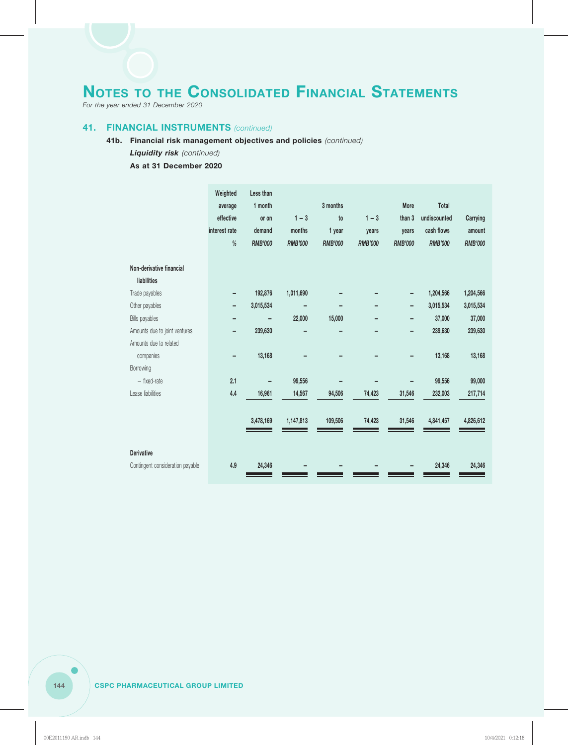*For the year ended 31 December 2020*

#### **41. FINANCIAL INSTRUMENTS** *(continued)*

#### **41b. Financial risk management objectives and policies** *(continued)*

#### *Liquidity risk (continued)*

#### **As at 31 December 2020**

|                                  | Weighted<br>average<br>effective<br>interest rate<br>$\%$ | Less than<br>1 month<br>or on<br>demand<br><b>RMB'000</b> | $1 - 3$<br>months<br><b>RMB'000</b> | 3 months<br>to<br>1 year<br><b>RMB'000</b> | $1 - 3$<br>years<br><b>RMB'000</b> | More<br>than 3<br>years<br><b>RMB'000</b> | Total<br>undiscounted<br>cash flows<br><b>RMB'000</b> | Carrying<br>amount<br><b>RMB'000</b> |
|----------------------------------|-----------------------------------------------------------|-----------------------------------------------------------|-------------------------------------|--------------------------------------------|------------------------------------|-------------------------------------------|-------------------------------------------------------|--------------------------------------|
| Non-derivative financial         |                                                           |                                                           |                                     |                                            |                                    |                                           |                                                       |                                      |
| liabilities                      |                                                           |                                                           |                                     |                                            |                                    |                                           |                                                       |                                      |
| Trade payables                   |                                                           | 192,876                                                   | 1,011,690                           |                                            |                                    |                                           | 1,204,566                                             | 1,204,566                            |
| Other payables                   | -                                                         | 3,015,534                                                 |                                     |                                            |                                    |                                           | 3,015,534                                             | 3,015,534                            |
| <b>Bills payables</b>            |                                                           |                                                           | 22,000                              | 15,000                                     |                                    |                                           | 37,000                                                | 37,000                               |
| Amounts due to joint ventures    | -                                                         | 239,630                                                   |                                     |                                            |                                    |                                           | 239,630                                               | 239,630                              |
| Amounts due to related           |                                                           |                                                           |                                     |                                            |                                    |                                           |                                                       |                                      |
| companies                        |                                                           | 13,168                                                    |                                     |                                            |                                    |                                           | 13,168                                                | 13,168                               |
| Borrowing                        |                                                           |                                                           |                                     |                                            |                                    |                                           |                                                       |                                      |
| - fixed-rate                     | 2.1                                                       |                                                           | 99,556                              |                                            |                                    |                                           | 99,556                                                | 99,000                               |
| Lease liabilities                | 4.4                                                       | 16,961                                                    | 14,567                              | 94,506                                     | 74,423                             | 31,546                                    | 232,003                                               | 217,714                              |
|                                  |                                                           |                                                           |                                     |                                            |                                    |                                           |                                                       |                                      |
|                                  |                                                           | 3,478,169                                                 | 1,147,813                           | 109,506                                    | 74,423                             | 31,546                                    | 4,841,457                                             | 4,826,612                            |
|                                  |                                                           |                                                           |                                     |                                            |                                    |                                           |                                                       |                                      |
| <b>Derivative</b>                |                                                           |                                                           |                                     |                                            |                                    |                                           |                                                       |                                      |
| Contingent consideration payable | 4.9                                                       | 24,346                                                    |                                     |                                            |                                    |                                           | 24,346                                                | 24,346                               |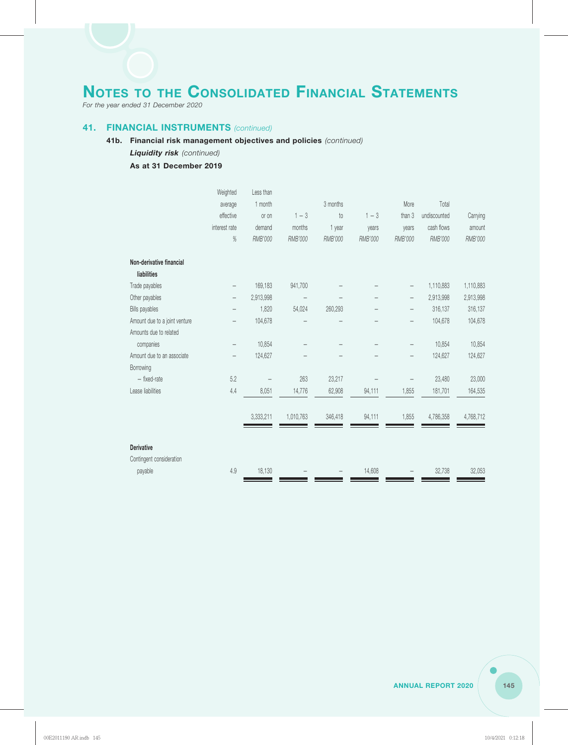*For the year ended 31 December 2020*

#### **41. FINANCIAL INSTRUMENTS** *(continued)*

#### **41b. Financial risk management objectives and policies** *(continued)*

#### *Liquidity risk (continued)*

#### **As at 31 December 2019**

|                               | Weighted                 | Less than |                          |          |         |                          |              |           |
|-------------------------------|--------------------------|-----------|--------------------------|----------|---------|--------------------------|--------------|-----------|
|                               | average                  | 1 month   |                          | 3 months |         | More                     | Total        |           |
|                               | effective                | or on     | $1 - 3$                  | to       | $1 - 3$ | than 3                   | undiscounted | Carrying  |
|                               | interest rate            | demand    | months                   | 1 year   | years   | years                    | cash flows   | amount    |
|                               | $\%$                     | RMB'000   | RMB'000                  | RMB'000  | RMB'000 | RMB'000                  | RMB'000      | RMB'000   |
| Non-derivative financial      |                          |           |                          |          |         |                          |              |           |
| liabilities                   |                          |           |                          |          |         |                          |              |           |
| Trade payables                |                          | 169,183   | 941,700                  |          |         | —                        | 1,110,883    | 1,110,883 |
| Other payables                |                          | 2,913,998 | $\overline{\phantom{0}}$ |          |         | $\overline{\phantom{0}}$ | 2,913,998    | 2,913,998 |
| <b>Bills payables</b>         |                          | 1,820     | 54,024                   | 260,293  |         | —                        | 316,137      | 316,137   |
| Amount due to a joint venture |                          | 104,678   |                          |          |         | —                        | 104,678      | 104,678   |
| Amounts due to related        |                          |           |                          |          |         |                          |              |           |
| companies                     | $\overline{\phantom{0}}$ | 10,854    |                          |          |         | $\overline{\phantom{0}}$ | 10,854       | 10,854    |
| Amount due to an associate    |                          | 124,627   |                          |          |         | $\overline{\phantom{0}}$ | 124,627      | 124,627   |
| Borrowing                     |                          |           |                          |          |         |                          |              |           |
| - fixed-rate                  | 5.2                      |           | 263                      | 23,217   |         |                          | 23,480       | 23,000    |
| Lease liabilities             | 4.4                      | 8,051     | 14,776                   | 62,908   | 94,111  | 1,855                    | 181,701      | 164,535   |
|                               |                          | 3,333,211 | 1,010,763                | 346,418  | 94,111  | 1,855                    | 4,786,358    | 4,768,712 |
| <b>Derivative</b>             |                          |           |                          |          |         |                          |              |           |
| Contingent consideration      |                          |           |                          |          |         |                          |              |           |
| payable                       | 4.9                      | 18,130    |                          |          | 14,608  |                          | 32,738       | 32,053    |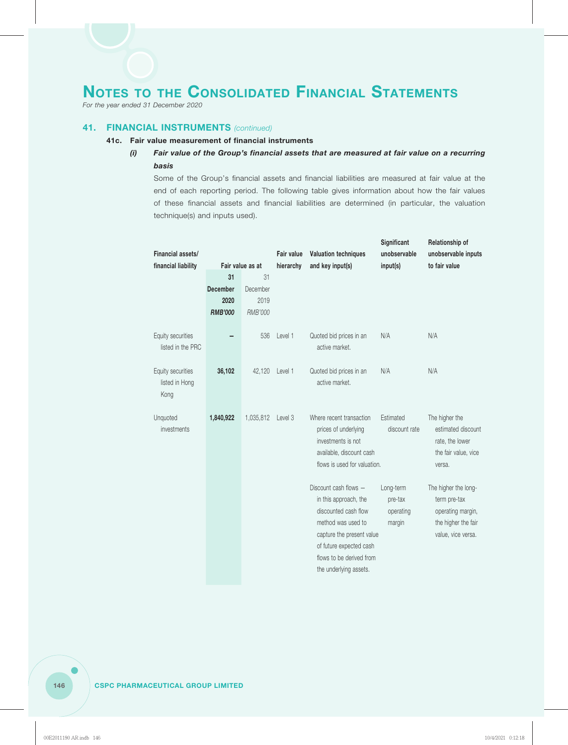*For the year ended 31 December 2020*

#### **41. FINANCIAL INSTRUMENTS** *(continued)*

#### **41c. Fair value measurement of financial instruments**

### *(i) Fair value of the Group's financial assets that are measured at fair value on a recurring basis*

Some of the Group's financial assets and financial liabilities are measured at fair value at the end of each reporting period. The following table gives information about how the fair values of these financial assets and financial liabilities are determined (in particular, the valuation technique(s) and inputs used).

| Financial assets/   |                 |                  | <b>Fair value</b> | <b>Valuation techniques</b>  | Significant<br>unobservable | Relationship of<br>unobservable inputs |  |
|---------------------|-----------------|------------------|-------------------|------------------------------|-----------------------------|----------------------------------------|--|
| financial liability |                 | Fair value as at | hierarchy         | and key input(s)             | input(s)                    | to fair value                          |  |
|                     | 31              | 31               |                   |                              |                             |                                        |  |
|                     | <b>December</b> | December         |                   |                              |                             |                                        |  |
|                     | 2020            | 2019             |                   |                              |                             |                                        |  |
|                     | <b>RMB'000</b>  | RMB'000          |                   |                              |                             |                                        |  |
|                     |                 |                  |                   |                              |                             |                                        |  |
| Equity securities   |                 | 536              | Level 1           | Quoted bid prices in an      | N/A                         | N/A                                    |  |
| listed in the PRC   |                 |                  |                   | active market.               |                             |                                        |  |
| Equity securities   | 36,102          | 42,120           | Level 1           | Quoted bid prices in an      | N/A                         | N/A                                    |  |
| listed in Hong      |                 |                  |                   | active market.               |                             |                                        |  |
| Kong                |                 |                  |                   |                              |                             |                                        |  |
|                     |                 |                  |                   |                              |                             |                                        |  |
| Unquoted            | 1,840,922       | 1,035,812        | Level 3           | Where recent transaction     | Estimated                   | The higher the                         |  |
| investments         |                 |                  |                   | prices of underlying         | discount rate               | estimated discount                     |  |
|                     |                 |                  |                   | investments is not           |                             | rate, the lower                        |  |
|                     |                 |                  |                   | available, discount cash     |                             | the fair value, vice                   |  |
|                     |                 |                  |                   | flows is used for valuation. |                             | versa.                                 |  |
|                     |                 |                  |                   | Discount cash flows -        | Long-term                   | The higher the long-                   |  |
|                     |                 |                  |                   | in this approach, the        | pre-tax                     | term pre-tax                           |  |
|                     |                 |                  |                   | discounted cash flow         | operating                   | operating margin,                      |  |
|                     |                 |                  |                   | method was used to           | margin                      | the higher the fair                    |  |
|                     |                 |                  |                   | capture the present value    |                             | value, vice versa.                     |  |
|                     |                 |                  |                   | of future expected cash      |                             |                                        |  |
|                     |                 |                  |                   | flows to be derived from     |                             |                                        |  |
|                     |                 |                  |                   | the underlying assets.       |                             |                                        |  |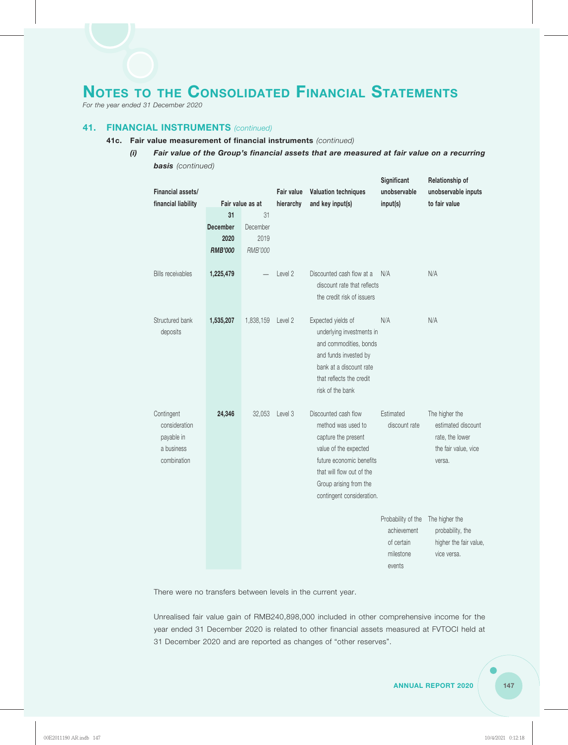*For the year ended 31 December 2020*

#### **41. FINANCIAL INSTRUMENTS** *(continued)*

- **41c. Fair value measurement of financial instruments** *(continued)*
	- *(i) Fair value of the Group's financial assets that are measured at fair value on a recurring basis (continued)*

| Financial assets/           |                 |                  | <b>Fair value</b> | <b>Valuation techniques</b>                              | Significant<br>unobservable | Relationship of<br>unobservable inputs |  |
|-----------------------------|-----------------|------------------|-------------------|----------------------------------------------------------|-----------------------------|----------------------------------------|--|
| financial liability         |                 | Fair value as at | hierarchy         | and key input(s)                                         | input(s)                    | to fair value                          |  |
|                             | 31              | 31               |                   |                                                          |                             |                                        |  |
|                             | <b>December</b> | December         |                   |                                                          |                             |                                        |  |
|                             | 2020            | 2019             |                   |                                                          |                             |                                        |  |
|                             | <b>RMB'000</b>  | RMB'000          |                   |                                                          |                             |                                        |  |
|                             |                 |                  |                   |                                                          |                             |                                        |  |
| <b>Bills receivables</b>    | 1,225,479       |                  | Level 2           | Discounted cash flow at a<br>discount rate that reflects | N/A                         | N/A                                    |  |
|                             |                 |                  |                   | the credit risk of issuers                               |                             |                                        |  |
| Structured bank             | 1,535,207       | 1,838,159        | Level 2           | Expected yields of                                       | N/A                         | N/A                                    |  |
| deposits                    |                 |                  |                   | underlying investments in                                |                             |                                        |  |
|                             |                 |                  |                   | and commodities, bonds                                   |                             |                                        |  |
|                             |                 |                  |                   | and funds invested by                                    |                             |                                        |  |
|                             |                 |                  |                   | bank at a discount rate                                  |                             |                                        |  |
|                             |                 |                  |                   | that reflects the credit                                 |                             |                                        |  |
|                             |                 |                  |                   | risk of the bank                                         |                             |                                        |  |
|                             |                 |                  |                   |                                                          |                             |                                        |  |
| Contingent<br>consideration | 24,346          | 32,053           | Level 3           | Discounted cash flow<br>method was used to               | Estimated<br>discount rate  | The higher the<br>estimated discount   |  |
| payable in                  |                 |                  |                   | capture the present                                      |                             | rate, the lower                        |  |
| a business                  |                 |                  |                   | value of the expected                                    |                             | the fair value, vice                   |  |
| combination                 |                 |                  |                   | future economic benefits                                 |                             | versa.                                 |  |
|                             |                 |                  |                   | that will flow out of the                                |                             |                                        |  |
|                             |                 |                  |                   | Group arising from the                                   |                             |                                        |  |
|                             |                 |                  |                   | contingent consideration.                                |                             |                                        |  |
|                             |                 |                  |                   |                                                          |                             |                                        |  |
|                             |                 |                  |                   |                                                          | Probability of the          | The higher the                         |  |
|                             |                 |                  |                   |                                                          | achievement                 | probability, the                       |  |
|                             |                 |                  |                   |                                                          | of certain                  | higher the fair value,                 |  |
|                             |                 |                  |                   |                                                          | milestone                   | vice versa.                            |  |
|                             |                 |                  |                   |                                                          | events                      |                                        |  |

There were no transfers between levels in the current year.

Unrealised fair value gain of RMB240,898,000 included in other comprehensive income for the year ended 31 December 2020 is related to other financial assets measured at FVTOCI held at 31 December 2020 and are reported as changes of "other reserves".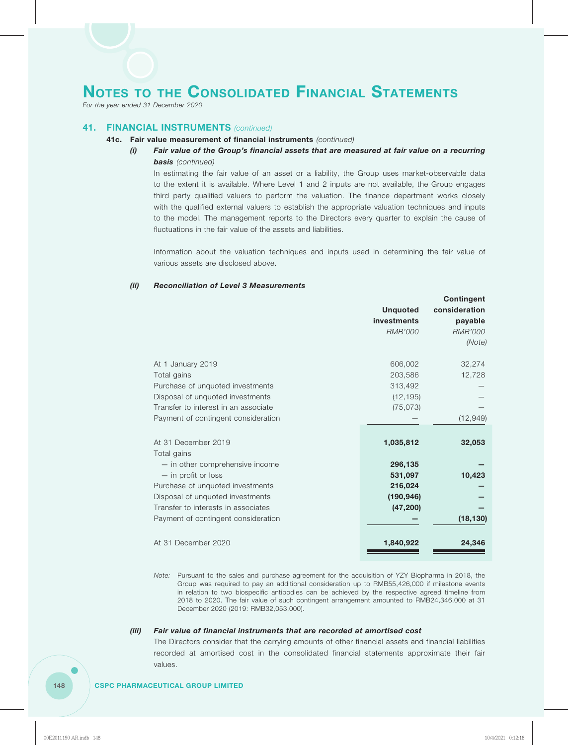*For the year ended 31 December 2020*

#### **41. FINANCIAL INSTRUMENTS** *(continued)*

#### **41c. Fair value measurement of financial instruments** *(continued)*

#### *(i) Fair value of the Group's financial assets that are measured at fair value on a recurring basis (continued)*

In estimating the fair value of an asset or a liability, the Group uses market-observable data to the extent it is available. Where Level 1 and 2 inputs are not available, the Group engages third party qualified valuers to perform the valuation. The finance department works closely with the qualified external valuers to establish the appropriate valuation techniques and inputs to the model. The management reports to the Directors every quarter to explain the cause of fluctuations in the fair value of the assets and liabilities.

Information about the valuation techniques and inputs used in determining the fair value of various assets are disclosed above.

#### *(ii) Reconciliation of Level 3 Measurements*

|                                      |                 | <b>Contingent</b> |
|--------------------------------------|-----------------|-------------------|
|                                      | <b>Unquoted</b> | consideration     |
|                                      | investments     | payable           |
|                                      | <b>RMB'000</b>  | <b>RMB'000</b>    |
|                                      |                 | (Note)            |
| At 1 January 2019                    | 606,002         | 32,274            |
| Total gains                          | 203,586         | 12,728            |
| Purchase of unquoted investments     | 313,492         |                   |
| Disposal of unquoted investments     | (12, 195)       |                   |
| Transfer to interest in an associate | (75, 073)       |                   |
| Payment of contingent consideration  |                 | (12, 949)         |
|                                      |                 |                   |
| At 31 December 2019                  | 1,035,812       | 32,053            |
| Total gains                          |                 |                   |
| - in other comprehensive income      | 296,135         |                   |
| - in profit or loss                  | 531,097         | 10,423            |
| Purchase of unquoted investments     | 216,024         |                   |
| Disposal of unquoted investments     | (190, 946)      |                   |
| Transfer to interests in associates  | (47, 200)       |                   |
| Payment of contingent consideration  |                 | (18, 130)         |
|                                      |                 |                   |
| At 31 December 2020                  | 1,840,922       | 24,346            |
|                                      |                 |                   |

*Note:* Pursuant to the sales and purchase agreement for the acquisition of YZY Biopharma in 2018, the Group was required to pay an additional consideration up to RMB55,426,000 if milestone events in relation to two biospecific antibodies can be achieved by the respective agreed timeline from 2018 to 2020. The fair value of such contingent arrangement amounted to RMB24,346,000 at 31 December 2020 (2019: RMB32,053,000).

#### *(iii) Fair value of financial instruments that are recorded at amortised cost*

The Directors consider that the carrying amounts of other financial assets and financial liabilities recorded at amortised cost in the consolidated financial statements approximate their fair values.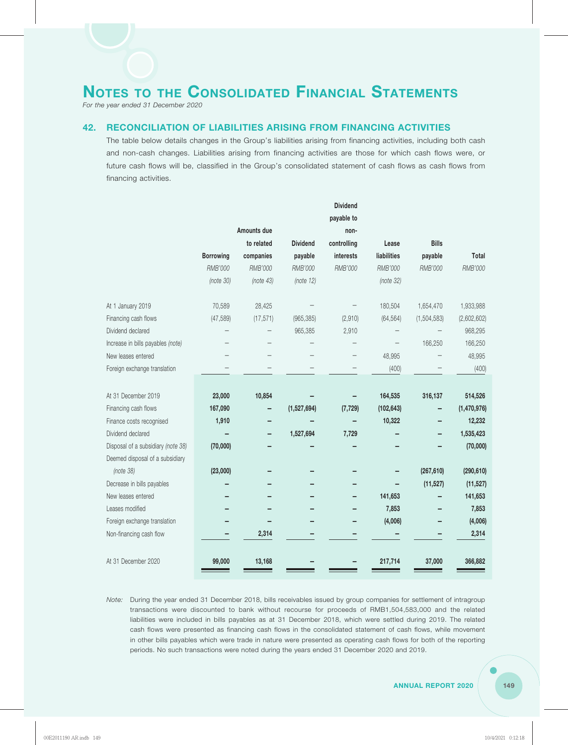*For the year ended 31 December 2020*

#### **42. RECONCILIATION OF LIABILITIES ARISING FROM FINANCING ACTIVITIES**

The table below details changes in the Group's liabilities arising from financing activities, including both cash and non-cash changes. Liabilities arising from financing activities are those for which cash flows were, or future cash flows will be, classified in the Group's consolidated statement of cash flows as cash flows from financing activities.

|                                    |                  |             |                 | <b>Dividend</b> |             |              |              |
|------------------------------------|------------------|-------------|-----------------|-----------------|-------------|--------------|--------------|
|                                    |                  |             |                 | payable to      |             |              |              |
|                                    |                  | Amounts due |                 | non-            |             |              |              |
|                                    |                  | to related  | <b>Dividend</b> | controlling     | Lease       | <b>Bills</b> |              |
|                                    | <b>Borrowing</b> | companies   | payable         | interests       | liabilities | payable      | <b>Total</b> |
|                                    | RMB'000          | RMB'000     | RMB'000         | RMB'000         | RMB'000     | RMB'000      | RMB'000      |
|                                    | (note 30)        | (note 43)   | (note 12)       |                 | (note 32)   |              |              |
| At 1 January 2019                  | 70,589           | 28,425      |                 |                 | 180,504     | 1,654,470    | 1,933,988    |
| Financing cash flows               | (47, 589)        | (17, 571)   | (965, 385)      | (2,910)         | (64, 564)   | (1,504,583)  | (2,602,602)  |
| Dividend declared                  |                  |             | 965,385         | 2,910           |             |              | 968,295      |
| Increase in bills payables (note)  |                  |             |                 |                 |             | 166,250      | 166,250      |
| New leases entered                 |                  |             |                 |                 | 48,995      |              | 48,995       |
| Foreign exchange translation       |                  |             |                 |                 | (400)       |              | (400)        |
|                                    |                  |             |                 |                 |             |              |              |
| At 31 December 2019                | 23,000           | 10,854      |                 |                 | 164,535     | 316,137      | 514,526      |
| Financing cash flows               | 167,090          |             | (1,527,694)     | (7, 729)        | (102, 643)  |              | (1,470,976)  |
| Finance costs recognised           | 1,910            |             |                 |                 | 10,322      |              | 12,232       |
| Dividend declared                  |                  |             | 1,527,694       | 7,729           |             |              | 1,535,423    |
| Disposal of a subsidiary (note 38) | (70,000)         |             |                 |                 |             |              | (70,000)     |
| Deemed disposal of a subsidiary    |                  |             |                 |                 |             |              |              |
| (note 38)                          | (23,000)         |             |                 |                 |             | (267, 610)   | (290, 610)   |
| Decrease in bills payables         |                  |             |                 |                 |             | (11, 527)    | (11, 527)    |
| New leases entered                 |                  |             |                 |                 | 141,653     |              | 141,653      |
| Leases modified                    |                  |             |                 |                 | 7,853       |              | 7,853        |
| Foreign exchange translation       |                  |             |                 |                 | (4,006)     |              | (4,006)      |
| Non-financing cash flow            |                  | 2,314       |                 |                 |             |              | 2,314        |
| At 31 December 2020                | 99,000           | 13,168      |                 |                 | 217,714     | 37,000       | 366,882      |

*Note:* During the year ended 31 December 2018, bills receivables issued by group companies for settlement of intragroup transactions were discounted to bank without recourse for proceeds of RMB1,504,583,000 and the related liabilities were included in bills payables as at 31 December 2018, which were settled during 2019. The related cash flows were presented as financing cash flows in the consolidated statement of cash flows, while movement in other bills payables which were trade in nature were presented as operating cash flows for both of the reporting periods. No such transactions were noted during the years ended 31 December 2020 and 2019.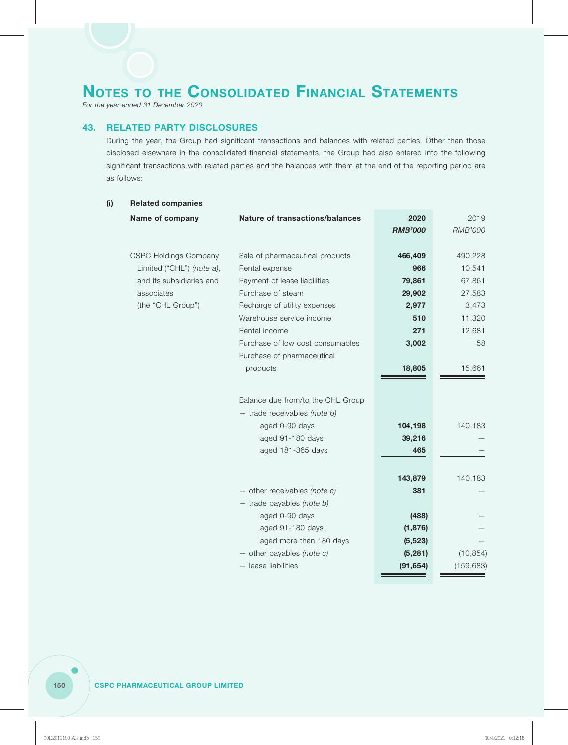*For the year ended 31 December 2020*

#### **43. RELATED PARTY DISCLOSURES**

During the year, the Group had significant transactions and balances with related parties. Other than those disclosed elsewhere in the consolidated financial statements, the Group had also entered into the following significant transactions with related parties and the balances with them at the end of the reporting period are as follows:

| (i) | <b>Related companies</b>     |                                        |                |                |  |  |  |  |  |
|-----|------------------------------|----------------------------------------|----------------|----------------|--|--|--|--|--|
|     | Name of company              | <b>Nature of transactions/balances</b> | 2020           | 2019           |  |  |  |  |  |
|     |                              |                                        | <b>RMB'000</b> | <b>RMB'000</b> |  |  |  |  |  |
|     | <b>CSPC Holdings Company</b> | Sale of pharmaceutical products        | 466,409        | 490,228        |  |  |  |  |  |
|     | Limited ("CHL") (note a),    | Rental expense                         | 966            | 10,541         |  |  |  |  |  |
|     | and its subsidiaries and     | Payment of lease liabilities           | 79,861         | 67,861         |  |  |  |  |  |
|     | associates                   | Purchase of steam                      | 29,902         | 27,583         |  |  |  |  |  |
|     | (the "CHL Group")            | Recharge of utility expenses           | 2,977          | 3,473          |  |  |  |  |  |
|     |                              | Warehouse service income               | 510            | 11,320         |  |  |  |  |  |
|     |                              | Rental income                          | 271            | 12,681         |  |  |  |  |  |
|     |                              | Purchase of low cost consumables       | 3,002          | 58             |  |  |  |  |  |
|     |                              | Purchase of pharmaceutical             |                |                |  |  |  |  |  |
|     |                              | products                               | 18,805         | 15,661         |  |  |  |  |  |
|     |                              |                                        |                |                |  |  |  |  |  |
|     |                              |                                        |                |                |  |  |  |  |  |
|     |                              | Balance due from/to the CHL Group      |                |                |  |  |  |  |  |
|     |                              | $-$ trade receivables (note b)         |                |                |  |  |  |  |  |
|     |                              | aged 0-90 days                         | 104,198        | 140,183        |  |  |  |  |  |
|     |                              | aged 91-180 days                       | 39,216         |                |  |  |  |  |  |
|     |                              | aged 181-365 days                      | 465            |                |  |  |  |  |  |
|     |                              |                                        |                |                |  |  |  |  |  |
|     |                              |                                        | 143,879        | 140,183        |  |  |  |  |  |
|     |                              | $-$ other receivables (note c)         | 381            |                |  |  |  |  |  |
|     |                              | $-$ trade payables (note b)            |                |                |  |  |  |  |  |
|     |                              | aged 0-90 days                         | (488)          |                |  |  |  |  |  |
|     |                              | aged 91-180 days                       | (1,876)        |                |  |  |  |  |  |
|     |                              | aged more than 180 days                | (5, 523)       |                |  |  |  |  |  |
|     |                              | $-$ other payables (note c)            | (5, 281)       | (10, 854)      |  |  |  |  |  |
|     |                              | - lease liabilities                    | (91, 654)      | (159, 683)     |  |  |  |  |  |
|     |                              |                                        |                |                |  |  |  |  |  |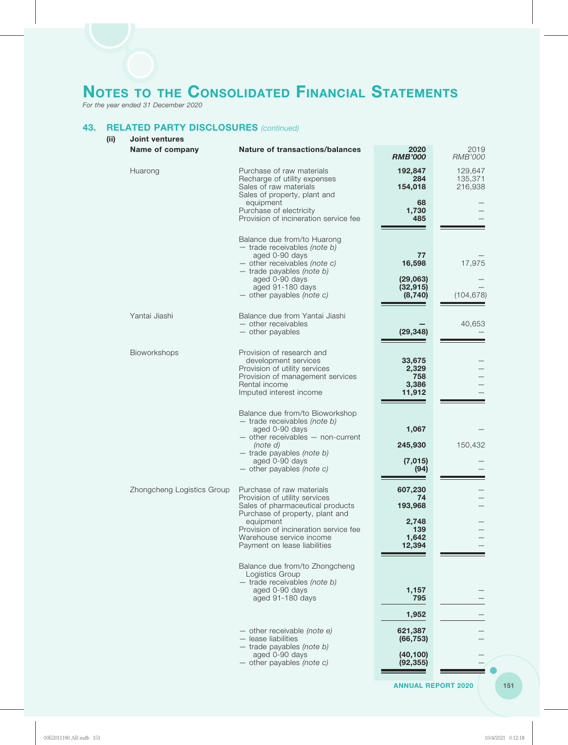*For the year ended 31 December 2020*

### **43. RELATED PARTY DISCLOSURES** *(continued)*

| (iii) | <b>Joint ventures</b>      |                                                                                                                                                                                                                                                     |                                                             |                               |  |  |
|-------|----------------------------|-----------------------------------------------------------------------------------------------------------------------------------------------------------------------------------------------------------------------------------------------------|-------------------------------------------------------------|-------------------------------|--|--|
|       | Name of company            | <b>Nature of transactions/balances</b>                                                                                                                                                                                                              | 2020<br><b>RMB'000</b>                                      | 2019<br><b>RMB'000</b>        |  |  |
|       | Huarong                    | Purchase of raw materials<br>Recharge of utility expenses<br>Sales of raw materials<br>Sales of property, plant and                                                                                                                                 | 192,847<br>284<br>154,018                                   | 129,647<br>135,371<br>216,938 |  |  |
|       |                            | equipment<br>Purchase of electricity<br>Provision of incineration service fee                                                                                                                                                                       | 68<br>1,730<br>485                                          |                               |  |  |
|       |                            | Balance due from/to Huarong<br>$-$ trade receivables (note b)<br>aged 0-90 days<br>$-$ other receivables (note c)<br>$-$ trade payables (note b)<br>aged 0-90 days<br>aged 91-180 days<br>$-$ other payables (note c)                               | 77<br>16,598<br>(29,063)<br>(32, 915)<br>(8, 740)           | 17,975<br>(104, 678)          |  |  |
|       | Yantai Jiashi              | Balance due from Yantai Jiashi<br>- other receivables<br>- other payables                                                                                                                                                                           | (29, 348)                                                   | 40,653                        |  |  |
|       | Bioworkshops               | Provision of research and<br>development services<br>Provision of utility services<br>Provision of management services<br>Rental income<br>Imputed interest income                                                                                  | 33,675<br>2,329<br>758<br>3,386<br>11,912                   |                               |  |  |
|       |                            | Balance due from/to Bioworkshop<br>$-$ trade receivables (note b)<br>aged 0-90 days<br>$-$ other receivables $-$ non-current<br>(note d)<br>$-$ trade payables (note b)<br>aged 0-90 days<br>$-$ other payables (note c)                            | 1,067<br>245,930<br>(7, 015)<br>(94)                        | 150,432                       |  |  |
|       | Zhongcheng Logistics Group | Purchase of raw materials<br>Provision of utility services<br>Sales of pharmaceutical products<br>Purchase of property, plant and<br>equipment<br>Provision of incineration service fee<br>Warehouse service income<br>Payment on lease liabilities | 607,230<br>74<br>193,968<br>2,748<br>139<br>1,642<br>12,394 |                               |  |  |
|       |                            | Balance due from/to Zhongcheng<br>Logistics Group<br>$-$ trade receivables (note b)<br>aged 0-90 days<br>aged 91-180 days                                                                                                                           | 1,157<br>795                                                |                               |  |  |
|       |                            | $-$ other receivable (note e)<br>- lease liabilities<br>$-$ trade payables (note b)<br>aged 0-90 days                                                                                                                                               | 1,952<br>621,387<br>(66, 753)<br>(40, 100)                  |                               |  |  |
|       |                            | $-$ other payables (note c)                                                                                                                                                                                                                         | (92, 355)                                                   |                               |  |  |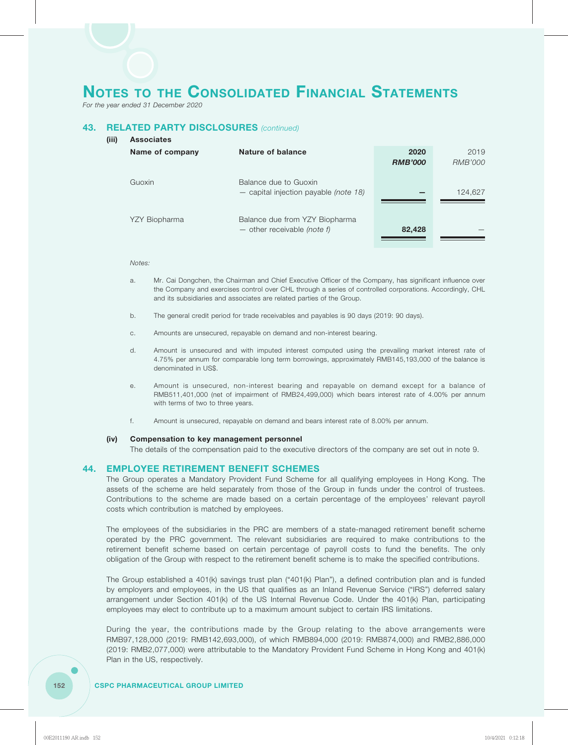*For the year ended 31 December 2020*

**(iii) Associates**

### **43. RELATED PARTY DISCLOSURES** *(continued)*

| <b>Associates</b> |                                                                        |                        |                 |
|-------------------|------------------------------------------------------------------------|------------------------|-----------------|
| Name of company   | Nature of balance                                                      | 2020<br><b>RMB'000</b> | 2019<br>RMB'000 |
| Guoxin            | Balance due to Guoxin<br>$-$ capital injection payable (note 18)       |                        | 124,627         |
| YZY Biopharma     | Balance due from YZY Biopharma<br>$-$ other receivable <i>(note f)</i> | 82,428                 |                 |

#### *Notes:*

- a. Mr. Cai Dongchen, the Chairman and Chief Executive Officer of the Company, has significant influence over the Company and exercises control over CHL through a series of controlled corporations. Accordingly, CHL and its subsidiaries and associates are related parties of the Group.
- b. The general credit period for trade receivables and payables is 90 days (2019: 90 days).
- c. Amounts are unsecured, repayable on demand and non-interest bearing.
- d. Amount is unsecured and with imputed interest computed using the prevailing market interest rate of 4.75% per annum for comparable long term borrowings, approximately RMB145,193,000 of the balance is denominated in US\$.
- e. Amount is unsecured, non-interest bearing and repayable on demand except for a balance of RMB511,401,000 (net of impairment of RMB24,499,000) which bears interest rate of 4.00% per annum with terms of two to three years.
- f. Amount is unsecured, repayable on demand and bears interest rate of 8.00% per annum.

#### **(iv) Compensation to key management personnel**

The details of the compensation paid to the executive directors of the company are set out in note 9.

#### **44. EMPLOYEE RETIREMENT BENEFIT SCHEMES**

The Group operates a Mandatory Provident Fund Scheme for all qualifying employees in Hong Kong. The assets of the scheme are held separately from those of the Group in funds under the control of trustees. Contributions to the scheme are made based on a certain percentage of the employees' relevant payroll costs which contribution is matched by employees.

The employees of the subsidiaries in the PRC are members of a state-managed retirement benefit scheme operated by the PRC government. The relevant subsidiaries are required to make contributions to the retirement benefit scheme based on certain percentage of payroll costs to fund the benefits. The only obligation of the Group with respect to the retirement benefit scheme is to make the specified contributions.

The Group established a 401(k) savings trust plan ("401(k) Plan"), a defined contribution plan and is funded by employers and employees, in the US that qualifies as an Inland Revenue Service ("IRS") deferred salary arrangement under Section 401(k) of the US Internal Revenue Code. Under the 401(k) Plan, participating employees may elect to contribute up to a maximum amount subject to certain IRS limitations.

During the year, the contributions made by the Group relating to the above arrangements were RMB97,128,000 (2019: RMB142,693,000), of which RMB894,000 (2019: RMB874,000) and RMB2,886,000 (2019: RMB2,077,000) were attributable to the Mandatory Provident Fund Scheme in Hong Kong and 401(k) Plan in the US, respectively.

#### **152 CSPC PHARMACEUTICAL GROUP LIMITED**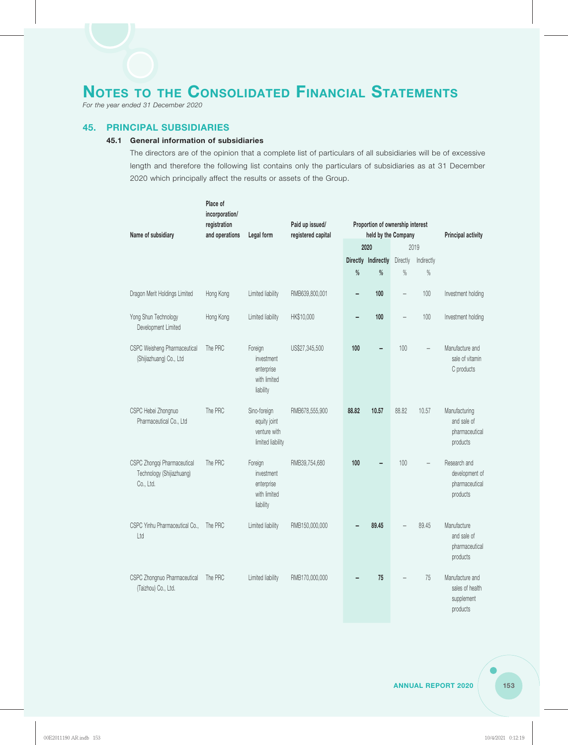*For the year ended 31 December 2020*

#### **45. PRINCIPAL SUBSIDIARIES**

#### **45.1 General information of subsidiaries**

The directors are of the opinion that a complete list of particulars of all subsidiaries will be of excessive length and therefore the following list contains only the particulars of subsidiaries as at 31 December 2020 which principally affect the results or assets of the Group.

| Name of subsidiary                                                    | Place of<br>incorporation/<br>registration<br>and operations | Legal form                                                        | Paid up issued/<br>registered capital | Proportion of ownership interest<br>held by the Company<br>2020<br>2019 |                          |                   |                    | <b>Principal activity</b>                                    |
|-----------------------------------------------------------------------|--------------------------------------------------------------|-------------------------------------------------------------------|---------------------------------------|-------------------------------------------------------------------------|--------------------------|-------------------|--------------------|--------------------------------------------------------------|
|                                                                       |                                                              |                                                                   |                                       |                                                                         |                          |                   |                    |                                                              |
|                                                                       |                                                              |                                                                   |                                       | %                                                                       | Directly Indirectly<br>% | Directly<br>$\%$  | Indirectly<br>$\%$ |                                                              |
| Dragon Merit Holdings Limited                                         | Hong Kong                                                    | Limited liability                                                 | RMB639,800,001                        | -                                                                       | 100                      |                   | 100                | Investment holding                                           |
| Yong Shun Technology<br>Development Limited                           | Hong Kong                                                    | Limited liability                                                 | HK\$10,000                            |                                                                         | 100                      | $\qquad \qquad -$ | 100                | Investment holding                                           |
| CSPC Weisheng Pharmaceutical<br>(Shijiazhuang) Co., Ltd               | The PRC                                                      | Foreign<br>investment<br>enterprise<br>with limited<br>liability  | US\$27,345,500                        | 100                                                                     |                          | 100               |                    | Manufacture and<br>sale of vitamin<br>C products             |
| CSPC Hebei Zhongnuo<br>Pharmaceutical Co., Ltd                        | The PRC                                                      | Sino-foreign<br>equity joint<br>venture with<br>limited liability | RMB678,555,900                        | 88,82                                                                   | 10.57                    | 88.82             | 10.57              | Manufacturing<br>and sale of<br>pharmaceutical<br>products   |
| CSPC Zhongqi Pharmaceutical<br>Technology (Shijiazhuang)<br>Co., Ltd. | The PRC                                                      | Foreign<br>investment<br>enterprise<br>with limited<br>liability  | RMB39,754,680                         | 100                                                                     |                          | 100               |                    | Research and<br>development of<br>pharmaceutical<br>products |
| CSPC Yinhu Pharmaceutical Co.,<br>Ltd                                 | The PRC                                                      | Limited liability                                                 | RMB150,000,000                        |                                                                         | 89.45                    |                   | 89.45              | Manufacture<br>and sale of<br>pharmaceutical<br>products     |
| CSPC Zhongnuo Pharmaceutical<br>(Taizhou) Co., Ltd.                   | The PRC                                                      | Limited liability                                                 | RMB170,000,000                        |                                                                         | 75                       |                   | 75                 | Manufacture and<br>sales of health<br>supplement<br>products |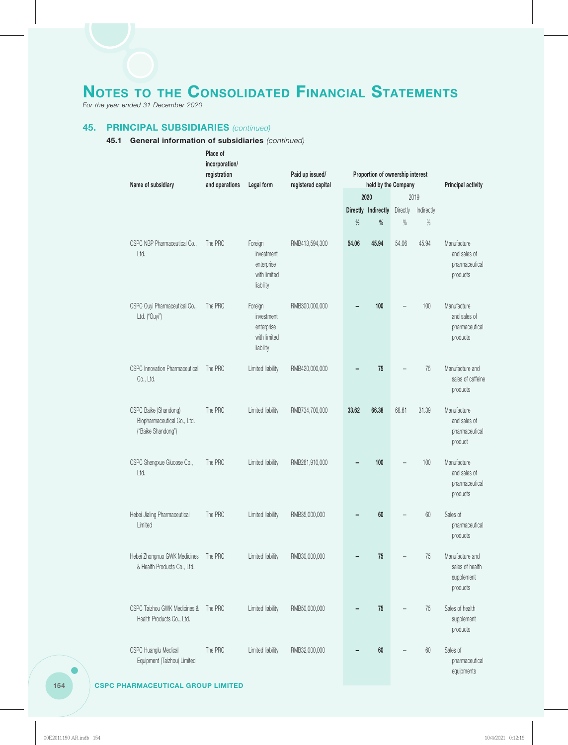*For the year ended 31 December 2020*

### **45. PRINCIPAL SUBSIDIARIES** *(continued)*

| Name of subsidiary                                                         | Place of<br>incorporation/<br>registration<br>and operations | Legal form                                                       | Paid up issued/<br>registered capital | Proportion of ownership interest<br>held by the Company |                     |          |            | <b>Principal activity</b>                                    |
|----------------------------------------------------------------------------|--------------------------------------------------------------|------------------------------------------------------------------|---------------------------------------|---------------------------------------------------------|---------------------|----------|------------|--------------------------------------------------------------|
|                                                                            |                                                              |                                                                  |                                       |                                                         | 2020                |          | 2019       |                                                              |
|                                                                            |                                                              |                                                                  |                                       |                                                         | Directly Indirectly | Directly | Indirectly |                                                              |
|                                                                            |                                                              |                                                                  |                                       | $\%$                                                    | %                   | %        | $\%$       |                                                              |
| CSPC NBP Pharmaceutical Co.,<br>Ltd.                                       | The PRC                                                      | Foreign<br>investment<br>enterprise<br>with limited<br>liability | RMB413,594,300                        | 54.06                                                   | 45.94               | 54.06    | 45.94      | Manufacture<br>and sales of<br>pharmaceutical<br>products    |
| CSPC Ouyi Pharmaceutical Co.,<br>Ltd. ("Ouyi")                             | The PRC                                                      | Foreign<br>investment<br>enterprise<br>with limited<br>liability | RMB300,000,000                        |                                                         | 100                 |          | 100        | Manufacture<br>and sales of<br>pharmaceutical<br>products    |
| CSPC Innovation Pharmaceutical<br>Co., Ltd.                                | The PRC                                                      | Limited liability                                                | RMB420,000,000                        |                                                         | 75                  |          | 75         | Manufacture and<br>sales of caffeine<br>products             |
| CSPC Baike (Shandong)<br>Biopharmaceutical Co., Ltd.<br>("Baike Shandong") | The PRC                                                      | Limited liability                                                | RMB734,700,000                        | 33.62                                                   | 66.38               | 68.61    | 31.39      | Manufacture<br>and sales of<br>pharmaceutical<br>product     |
| CSPC Shengxue Glucose Co.,<br>Ltd.                                         | The PRC                                                      | Limited liability                                                | RMB261,910,000                        |                                                         | 100                 |          | 100        | Manufacture<br>and sales of<br>pharmaceutical<br>products    |
| Hebei Jialing Pharmaceutical<br>Limited                                    | The PRC                                                      | Limited liability                                                | RMB35,000,000                         |                                                         | 60                  |          | 60         | Sales of<br>pharmaceutical<br>products                       |
| Hebei Zhongnuo GWK Medicines<br>& Health Products Co., Ltd.                | The PRC                                                      | Limited liability                                                | RMB30,000,000                         |                                                         | 75                  |          | 75         | Manufacture and<br>sales of health<br>supplement<br>products |
| CSPC Taizhou GWK Medicines &<br>Health Products Co., Ltd.                  | The PRC                                                      | Limited liability                                                | RMB50,000,000                         |                                                         | 75                  |          | 75         | Sales of health<br>supplement<br>products                    |
| CSPC Huanglu Medical<br>Equipment (Taizhou) Limited                        | The PRC                                                      | Limited liability                                                | RMB32,000,000                         |                                                         | 60                  |          | 60         | Sales of<br>pharmaceutical<br>equipments                     |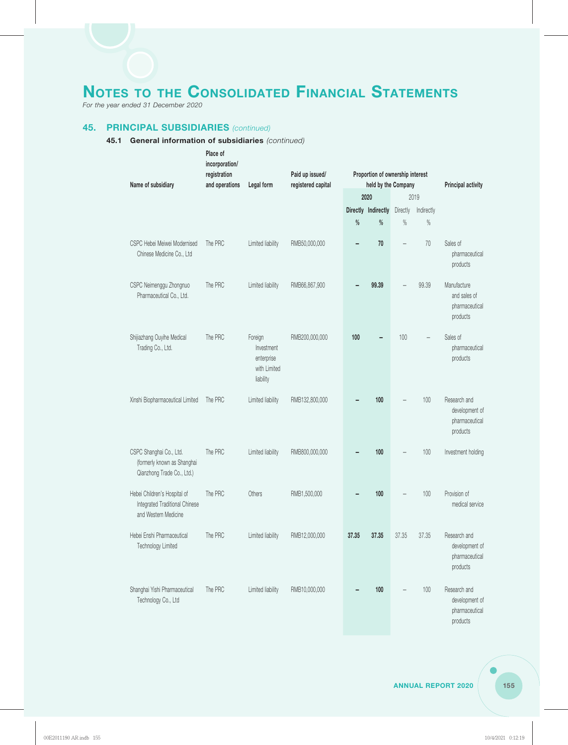*For the year ended 31 December 2020*

### **45. PRINCIPAL SUBSIDIARIES** *(continued)*

| Name of subsidiary                                                                     | Place of<br>incorporation/<br>registration<br>and operations | Legal form                                                       | Paid up issued/<br>registered capital |       | Proportion of ownership interest<br>held by the Company |          |            | <b>Principal activity</b>                                    |
|----------------------------------------------------------------------------------------|--------------------------------------------------------------|------------------------------------------------------------------|---------------------------------------|-------|---------------------------------------------------------|----------|------------|--------------------------------------------------------------|
|                                                                                        |                                                              |                                                                  |                                       |       | 2020                                                    |          | 2019       |                                                              |
|                                                                                        |                                                              |                                                                  |                                       |       | Directly Indirectly                                     | Directly | Indirectly |                                                              |
|                                                                                        |                                                              |                                                                  |                                       | %     | %                                                       | $\%$     | $\%$       |                                                              |
| CSPC Hebei Meiwei Modernised<br>Chinese Medicine Co., Ltd                              | The PRC                                                      | Limited liability                                                | RMB50,000,000                         |       | 70                                                      |          | 70         | Sales of<br>pharmaceutical<br>products                       |
| CSPC Neimenggu Zhongnuo<br>Pharmaceutical Co., Ltd.                                    | The PRC                                                      | Limited liability                                                | RMB66,867,900                         |       | 99.39                                                   |          | 99.39      | Manufacture<br>and sales of<br>pharmaceutical<br>products    |
| Shijiazhang Ouyihe Medical<br>Trading Co., Ltd.                                        | The PRC                                                      | Foreign<br>Investment<br>enterprise<br>with Limited<br>liability | RMB200,000,000                        | 100   |                                                         | 100      |            | Sales of<br>pharmaceutical<br>products                       |
| Xinshi Biopharmaceutical Limited                                                       | The PRC                                                      | Limited liability                                                | RMB132,800,000                        |       | 100                                                     |          | 100        | Research and<br>development of<br>pharmaceutical<br>products |
| CSPC Shanghai Co., Ltd.<br>(formerly known as Shanghai<br>Qianzhong Trade Co., Ltd.)   | The PRC                                                      | Limited liability                                                | RMB800,000,000                        |       | 100                                                     |          | 100        | Investment holding                                           |
| Hebei Children's Hospital of<br>Integrated Traditional Chinese<br>and Western Medicine | The PRC                                                      | Others                                                           | RMB1,500,000                          |       | 100                                                     |          | 100        | Provision of<br>medical service                              |
| Hebei Enshi Pharmaceutical<br>Technology Limited                                       | The PRC                                                      | Limited liability                                                | RMB12,000,000                         | 37.35 | 37.35                                                   | 37.35    | 37.35      | Research and<br>development of<br>pharmaceutical<br>products |
| Shanghai Yishi Pharmaceutical<br>Technology Co., Ltd                                   | The PRC                                                      | Limited liability                                                | RMB10,000,000                         |       | 100                                                     |          | $100$      | Research and<br>development of<br>pharmaceutical<br>products |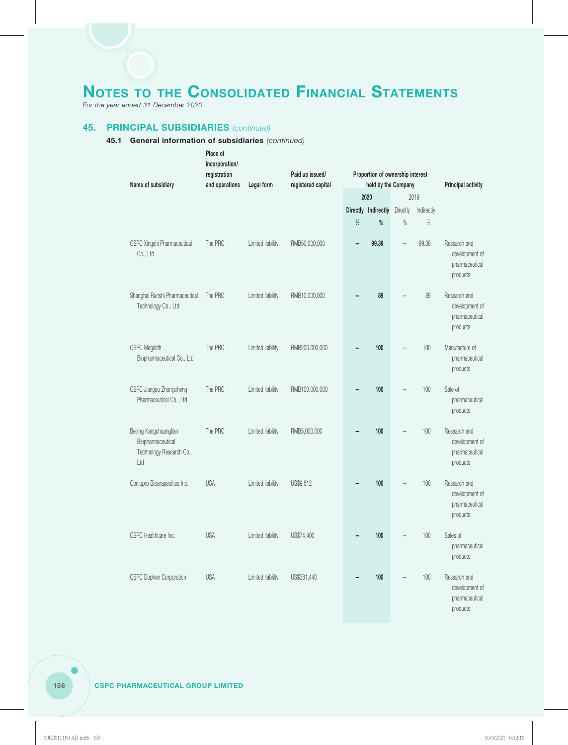*For the year ended 31 December 2020*

### **45. PRINCIPAL SUBSIDIARIES** *(continued)*

| Name of subsidiary                                                             | Place of<br>incorporation/<br>registration<br>and operations | Legal form        | Paid up issued/<br>registered capital | Proportion of ownership interest<br>held by the Company |                     |          |            | <b>Principal activity</b>                                    |
|--------------------------------------------------------------------------------|--------------------------------------------------------------|-------------------|---------------------------------------|---------------------------------------------------------|---------------------|----------|------------|--------------------------------------------------------------|
|                                                                                |                                                              |                   |                                       | 2020                                                    |                     | 2019     |            |                                                              |
|                                                                                |                                                              |                   |                                       |                                                         | Directly Indirectly | Directly | Indirectly |                                                              |
|                                                                                |                                                              |                   |                                       | $\%$                                                    | $\%$                | $\%$     | $\%$       |                                                              |
| CSPC Xingshi Pharmaceutical<br>Co., Ltd                                        | The PRC                                                      | Limited liability | RMB50,000,000                         | -                                                       | 99.39               |          | 99.39      | Research and<br>development of<br>pharmaceutical<br>products |
| Shanghai Runshi Pharmaceutical<br>Technology Co., Ltd                          | The PRC                                                      | Limited liability | RMB10,000,000                         |                                                         | 89                  |          | 89         | Research and<br>development of<br>pharmaceutical<br>products |
| CSPC Megalith<br>Biopharmaceutical Co., Ltd                                    | The PRC                                                      | Limited liability | RMB200,000,000                        |                                                         | 100                 |          | 100        | Manufacture of<br>pharmaceutical<br>products                 |
| CSPC Jiangsu Zhongcheng<br>Pharmaceutical Co., Ltd                             | The PRC                                                      | Limited liability | RMB100,000,000                        |                                                         | 100                 |          | 100        | Sale of<br>pharmaceutical<br>products                        |
| Beijing Kangchuanglian<br>Biopharmaceutical<br>Technology Research Co.,<br>Ltd | The PRC                                                      | Limited liability | RMB5,000,000                          |                                                         | 100                 |          | 100        | Research and<br>development of<br>pharmaceutical<br>products |
| Conjupro Bioerapecitics Inc.                                                   | <b>USA</b>                                                   | Limited liability | US\$9,512                             |                                                         | 100                 |          | 100        | Research and<br>development of<br>pharmaceutical<br>products |
| CSPC Healthcare Inc.                                                           | <b>USA</b>                                                   | Limited liability | US\$74,400                            |                                                         | 100                 |          | 100        | Sales of<br>pharmaceutical<br>products                       |
| CSPC Dophen Corporation                                                        | <b>USA</b>                                                   | Limited liability | US\$381,440                           |                                                         | 100                 |          | $100$      | Research and<br>development of<br>pharmaceutical<br>products |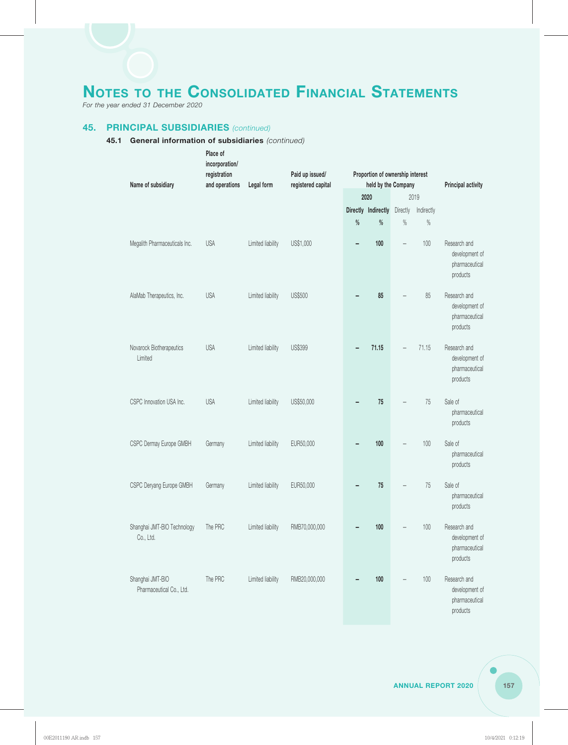*For the year ended 31 December 2020*

### **45. PRINCIPAL SUBSIDIARIES** *(continued)*

| Name of subsidiary                           | Place of<br>incorporation/<br>registration<br>and operations<br>Legal form | Paid up issued/<br>registered capital | Proportion of ownership interest<br>held by the Company |      |                     |          | <b>Principal activity</b> |                                                              |
|----------------------------------------------|----------------------------------------------------------------------------|---------------------------------------|---------------------------------------------------------|------|---------------------|----------|---------------------------|--------------------------------------------------------------|
|                                              |                                                                            |                                       |                                                         | 2020 |                     | 2019     |                           |                                                              |
|                                              |                                                                            |                                       |                                                         |      | Directly Indirectly | Directly | Indirectly                |                                                              |
|                                              |                                                                            |                                       |                                                         | $\%$ | $\%$                | $\%$     | $\%$                      |                                                              |
| Megalith Pharmaceuticals Inc.                | <b>USA</b>                                                                 | Limited liability                     | US\$1,000                                               | -    | 100                 |          | 100                       | Research and<br>development of<br>pharmaceutical<br>products |
| AlaMab Therapeutics, Inc.                    | <b>USA</b>                                                                 | Limited liability                     | US\$500                                                 |      | 85                  |          | 85                        | Research and<br>development of<br>pharmaceutical<br>products |
| Novarock Biotherapeutics<br>Limited          | <b>USA</b>                                                                 | Limited liability                     | US\$399                                                 |      | 71.15               |          | 71.15                     | Research and<br>development of<br>pharmaceutical<br>products |
| CSPC Innovation USA Inc.                     | <b>USA</b>                                                                 | Limited liability                     | US\$50,000                                              |      | 75                  |          | 75                        | Sale of<br>pharmaceutical<br>products                        |
| CSPC Dermay Europe GMBH                      | Germany                                                                    | Limited liability                     | EUR50,000                                               |      | 100                 |          | 100                       | Sale of<br>pharmaceutical<br>products                        |
| CSPC Deryang Europe GMBH                     | Germany                                                                    | Limited liability                     | EUR50,000                                               |      | 75                  |          | 75                        | Sale of<br>pharmaceutical<br>products                        |
| Shanghai JMT-BIO Technology<br>Co., Ltd.     | The PRC                                                                    | Limited liability                     | RMB70,000,000                                           |      | 100                 |          | $100$                     | Research and<br>development of<br>pharmaceutical<br>products |
| Shanghai JMT-BIO<br>Pharmaceutical Co., Ltd. | The PRC                                                                    | Limited liability                     | RMB20,000,000                                           |      | 100                 |          | $100$                     | Research and<br>development of<br>pharmaceutical<br>products |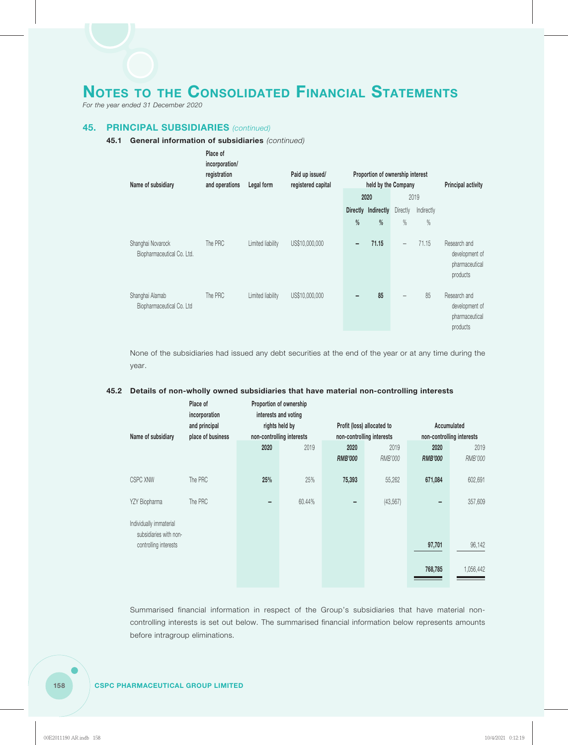*For the year ended 31 December 2020*

#### **45. PRINCIPAL SUBSIDIARIES** *(continued)*

#### **45.1 General information of subsidiaries** *(continued)*

| Name of subsidiary                              | Place of<br>incorporation/<br>registration<br>and operations<br>Legal form |                   | Paid up issued/<br>registered capital | Proportion of ownership interest<br>held by the Company |                     |                          |            | <b>Principal activity</b>                                    |
|-------------------------------------------------|----------------------------------------------------------------------------|-------------------|---------------------------------------|---------------------------------------------------------|---------------------|--------------------------|------------|--------------------------------------------------------------|
|                                                 |                                                                            |                   |                                       |                                                         | 2020                |                          | 2019       |                                                              |
|                                                 |                                                                            |                   |                                       |                                                         | Directly Indirectly | Directly                 | Indirectly |                                                              |
|                                                 |                                                                            |                   |                                       | %                                                       | %                   | %                        | $\%$       |                                                              |
| Shanghai Novarock<br>Biopharmaceutical Co. Ltd. | The PRC                                                                    | Limited liability | US\$10,000,000                        | -                                                       | 71.15               | $\overline{\phantom{0}}$ | 71.15      | Research and<br>development of<br>pharmaceutical<br>products |
| Shanghai Alamab<br>Biopharmaceutical Co. Ltd    | The PRC                                                                    | Limited liability | US\$10,000,000                        |                                                         | 85                  |                          | 85         | Research and<br>development of<br>pharmaceutical<br>products |

None of the subsidiaries had issued any debt securities at the end of the year or at any time during the year.

#### **45.2 Details of non-wholly owned subsidiaries that have material non-controlling interests**

| Name of subsidiary                                | Place of<br>incorporation<br>and principal<br>place of business | Proportion of ownership<br>interests and voting<br>rights held by<br>non-controlling interests |        | Profit (loss) allocated to<br>non-controlling interests |           | Accumulated<br>non-controlling interests |           |
|---------------------------------------------------|-----------------------------------------------------------------|------------------------------------------------------------------------------------------------|--------|---------------------------------------------------------|-----------|------------------------------------------|-----------|
|                                                   |                                                                 | 2020                                                                                           | 2019   | 2020                                                    | 2019      | 2020                                     | 2019      |
|                                                   |                                                                 |                                                                                                |        | <b>RMB'000</b>                                          | RMB'000   | <b>RMB'000</b>                           | RMB'000   |
| <b>CSPC XNW</b>                                   | The PRC                                                         | 25%                                                                                            | 25%    | 75,393                                                  | 55,262    | 671,084                                  | 602,691   |
| YZY Biopharma                                     | The PRC                                                         |                                                                                                | 60.44% |                                                         | (43, 567) |                                          | 357,609   |
| Individually immaterial<br>subsidiaries with non- |                                                                 |                                                                                                |        |                                                         |           |                                          |           |
| controlling interests                             |                                                                 |                                                                                                |        |                                                         |           | 97,701                                   | 96,142    |
|                                                   |                                                                 |                                                                                                |        |                                                         |           | 768,785                                  | 1,056,442 |

Summarised financial information in respect of the Group's subsidiaries that have material noncontrolling interests is set out below. The summarised financial information below represents amounts before intragroup eliminations.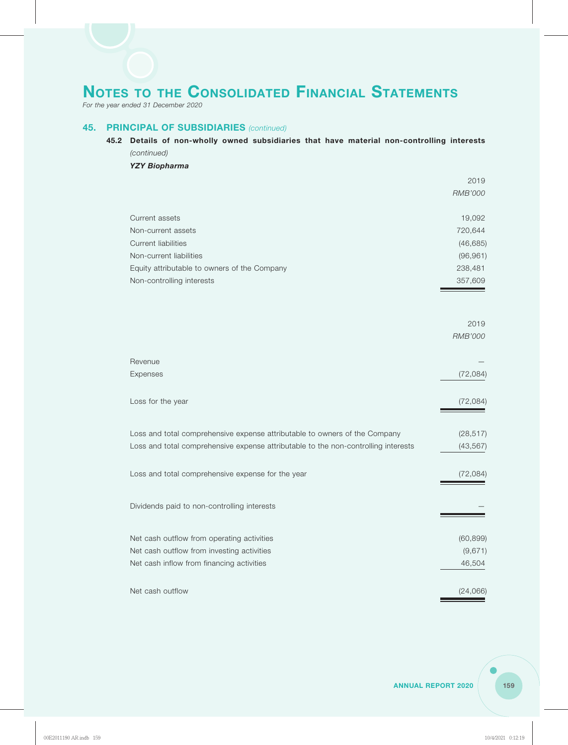*For the year ended 31 December 2020*

#### **45. PRINCIPAL OF SUBSIDIARIES** *(continued)*

### **45.2 Details of non-wholly owned subsidiaries that have material non-controlling interests** *(continued)*

*YZY Biopharma*

|                                                                                    | 2019                   |
|------------------------------------------------------------------------------------|------------------------|
|                                                                                    | <b>RMB'000</b>         |
| Current assets                                                                     | 19,092                 |
| Non-current assets                                                                 | 720,644                |
| <b>Current liabilities</b>                                                         | (46, 685)              |
| Non-current liabilities                                                            | (96, 961)              |
| Equity attributable to owners of the Company                                       | 238,481                |
| Non-controlling interests                                                          | 357,609                |
|                                                                                    |                        |
|                                                                                    | 2019<br><b>RMB'000</b> |
|                                                                                    |                        |
| Revenue                                                                            |                        |
| Expenses                                                                           | (72,084)               |
| Loss for the year                                                                  | (72,084)               |
| Loss and total comprehensive expense attributable to owners of the Company         | (28, 517)              |
| Loss and total comprehensive expense attributable to the non-controlling interests | (43, 567)              |
| Loss and total comprehensive expense for the year                                  | (72, 084)              |
| Dividends paid to non-controlling interests                                        |                        |
| Net cash outflow from operating activities                                         | (60, 899)              |
| Net cash outflow from investing activities                                         | (9,671)                |
| Net cash inflow from financing activities                                          | 46,504                 |
| Net cash outflow                                                                   | (24,066)               |
|                                                                                    |                        |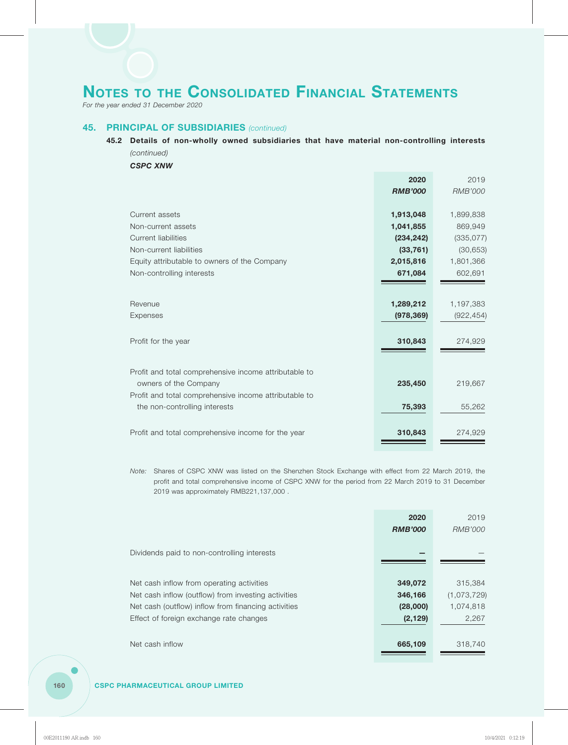*For the year ended 31 December 2020*

#### **45. PRINCIPAL OF SUBSIDIARIES** *(continued)*

### **45.2 Details of non-wholly owned subsidiaries that have material non-controlling interests** *(continued)*

*CSPC XNW*

|                                                       | 2020           | 2019           |
|-------------------------------------------------------|----------------|----------------|
|                                                       | <b>RMB'000</b> | <b>RMB'000</b> |
|                                                       |                |                |
| Current assets                                        | 1,913,048      | 1,899,838      |
| Non-current assets                                    | 1,041,855      | 869,949        |
| <b>Current liabilities</b>                            | (234, 242)     | (335, 077)     |
| Non-current liabilities                               | (33, 761)      | (30, 653)      |
| Equity attributable to owners of the Company          | 2,015,816      | 1,801,366      |
| Non-controlling interests                             | 671,084        | 602,691        |
|                                                       |                |                |
|                                                       |                |                |
| Revenue                                               | 1,289,212      | 1,197,383      |
| Expenses                                              | (978, 369)     | (922, 454)     |
|                                                       |                |                |
| Profit for the year                                   | 310,843        | 274,929        |
|                                                       |                |                |
| Profit and total comprehensive income attributable to |                |                |
| owners of the Company                                 | 235,450        | 219,667        |
| Profit and total comprehensive income attributable to |                |                |
| the non-controlling interests                         | 75,393         | 55,262         |
|                                                       |                |                |
|                                                       |                |                |
| Profit and total comprehensive income for the year    | 310,843        | 274,929        |
|                                                       |                |                |

*Note:* Shares of CSPC XNW was listed on the Shenzhen Stock Exchange with effect from 22 March 2019, the profit and total comprehensive income of CSPC XNW for the period from 22 March 2019 to 31 December 2019 was approximately RMB221,137,000 .

|                                                     | 2020           | 2019        |
|-----------------------------------------------------|----------------|-------------|
|                                                     | <b>RMB'000</b> | RMB'000     |
|                                                     |                |             |
| Dividends paid to non-controlling interests         |                |             |
|                                                     |                |             |
| Net cash inflow from operating activities           | 349,072        | 315,384     |
| Net cash inflow (outflow) from investing activities | 346,166        | (1,073,729) |
| Net cash (outflow) inflow from financing activities | (28,000)       | 1,074,818   |
| Effect of foreign exchange rate changes             | (2, 129)       | 2,267       |
|                                                     |                |             |
| Net cash inflow                                     | 665,109        | 318,740     |
|                                                     |                |             |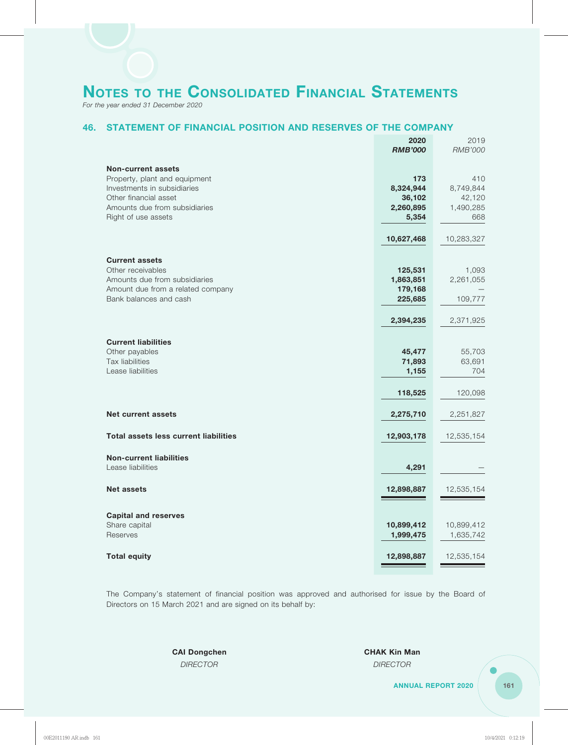*For the year ended 31 December 2020*

### **46. STATEMENT OF FINANCIAL POSITION AND RESERVES OF THE COMPANY**

|                                                             | 2020                    | 2019                    |
|-------------------------------------------------------------|-------------------------|-------------------------|
|                                                             | <b>RMB'000</b>          | <b>RMB'000</b>          |
| <b>Non-current assets</b>                                   |                         |                         |
| Property, plant and equipment                               | 173                     | 410                     |
| Investments in subsidiaries                                 | 8,324,944               | 8,749,844               |
| Other financial asset                                       | 36,102                  | 42,120                  |
| Amounts due from subsidiaries<br>Right of use assets        | 2,260,895<br>5,354      | 1,490,285<br>668        |
|                                                             |                         |                         |
|                                                             | 10,627,468              | 10,283,327              |
| <b>Current assets</b>                                       |                         |                         |
| Other receivables                                           | 125,531                 | 1,093                   |
| Amounts due from subsidiaries                               | 1,863,851               | 2,261,055               |
| Amount due from a related company<br>Bank balances and cash | 179,168<br>225,685      | 109,777                 |
|                                                             |                         |                         |
|                                                             | 2,394,235               | 2,371,925               |
| <b>Current liabilities</b>                                  |                         |                         |
| Other payables                                              | 45,477                  | 55,703                  |
| Tax liabilities                                             | 71,893                  | 63,691                  |
| Lease liabilities                                           | 1,155                   | 704                     |
|                                                             | 118,525                 | 120,098                 |
| <b>Net current assets</b>                                   | 2,275,710               | 2,251,827               |
|                                                             |                         |                         |
| <b>Total assets less current liabilities</b>                | 12,903,178              | 12,535,154              |
| <b>Non-current liabilities</b>                              |                         |                         |
| Lease liabilities                                           | 4,291                   |                         |
| <b>Net assets</b>                                           | 12,898,887              | 12,535,154              |
|                                                             |                         |                         |
| <b>Capital and reserves</b><br>Share capital                |                         |                         |
| Reserves                                                    | 10,899,412<br>1,999,475 | 10,899,412<br>1,635,742 |
|                                                             |                         |                         |
| <b>Total equity</b>                                         | 12,898,887              | 12,535,154              |

The Company's statement of financial position was approved and authorised for issue by the Board of Directors on 15 March 2021 and are signed on its behalf by:

*DIRECTOR DIRECTOR*

**CAI Dongchen CHAK Kin Man**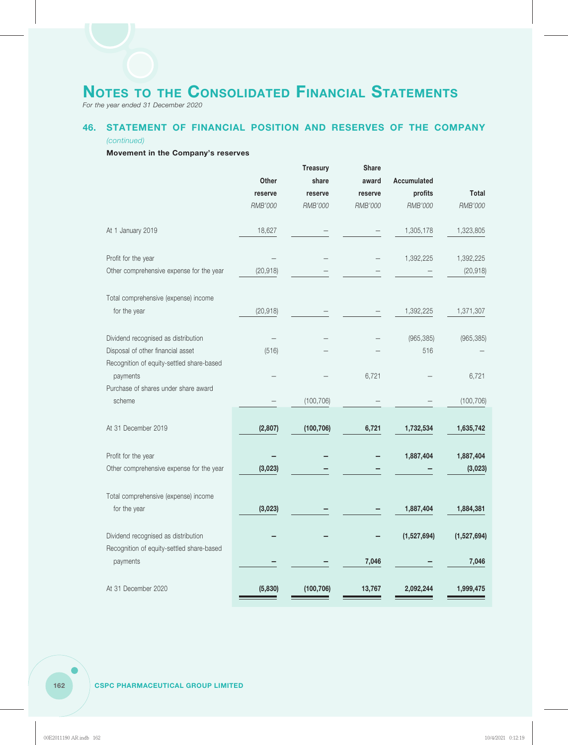*For the year ended 31 December 2020*

### **46. STATEMENT OF FINANCIAL POSITION AND RESERVES OF THE COMPANY**

#### *(continued)*

#### **Movement in the Company's reserves**

|                                                                                |           | <b>Treasury</b> | <b>Share</b> |             |              |
|--------------------------------------------------------------------------------|-----------|-----------------|--------------|-------------|--------------|
|                                                                                | Other     | share           | award        | Accumulated |              |
|                                                                                | reserve   | reserve         | reserve      | profits     | <b>Total</b> |
|                                                                                | RMB'000   | RMB'000         | RMB'000      | RMB'000     | RMB'000      |
| At 1 January 2019                                                              | 18,627    |                 |              | 1,305,178   | 1,323,805    |
| Profit for the year                                                            |           |                 |              | 1,392,225   | 1,392,225    |
| Other comprehensive expense for the year                                       | (20, 918) |                 |              |             | (20, 918)    |
| Total comprehensive (expense) income                                           |           |                 |              |             |              |
| for the year                                                                   | (20, 918) |                 |              | 1,392,225   | 1,371,307    |
| Dividend recognised as distribution                                            |           |                 |              | (965, 385)  | (965, 385)   |
| Disposal of other financial asset<br>Recognition of equity-settled share-based | (516)     |                 |              | 516         |              |
| payments                                                                       |           |                 | 6,721        |             | 6,721        |
| Purchase of shares under share award<br>scheme                                 |           | (100, 706)      |              |             | (100, 706)   |
|                                                                                |           |                 |              |             |              |
| At 31 December 2019                                                            | (2,807)   | (100, 706)      | 6,721        | 1,732,534   | 1,635,742    |
| Profit for the year                                                            |           |                 |              | 1,887,404   | 1,887,404    |
| Other comprehensive expense for the year                                       | (3,023)   |                 |              |             | (3,023)      |
| Total comprehensive (expense) income                                           |           |                 |              |             |              |
| for the year                                                                   | (3,023)   |                 |              | 1,887,404   | 1,884,381    |
| Dividend recognised as distribution                                            |           |                 |              | (1,527,694) | (1,527,694)  |
| Recognition of equity-settled share-based<br>payments                          |           |                 | 7,046        |             | 7,046        |
|                                                                                |           |                 |              |             |              |
| At 31 December 2020                                                            | (5,830)   | (100, 706)      | 13,767       | 2,092,244   | 1,999,475    |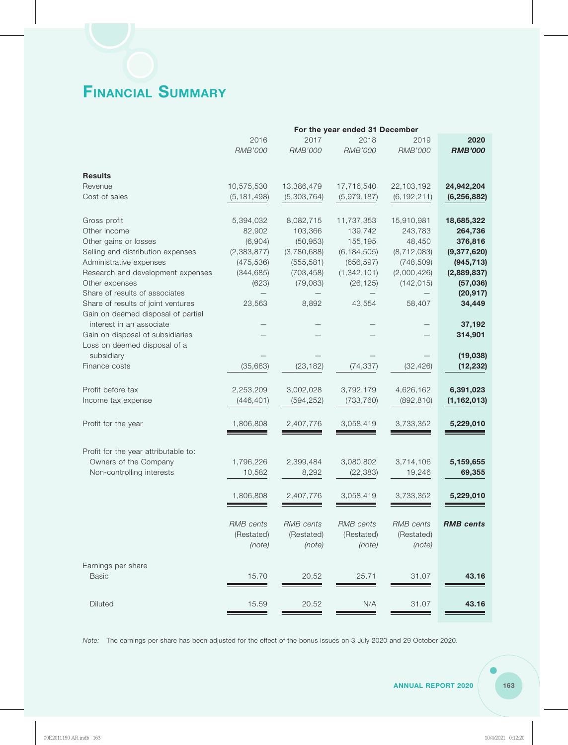# **FINANCIAL SUMMARY**

|                                      |                  |                  | For the year ended 31 December |                  |                  |
|--------------------------------------|------------------|------------------|--------------------------------|------------------|------------------|
|                                      | 2016             | 2017             | 2018                           | 2019             | 2020             |
|                                      | <b>RMB'000</b>   | <b>RMB'000</b>   | <b>RMB'000</b>                 | <b>RMB'000</b>   | <b>RMB'000</b>   |
|                                      |                  |                  |                                |                  |                  |
| <b>Results</b>                       |                  |                  |                                |                  |                  |
| Revenue                              | 10,575,530       | 13,386,479       | 17,716,540                     | 22,103,192       | 24,942,204       |
| Cost of sales                        | (5, 181, 498)    | (5,303,764)      | (5,979,187)                    | (6, 192, 211)    | (6, 256, 882)    |
|                                      |                  |                  |                                |                  |                  |
| Gross profit                         | 5,394,032        | 8,082,715        | 11,737,353                     | 15,910,981       | 18,685,322       |
| Other income                         | 82,902           | 103,366          | 139,742                        | 243,783          | 264,736          |
| Other gains or losses                | (6,904)          | (50, 953)        | 155,195                        | 48,450           | 376,816          |
| Selling and distribution expenses    | (2, 383, 877)    | (3,780,688)      | (6, 184, 505)                  | (8, 712, 083)    | (9,377,620)      |
| Administrative expenses              | (475, 536)       | (555, 581)       | (656, 597)                     | (748, 509)       | (945, 713)       |
| Research and development expenses    | (344, 685)       | (703, 458)       | (1, 342, 101)                  | (2,000,426)      | (2,889,837)      |
| Other expenses                       | (623)            | (79, 083)        | (26, 125)                      | (142, 015)       | (57,036)         |
| Share of results of associates       |                  |                  |                                |                  | (20, 917)        |
| Share of results of joint ventures   | 23,563           | 8,892            | 43,554                         | 58,407           | 34,449           |
| Gain on deemed disposal of partial   |                  |                  |                                |                  |                  |
| interest in an associate             |                  |                  |                                |                  | 37,192           |
|                                      |                  |                  |                                |                  |                  |
| Gain on disposal of subsidiaries     |                  |                  |                                |                  | 314,901          |
| Loss on deemed disposal of a         |                  |                  |                                |                  |                  |
| subsidiary                           |                  |                  |                                |                  | (19,038)         |
| Finance costs                        | (35, 663)        | (23, 182)        | (74, 337)                      | (32, 426)        | (12, 232)        |
|                                      |                  |                  |                                |                  |                  |
| Profit before tax                    | 2,253,209        | 3,002,028        | 3,792,179                      | 4,626,162        | 6,391,023        |
| Income tax expense                   | (446, 401)       | (594, 252)       | (733, 760)                     | (892, 810)       | (1, 162, 013)    |
| Profit for the year                  | 1,806,808        | 2,407,776        | 3,058,419                      | 3,733,352        | 5,229,010        |
|                                      |                  |                  |                                |                  |                  |
|                                      |                  |                  |                                |                  |                  |
| Profit for the year attributable to: |                  |                  |                                |                  | 5,159,655        |
| Owners of the Company                | 1,796,226        | 2,399,484        | 3,080,802                      | 3,714,106        |                  |
| Non-controlling interests            | 10,582           | 8,292            | (22, 383)                      | 19,246           | 69,355           |
|                                      | 1,806,808        | 2.407.776        | 3,058,419                      | 3,733,352        | 5,229,010        |
|                                      |                  |                  |                                |                  |                  |
|                                      | <b>RMB</b> cents | <b>RMB</b> cents | <b>RMB</b> cents               | <b>RMB</b> cents | <b>RMB</b> cents |
|                                      |                  |                  |                                |                  |                  |
|                                      | (Restated)       | (Restated)       | (Restated)                     | (Restated)       |                  |
|                                      | (note)           | (note)           | (note)                         | (note)           |                  |
| Earnings per share                   |                  |                  |                                |                  |                  |
| <b>Basic</b>                         | 15.70            | 20.52            | 25.71                          | 31.07            | 43.16            |
|                                      |                  |                  |                                |                  |                  |
|                                      |                  |                  |                                |                  |                  |
| <b>Diluted</b>                       | 15.59            | 20.52            | N/A                            | 31.07            | 43.16            |
|                                      |                  |                  |                                |                  |                  |

*Note:* The earnings per share has been adjusted for the effect of the bonus issues on 3 July 2020 and 29 October 2020.